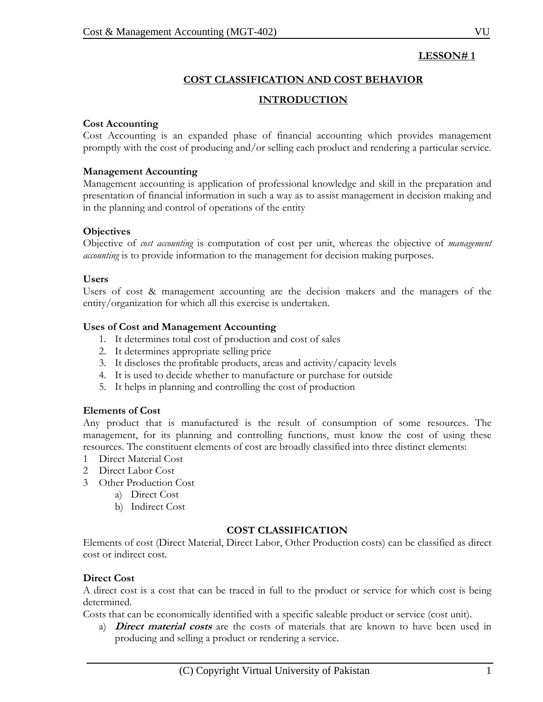# **LESSON# 1**

## **COST CLASSIFICATION AND COST BEHAVIOR**

## **INTRODUCTION**

### **Cost Accounting**

Cost Accounting is an expanded phase of financial accounting which provides management promptly with the cost of producing and/or selling each product and rendering a particular service.

#### **Management Accounting**

Management accounting is application of professional knowledge and skill in the preparation and presentation of financial information in such a way as to assist management in decision making and in the planning and control of operations of the entity

#### **Objectives**

Objective of *cost accounting* is computation of cost per unit, whereas the objective of *management accounting* is to provide information to the management for decision making purposes.

#### **Users**

Users of cost & management accounting are the decision makers and the managers of the entity/organization for which all this exercise is undertaken.

#### **Uses of Cost and Management Accounting**

- 1. It determines total cost of production and cost of sales
- 2. It determines appropriate selling price
- 3. It discloses the profitable products, areas and activity/capacity levels
- 4. It is used to decide whether to manufacture or purchase for outside
- 5. It helps in planning and controlling the cost of production

#### **Elements of Cost**

Any product that is manufactured is the result of consumption of some resources. The management, for its planning and controlling functions, must know the cost of using these resources. The constituent elements of cost are broadly classified into three distinct elements:

- 1 Direct Material Cost
- 2 Direct Labor Cost
- 3 Other Production Cost
	- a) Direct Cost
	- b) Indirect Cost

## **COST CLASSIFICATION**

Elements of cost (Direct Material, Direct Labor, Other Production costs) can be classified as direct cost or indirect cost.

## **Direct Cost**

A direct cost is a cost that can be traced in full to the product or service for which cost is being determined.

Costs that can be economically identified with a specific saleable product or service (cost unit).

a) **Direct material costs** are the costs of materials that are known to have been used in producing and selling a product or rendering a service.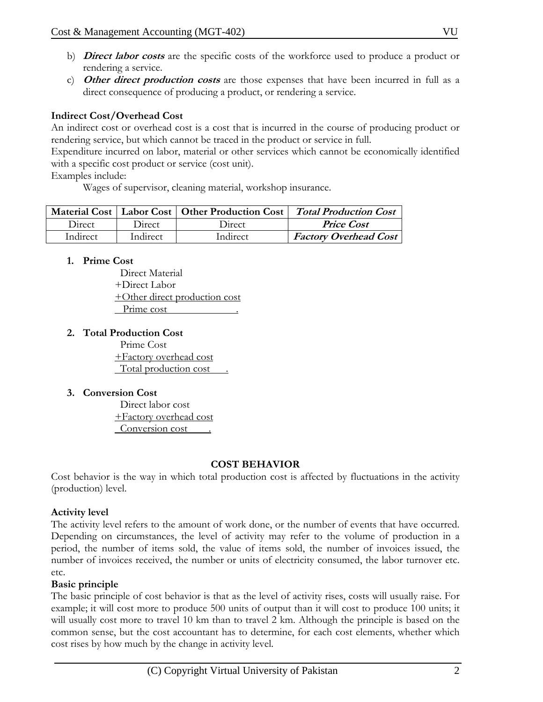- b) **Direct labor costs** are the specific costs of the workforce used to produce a product or rendering a service.
- c) **Other direct production costs** are those expenses that have been incurred in full as a direct consequence of producing a product, or rendering a service.

# **Indirect Cost/Overhead Cost**

An indirect cost or overhead cost is a cost that is incurred in the course of producing product or rendering service, but which cannot be traced in the product or service in full.

Expenditure incurred on labor, material or other services which cannot be economically identified with a specific cost product or service (cost unit).

Examples include:

Wages of supervisor, cleaning material, workshop insurance.

|          |          | Material Cost   Labor Cost   Other Production Cost   Total Production Cost |                              |
|----------|----------|----------------------------------------------------------------------------|------------------------------|
| Direct   | Direct   | Direct                                                                     | <b>Price Cost</b>            |
| Indirect | Indirect | Indirect                                                                   | <b>Factory Overhead Cost</b> |

# **1. Prime Cost**

 Direct Material +Direct Labor +Other direct production cost Prime cost

# **2. Total Production Cost**

 Prime Cost +Factory overhead cost Total production cost .

# **3. Conversion Cost**

 Direct labor cost +Factory overhead cost Conversion cost

# **COST BEHAVIOR**

Cost behavior is the way in which total production cost is affected by fluctuations in the activity (production) level.

# **Activity level**

The activity level refers to the amount of work done, or the number of events that have occurred. Depending on circumstances, the level of activity may refer to the volume of production in a period, the number of items sold, the value of items sold, the number of invoices issued, the number of invoices received, the number or units of electricity consumed, the labor turnover etc. etc.

# **Basic principle**

The basic principle of cost behavior is that as the level of activity rises, costs will usually raise. For example; it will cost more to produce 500 units of output than it will cost to produce 100 units; it will usually cost more to travel 10 km than to travel 2 km. Although the principle is based on the common sense, but the cost accountant has to determine, for each cost elements, whether which cost rises by how much by the change in activity level.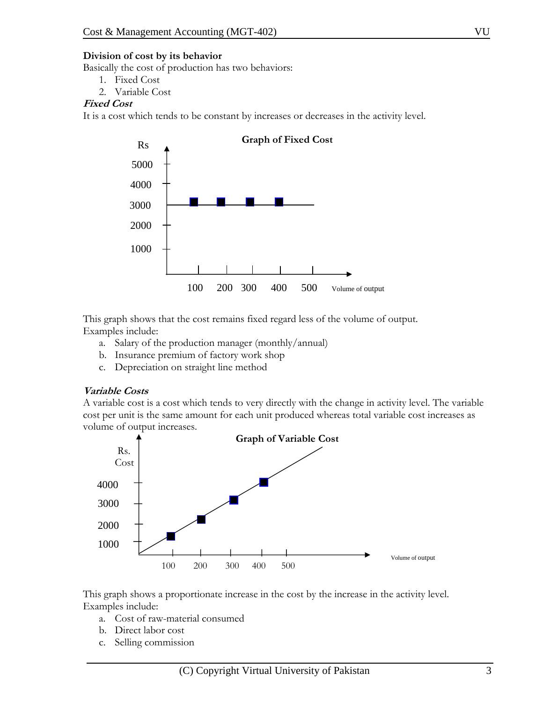Basically the cost of production has two behaviors:

- 1. Fixed Cost
- 2. Variable Cost

## **Fixed Cost**

It is a cost which tends to be constant by increases or decreases in the activity level.



This graph shows that the cost remains fixed regard less of the volume of output. Examples include:

- a. Salary of the production manager (monthly/annual)
- b. Insurance premium of factory work shop
- c. Depreciation on straight line method

# **Variable Costs**

A variable cost is a cost which tends to very directly with the change in activity level. The variable cost per unit is the same amount for each unit produced whereas total variable cost increases as volume of output increases.



This graph shows a proportionate increase in the cost by the increase in the activity level. Examples include:

- a. Cost of raw-material consumed
- b. Direct labor cost
- c. Selling commission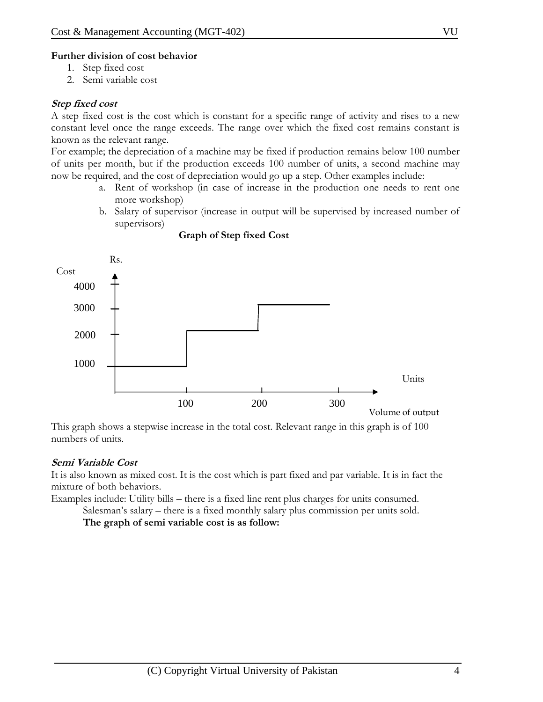## **Further division of cost behavior**

- 1. Step fixed cost
- 2. Semi variable cost

# **Step fixed cost**

A step fixed cost is the cost which is constant for a specific range of activity and rises to a new constant level once the range exceeds. The range over which the fixed cost remains constant is known as the relevant range.

For example; the depreciation of a machine may be fixed if production remains below 100 number of units per month, but if the production exceeds 100 number of units, a second machine may now be required, and the cost of depreciation would go up a step. Other examples include:

- a. Rent of workshop (in case of increase in the production one needs to rent one more workshop)
- b. Salary of supervisor (increase in output will be supervised by increased number of supervisors)



 **Graph of Step fixed Cost** 

This graph shows a stepwise increase in the total cost. Relevant range in this graph is of 100 numbers of units.

# **Semi Variable Cost**

It is also known as mixed cost. It is the cost which is part fixed and par variable. It is in fact the mixture of both behaviors.

Examples include: Utility bills – there is a fixed line rent plus charges for units consumed.

Salesman's salary – there is a fixed monthly salary plus commission per units sold.

**The graph of semi variable cost is as follow:**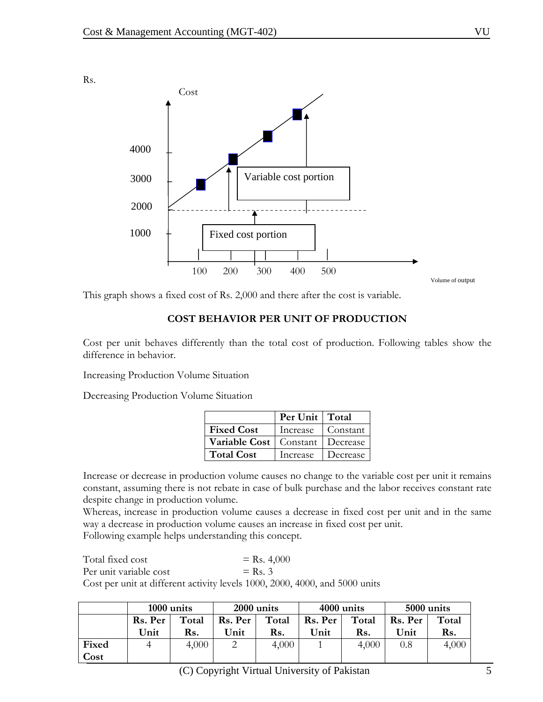Rs.



Volume of output

This graph shows a fixed cost of Rs. 2,000 and there after the cost is variable.

#### **COST BEHAVIOR PER UNIT OF PRODUCTION**

Cost per unit behaves differently than the total cost of production. Following tables show the difference in behavior.

Increasing Production Volume Situation

Decreasing Production Volume Situation

|                                     | Per Unit   Total |          |
|-------------------------------------|------------------|----------|
| <b>Fixed Cost</b>                   | Increase         | Constant |
| Variable Cost   Constant   Decrease |                  |          |
| <b>Total Cost</b>                   | Increase         | Decrease |

Increase or decrease in production volume causes no change to the variable cost per unit it remains constant, assuming there is not rebate in case of bulk purchase and the labor receives constant rate despite change in production volume.

Whereas, increase in production volume causes a decrease in fixed cost per unit and in the same way a decrease in production volume causes an increase in fixed cost per unit.

Following example helps understanding this concept.

| Total fixed cost                                                            | $=$ Rs. 4,000 |
|-----------------------------------------------------------------------------|---------------|
| Per unit variable cost                                                      | $=$ Rs. 3     |
| Cost per unit at different activity levels 1000, 2000, 4000, and 5000 units |               |

|       |         | 1000 units | 2000 units |       | 4000 units |       | 5000 units |       |
|-------|---------|------------|------------|-------|------------|-------|------------|-------|
|       | Rs. Per | Total      | Rs. Per    | Total | Rs. Per    | Total | Rs. Per    | Total |
|       | Unit    | Rs.        | Unit       | Rs.   | Unit       | Rs.   | Unit       | Rs.   |
| Fixed |         | 4,000      |            | 4,000 |            | 4,000 | 0.8        | 4,000 |
| Cost  |         |            |            |       |            |       |            |       |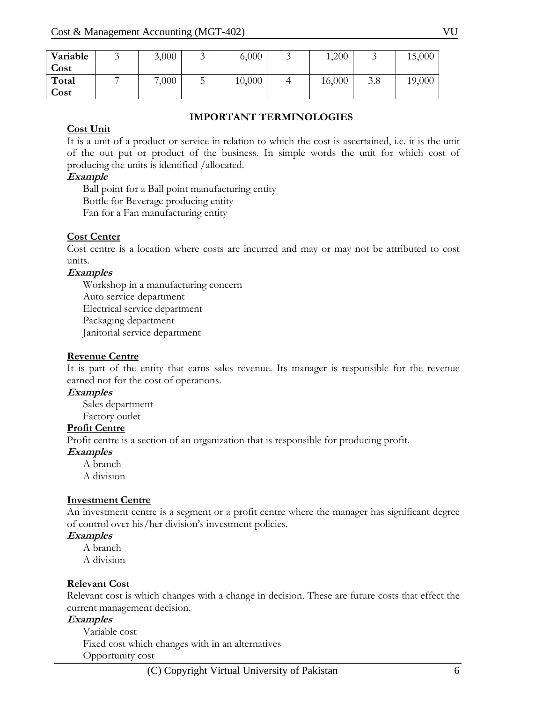| Variable | ◡ | 3,000 | w | 6,000  | 1,200  | $\tilde{\phantom{a}}$ | 15,000 |
|----------|---|-------|---|--------|--------|-----------------------|--------|
| Cost     |   |       |   |        |        |                       |        |
| Total    |   | 7,000 | ٮ | 10,000 | 16,000 | 3.8                   | 19,000 |
| Cost     |   |       |   |        |        |                       |        |

## **IMPORTANT TERMINOLOGIES**

## **Cost Unit**

It is a unit of a product or service in relation to which the cost is ascertained, i.e. it is the unit of the out put or product of the business. In simple words the unit for which cost of producing the units is identified /allocated.

## **Example**

Ball point for a Ball point manufacturing entity Bottle for Beverage producing entity Fan for a Fan manufacturing entity

# **Cost Center**

Cost centre is a location where costs are incurred and may or may not be attributed to cost units.

## **Examples**

 Workshop in a manufacturing concern Auto service department Electrical service department Packaging department Janitorial service department

## **Revenue Centre**

It is part of the entity that earns sales revenue. Its manager is responsible for the revenue earned not for the cost of operations.

# **Examples**

 Sales department Factory outlet

## **Profit Centre**

Profit centre is a section of an organization that is responsible for producing profit.

## **Examples**

A branch

A division

# **Investment Centre**

An investment centre is a segment or a profit centre where the manager has significant degree of control over his/her division's investment policies.

# **Examples**

 A branch A division

# **Relevant Cost**

Relevant cost is which changes with a change in decision. These are future costs that effect the current management decision.

## **Examples**

Variable cost Fixed cost which changes with in an alternatives Opportunity cost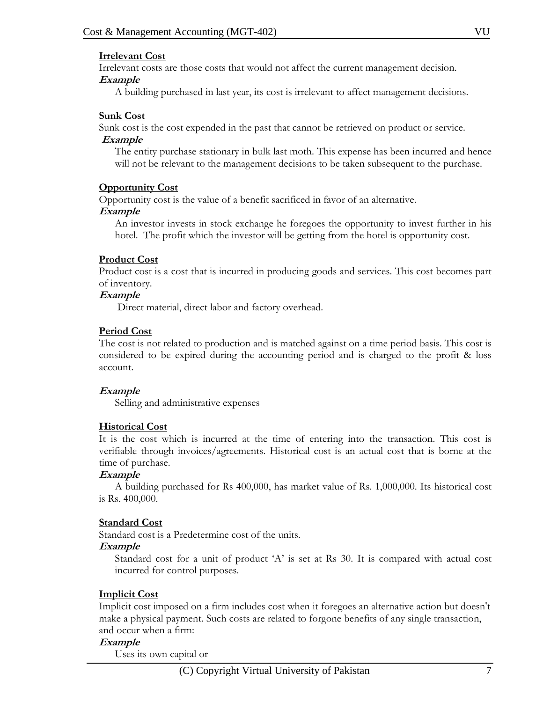# **Irrelevant Cost**

Irrelevant costs are those costs that would not affect the current management decision. **Example** 

A building purchased in last year, its cost is irrelevant to affect management decisions.

## **Sunk Cost**

Sunk cost is the cost expended in the past that cannot be retrieved on product or service.

# **Example**

The entity purchase stationary in bulk last moth. This expense has been incurred and hence will not be relevant to the management decisions to be taken subsequent to the purchase.

# **Opportunity Cost**

Opportunity cost is the value of a benefit sacrificed in favor of an alternative.

## **Example**

An investor invests in stock exchange he foregoes the opportunity to invest further in his hotel. The profit which the investor will be getting from the hotel is opportunity cost.

# **Product Cost**

Product cost is a cost that is incurred in producing goods and services. This cost becomes part of inventory.

# **Example**

Direct material, direct labor and factory overhead.

# **Period Cost**

The cost is not related to production and is matched against on a time period basis. This cost is considered to be expired during the accounting period and is charged to the profit & loss account.

# **Example**

Selling and administrative expenses

# **Historical Cost**

It is the cost which is incurred at the time of entering into the transaction. This cost is verifiable through invoices/agreements. Historical cost is an actual cost that is borne at the time of purchase.

# **Example**

 A building purchased for Rs 400,000, has market value of Rs. 1,000,000. Its historical cost is Rs. 400,000.

# **Standard Cost**

Standard cost is a Predetermine cost of the units.

# **Example**

Standard cost for a unit of product 'A' is set at Rs 30. It is compared with actual cost incurred for control purposes.

# **Implicit Cost**

Implicit cost imposed on a firm includes cost when it foregoes an alternative action but doesn't make a physical payment. Such costs are related to forgone benefits of any single transaction, and occur when a firm:

# **Example**

Uses its own capital or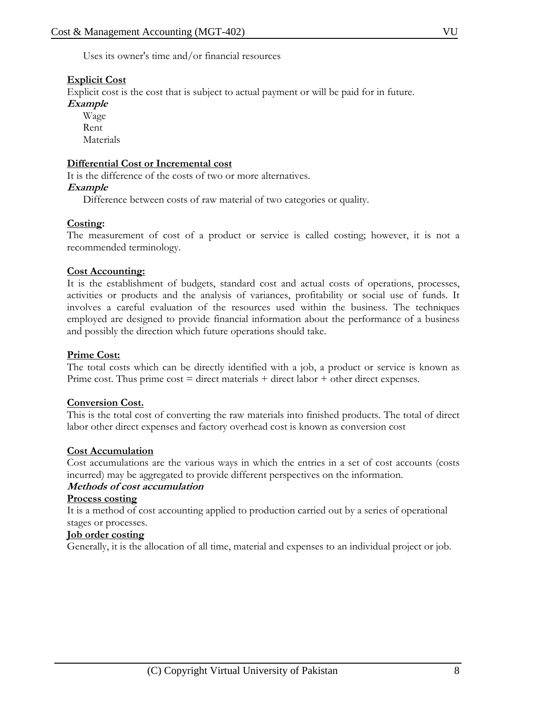Uses its owner's time and/or financial resources

## **Explicit Cost**

Explicit cost is the cost that is subject to actual payment or will be paid for in future.

**Example** 

 Wage Rent Materials

## **Differential Cost or Incremental cost**

It is the difference of the costs of two or more alternatives.

## **Example**

Difference between costs of raw material of two categories or quality.

## **Costing:**

The measurement of cost of a product or service is called costing; however, it is not a recommended terminology.

## **Cost Accounting:**

It is the establishment of budgets, standard cost and actual costs of operations, processes, activities or products and the analysis of variances, profitability or social use of funds. It involves a careful evaluation of the resources used within the business. The techniques employed are designed to provide financial information about the performance of a business and possibly the direction which future operations should take.

## **Prime Cost:**

The total costs which can be directly identified with a job, a product or service is known as Prime cost. Thus prime  $cost = direct$  materials  $+$  direct labor  $+$  other direct expenses.

## **Conversion Cost.**

This is the total cost of converting the raw materials into finished products. The total of direct labor other direct expenses and factory overhead cost is known as conversion cost

# **Cost Accumulation**

Cost accumulations are the various ways in which the entries in a set of cost accounts (costs incurred) may be aggregated to provide different perspectives on the information.

# **Methods of cost accumulation**

## **Process costing**

It is a method of cost accounting applied to production carried out by a series of operational stages or processes.

## **Job order costing**

Generally, it is the allocation of all time, material and expenses to an individual project or job.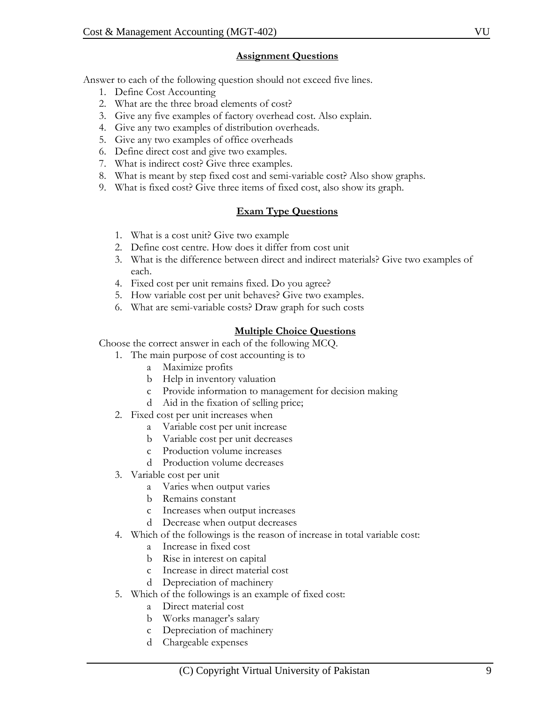# **Assignment Questions**

Answer to each of the following question should not exceed five lines.

- 1. Define Cost Accounting
- 2. What are the three broad elements of cost?
- 3. Give any five examples of factory overhead cost. Also explain.
- 4. Give any two examples of distribution overheads.
- 5. Give any two examples of office overheads
- 6. Define direct cost and give two examples.
- 7. What is indirect cost? Give three examples.
- 8. What is meant by step fixed cost and semi-variable cost? Also show graphs.
- 9. What is fixed cost? Give three items of fixed cost, also show its graph.

# **Exam Type Questions**

- 1. What is a cost unit? Give two example
- 2. Define cost centre. How does it differ from cost unit
- 3. What is the difference between direct and indirect materials? Give two examples of each.
- 4. Fixed cost per unit remains fixed. Do you agree?
- 5. How variable cost per unit behaves? Give two examples.
- 6. What are semi-variable costs? Draw graph for such costs

# **Multiple Choice Questions**

Choose the correct answer in each of the following MCQ.

- 1. The main purpose of cost accounting is to
	- a Maximize profits
	- b Help in inventory valuation
	- c Provide information to management for decision making
	- d Aid in the fixation of selling price;
- 2. Fixed cost per unit increases when
	- a Variable cost per unit increase
	- b Variable cost per unit decreases
	- c Production volume increases
	- d Production volume decreases
- 3. Variable cost per unit
	- a Varies when output varies
	- b Remains constant
	- c Increases when output increases
	- d Decrease when output decreases
- 4. Which of the followings is the reason of increase in total variable cost:
	- a Increase in fixed cost
	- b Rise in interest on capital
	- c Increase in direct material cost
	- d Depreciation of machinery
- 5. Which of the followings is an example of fixed cost:
	- a Direct material cost
	- b Works manager's salary
	- c Depreciation of machinery
	- d Chargeable expenses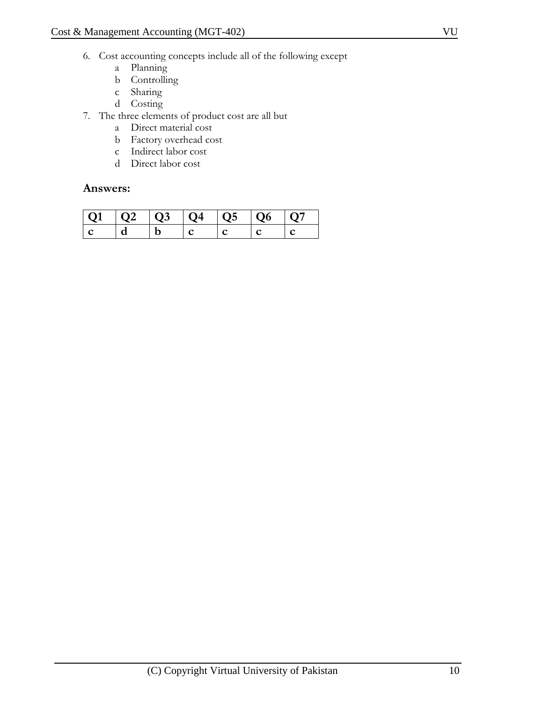- 6. Cost accounting concepts include all of the following except
	- a Planning
	- b Controlling
	- c Sharing
	- d Costing
- 7. The three elements of product cost are all but
	- a Direct material cost
	- b Factory overhead cost
	- c Indirect labor cost
	- d Direct labor cost

# **Answers:**

| c |  |  |  |
|---|--|--|--|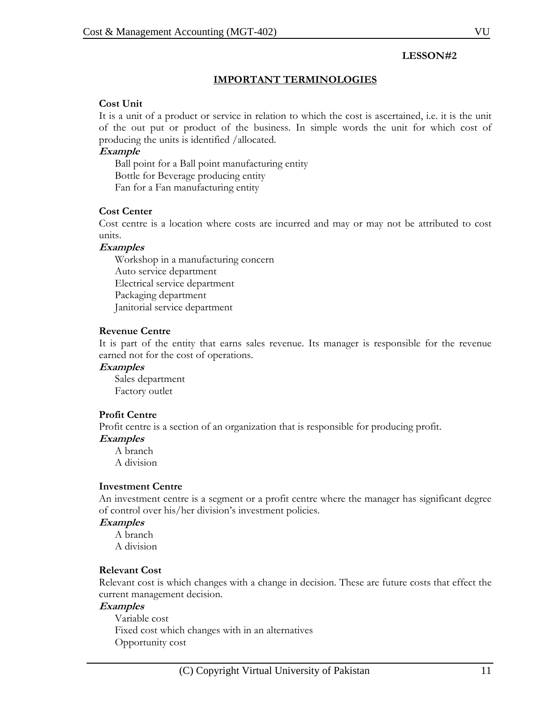## **LESSON#2**

## **IMPORTANT TERMINOLOGIES**

## **Cost Unit**

It is a unit of a product or service in relation to which the cost is ascertained, i.e. it is the unit of the out put or product of the business. In simple words the unit for which cost of producing the units is identified /allocated.

### **Example**

Ball point for a Ball point manufacturing entity Bottle for Beverage producing entity Fan for a Fan manufacturing entity

#### **Cost Center**

Cost centre is a location where costs are incurred and may or may not be attributed to cost units.

#### **Examples**

 Workshop in a manufacturing concern Auto service department Electrical service department Packaging department Janitorial service department

#### **Revenue Centre**

It is part of the entity that earns sales revenue. Its manager is responsible for the revenue earned not for the cost of operations.

#### **Examples**

 Sales department Factory outlet

#### **Profit Centre**

Profit centre is a section of an organization that is responsible for producing profit.

#### **Examples**

 A branch A division

#### **Investment Centre**

An investment centre is a segment or a profit centre where the manager has significant degree of control over his/her division's investment policies.

## **Examples**

 A branch A division

#### **Relevant Cost**

Relevant cost is which changes with a change in decision. These are future costs that effect the current management decision.

#### **Examples**

Variable cost Fixed cost which changes with in an alternatives Opportunity cost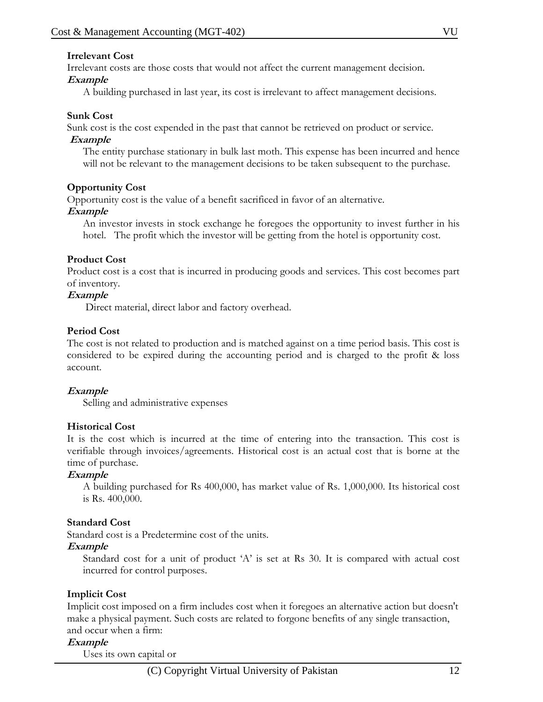## **Irrelevant Cost**

Irrelevant costs are those costs that would not affect the current management decision.

**Example** 

A building purchased in last year, its cost is irrelevant to affect management decisions.

# **Sunk Cost**

Sunk cost is the cost expended in the past that cannot be retrieved on product or service.

## **Example**

The entity purchase stationary in bulk last moth. This expense has been incurred and hence will not be relevant to the management decisions to be taken subsequent to the purchase.

# **Opportunity Cost**

Opportunity cost is the value of a benefit sacrificed in favor of an alternative.

# **Example**

An investor invests in stock exchange he foregoes the opportunity to invest further in his hotel. The profit which the investor will be getting from the hotel is opportunity cost.

# **Product Cost**

Product cost is a cost that is incurred in producing goods and services. This cost becomes part of inventory.

# **Example**

Direct material, direct labor and factory overhead.

# **Period Cost**

The cost is not related to production and is matched against on a time period basis. This cost is considered to be expired during the accounting period and is charged to the profit & loss account.

# **Example**

Selling and administrative expenses

# **Historical Cost**

It is the cost which is incurred at the time of entering into the transaction. This cost is verifiable through invoices/agreements. Historical cost is an actual cost that is borne at the time of purchase.

# **Example**

A building purchased for Rs 400,000, has market value of Rs. 1,000,000. Its historical cost is Rs. 400,000.

# **Standard Cost**

Standard cost is a Predetermine cost of the units.

# **Example**

Standard cost for a unit of product 'A' is set at Rs 30. It is compared with actual cost incurred for control purposes.

# **Implicit Cost**

Implicit cost imposed on a firm includes cost when it foregoes an alternative action but doesn't make a physical payment. Such costs are related to forgone benefits of any single transaction, and occur when a firm:

# **Example**

Uses its own capital or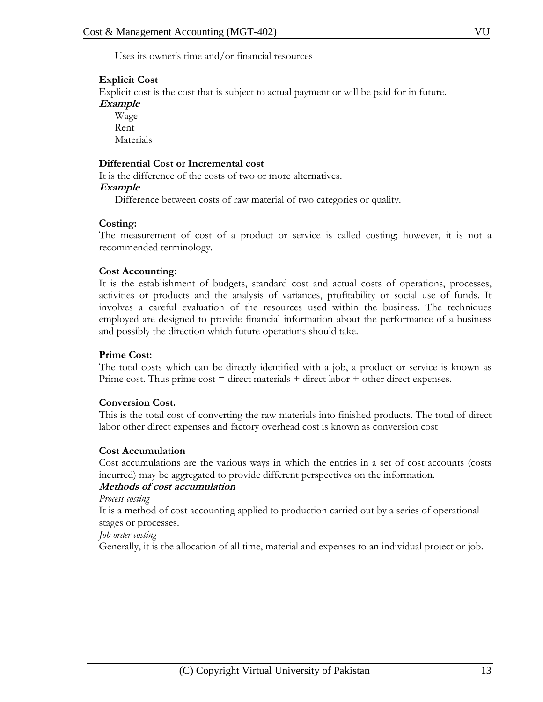Uses its owner's time and/or financial resources

# **Explicit Cost**

Explicit cost is the cost that is subject to actual payment or will be paid for in future. **Example** 

 Wage Rent **Materials** 

# **Differential Cost or Incremental cost**

It is the difference of the costs of two or more alternatives.

# **Example**

Difference between costs of raw material of two categories or quality.

# **Costing:**

The measurement of cost of a product or service is called costing; however, it is not a recommended terminology.

# **Cost Accounting:**

It is the establishment of budgets, standard cost and actual costs of operations, processes, activities or products and the analysis of variances, profitability or social use of funds. It involves a careful evaluation of the resources used within the business. The techniques employed are designed to provide financial information about the performance of a business and possibly the direction which future operations should take.

# **Prime Cost:**

The total costs which can be directly identified with a job, a product or service is known as Prime cost. Thus prime  $cost = direct$  materials  $+$  direct labor  $+$  other direct expenses.

# **Conversion Cost.**

This is the total cost of converting the raw materials into finished products. The total of direct labor other direct expenses and factory overhead cost is known as conversion cost

# **Cost Accumulation**

Cost accumulations are the various ways in which the entries in a set of cost accounts (costs incurred) may be aggregated to provide different perspectives on the information.

# **Methods of cost accumulation**

*Process costing*

It is a method of cost accounting applied to production carried out by a series of operational stages or processes.

# *Job order costing*

Generally, it is the allocation of all time, material and expenses to an individual project or job.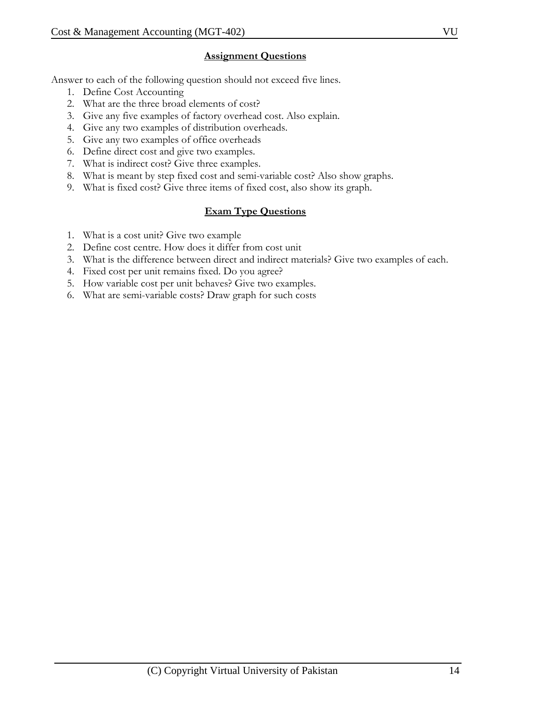# **Assignment Questions**

Answer to each of the following question should not exceed five lines.

- 1. Define Cost Accounting
- 2. What are the three broad elements of cost?
- 3. Give any five examples of factory overhead cost. Also explain.
- 4. Give any two examples of distribution overheads.
- 5. Give any two examples of office overheads
- 6. Define direct cost and give two examples.
- 7. What is indirect cost? Give three examples.
- 8. What is meant by step fixed cost and semi-variable cost? Also show graphs.
- 9. What is fixed cost? Give three items of fixed cost, also show its graph.

# **Exam Type Questions**

- 1. What is a cost unit? Give two example
- 2. Define cost centre. How does it differ from cost unit
- 3. What is the difference between direct and indirect materials? Give two examples of each.
- 4. Fixed cost per unit remains fixed. Do you agree?
- 5. How variable cost per unit behaves? Give two examples.
- 6. What are semi-variable costs? Draw graph for such costs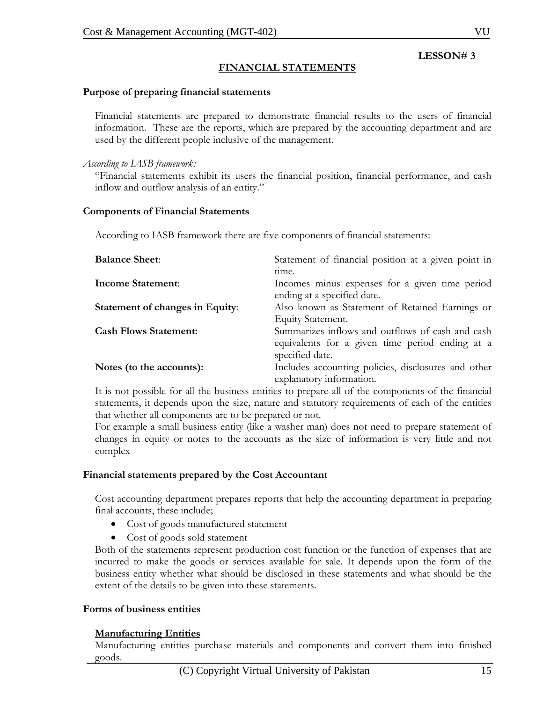# **LESSON# 3**

# **FINANCIAL STATEMENTS**

#### **Purpose of preparing financial statements**

Financial statements are prepared to demonstrate financial results to the users of financial information. These are the reports, which are prepared by the accounting department and are used by the different people inclusive of the management.

*According to IASB framework:* 

 "Financial statements exhibit its users the financial position, financial performance, and cash inflow and outflow analysis of an entity."

#### **Components of Financial Statements**

According to IASB framework there are five components of financial statements:

| <b>Balance Sheet:</b>                  | Statement of financial position at a given point in |
|----------------------------------------|-----------------------------------------------------|
|                                        | time.                                               |
| <b>Income Statement:</b>               | Incomes minus expenses for a given time period      |
|                                        | ending at a specified date.                         |
| <b>Statement of changes in Equity:</b> | Also known as Statement of Retained Earnings or     |
|                                        | Equity Statement.                                   |
| <b>Cash Flows Statement:</b>           | Summarizes inflows and outflows of cash and cash    |
|                                        | equivalents for a given time period ending at a     |
|                                        | specified date.                                     |
| Notes (to the accounts):               | Includes accounting policies, disclosures and other |
|                                        | explanatory information.                            |

It is not possible for all the business entities to prepare all of the components of the financial statements, it depends upon the size, nature and statutory requirements of each of the entities that whether all components are to be prepared or not.

For example a small business entity (like a washer man) does not need to prepare statement of changes in equity or notes to the accounts as the size of information is very little and not complex

## **Financial statements prepared by the Cost Accountant**

Cost accounting department prepares reports that help the accounting department in preparing final accounts, these include;

- Cost of goods manufactured statement
- Cost of goods sold statement

Both of the statements represent production cost function or the function of expenses that are incurred to make the goods or services available for sale. It depends upon the form of the business entity whether what should be disclosed in these statements and what should be the extent of the details to be given into these statements.

## **Forms of business entities**

## **Manufacturing Entities**

 Manufacturing entities purchase materials and components and convert them into finished goods.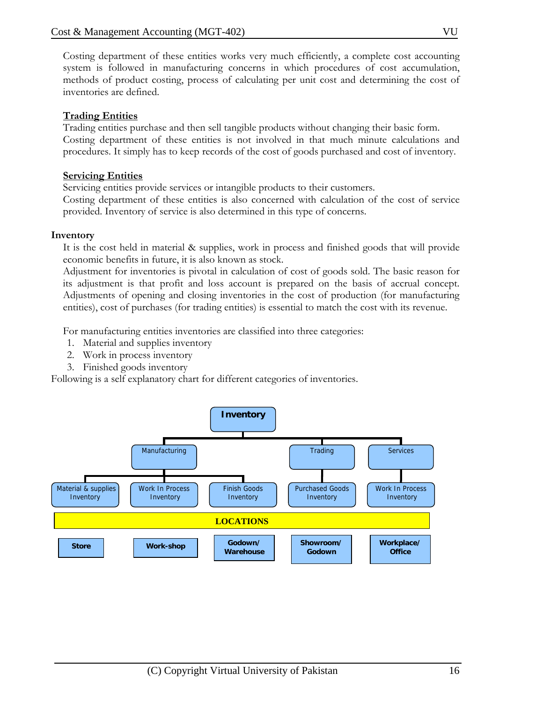Costing department of these entities works very much efficiently, a complete cost accounting system is followed in manufacturing concerns in which procedures of cost accumulation, methods of product costing, process of calculating per unit cost and determining the cost of inventories are defined.

## **Trading Entities**

 Trading entities purchase and then sell tangible products without changing their basic form. Costing department of these entities is not involved in that much minute calculations and procedures. It simply has to keep records of the cost of goods purchased and cost of inventory.

# **Servicing Entities**

Servicing entities provide services or intangible products to their customers.

Costing department of these entities is also concerned with calculation of the cost of service provided. Inventory of service is also determined in this type of concerns.

# **Inventory**

 It is the cost held in material & supplies, work in process and finished goods that will provide economic benefits in future, it is also known as stock.

Adjustment for inventories is pivotal in calculation of cost of goods sold. The basic reason for its adjustment is that profit and loss account is prepared on the basis of accrual concept. Adjustments of opening and closing inventories in the cost of production (for manufacturing entities), cost of purchases (for trading entities) is essential to match the cost with its revenue.

For manufacturing entities inventories are classified into three categories:

- 1. Material and supplies inventory
- 2. Work in process inventory
- 3. Finished goods inventory

Following is a self explanatory chart for different categories of inventories.

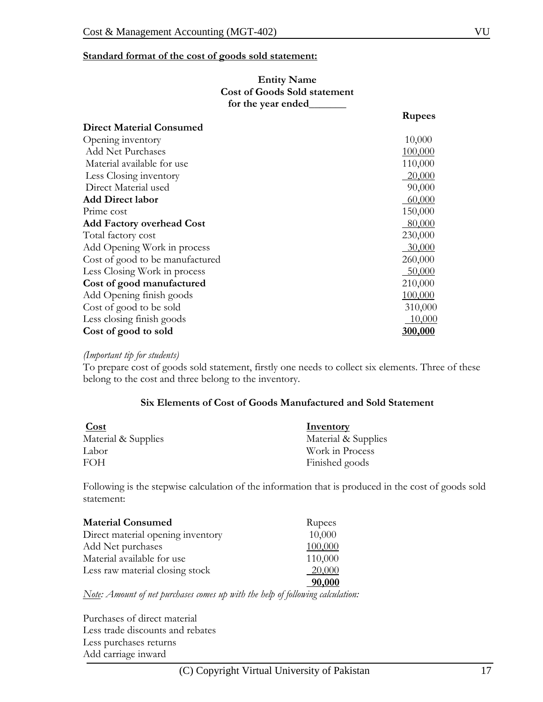### **Standard format of the cost of goods sold statement:**

| <b>LAULEY LAMAIR</b>                |               |
|-------------------------------------|---------------|
| <b>Cost of Goods Sold statement</b> |               |
| for the year ended                  |               |
|                                     | <b>Rupees</b> |
| <b>Direct Material Consumed</b>     |               |
| Opening inventory                   | 10,000        |
| <b>Add Net Purchases</b>            | 100,000       |
| Material available for use          | 110,000       |
| Less Closing inventory              | 20,000        |
| Direct Material used                | 90,000        |
| <b>Add Direct labor</b>             | 60,000        |
| Prime cost                          | 150,000       |
| <b>Add Factory overhead Cost</b>    | 80,000        |
| Total factory cost                  | 230,000       |
| Add Opening Work in process         | 30,000        |
| Cost of good to be manufactured     | 260,000       |
| Less Closing Work in process        | 50,000        |
| Cost of good manufactured           | 210,000       |
| Add Opening finish goods            | 100,000       |
| Cost of good to be sold             | 310,000       |
| Less closing finish goods           | 10,000        |
| Cost of good to sold                | 300,000       |

#### *(Important tip for students)*

To prepare cost of goods sold statement, firstly one needs to collect six elements. Three of these belong to the cost and three belong to the inventory.

#### **Six Elements of Cost of Goods Manufactured and Sold Statement**

| Cost                | <b>Inventory</b>    |
|---------------------|---------------------|
| Material & Supplies | Material & Supplies |
| Labor               | Work in Process     |
| <b>FOH</b>          | Finished goods      |

Following is the stepwise calculation of the information that is produced in the cost of goods sold statement:

| <b>Material Consumed</b>          | Rupees  |
|-----------------------------------|---------|
| Direct material opening inventory | 10,000  |
| Add Net purchases                 | 100,000 |
| Material available for use        | 110,000 |
| Less raw material closing stock   | 20,000  |
|                                   | 90,000  |

*Note: Amount of net purchases comes up with the help of following calculation:* 

Purchases of direct material Less trade discounts and rebates Less purchases returns Add carriage inward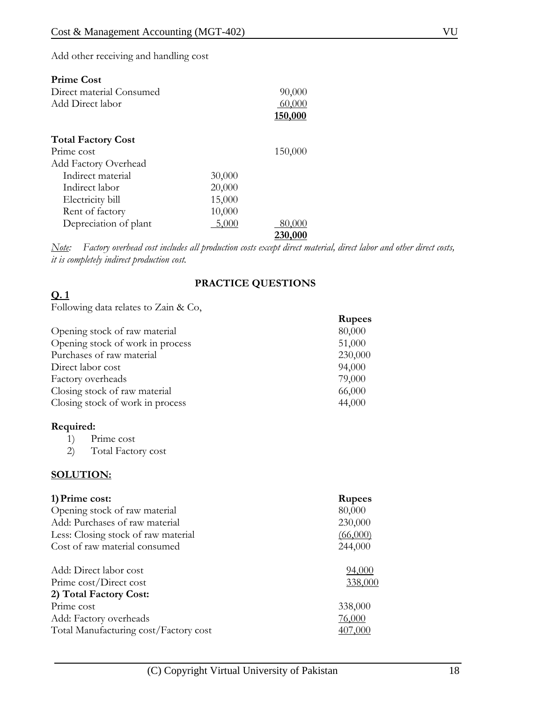Add other receiving and handling cost

| <b>Prime Cost</b>         |        |         |
|---------------------------|--------|---------|
| Direct material Consumed  |        | 90,000  |
| Add Direct labor          |        | 60,000  |
|                           |        | 150,000 |
| <b>Total Factory Cost</b> |        |         |
| Prime cost                |        | 150,000 |
| Add Factory Overhead      |        |         |
| Indirect material         | 30,000 |         |
| Indirect labor            | 20,000 |         |
| Electricity bill          | 15,000 |         |
| Rent of factory           | 10,000 |         |
| Depreciation of plant     | 5,000  | 80,000  |
|                           |        |         |

*Note: Factory overhead cost includes all production costs except direct material, direct labor and other direct costs, it is completely indirect production cost.* 

**PRACTICE QUESTIONS** 

# **Q. 1**

Following data relates to Zain & Co,

|                                  | <b>Rupees</b> |
|----------------------------------|---------------|
| Opening stock of raw material    | 80,000        |
| Opening stock of work in process | 51,000        |
| Purchases of raw material        | 230,000       |
| Direct labor cost                | 94,000        |
| Factory overheads                | 79,000        |
| Closing stock of raw material    | 66,000        |
| Closing stock of work in process | 44,000        |

## **Required:**

1) Prime cost

2) Total Factory cost

## **SOLUTION:**

| 1) Prime cost:                        | <b>Rupees</b> |
|---------------------------------------|---------------|
| Opening stock of raw material         | 80,000        |
| Add: Purchases of raw material        | 230,000       |
| Less: Closing stock of raw material   | (66,000)      |
| Cost of raw material consumed         | 244,000       |
| Add: Direct labor cost                | <u>94,000</u> |
| Prime cost/Direct cost                | 338,000       |
| 2) Total Factory Cost:                |               |
| Prime cost                            | 338,000       |
| Add: Factory overheads                | 76,000        |
| Total Manufacturing cost/Factory cost | 407,000       |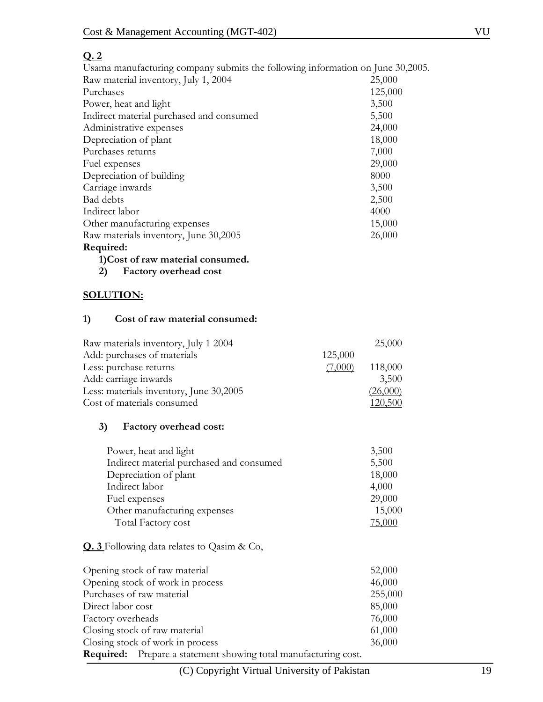# **Q. 2**

| <u>v. 4</u>                                                                    |         |
|--------------------------------------------------------------------------------|---------|
| Usama manufacturing company submits the following information on June 30,2005. |         |
| Raw material inventory, July 1, 2004                                           | 25,000  |
| Purchases                                                                      | 125,000 |
| Power, heat and light                                                          | 3,500   |
| Indirect material purchased and consumed                                       | 5,500   |
| Administrative expenses                                                        | 24,000  |
| Depreciation of plant                                                          | 18,000  |
| Purchases returns                                                              | 7,000   |
| Fuel expenses                                                                  | 29,000  |
| Depreciation of building                                                       | 8000    |
| Carriage inwards                                                               | 3,500   |
| Bad debts                                                                      | 2,500   |
| Indirect labor                                                                 | 4000    |
| Other manufacturing expenses                                                   | 15,000  |
| Raw materials inventory, June 30,2005                                          | 26,000  |
| Required:                                                                      |         |

**1)Cost of raw material consumed.** 

**2) Factory overhead cost** 

# **SOLUTION:**

## **1) Cost of raw material consumed:**

| Raw materials inventory, July 1 2004    |         | 25,000   |
|-----------------------------------------|---------|----------|
| Add: purchases of materials             | 125,000 |          |
| Less: purchase returns                  | (7,000) | 118,000  |
| Add: carriage inwards                   |         | 3,500    |
| Less: materials inventory, June 30,2005 |         | (26,000) |
| Cost of materials consumed              |         | 120,500  |

# **3) Factory overhead cost:**

| Power, heat and light                    | 3,500  |
|------------------------------------------|--------|
| Indirect material purchased and consumed | 5,500  |
| Depreciation of plant                    | 18,000 |
| Indirect labor                           | 4,000  |
| Fuel expenses                            | 29,000 |
| Other manufacturing expenses             | 15,000 |
| Total Factory cost                       | /5,000 |

## **Q. 3** Following data relates to Qasim & Co,

| Opening stock of raw material                                   | 52,000  |
|-----------------------------------------------------------------|---------|
| Opening stock of work in process                                | 46,000  |
| Purchases of raw material                                       | 255,000 |
| Direct labor cost                                               | 85,000  |
| Factory overheads                                               | 76,000  |
| Closing stock of raw material                                   | 61,000  |
| Closing stock of work in process                                | 36,000  |
| Required: Prepare a statement showing total manufacturing cost. |         |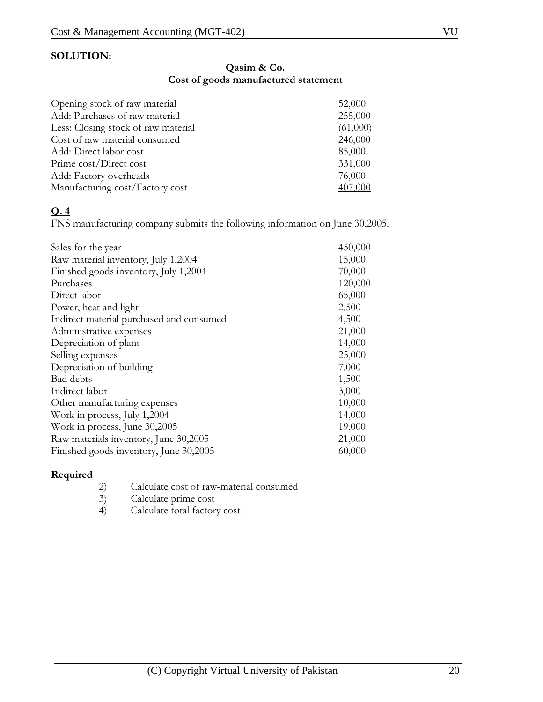# **SOLUTION:**

## **Qasim & Co. Cost of goods manufactured statement**

| Opening stock of raw material       | 52,000   |
|-------------------------------------|----------|
| Add: Purchases of raw material      | 255,000  |
| Less: Closing stock of raw material | (61,000) |
| Cost of raw material consumed       | 246,000  |
| Add: Direct labor cost              | 85,000   |
| Prime cost/Direct cost              | 331,000  |
| Add: Factory overheads              | 76,000   |
| Manufacturing cost/Factory cost     | 407,000  |

# **Q. 4**

FNS manufacturing company submits the following information on June 30,2005.

| Sales for the year                       | 450,000 |
|------------------------------------------|---------|
| Raw material inventory, July 1,2004      | 15,000  |
| Finished goods inventory, July 1,2004    | 70,000  |
| Purchases                                | 120,000 |
| Direct labor                             | 65,000  |
| Power, heat and light                    | 2,500   |
| Indirect material purchased and consumed | 4,500   |
| Administrative expenses                  | 21,000  |
| Depreciation of plant                    | 14,000  |
| Selling expenses                         | 25,000  |
| Depreciation of building                 | 7,000   |
| Bad debts                                | 1,500   |
| Indirect labor                           | 3,000   |
| Other manufacturing expenses             | 10,000  |
| Work in process, July 1,2004             | 14,000  |
| Work in process, June 30,2005            | 19,000  |
| Raw materials inventory, June 30,2005    | 21,000  |
| Finished goods inventory, June 30,2005   | 60,000  |

# **Required**

- 2) Calculate cost of raw-material consumed<br>3) Calculate prime cost
- 3) Calculate prime cost<br>4) Calculate total factor
- 4) Calculate total factory cost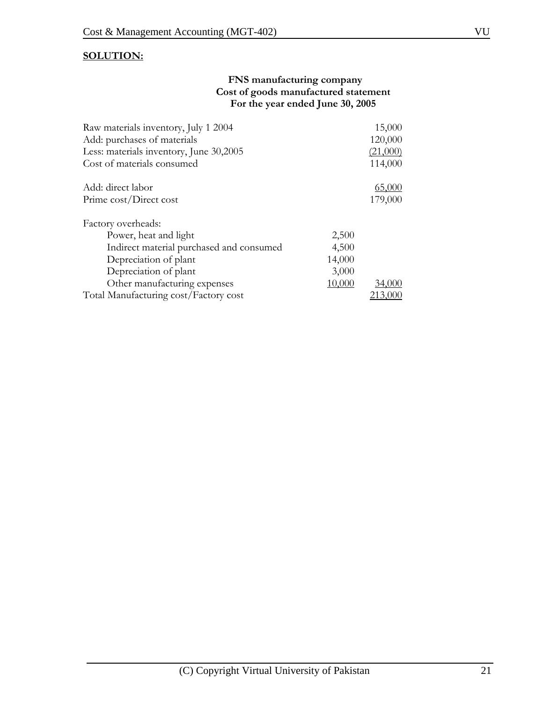# **SOLUTION:**

## **FNS manufacturing company Cost of goods manufactured statement For the year ended June 30, 2005**

| Raw materials inventory, July 1 2004     |               | 15,000   |
|------------------------------------------|---------------|----------|
| Add: purchases of materials              |               | 120,000  |
| Less: materials inventory, June 30,2005  |               | (21,000) |
| Cost of materials consumed               |               | 114,000  |
| Add: direct labor                        |               | 65,000   |
| Prime cost/Direct cost                   |               | 179,000  |
| Factory overheads:                       |               |          |
| Power, heat and light                    | 2,500         |          |
| Indirect material purchased and consumed | 4,500         |          |
| Depreciation of plant                    | 14,000        |          |
| Depreciation of plant                    | 3,000         |          |
| Other manufacturing expenses             | <u>10,000</u> | 34,000   |
| Total Manufacturing cost/Factory cost    |               | 213.     |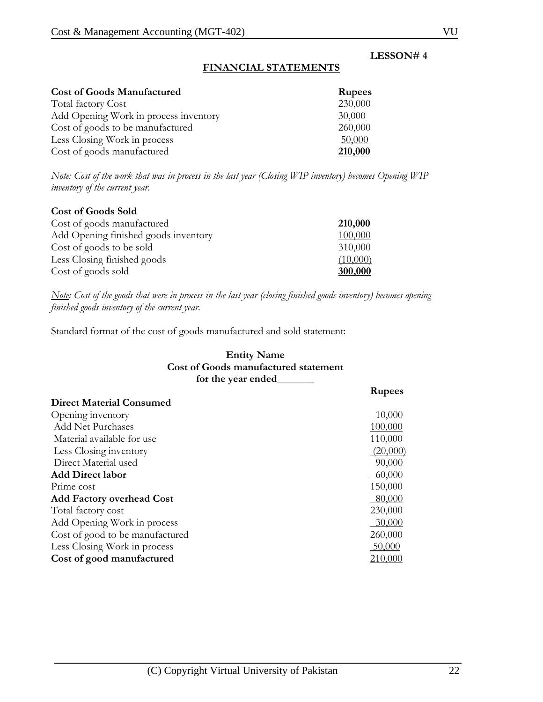## **LESSON# 4**

# **FINANCIAL STATEMENTS**

| <b>Cost of Goods Manufactured</b>     | <b>Rupees</b> |
|---------------------------------------|---------------|
| <b>Total factory Cost</b>             | 230,000       |
| Add Opening Work in process inventory | 30,000        |
| Cost of goods to be manufactured      | 260,000       |
| Less Closing Work in process          | 50,000        |
| Cost of goods manufactured            | 210,000       |

*Note: Cost of the work that was in process in the last year (Closing WIP inventory) becomes Opening WIP inventory of the current year.* 

| <b>Cost of Goods Sold</b>            |          |
|--------------------------------------|----------|
| Cost of goods manufactured           | 210,000  |
| Add Opening finished goods inventory | 100,000  |
| Cost of goods to be sold             | 310,000  |
| Less Closing finished goods          | (10,000) |
| Cost of goods sold                   | 300,000  |

*Note: Cost of the goods that were in process in the last year (closing finished goods inventory) becomes opening finished goods inventory of the current year.* 

Standard format of the cost of goods manufactured and sold statement:

## **Entity Name Cost of Goods manufactured statement for the year ended\_\_\_\_\_\_\_**

|                                  | <b>Rupees</b> |
|----------------------------------|---------------|
| <b>Direct Material Consumed</b>  |               |
| Opening inventory                | 10,000        |
| <b>Add Net Purchases</b>         | 100,000       |
| Material available for use       | 110,000       |
| Less Closing inventory           | (20,000)      |
| Direct Material used             | 90,000        |
| <b>Add Direct labor</b>          | 60,000        |
| Prime cost                       | 150,000       |
| <b>Add Factory overhead Cost</b> | 80,000        |
| Total factory cost               | 230,000       |
| Add Opening Work in process      | 30,000        |
| Cost of good to be manufactured  | 260,000       |
| Less Closing Work in process     | 50,000        |
| Cost of good manufactured        | 210,000       |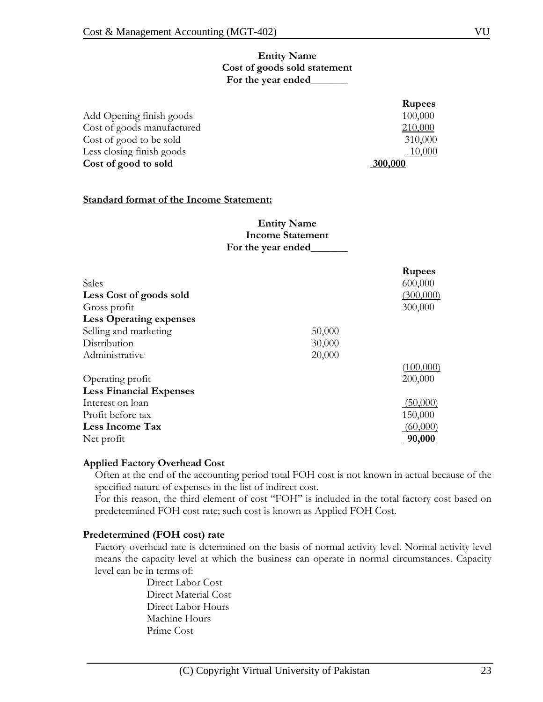## **Entity Name Cost of goods sold statement For the year ended\_\_\_\_\_\_\_**

|                            | <b>Rupees</b> |
|----------------------------|---------------|
| Add Opening finish goods   | 100,000       |
| Cost of goods manufactured | 210,000       |
| Cost of good to be sold    | 310,000       |
| Less closing finish goods  | 10,000        |
| Cost of good to sold       | 300,000       |

#### **Standard format of the Income Statement:**

| <b>Entity Name</b> |  |
|--------------------|--|
| Income Statement   |  |
| For the year ended |  |
|                    |  |

|                                |        | <b>Rupees</b> |
|--------------------------------|--------|---------------|
| Sales                          |        | 600,000       |
| Less Cost of goods sold        |        | (300,000)     |
| Gross profit                   |        | 300,000       |
| <b>Less Operating expenses</b> |        |               |
| Selling and marketing          | 50,000 |               |
| Distribution                   | 30,000 |               |
| Administrative                 | 20,000 |               |
|                                |        | (100,000)     |
| Operating profit               |        | 200,000       |
| <b>Less Financial Expenses</b> |        |               |
| Interest on loan               |        | (50,000)      |
| Profit before tax              |        | 150,000       |
| Less Income Tax                |        | (60,000)      |
| Net profit                     |        | 90,000        |

#### **Applied Factory Overhead Cost**

 Often at the end of the accounting period total FOH cost is not known in actual because of the specified nature of expenses in the list of indirect cost.

 For this reason, the third element of cost "FOH" is included in the total factory cost based on predetermined FOH cost rate; such cost is known as Applied FOH Cost.

## **Predetermined (FOH cost) rate**

 Factory overhead rate is determined on the basis of normal activity level. Normal activity level means the capacity level at which the business can operate in normal circumstances. Capacity level can be in terms of:

 Direct Labor Cost Direct Material Cost Direct Labor Hours Machine Hours Prime Cost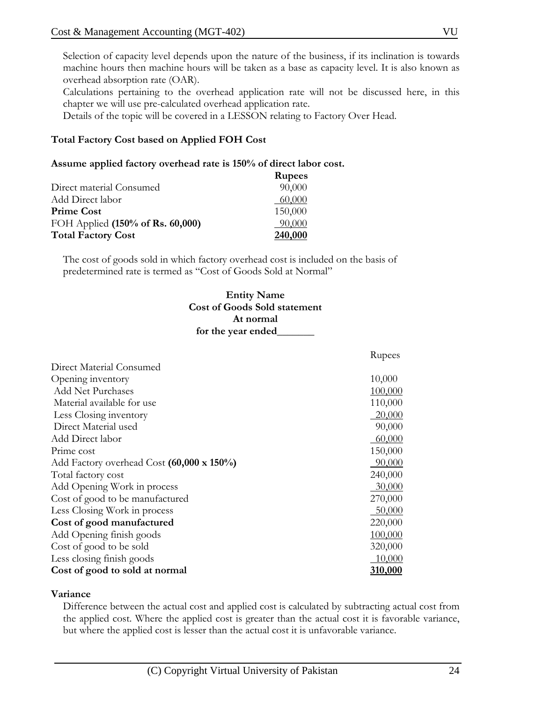Selection of capacity level depends upon the nature of the business, if its inclination is towards machine hours then machine hours will be taken as a base as capacity level. It is also known as overhead absorption rate (OAR).

Calculations pertaining to the overhead application rate will not be discussed here, in this chapter we will use pre-calculated overhead application rate.

Details of the topic will be covered in a LESSON relating to Factory Over Head.

## **Total Factory Cost based on Applied FOH Cost**

### **Assume applied factory overhead rate is 150% of direct labor cost.**

|                                  | <b>Rupees</b> |
|----------------------------------|---------------|
| Direct material Consumed         | 90,000        |
| Add Direct labor                 | 60,000        |
| <b>Prime Cost</b>                | 150,000       |
| FOH Applied (150% of Rs. 60,000) | 90,000        |
| <b>Total Factory Cost</b>        | 240,000       |

The cost of goods sold in which factory overhead cost is included on the basis of predetermined rate is termed as "Cost of Goods Sold at Normal"

# **Entity Name Cost of Goods Sold statement At normal for the year ended\_\_\_\_\_\_\_**

|                                           | Rupees    |
|-------------------------------------------|-----------|
| Direct Material Consumed                  |           |
| Opening inventory                         | 10,000    |
| <b>Add Net Purchases</b>                  | 100,000   |
| Material available for use                | 110,000   |
| Less Closing inventory                    | $-20,000$ |
| Direct Material used                      | 90,000    |
| Add Direct labor                          | 60,000    |
| Prime cost                                | 150,000   |
| Add Factory overhead Cost (60,000 x 150%) | 90,000    |
| Total factory cost                        | 240,000   |
| Add Opening Work in process               | 30,000    |
| Cost of good to be manufactured           | 270,000   |
| Less Closing Work in process              | 50,000    |
| Cost of good manufactured                 | 220,000   |
| Add Opening finish goods                  | 100,000   |
| Cost of good to be sold                   | 320,000   |
| Less closing finish goods                 | 10,000    |
| Cost of good to sold at normal            | 310,000   |

## **Variance**

Difference between the actual cost and applied cost is calculated by subtracting actual cost from the applied cost. Where the applied cost is greater than the actual cost it is favorable variance, but where the applied cost is lesser than the actual cost it is unfavorable variance.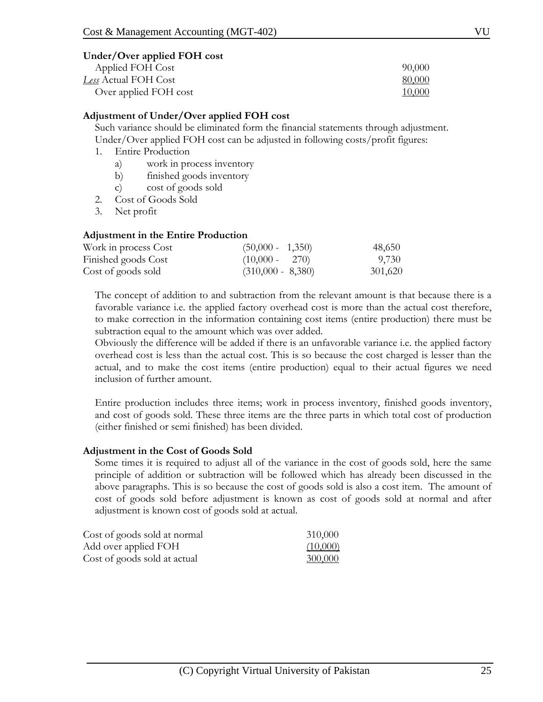## **Under/Over applied FOH cost**

| Applied FOH Cost            | 90,000        |
|-----------------------------|---------------|
| <i>Less</i> Actual FOH Cost | 80,000        |
| Over applied FOH cost       | <u>10,000</u> |

## **Adjustment of Under/Over applied FOH cost**

 Such variance should be eliminated form the financial statements through adjustment. Under/Over applied FOH cost can be adjusted in following costs/profit figures:

- 1. Entire Production
	- a) work in process inventory
	- b) finished goods inventory
	- c) cost of goods sold
- 2. Cost of Goods Sold
- 3. Net profit

## **Adjustment in the Entire Production**

| Work in process Cost | $(50,000 - 1,350)$  | 48,650  |
|----------------------|---------------------|---------|
| Finished goods Cost  | $(10,000 - 270)$    | 9,730   |
| Cost of goods sold   | $(310,000 - 8,380)$ | 301,620 |

The concept of addition to and subtraction from the relevant amount is that because there is a favorable variance i.e. the applied factory overhead cost is more than the actual cost therefore, to make correction in the information containing cost items (entire production) there must be subtraction equal to the amount which was over added.

Obviously the difference will be added if there is an unfavorable variance i.e. the applied factory overhead cost is less than the actual cost. This is so because the cost charged is lesser than the actual, and to make the cost items (entire production) equal to their actual figures we need inclusion of further amount.

Entire production includes three items; work in process inventory, finished goods inventory, and cost of goods sold. These three items are the three parts in which total cost of production (either finished or semi finished) has been divided.

## **Adjustment in the Cost of Goods Sold**

Some times it is required to adjust all of the variance in the cost of goods sold, here the same principle of addition or subtraction will be followed which has already been discussed in the above paragraphs. This is so because the cost of goods sold is also a cost item. The amount of cost of goods sold before adjustment is known as cost of goods sold at normal and after adjustment is known cost of goods sold at actual.

| Cost of goods sold at normal | 310,000  |
|------------------------------|----------|
| Add over applied FOH         | (10,000) |
| Cost of goods sold at actual | 300,000  |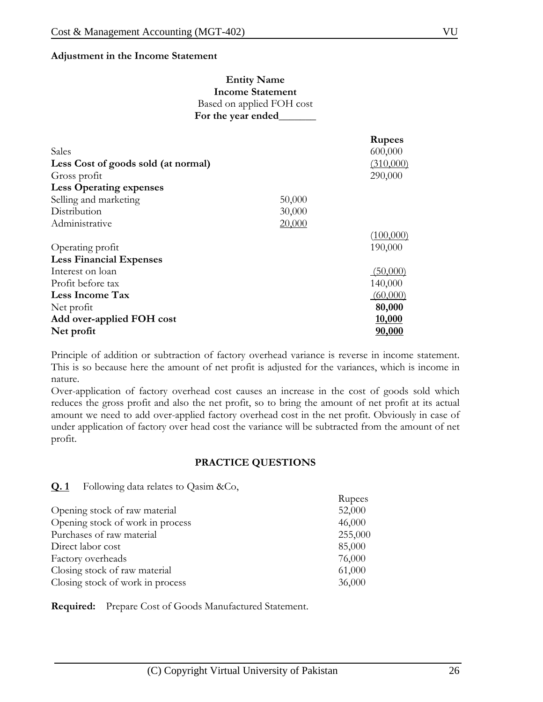## **Adjustment in the Income Statement**

## **Entity Name Income Statement**  Based on applied FOH cost **For the year ended\_\_\_\_\_\_\_**

| <b>Sales</b>                        |        | <b>Rupees</b><br>600,000 |
|-------------------------------------|--------|--------------------------|
| Less Cost of goods sold (at normal) |        | (310,000)                |
| Gross profit                        |        | 290,000                  |
| <b>Less Operating expenses</b>      |        |                          |
| Selling and marketing               | 50,000 |                          |
| Distribution                        | 30,000 |                          |
| Administrative                      | 20,000 |                          |
|                                     |        | (100,000)                |
| Operating profit                    |        | 190,000                  |
| <b>Less Financial Expenses</b>      |        |                          |
| Interest on loan                    |        | (50,000)                 |
| Profit before tax                   |        | 140,000                  |
| Less Income Tax                     |        | (60,000)                 |
| Net profit                          |        | 80,000                   |
| Add over-applied FOH cost           |        | 10,000                   |
| Net profit                          |        | <u>90,000</u>            |

Principle of addition or subtraction of factory overhead variance is reverse in income statement. This is so because here the amount of net profit is adjusted for the variances, which is income in nature.

Over-application of factory overhead cost causes an increase in the cost of goods sold which reduces the gross profit and also the net profit, so to bring the amount of net profit at its actual amount we need to add over-applied factory overhead cost in the net profit. Obviously in case of under application of factory over head cost the variance will be subtracted from the amount of net profit.

## **PRACTICE QUESTIONS**

**Q. 1** Following data relates to Qasim &Co,

|                                  | Rupees  |
|----------------------------------|---------|
| Opening stock of raw material    | 52,000  |
| Opening stock of work in process | 46,000  |
| Purchases of raw material        | 255,000 |
| Direct labor cost                | 85,000  |
| Factory overheads                | 76,000  |
| Closing stock of raw material    | 61,000  |
| Closing stock of work in process | 36,000  |

**Required:** Prepare Cost of Goods Manufactured Statement.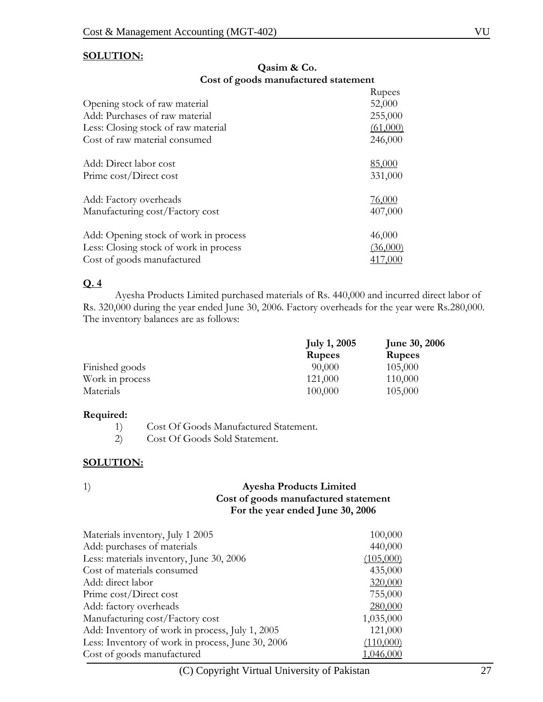## **SOLUTION:**

| Qasim & Co.                          |
|--------------------------------------|
| Cost of goods manufactured statement |
|                                      |

|                                        | Rupees   |
|----------------------------------------|----------|
| Opening stock of raw material          | 52,000   |
| Add: Purchases of raw material         | 255,000  |
| Less: Closing stock of raw material    | (61,000) |
| Cost of raw material consumed          | 246,000  |
| Add: Direct labor cost                 | 85,000   |
| Prime cost/Direct cost                 | 331,000  |
| Add: Factory overheads                 | 76,000   |
| Manufacturing cost/Factory cost        | 407,000  |
| Add: Opening stock of work in process  | 46,000   |
| Less: Closing stock of work in process | (36,000) |
| Cost of goods manufactured             | 417,000  |

## **Q. 4**

Ayesha Products Limited purchased materials of Rs. 440,000 and incurred direct labor of Rs. 320,000 during the year ended June 30, 2006. Factory overheads for the year were Rs.280,000. The inventory balances are as follows:

|                 | <b>July 1, 2005</b> | <b>June 30, 2006</b> |
|-----------------|---------------------|----------------------|
|                 | <b>Rupees</b>       | <b>Rupees</b>        |
| Finished goods  | 90,000              | 105,000              |
| Work in process | 121,000             | 110,000              |
| Materials       | 100,000             | 105,000              |

## **Required:**

- 1) Cost Of Goods Manufactured Statement.
- 2) Cost Of Goods Sold Statement.

# **SOLUTION:**

## 1) **Ayesha Products Limited Cost of goods manufactured statement For the year ended June 30, 2006**

| Materials inventory, July 1 2005                  | 100,000   |
|---------------------------------------------------|-----------|
| Add: purchases of materials                       | 440,000   |
| Less: materials inventory, June 30, 2006          | (105,000) |
| Cost of materials consumed                        | 435,000   |
| Add: direct labor                                 | 320,000   |
| Prime cost/Direct cost                            | 755,000   |
| Add: factory overheads                            | 280,000   |
| Manufacturing cost/Factory cost                   | 1,035,000 |
| Add: Inventory of work in process, July 1, 2005   | 121,000   |
| Less: Inventory of work in process, June 30, 2006 | (110,000) |
| Cost of goods manufactured                        | 1,046,000 |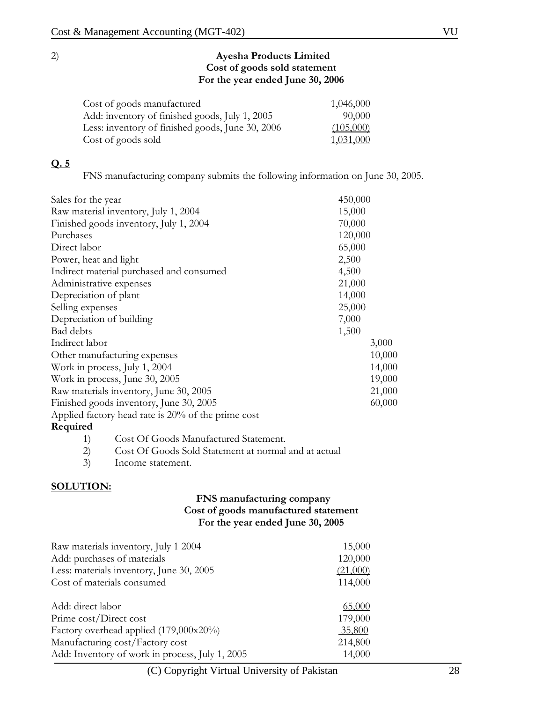## 2) **Ayesha Products Limited Cost of goods sold statement For the year ended June 30, 2006**

| Cost of goods manufactured                       | 1,046,000 |
|--------------------------------------------------|-----------|
| Add: inventory of finished goods, July 1, 2005   | 90,000    |
| Less: inventory of finished goods, June 30, 2006 | (105,000) |
| Cost of goods sold                               | 1,031,000 |

## **Q. 5**

FNS manufacturing company submits the following information on June 30, 2005.

| Sales for the year                                    | 450,000 |
|-------------------------------------------------------|---------|
| Raw material inventory, July 1, 2004                  | 15,000  |
| Finished goods inventory, July 1, 2004                | 70,000  |
| Purchases                                             | 120,000 |
| Direct labor                                          | 65,000  |
| Power, heat and light                                 | 2,500   |
| Indirect material purchased and consumed              | 4,500   |
| Administrative expenses                               | 21,000  |
| Depreciation of plant                                 | 14,000  |
| Selling expenses                                      | 25,000  |
| Depreciation of building                              | 7,000   |
| Bad debts                                             | 1,500   |
| Indirect labor                                        | 3,000   |
| Other manufacturing expenses                          | 10,000  |
| Work in process, July 1, 2004                         | 14,000  |
| Work in process, June 30, 2005                        | 19,000  |
| Raw materials inventory, June 30, 2005                | 21,000  |
| Finished goods inventory, June 30, 2005               | 60,000  |
| Applied factory head rate is $20\%$ of the prime cost |         |
|                                                       |         |

## **Required**

1) Cost Of Goods Manufactured Statement.<br>2) Cost Of Goods Sold Statement at normal

2) Cost Of Goods Sold Statement at normal and at actual

3) Income statement.

## **SOLUTION:**

## **FNS manufacturing company Cost of goods manufactured statement For the year ended June 30, 2005**

| Raw materials inventory, July 1 2004<br>Add: purchases of materials<br>Less: materials inventory, June 30, 2005 | 15,000<br>120,000<br>(21,000) |
|-----------------------------------------------------------------------------------------------------------------|-------------------------------|
| Cost of materials consumed                                                                                      | 114,000                       |
| Add: direct labor                                                                                               | 65,000                        |
| Prime cost/Direct cost                                                                                          | 179,000                       |
| Factory overhead applied (179,000x20%)                                                                          | 35,800                        |
| Manufacturing cost/Factory cost                                                                                 | 214,800                       |
| Add: Inventory of work in process, July 1, 2005                                                                 | 14,000                        |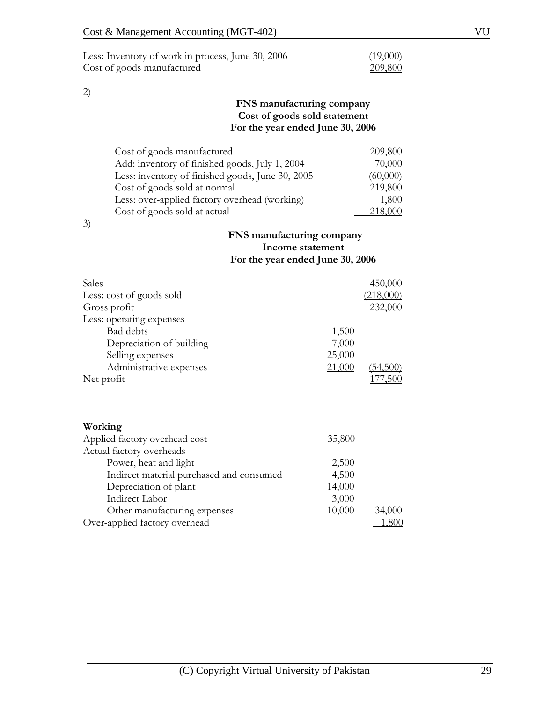| Less: Inventory of work in process, June 30, 2006 | (19,000) |
|---------------------------------------------------|----------|
| Cost of goods manufactured                        | 209,800  |

#### 2)

## **FNS manufacturing company Cost of goods sold statement For the year ended June 30, 2006**

| Cost of goods manufactured                       | 209,800  |
|--------------------------------------------------|----------|
| Add: inventory of finished goods, July 1, 2004   | 70,000   |
| Less: inventory of finished goods, June 30, 2005 | (60,000) |
| Cost of goods sold at normal                     | 219,800  |
| Less: over-applied factory overhead (working)    | 1,800    |
| Cost of goods sold at actual                     | 218,000  |

## 3)

## **FNS manufacturing company Income statement For the year ended June 30, 2006**

| Sales                                                                                                            |                                    | 450,000         |
|------------------------------------------------------------------------------------------------------------------|------------------------------------|-----------------|
| Less: cost of goods sold                                                                                         |                                    | (218,000)       |
| Gross profit                                                                                                     |                                    | 232,000         |
| Less: operating expenses<br>Bad debts<br>Depreciation of building<br>Selling expenses<br>Administrative expenses | 1,500<br>7,000<br>25,000<br>21,000 | <u>(54,500)</u> |
| Net profit                                                                                                       |                                    | 177,500         |
| Working                                                                                                          |                                    |                 |
| Applied factory overhead cost                                                                                    | 35,800                             |                 |
| Actual factory overheads                                                                                         |                                    |                 |
| Power, heat and light                                                                                            | 2,500                              |                 |
| Indirect material purchased and consumed                                                                         | 4,500                              |                 |
| Depreciation of plant                                                                                            | 14,000                             |                 |
| Indirect Labor                                                                                                   | 3,000                              |                 |
| Other manufacturing expenses                                                                                     | 10,000                             | <u>34,000</u>   |
| Over-applied factory overhead                                                                                    |                                    | 1,800           |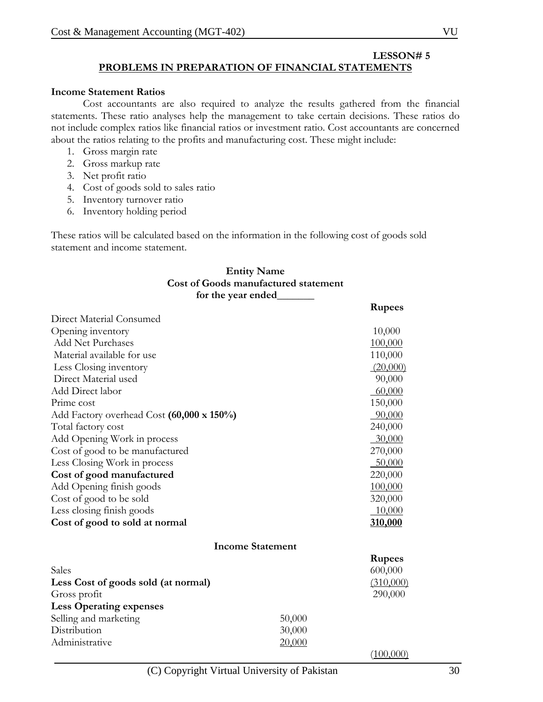**LESSON# 5** 

# **PROBLEMS IN PREPARATION OF FINANCIAL STATEMENTS**

#### **Income Statement Ratios**

 Cost accountants are also required to analyze the results gathered from the financial statements. These ratio analyses help the management to take certain decisions. These ratios do not include complex ratios like financial ratios or investment ratio. Cost accountants are concerned about the ratios relating to the profits and manufacturing cost. These might include:

- 1. Gross margin rate
- 2. Gross markup rate
- 3. Net profit ratio
- 4. Cost of goods sold to sales ratio
- 5. Inventory turnover ratio
- 6. Inventory holding period

These ratios will be calculated based on the information in the following cost of goods sold statement and income statement.

#### **Entity Name Cost of Goods manufactured statement for the year ended\_\_\_\_\_\_\_**

|                                           |                         | <b>Rupees</b> |
|-------------------------------------------|-------------------------|---------------|
| Direct Material Consumed                  |                         |               |
| Opening inventory                         |                         | 10,000        |
| <b>Add Net Purchases</b>                  |                         | 100,000       |
| Material available for use                |                         | 110,000       |
| Less Closing inventory                    |                         | (20,000)      |
| Direct Material used                      |                         | 90,000        |
| Add Direct labor                          |                         | 60,000        |
| Prime cost                                |                         | 150,000       |
| Add Factory overhead Cost (60,000 x 150%) |                         | 90,000        |
| Total factory cost                        |                         | 240,000       |
| Add Opening Work in process               |                         | 30,000        |
| Cost of good to be manufactured           |                         | 270,000       |
| Less Closing Work in process              |                         | 50,000        |
| Cost of good manufactured                 |                         | 220,000       |
| Add Opening finish goods                  |                         | 100,000       |
| Cost of good to be sold                   |                         | 320,000       |
| Less closing finish goods                 |                         | 10,000        |
| Cost of good to sold at normal            |                         | 310,000       |
|                                           |                         |               |
|                                           | <b>Income Statement</b> |               |
|                                           |                         | <b>Rupees</b> |
| Sales                                     |                         | 600,000       |
| Less Cost of goods sold (at normal)       |                         | (310,000)     |
| Gross profit                              |                         | 290,000       |
| <b>Less Operating expenses</b>            |                         |               |
| Selling and marketing                     | 50,000                  |               |
| Distribution                              | 30,000                  |               |
| Administrative                            | 20,000                  |               |
|                                           |                         | (100,000)     |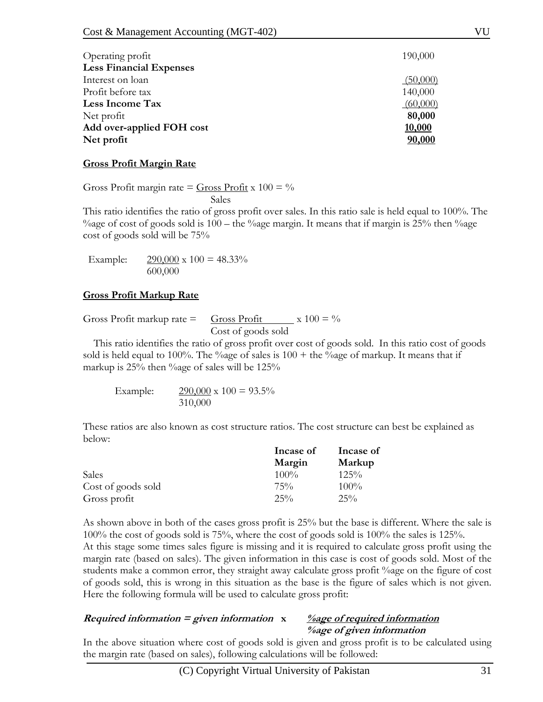| Operating profit               | 190,000  |
|--------------------------------|----------|
| <b>Less Financial Expenses</b> |          |
| Interest on loan               | (50,000) |
| Profit before tax              | 140,000  |
| Less Income Tax                | (60,000) |
| Net profit                     | 80,000   |
| Add over-applied FOH cost      | 10,000   |
| Net profit                     | 90,000   |

### **Gross Profit Margin Rate**

Gross Profit margin rate =  $G$ ross Profit x 100 = % Sales

This ratio identifies the ratio of gross profit over sales. In this ratio sale is held equal to 100%. The %age of cost of goods sold is  $100$  – the %age margin. It means that if margin is 25% then %age cost of goods sold will be 75%

Example:  $290,000 \times 100 = 48.33\%$ 600,000

## **Gross Profit Markup Rate**

Gross Profit markup rate =  $Gross Profit$  x  $100 = %$ Cost of goods sold

 This ratio identifies the ratio of gross profit over cost of goods sold. In this ratio cost of goods sold is held equal to 100%. The %age of sales is  $100 +$  the %age of markup. It means that if markup is 25% then %age of sales will be 125%

Example:  $290,000 \times 100 = 93.5\%$ 310,000

These ratios are also known as cost structure ratios. The cost structure can best be explained as below:

|                    | Incase of | Incase of |
|--------------------|-----------|-----------|
|                    | Margin    | Markup    |
| Sales              | $100\%$   | 125%      |
| Cost of goods sold | 75%       | 100%      |
| Gross profit       | $25\%$    | 25%       |

As shown above in both of the cases gross profit is 25% but the base is different. Where the sale is 100% the cost of goods sold is 75%, where the cost of goods sold is 100% the sales is 125%.

At this stage some times sales figure is missing and it is required to calculate gross profit using the margin rate (based on sales). The given information in this case is cost of goods sold. Most of the students make a common error, they straight away calculate gross profit  $\%$ age on the figure of cost of goods sold, this is wrong in this situation as the base is the figure of sales which is not given. Here the following formula will be used to calculate gross profit:

#### **Required information = given information x %age of required information %age of given information**

In the above situation where cost of goods sold is given and gross profit is to be calculated using the margin rate (based on sales), following calculations will be followed: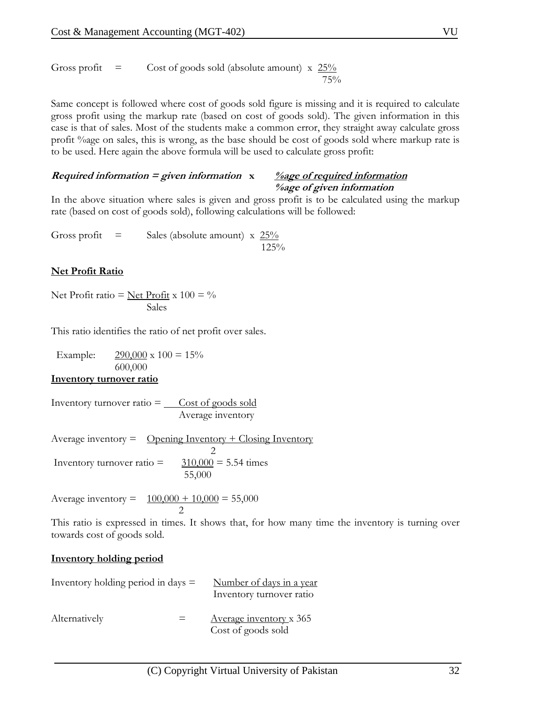Gross profit  $=$  Cost of goods sold (absolute amount) x  $25\%$  $75%$ 

Same concept is followed where cost of goods sold figure is missing and it is required to calculate gross profit using the markup rate (based on cost of goods sold). The given information in this case is that of sales. Most of the students make a common error, they straight away calculate gross profit %age on sales, this is wrong, as the base should be cost of goods sold where markup rate is to be used. Here again the above formula will be used to calculate gross profit:

#### **Required information = given information x %age of required information %age of given information**

In the above situation where sales is given and gross profit is to be calculated using the markup rate (based on cost of goods sold), following calculations will be followed:

Gross profit  $\epsilon$  Sales (absolute amount) x  $25\%$  $125%$ 

# **Net Profit Ratio**

Net Profit ratio = <u>Net Profit</u> x  $100 = %$ Sales

This ratio identifies the ratio of net profit over sales.

Example:  $290,000 \times 100 = 15\%$ 600,000

## **Inventory turnover ratio**

Inventory turnover ratio = Cost of goods sold Average inventory

Average inventory  $=$  Opening Inventory  $+$  Closing Inventory 2 Inventory turnover ratio =  $310,000 = 5.54$  times 55,000

Average inventory =  $100,000 + 10,000 = 55,000$ 2

This ratio is expressed in times. It shows that, for how many time the inventory is turning over towards cost of goods sold.

# **Inventory holding period**

| Inventory holding period in days $=$ | Number of days in a year<br>Inventory turnover ratio |
|--------------------------------------|------------------------------------------------------|
| Alternatively                        | Average inventory x 365<br>Cost of goods sold        |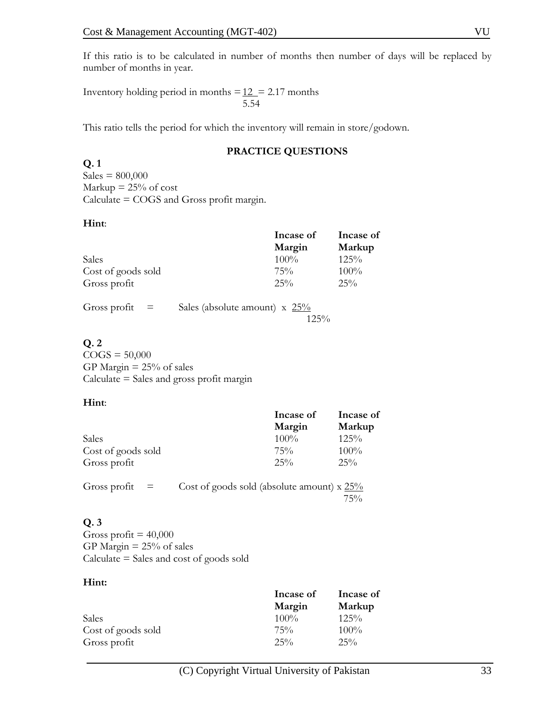If this ratio is to be calculated in number of months then number of days will be replaced by number of months in year.

Inventory holding period in months  $= 12 = 2.17$  months 5.54

This ratio tells the period for which the inventory will remain in store/godown.

## **PRACTICE QUESTIONS**

**Q. 1**   $Sales = 800,000$ Markup  $= 25\%$  of cost Calculate = COGS and Gross profit margin.

## **Hint**:

|                    | Incase of | Incase of |
|--------------------|-----------|-----------|
|                    | Margin    | Markup    |
| Sales              | $100\%$   | 125%      |
| Cost of goods sold | 75%       | 100%      |
| Gross profit       | $2.5\%$   | 25%       |

| Gross profit $=$ | Sales (absolute amount) $x \frac{25\%}{6}$ |      |
|------------------|--------------------------------------------|------|
|                  |                                            | 125% |

**Q. 2**  $COGS = 50,000$ GP Margin  $= 25\%$  of sales Calculate = Sales and gross profit margin

# **Hint**:

|                    | Incase of | Incase of |
|--------------------|-----------|-----------|
|                    | Margin    | Markup    |
| Sales              | $100\%$   | 125%      |
| Cost of goods sold | 75%       | $100\%$   |
| Gross profit       | $2.5\%$   | 25%       |
|                    |           |           |

| Gross profit $=$ | Cost of goods sold (absolute amount) x $25\%$ |        |
|------------------|-----------------------------------------------|--------|
|                  |                                               | $75\%$ |

# **Q. 3**

Gross profit  $= 40,000$ GP Margin  $= 25\%$  of sales Calculate = Sales and cost of goods sold

# **Hint:**

|                    | Incase of | Incase of |
|--------------------|-----------|-----------|
|                    | Margin    | Markup    |
| Sales              | $100\%$   | 125%      |
| Cost of goods sold | 75%       | $100\%$   |
| Gross profit       | $2.5\%$   | $25\%$    |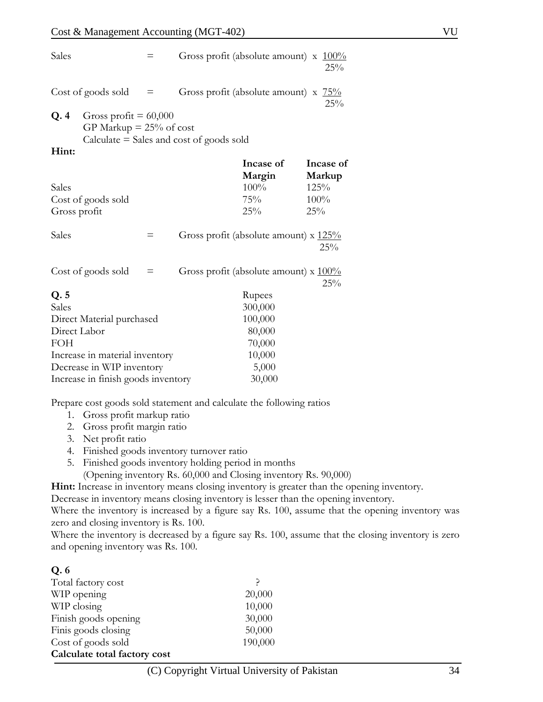| Sales        |                                                       |     |                                            | Gross profit (absolute amount) $x \frac{100\%}{6}$ | 25%                 |
|--------------|-------------------------------------------------------|-----|--------------------------------------------|----------------------------------------------------|---------------------|
|              | Cost of goods sold                                    | $=$ |                                            | Gross profit (absolute amount) $x \frac{75\%}{6}$  | 25%                 |
| Q.4          | Gross profit $= 60,000$<br>GP Markup $= 25\%$ of cost |     |                                            |                                                    |                     |
| Hint:        |                                                       |     | $Calculate = Sales and cost of goods sold$ |                                                    |                     |
|              |                                                       |     |                                            | Incase of<br>Margin                                | Incase of<br>Markup |
| Sales        |                                                       |     |                                            | 100%                                               | 125%                |
|              | Cost of goods sold                                    |     |                                            | 75%                                                | 100%                |
| Gross profit |                                                       |     |                                            | 25%                                                | 25%                 |
| Sales        |                                                       | $=$ |                                            | Gross profit (absolute amount) x 125%              | 25%                 |
|              | Cost of goods sold                                    |     |                                            | Gross profit (absolute amount) x 100%              | 25%                 |
| Q.5          |                                                       |     |                                            | Rupees                                             |                     |
| Sales        |                                                       |     |                                            | 300,000                                            |                     |
|              | Direct Material purchased                             |     |                                            | 100,000                                            |                     |
| Direct Labor |                                                       |     |                                            | 80,000                                             |                     |
| <b>FOH</b>   |                                                       |     |                                            | 70,000                                             |                     |
|              | Increase in material inventory                        |     |                                            | 10,000                                             |                     |
|              | Decrease in WIP inventory                             |     |                                            | 5,000                                              |                     |
|              | Increase in finish goods inventory                    |     |                                            | 30,000                                             |                     |
|              |                                                       |     |                                            |                                                    |                     |

Prepare cost goods sold statement and calculate the following ratios

- 1. Gross profit markup ratio
- 2. Gross profit margin ratio
- 3. Net profit ratio
- 4. Finished goods inventory turnover ratio
- 5. Finished goods inventory holding period in months
	- (Opening inventory Rs. 60,000 and Closing inventory Rs. 90,000)

Hint: Increase in inventory means closing inventory is greater than the opening inventory.

Decrease in inventory means closing inventory is lesser than the opening inventory.

Where the inventory is increased by a figure say Rs. 100, assume that the opening inventory was zero and closing inventory is Rs. 100.

Where the inventory is decreased by a figure say Rs. 100, assume that the closing inventory is zero and opening inventory was Rs. 100.

| Q.6                          |         |
|------------------------------|---------|
| Total factory cost           |         |
| WIP opening                  | 20,000  |
| WIP closing                  | 10,000  |
| Finish goods opening         | 30,000  |
| Finis goods closing          | 50,000  |
| Cost of goods sold           | 190,000 |
| Calculate total factory cost |         |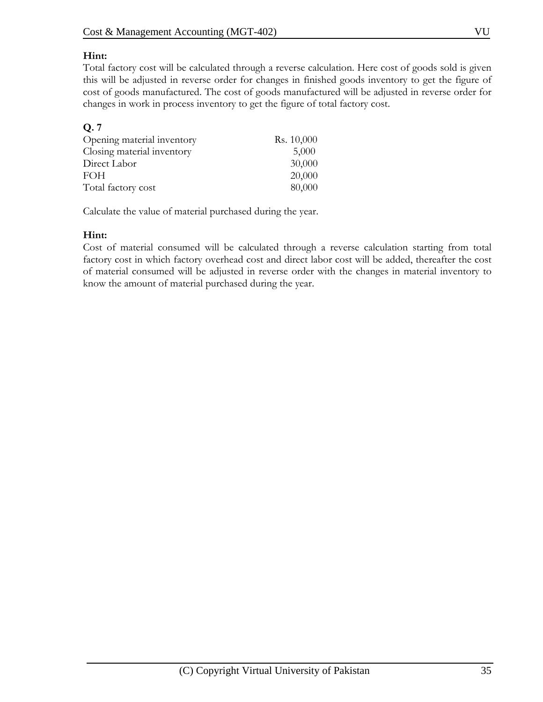# **Hint:**

Total factory cost will be calculated through a reverse calculation. Here cost of goods sold is given this will be adjusted in reverse order for changes in finished goods inventory to get the figure of cost of goods manufactured. The cost of goods manufactured will be adjusted in reverse order for changes in work in process inventory to get the figure of total factory cost.

| Q.7                        |            |
|----------------------------|------------|
| Opening material inventory | Rs. 10,000 |
| Closing material inventory | 5,000      |
| Direct Labor               | 30,000     |
| <b>FOH</b>                 | 20,000     |
| Total factory cost         | 80,000     |

Calculate the value of material purchased during the year.

# **Hint:**

Cost of material consumed will be calculated through a reverse calculation starting from total factory cost in which factory overhead cost and direct labor cost will be added, thereafter the cost of material consumed will be adjusted in reverse order with the changes in material inventory to know the amount of material purchased during the year.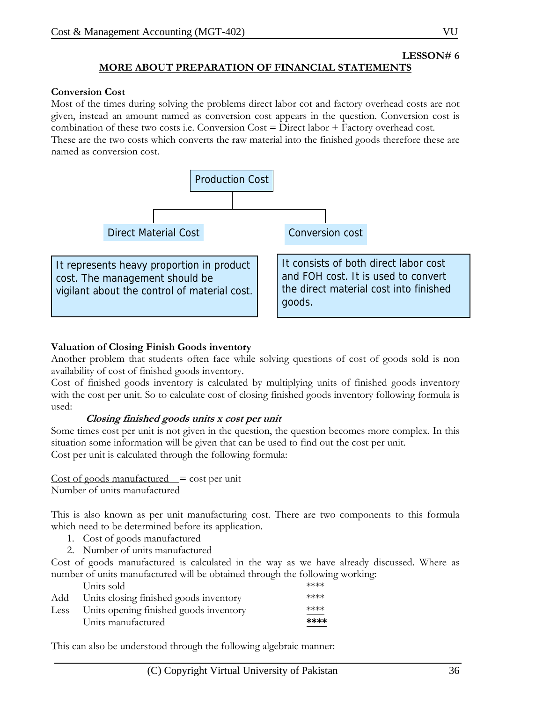#### **LESSON# 6 MORE ABOUT PREPARATION OF FINANCIAL STATEMENTS**

# **Conversion Cost**

Most of the times during solving the problems direct labor cot and factory overhead costs are not given, instead an amount named as conversion cost appears in the question. Conversion cost is combination of these two costs i.e. Conversion Cost = Direct labor + Factory overhead cost. These are the two costs which converts the raw material into the finished goods therefore these are named as conversion cost.



# **Valuation of Closing Finish Goods inventory**

Another problem that students often face while solving questions of cost of goods sold is non availability of cost of finished goods inventory.

Cost of finished goods inventory is calculated by multiplying units of finished goods inventory with the cost per unit. So to calculate cost of closing finished goods inventory following formula is used:

# **Closing finished goods units x cost per unit**

Some times cost per unit is not given in the question, the question becomes more complex. In this situation some information will be given that can be used to find out the cost per unit. Cost per unit is calculated through the following formula:

 $Cost of goods manufactured = cost per unit$ Number of units manufactured

This is also known as per unit manufacturing cost. There are two components to this formula which need to be determined before its application.

- 1. Cost of goods manufactured
- 2. Number of units manufactured

Cost of goods manufactured is calculated in the way as we have already discussed. Where as number of units manufactured will be obtained through the following working:

|      | Units sold                             | ****   |
|------|----------------------------------------|--------|
| Add  | Units closing finished goods inventory | ****   |
| Less | Units opening finished goods inventory | ****   |
|      | Units manufactured                     | $****$ |

This can also be understood through the following algebraic manner: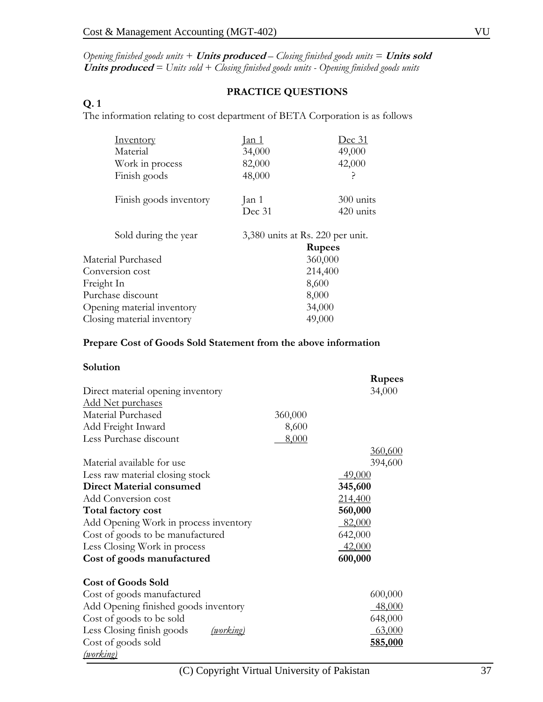*Opening finished goods units +* **Units produced** *– Closing finished goods units =* **Units sold Units produced** *= Units sold + Closing finished goods units - Opening finished goods units* 

#### **PRACTICE QUESTIONS**

## **Q. 1**

The information relating to cost department of BETA Corporation is as follows

| Inventory                  | <u>Jan 1</u> | <u>Dec 31</u>                    |
|----------------------------|--------------|----------------------------------|
| Material                   | 34,000       | 49,000                           |
| Work in process            | 82,000       | 42,000                           |
| Finish goods               | 48,000       | ?                                |
| Finish goods inventory     | Jan 1        | 300 units                        |
|                            | Dec 31       | $420$ units                      |
| Sold during the year       |              | 3,380 units at Rs. 220 per unit. |
|                            |              | <b>Rupees</b>                    |
| Material Purchased         |              | 360,000                          |
| Conversion cost            |              | 214,400                          |
| Freight In                 |              | 8,600                            |
| Purchase discount          |              | 8,000                            |
| Opening material inventory |              | 34,000                           |
| Closing material inventory |              | 49,000                           |
|                            |              |                                  |

#### **Prepare Cost of Goods Sold Statement from the above information**

| Solution                               |         |               |
|----------------------------------------|---------|---------------|
|                                        |         | <b>Rupees</b> |
| Direct material opening inventory      |         | 34,000        |
| <u>Add Net purchases</u>               |         |               |
| Material Purchased                     | 360,000 |               |
| Add Freight Inward                     | 8,600   |               |
| Less Purchase discount                 | 8,000   |               |
|                                        |         | 360,600       |
| Material available for use             |         | 394,600       |
| Less raw material closing stock        |         | 49,000        |
| <b>Direct Material consumed</b>        |         | 345,600       |
| Add Conversion cost                    |         | 214,400       |
| Total factory cost                     |         | 560,000       |
| Add Opening Work in process inventory  |         | 82,000        |
| Cost of goods to be manufactured       |         | 642,000       |
| Less Closing Work in process           |         | 42,000        |
| Cost of goods manufactured             |         | 600,000       |
|                                        |         |               |
| <b>Cost of Goods Sold</b>              |         |               |
| Cost of goods manufactured             |         | 600,000       |
| Add Opening finished goods inventory   |         | 48,000        |
| Cost of goods to be sold               |         | 648,000       |
| Less Closing finish goods<br>(working) |         | 63,000        |
| Cost of goods sold                     |         | 585,000       |
| (working)                              |         |               |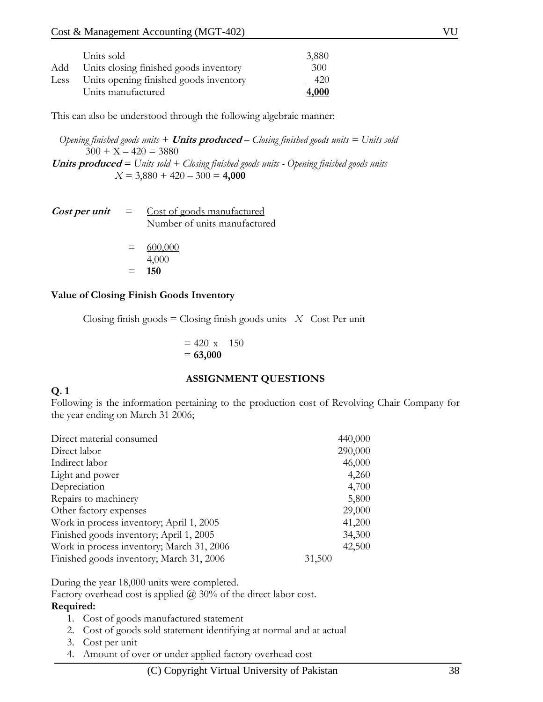|      | Units sold                             | 3,880 |
|------|----------------------------------------|-------|
| Add  | Units closing finished goods inventory | 30O   |
| Less | Units opening finished goods inventory | 420   |
|      | Units manufactured                     | 4.000 |

This can also be understood through the following algebraic manner:

*Opening finished goods units +* **Units produced** *– Closing finished goods units = Units sold*   $300 + X - 420 = 3880$ **Units produced** *= Units sold + Closing finished goods units - Opening finished goods units X* = 3,880 + 420 – 300 = **4,000**

**Cost per unit** = Cost of goods manufactured Number of units manufactured  $= 600,000$ 4,000  $= 150$ 

#### **Value of Closing Finish Goods Inventory**

Closing finish goods  $=$  Closing finish goods units  $X$  Cost Per unit

 $= 420 \times 150$ = **63,000**

#### **ASSIGNMENT QUESTIONS**

#### **Q. 1**

Following is the information pertaining to the production cost of Revolving Chair Company for the year ending on March 31 2006;

| Direct material consumed                  | 440,000 |
|-------------------------------------------|---------|
| Direct labor                              | 290,000 |
| Indirect labor                            | 46,000  |
| Light and power                           | 4,260   |
| Depreciation                              | 4,700   |
| Repairs to machinery                      | 5,800   |
| Other factory expenses                    | 29,000  |
| Work in process inventory; April 1, 2005  | 41,200  |
| Finished goods inventory; April 1, 2005   | 34,300  |
| Work in process inventory; March 31, 2006 | 42,500  |
| Finished goods inventory; March 31, 2006  | 31,500  |

During the year 18,000 units were completed.

Factory overhead cost is applied @ 30% of the direct labor cost.

#### **Required:**

- 1. Cost of goods manufactured statement
- 2. Cost of goods sold statement identifying at normal and at actual
- 3. Cost per unit
- 4. Amount of over or under applied factory overhead cost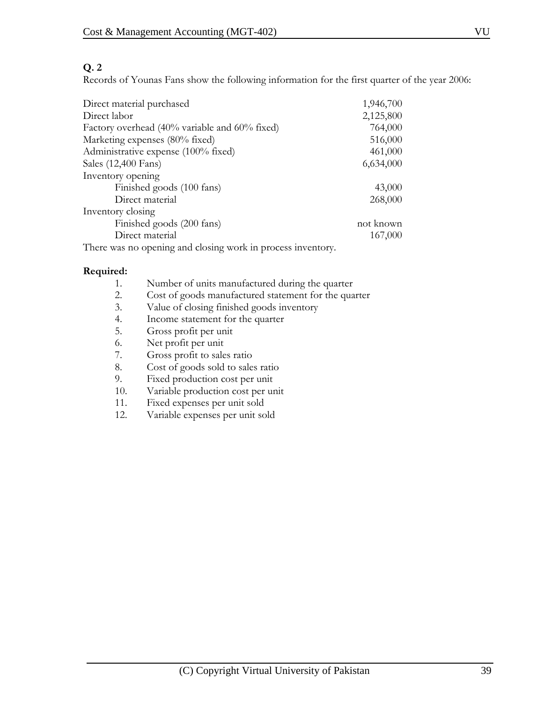# **Q. 2**

Records of Younas Fans show the following information for the first quarter of the year 2006:

| Direct material purchased                           | 1,946,700 |
|-----------------------------------------------------|-----------|
| Direct labor                                        | 2,125,800 |
| Factory overhead $(40\%$ variable and $60\%$ fixed) | 764,000   |
| Marketing expenses (80% fixed)                      | 516,000   |
| Administrative expense (100% fixed)                 | 461,000   |
| Sales (12,400 Fans)                                 | 6,634,000 |
| Inventory opening                                   |           |
| Finished goods (100 fans)                           | 43,000    |
| Direct material                                     | 268,000   |
| Inventory closing                                   |           |
| Finished goods (200 fans)                           | not known |
| Direct material                                     | 167,000   |
| 7.11                                                |           |

There was no opening and closing work in process inventory.

## **Required:**

- 1. Number of units manufactured during the quarter
- 2. Cost of goods manufactured statement for the quarter
- 3. Value of closing finished goods inventory
- 4. Income statement for the quarter
- 5. Gross profit per unit
- 6. Net profit per unit
- 7. Gross profit to sales ratio
- 8. Cost of goods sold to sales ratio
- 9. Fixed production cost per unit
- 10. Variable production cost per unit
- 11. Fixed expenses per unit sold
- 12. Variable expenses per unit sold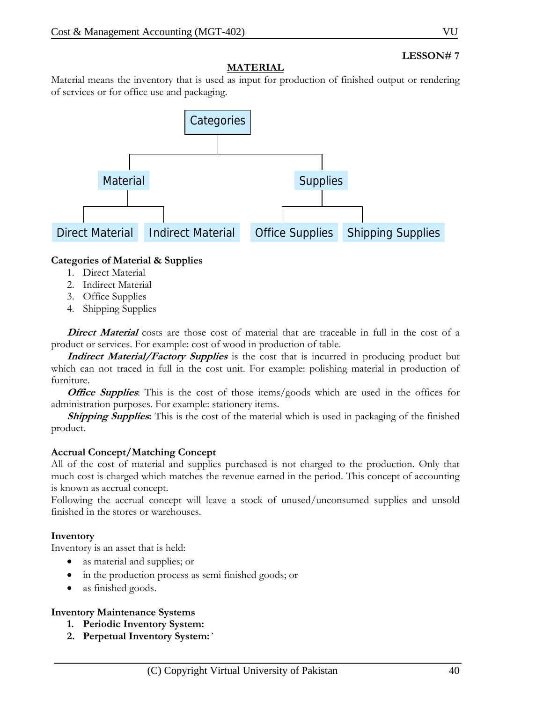## **LESSON# 7**

#### **MATERIAL**

Material means the inventory that is used as input for production of finished output or rendering of services or for office use and packaging.



#### **Categories of Material & Supplies**

- 1. Direct Material
- 2. Indirect Material
- 3. Office Supplies
- 4. Shipping Supplies

**Direct Material** costs are those cost of material that are traceable in full in the cost of a product or services. For example: cost of wood in production of table.

**Indirect Material/Factory Supplies** is the cost that is incurred in producing product but which can not traced in full in the cost unit. For example: polishing material in production of furniture.

*Office Supplies*: This is the cost of those items/goods which are used in the offices for administration purposes. For example: stationery items.

**Shipping Supplies:** This is the cost of the material which is used in packaging of the finished product.

#### **Accrual Concept/Matching Concept**

All of the cost of material and supplies purchased is not charged to the production. Only that much cost is charged which matches the revenue earned in the period. This concept of accounting is known as accrual concept.

Following the accrual concept will leave a stock of unused/unconsumed supplies and unsold finished in the stores or warehouses.

#### **Inventory**

Inventory is an asset that is held:

- as material and supplies; or
- in the production process as semi finished goods; or
- as finished goods.

#### **Inventory Maintenance Systems**

- **1. Periodic Inventory System:**
- **2. Perpetual Inventory System: `**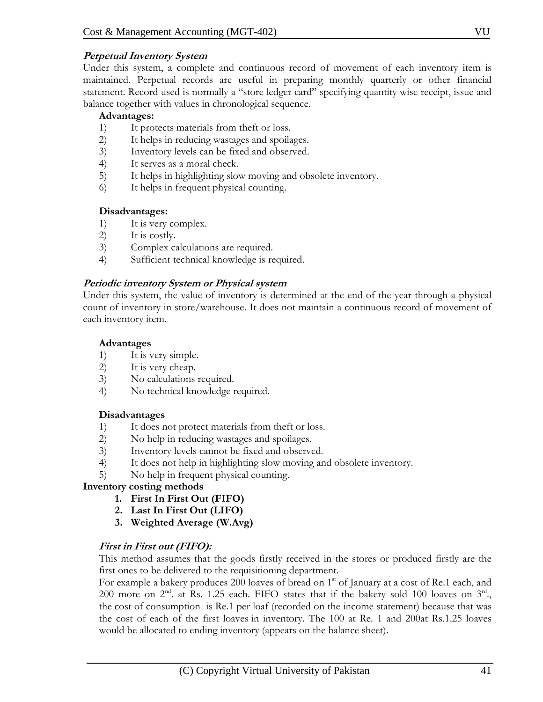## **Perpetual Inventory System**

Under this system, a complete and continuous record of movement of each inventory item is maintained. Perpetual records are useful in preparing monthly quarterly or other financial statement. Record used is normally a "store ledger card" specifying quantity wise receipt, issue and balance together with values in chronological sequence.

#### **Advantages:**

- 1) It protects materials from theft or loss.
- 2) It helps in reducing wastages and spoilages.
- 3) Inventory levels can be fixed and observed.
- 4) It serves as a moral check.
- 5) It helps in highlighting slow moving and obsolete inventory.
- 6) It helps in frequent physical counting.

#### **Disadvantages:**

- 1) It is very complex.
- 2) It is costly.
- 3) Complex calculations are required.
- 4) Sufficient technical knowledge is required.

## **Periodic inventory System or Physical system**

Under this system, the value of inventory is determined at the end of the year through a physical count of inventory in store/warehouse. It does not maintain a continuous record of movement of each inventory item.

#### **Advantages**

- 1) It is very simple.
- 2) It is very cheap.
- 3) No calculations required.
- 4) No technical knowledge required.

#### **Disadvantages**

- 1) It does not protect materials from theft or loss.
- 2) No help in reducing wastages and spoilages.
- 3) Inventory levels cannot be fixed and observed.
- 4) It does not help in highlighting slow moving and obsolete inventory.
- 5) No help in frequent physical counting.

## **Inventory costing methods**

- **1. First In First Out (FIFO)**
- **2. Last In First Out (LIFO)**
- **3. Weighted Average (W.Avg)**

## **First in First out (FIFO):**

This method assumes that the goods firstly received in the stores or produced firstly are the first ones to be delivered to the requisitioning department.

For example a bakery produces 200 loaves of bread on  $1<sup>st</sup>$  of January at a cost of Re.1 each, and 200 more on  $2^{nd}$ . at Rs. 1.25 each. FIFO states that if the bakery sold 100 loaves on  $3^{rd}$ . the cost of consumption is Re.1 per loaf (recorded on the income statement) because that was the cost of each of the first loaves in inventory. The 100 at Re. 1 and 200at Rs.1.25 loaves would be allocated to ending inventory (appears on the balance sheet).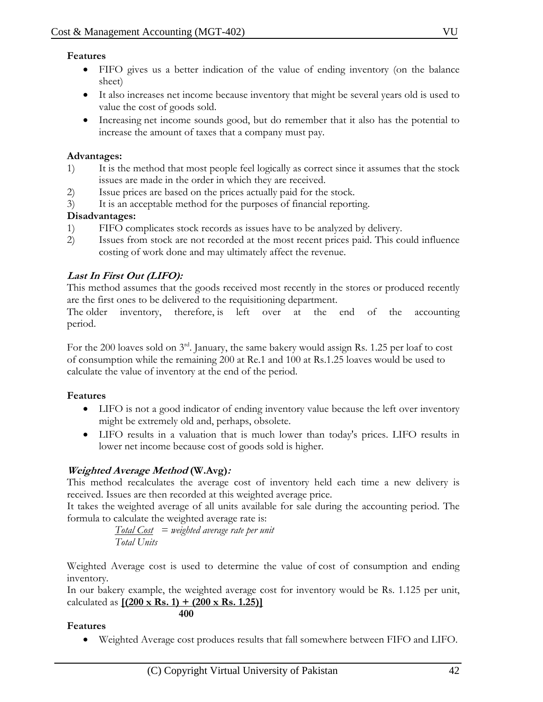## **Features**

- FIFO gives us a better indication of the value of ending inventory (on the balance sheet)
- It also increases net income because inventory that might be several years old is used to value the cost of goods sold.
- Increasing net income sounds good, but do remember that it also has the potential to increase the amount of taxes that a company must pay.

## **Advantages:**

- 1) It is the method that most people feel logically as correct since it assumes that the stock issues are made in the order in which they are received.
- 2) Issue prices are based on the prices actually paid for the stock.
- 3) It is an acceptable method for the purposes of financial reporting.

# **Disadvantages:**

- 1) FIFO complicates stock records as issues have to be analyzed by delivery.
- 2) Issues from stock are not recorded at the most recent prices paid. This could influence costing of work done and may ultimately affect the revenue.

# **Last In First Out (LIFO):**

This method assumes that the goods received most recently in the stores or produced recently are the first ones to be delivered to the requisitioning department.

The older inventory, therefore, is left over at the end of the accounting period.

For the 200 loaves sold on  $3<sup>rd</sup>$ . January, the same bakery would assign Rs. 1.25 per loaf to cost of consumption while the remaining 200 at Re.1 and 100 at Rs.1.25 loaves would be used to calculate the value of inventory at the end of the period.

# **Features**

- LIFO is not a good indicator of ending inventory value because the left over inventory might be extremely old and, perhaps, obsolete.
- LIFO results in a valuation that is much lower than today's prices. LIFO results in lower net income because cost of goods sold is higher.

# **Weighted Average Method (W.Avg):**

This method recalculates the average cost of inventory held each time a new delivery is received. Issues are then recorded at this weighted average price.

It takes the weighted average of all units available for sale during the accounting period. The formula to calculate the weighted average rate is:

*Total Cost = weighted average rate per unit Total Units* 

Weighted Average cost is used to determine the value of cost of consumption and ending inventory.

In our bakery example, the weighted average cost for inventory would be Rs. 1.125 per unit, calculated as  $[(200 \times \text{Rs. } 1) + (200 \times \text{Rs. } 1.25)]$ 

#### **400 Features**

• Weighted Average cost produces results that fall somewhere between FIFO and LIFO.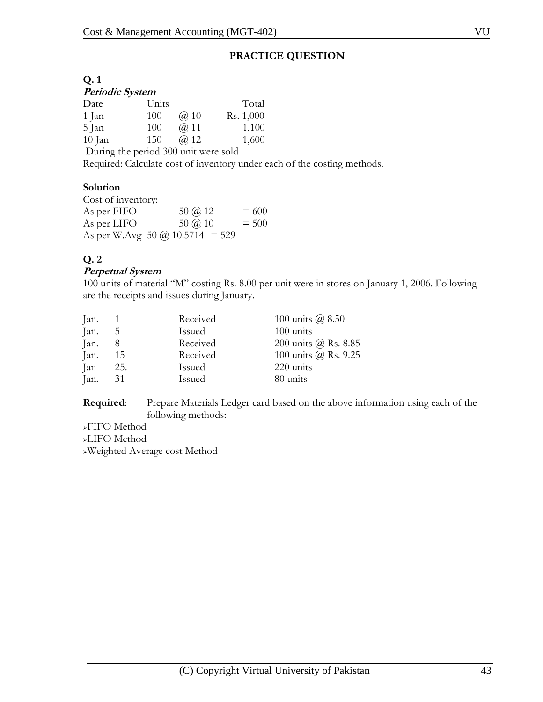# **PRACTICE QUESTION**

## **Q. 1**

## **Periodic System**

| Date     | Units |             | Total     |
|----------|-------|-------------|-----------|
| 1 Jan    | 100   | $\omega$ 10 | Rs. 1,000 |
| 5 Jan    | 100   | $\omega$ 11 | 1,100     |
| $10$ Jan | 150   | $(a)$ 12    | 1,600     |
|          |       |             |           |

During the period 300 unit were sold

Required: Calculate cost of inventory under each of the costing methods.

# **Solution**

| Cost of inventory: |                                 |         |
|--------------------|---------------------------------|---------|
| As per FIFO        | 50 $(a)$ 12                     | $= 600$ |
| As per LIFO        | 50 $(a)$ 10                     | $= 500$ |
|                    | As per W.Avg 50 @ 10.5714 = 529 |         |

# **Q. 2**

## **Perpetual System**

100 units of material "M" costing Rs. 8.00 per unit were in stores on January 1, 2006. Following are the receipts and issues during January.

| Jan. |     | Received | 100 units $(a)$ 8.50 |
|------|-----|----------|----------------------|
| Jan. | 5   | Issued   | 100 units            |
| Jan. |     | Received | 200 units @ Rs. 8.85 |
| Jan. | 15  | Received | 100 units @ Rs. 9.25 |
| Jan  | 25. | Issued   | 220 units            |
| Jan. | 31  | Issued   | 80 units             |

**Required**: Prepare Materials Ledger card based on the above information using each of the following methods:

<sup>¾</sup>FIFO Method <sup>¾</sup>LIFO Method ¾Weighted Average cost Method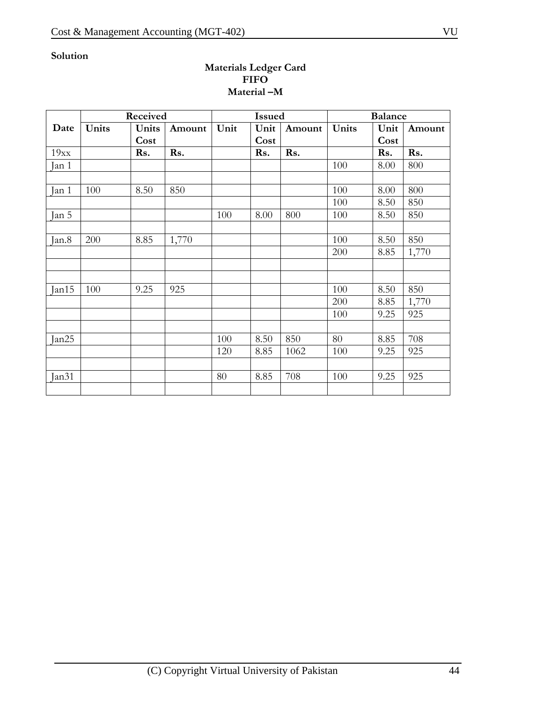## **Solution**

## **Materials Ledger Card FIFO Material –M**

|       |       | Received |        |      | <b>Issued</b> |        | <b>Balance</b> |      |        |
|-------|-------|----------|--------|------|---------------|--------|----------------|------|--------|
| Date  | Units | Units    | Amount | Unit | Unit          | Amount | Units          | Unit | Amount |
|       |       | Cost     |        |      | Cost          |        |                | Cost |        |
| 19xx  |       | Rs.      | Rs.    |      | Rs.           | Rs.    |                | Rs.  | Rs.    |
| Jan 1 |       |          |        |      |               |        | 100            | 8.00 | 800    |
|       |       |          |        |      |               |        |                |      |        |
| Jan 1 | 100   | 8.50     | 850    |      |               |        | 100            | 8.00 | 800    |
|       |       |          |        |      |               |        | 100            | 8.50 | 850    |
| Jan 5 |       |          |        | 100  | 8.00          | 800    | 100            | 8.50 | 850    |
|       |       |          |        |      |               |        |                |      |        |
| Jan.8 | 200   | 8.85     | 1,770  |      |               |        | 100            | 8.50 | 850    |
|       |       |          |        |      |               |        | 200            | 8.85 | 1,770  |
|       |       |          |        |      |               |        |                |      |        |
|       |       |          |        |      |               |        |                |      |        |
| Jan15 | 100   | 9.25     | 925    |      |               |        | 100            | 8.50 | 850    |
|       |       |          |        |      |               |        | 200            | 8.85 | 1,770  |
|       |       |          |        |      |               |        | 100            | 9.25 | 925    |
|       |       |          |        |      |               |        |                |      |        |
| Jan25 |       |          |        | 100  | 8.50          | 850    | 80             | 8.85 | 708    |
|       |       |          |        | 120  | 8.85          | 1062   | 100            | 9.25 | 925    |
|       |       |          |        |      |               |        |                |      |        |
| Jan31 |       |          |        | 80   | 8.85          | 708    | 100            | 9.25 | 925    |
|       |       |          |        |      |               |        |                |      |        |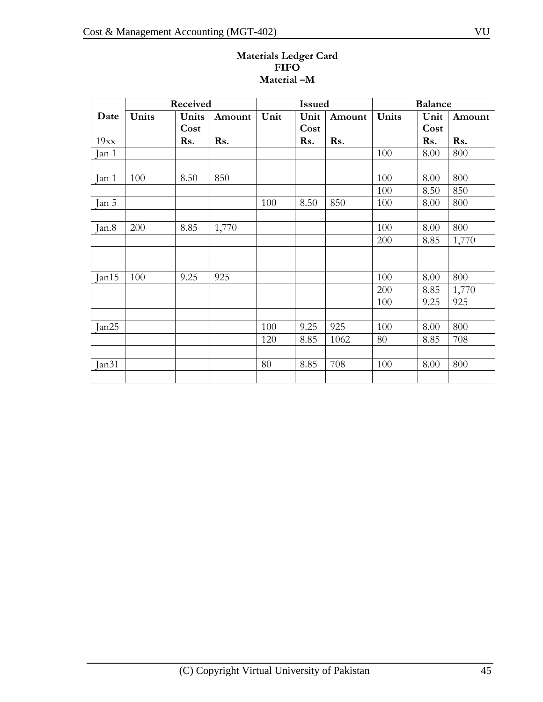## **Materials Ledger Card FIFO Material –M**

|       |       | Received |        |        | <b>Issued</b> |        | <b>Balance</b> |          |        |
|-------|-------|----------|--------|--------|---------------|--------|----------------|----------|--------|
| Date  | Units | Units    | Amount | Unit   | Unit          | Amount | Units          | Unit     | Amount |
|       |       | Cost     |        |        | Cost          |        |                | Cost     |        |
| 19xx  |       | Rs.      | Rs.    |        | Rs.           | Rs.    |                | Rs.      | Rs.    |
| Jan 1 |       |          |        |        |               |        | 100            | 8.00     | 800    |
|       |       |          |        |        |               |        |                |          |        |
| Jan 1 | 100   | 8.50     | 850    |        |               |        | 100            | 8.00     | 800    |
|       |       |          |        |        |               |        | 100            | 8.50     | 850    |
| Jan 5 |       |          |        | 100    | 8.50          | 850    | 100            | 8.00     | 800    |
|       |       |          |        |        |               |        |                |          |        |
| Jan.8 | 200   | 8.85     | 1,770  |        |               |        | 100            | 8.00     | 800    |
|       |       |          |        |        |               |        | 200            | 8.85     | 1,770  |
|       |       |          |        |        |               |        |                |          |        |
|       |       |          |        |        |               |        |                |          |        |
| Jan15 | 100   | 9.25     | 925    |        |               |        | 100            | 8.00     | 800    |
|       |       |          |        |        |               |        | 200            | 8.85     | 1,770  |
|       |       |          |        |        |               |        | 100            | 9.25     | 925    |
|       |       |          |        |        |               |        |                |          |        |
| Jan25 |       |          |        | 100    | 9.25          | 925    | 100            | $8.00\,$ | 800    |
|       |       |          |        | 120    | 8.85          | 1062   | $80\,$         | 8.85     | 708    |
|       |       |          |        |        |               |        |                |          |        |
| Jan31 |       |          |        | $80\,$ | 8.85          | 708    | 100            | 8.00     | 800    |
|       |       |          |        |        |               |        |                |          |        |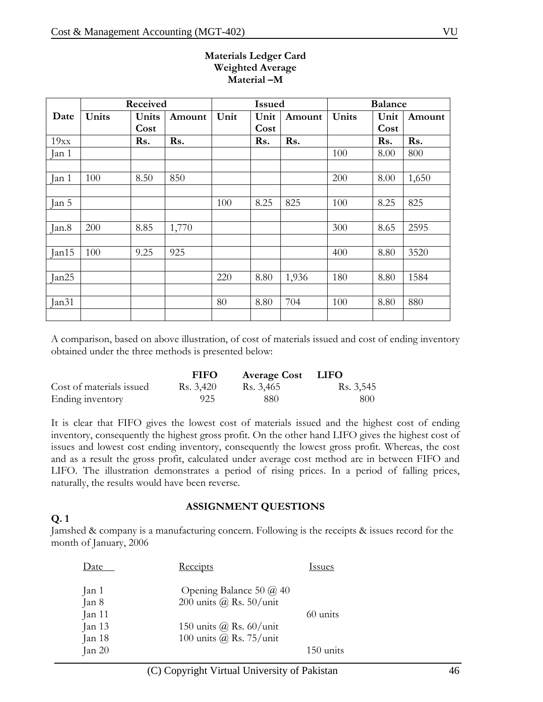|       |       | Received |        | <b>Issued</b> |      | <b>Balance</b> |       |      |        |
|-------|-------|----------|--------|---------------|------|----------------|-------|------|--------|
| Date  | Units | Units    | Amount | Unit          | Unit | Amount         | Units | Unit | Amount |
|       |       | Cost     |        |               | Cost |                |       | Cost |        |
| 19xx  |       | Rs.      | Rs.    |               | Rs.  | Rs.            |       | Rs.  | Rs.    |
| Jan 1 |       |          |        |               |      |                | 100   | 8.00 | 800    |
|       |       |          |        |               |      |                |       |      |        |
| Jan 1 | 100   | 8.50     | 850    |               |      |                | 200   | 8.00 | 1,650  |
|       |       |          |        |               |      |                |       |      |        |
| Jan 5 |       |          |        | 100           | 8.25 | 825            | 100   | 8.25 | 825    |
|       |       |          |        |               |      |                |       |      |        |
| Jan.8 | 200   | 8.85     | 1,770  |               |      |                | 300   | 8.65 | 2595   |
|       |       |          |        |               |      |                |       |      |        |
| Jan15 | 100   | 9.25     | 925    |               |      |                | 400   | 8.80 | 3520   |
|       |       |          |        |               |      |                |       |      |        |
| Jan25 |       |          |        | 220           | 8.80 | 1,936          | 180   | 8.80 | 1584   |
|       |       |          |        |               |      |                |       |      |        |
| Jan31 |       |          |        | 80            | 8.80 | 704            | 100   | 8.80 | 880    |
|       |       |          |        |               |      |                |       |      |        |

## **Materials Ledger Card Weighted Average Material –M**

A comparison, based on above illustration, of cost of materials issued and cost of ending inventory obtained under the three methods is presented below:

|                          | <b>FIFO</b> | <b>Average Cost</b> | LIFO      |
|--------------------------|-------------|---------------------|-----------|
| Cost of materials issued | Rs. 3,420   | Rs. 3,465           | Rs. 3,545 |
| Ending inventory         | -925        | 880                 | 800       |

It is clear that FIFO gives the lowest cost of materials issued and the highest cost of ending inventory, consequently the highest gross profit. On the other hand LIFO gives the highest cost of issues and lowest cost ending inventory, consequently the lowest gross profit. Whereas, the cost and as a result the gross profit, calculated under average cost method are in between FIFO and LIFO. The illustration demonstrates a period of rising prices. In a period of falling prices, naturally, the results would have been reverse.

# **Q. 1**

#### **ASSIGNMENT QUESTIONS**

Jamshed & company is a manufacturing concern. Following is the receipts & issues record for the month of January, 2006

| Date      | Receipts                       | Issues    |
|-----------|--------------------------------|-----------|
| Jan 1     | Opening Balance 50 @ 40        |           |
| Jan 8     | 200 units $\omega$ Rs. 50/unit |           |
| Jan 11    |                                | 60 units  |
| Jan $13$  | 150 units $\omega$ Rs. 60/unit |           |
| Jan $18$  | 100 units $\omega$ Rs. 75/unit |           |
| $\tan 20$ |                                | 150 units |
|           |                                |           |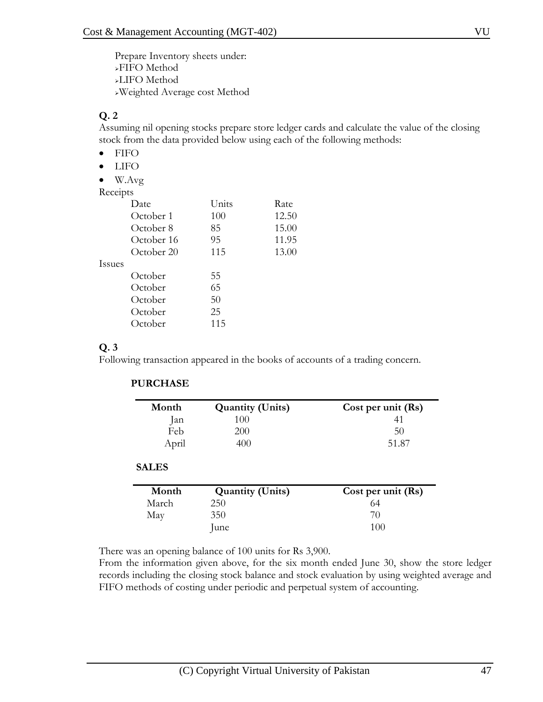Prepare Inventory sheets under: <sup>¾</sup>FIFO Method <sup>¾</sup>LIFO Method <sup>¾</sup>Weighted Average cost Method

## **Q. 2**

Assuming nil opening stocks prepare store ledger cards and calculate the value of the closing stock from the data provided below using each of the following methods:

- FIFO
- LIFO
- W.Avg

Receipts

|               | Date       | Units | Rate  |
|---------------|------------|-------|-------|
|               | October 1  | 100   | 12.50 |
|               | October 8  | 85    | 15.00 |
|               | October 16 | 95    | 11.95 |
|               | October 20 | 115   | 13.00 |
| <i>Issues</i> |            |       |       |
|               | October    | 55    |       |
|               | October    | 65    |       |
|               | October    | 50    |       |
|               | October    | 25    |       |
|               | October    | 115   |       |
|               |            |       |       |

## **Q. 3**

Following transaction appeared in the books of accounts of a trading concern.

#### **PURCHASE**

| Month                 | <b>Quantity (Units)</b> | Cost per unit $(Rs)$       |
|-----------------------|-------------------------|----------------------------|
| Jan                   | 100                     | 41                         |
| Feb                   | 200                     | 50                         |
| April                 | 400                     | 51.87                      |
|                       |                         |                            |
| Month                 | <b>Quantity (Units)</b> |                            |
| <b>SALES</b><br>March | 250                     | Cost per unit $(Rs)$<br>64 |
| May                   | 350                     | 70                         |

There was an opening balance of 100 units for Rs 3,900.

From the information given above, for the six month ended June 30, show the store ledger records including the closing stock balance and stock evaluation by using weighted average and FIFO methods of costing under periodic and perpetual system of accounting.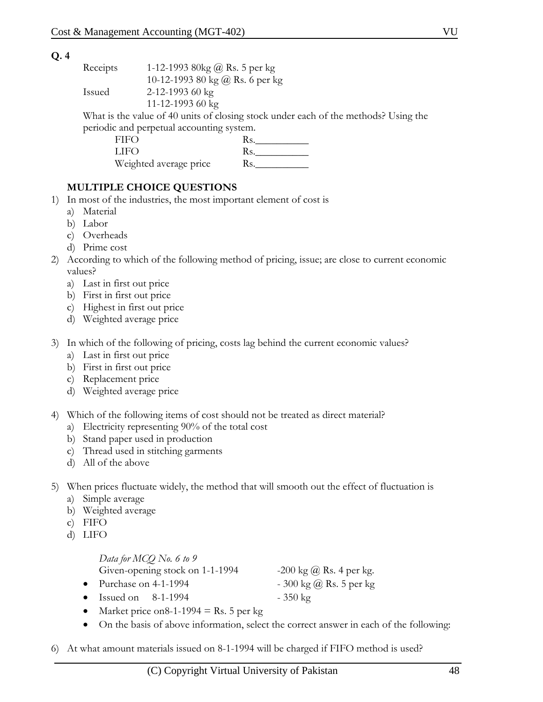#### **Q. 4**

| ı | receit |  |
|---|--------|--|
|   |        |  |

pts  $1-12-1993\ 80\text{kg}$  @ Rs. 5 per kg 10-12-1993 80 kg @ Rs. 6 per kg Issued 2-12-1993 60 kg 11-12-1993 60 kg

What is the value of 40 units of closing stock under each of the methods? Using the periodic and perpetual accounting system.

| <b>FIFO</b>            |  |
|------------------------|--|
| LIFO                   |  |
| Weighted average price |  |

# **MULTIPLE CHOICE QUESTIONS**

- 1) In most of the industries, the most important element of cost is
	- a) Material
	- b) Labor
	- c) Overheads
	- d) Prime cost
- 2) According to which of the following method of pricing, issue; are close to current economic values?
	- a) Last in first out price
	- b) First in first out price
	- c) Highest in first out price
	- d) Weighted average price
- 3) In which of the following of pricing, costs lag behind the current economic values?
	- a) Last in first out price
	- b) First in first out price
	- c) Replacement price
	- d) Weighted average price
- 4) Which of the following items of cost should not be treated as direct material?
	- a) Electricity representing 90% of the total cost
	- b) Stand paper used in production
	- c) Thread used in stitching garments
	- d) All of the above
- 5) When prices fluctuate widely, the method that will smooth out the effect of fluctuation is
	- a) Simple average
	- b) Weighted average
	- c) FIFO
	- d) LIFO

 *Data for MCQ No. 6 to 9*  Given-opening stock on 1-1-1994 -200 kg  $\omega$  Rs. 4 per kg.

- Purchase on 4-1-1994  $-300 \text{ kg} (a) \text{ Rs. } 5 \text{ per kg}$
- 
- 
- Issued on  $8-1-1994$   $-350 \text{ kg}$
- Market price on 8-1-1994  $=$  Rs. 5 per kg
- On the basis of above information, select the correct answer in each of the following:
- 6) At what amount materials issued on 8-1-1994 will be charged if FIFO method is used?
- 
- 
-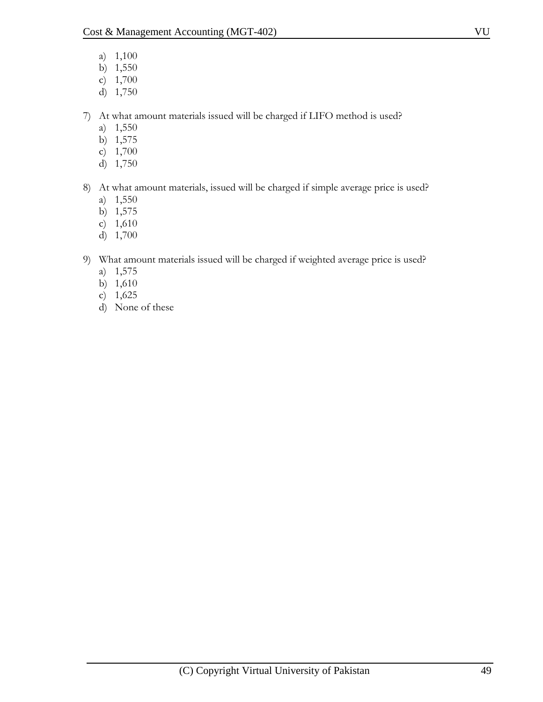- a) 1,100
- b) 1,550
- c) 1,700
- d) 1,750

7) At what amount materials issued will be charged if LIFO method is used?

- a) 1,550
- b) 1,575
- c)  $1,700$
- d) 1,750

# 8) At what amount materials, issued will be charged if simple average price is used?

- a) 1,550
- b) 1,575
- c) 1,610
- d) 1,700
- 9) What amount materials issued will be charged if weighted average price is used?
	- a) 1,575
	- b) 1,610
	- c) 1,625
	- d) None of these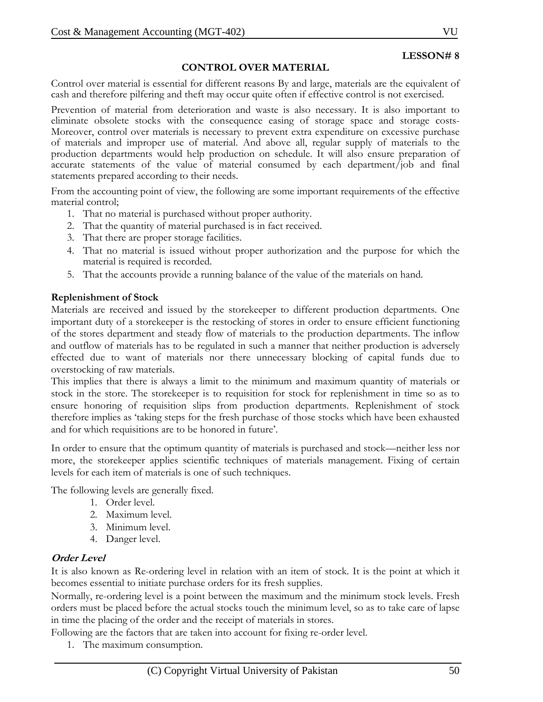## **LESSON# 8**

#### **CONTROL OVER MATERIAL**

Control over material is essential for different reasons By and large, materials are the equivalent of cash and therefore pilfering and theft may occur quite often if effective control is not exercised.

Prevention of material from deterioration and waste is also necessary. It is also important to eliminate obsolete stocks with the consequence easing of storage space and storage costs-Moreover, control over materials is necessary to prevent extra expenditure on excessive purchase of materials and improper use of material. And above all, regular supply of materials to the production departments would help production on schedule. It will also ensure preparation of accurate statements of the value of material consumed by each department/job and final statements prepared according to their needs.

From the accounting point of view, the following are some important requirements of the effective material control;

- 1. That no material is purchased without proper authority.
- 2. That the quantity of material purchased is in fact received.
- 3. That there are proper storage facilities.
- 4. That no material is issued without proper authorization and the purpose for which the material is required is recorded.
- 5. That the accounts provide a running balance of the value of the materials on hand.

#### **Replenishment of Stock**

Materials are received and issued by the storekeeper to different production departments. One important duty of a storekeeper is the restocking of stores in order to ensure efficient functioning of the stores department and steady flow of materials to the production departments. The inflow and outflow of materials has to be regulated in such a manner that neither production is adversely effected due to want of materials nor there unnecessary blocking of capital funds due to overstocking of raw materials.

This implies that there is always a limit to the minimum and maximum quantity of materials or stock in the store. The storekeeper is to requisition for stock for replenishment in time so as to ensure honoring of requisition slips from production departments. Replenishment of stock therefore implies as 'taking steps for the fresh purchase of those stocks which have been exhausted and for which requisitions are to be honored in future'.

In order to ensure that the optimum quantity of materials is purchased and stock—neither less nor more, the storekeeper applies scientific techniques of materials management. Fixing of certain levels for each item of materials is one of such techniques.

The following levels are generally fixed.

- 1. Order level.
- 2. Maximum level.
- 3. Minimum level.
- 4. Danger level.

## **Order Level**

It is also known as Re-ordering level in relation with an item of stock. It is the point at which it becomes essential to initiate purchase orders for its fresh supplies.

Normally, re-ordering level is a point between the maximum and the minimum stock levels. Fresh orders must be placed before the actual stocks touch the minimum level, so as to take care of lapse in time the placing of the order and the receipt of materials in stores.

Following are the factors that are taken into account for fixing re-order level.

1. The maximum consumption.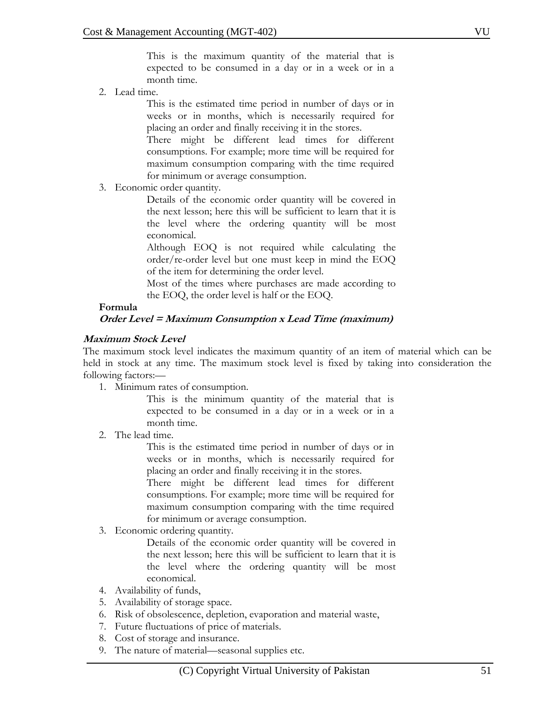This is the maximum quantity of the material that is expected to be consumed in a day or in a week or in a month time.

2. Lead time.

This is the estimated time period in number of days or in weeks or in months, which is necessarily required for placing an order and finally receiving it in the stores.

There might be different lead times for different consumptions. For example; more time will be required for maximum consumption comparing with the time required for minimum or average consumption.

3. Economic order quantity.

Details of the economic order quantity will be covered in the next lesson; here this will be sufficient to learn that it is the level where the ordering quantity will be most economical.

Although EOQ is not required while calculating the order/re-order level but one must keep in mind the EOQ of the item for determining the order level.

Most of the times where purchases are made according to the EOQ, the order level is half or the EOQ.

#### **Formula**

## **Order Level = Maximum Consumption x Lead Time (maximum)**

#### **Maximum Stock Level**

The maximum stock level indicates the maximum quantity of an item of material which can be held in stock at any time. The maximum stock level is fixed by taking into consideration the following factors:—

1. Minimum rates of consumption.

This is the minimum quantity of the material that is expected to be consumed in a day or in a week or in a month time.

2. The lead time.

This is the estimated time period in number of days or in weeks or in months, which is necessarily required for placing an order and finally receiving it in the stores.

There might be different lead times for different consumptions. For example; more time will be required for maximum consumption comparing with the time required for minimum or average consumption.

3. Economic ordering quantity.

Details of the economic order quantity will be covered in the next lesson; here this will be sufficient to learn that it is the level where the ordering quantity will be most economical.

- 4. Availability of funds,
- 5. Availability of storage space.
- 6. Risk of obsolescence, depletion, evaporation and material waste,
- 7. Future fluctuations of price of materials.
- 8. Cost of storage and insurance.
- 9. The nature of material—seasonal supplies etc.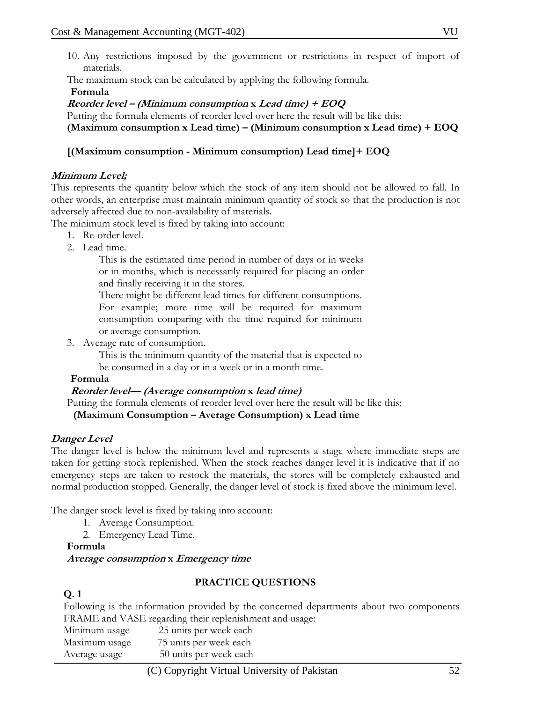10. Any restrictions imposed by the government or restrictions in respect of import of materials.

The maximum stock can be calculated by applying the following formula.

**Formula** 

**Reorder level – (Minimum consumption x Lead time) + EOQ** 

Putting the formula elements of reorder level over here the result will be like this:

**(Maximum consumption x Lead time) – (Minimum consumption x Lead time) + EOQ** 

# **[(Maximum consumption - Minimum consumption) Lead time]+ EOQ**

# **Minimum Level;**

This represents the quantity below which the stock of any item should not be allowed to fall. In other words, an enterprise must maintain minimum quantity of stock so that the production is not adversely affected due to non-availability of materials.

The minimum stock level is fixed by taking into account:

- 1. Re-order level.
- 2. Lead time.

This is the estimated time period in number of days or in weeks or in months, which is necessarily required for placing an order and finally receiving it in the stores.

There might be different lead times for different consumptions. For example; more time will be required for maximum consumption comparing with the time required for minimum or average consumption.

3. Average rate of consumption.

This is the minimum quantity of the material that is expected to

be consumed in a day or in a week or in a month time.

# **Formula**

# **Reorder level— (Average consumption x lead time)**

Putting the formula elements of reorder level over here the result will be like this:

# **(Maximum Consumption – Average Consumption) x Lead time**

# **Danger Level**

The danger level is below the minimum level and represents a stage where immediate steps are taken for getting stock replenished. When the stock reaches danger level it is indicative that if no emergency steps are taken to restock the materials, the stores will be completely exhausted and normal production stopped. Generally, the danger level of stock is fixed above the minimum level.

The danger stock level is fixed by taking into account:

- 1. Average Consumption.
- 2. Emergency Lead Time.

# **Formula**

**Average consumption x Emergency time** 

# **PRACTICE QUESTIONS**

# **Q. 1**

Following is the information provided by the concerned departments about two components FRAME and VASE regarding their replenishment and usage:

|               | The mass with a regarding area representation |
|---------------|-----------------------------------------------|
| Minimum usage | 25 units per week each                        |
| Maximum usage | 75 units per week each                        |
| Average usage | 50 units per week each                        |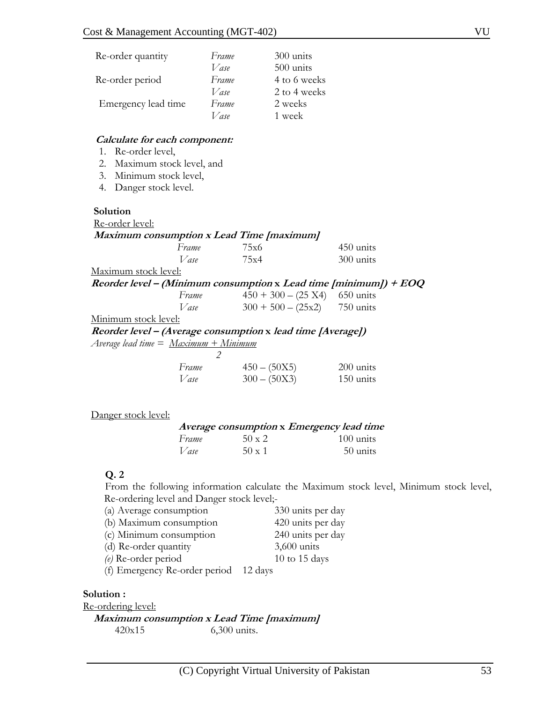| Re-order quantity   | Frame        | $300 \text{ units}$ |
|---------------------|--------------|---------------------|
|                     | Vase         | 500 units           |
| Re-order period     | Frame        | 4 to 6 weeks        |
|                     | <i>V</i> ase | 2 to 4 weeks        |
| Emergency lead time | Frame        | 2 weeks             |
|                     | ∨ase         | 1 week              |

#### **Calculate for each component:**

- 1. Re-order level,
- 2. Maximum stock level, and
- 3. Minimum stock level,
- 4. Danger stock level.

#### **Solution**

| Re-order level:                           |              |                                                                     |                     |
|-------------------------------------------|--------------|---------------------------------------------------------------------|---------------------|
|                                           |              | <b>Maximum consumption x Lead Time [maximum]</b>                    |                     |
|                                           | Frame        | 75x6                                                                | $450 \text{ units}$ |
|                                           | <i>V</i> ase | 75x4                                                                | $300 \text{ units}$ |
| Maximum stock level:                      |              |                                                                     |                     |
|                                           |              | Reorder level – (Minimum consumption x Lead time [minimum]) + $EOQ$ |                     |
|                                           | Frame        | $450 + 300 - (25 \text{ X4})$ 650 units                             |                     |
|                                           | Vase         | $300 + 500 - (25x2)$ 750 units                                      |                     |
| Minimum stock level:                      |              |                                                                     |                     |
|                                           |              | Reorder level - (Average consumption x lead time [Average])         |                     |
| Average lead time $=$ $Maximum + Minimum$ |              |                                                                     |                     |
|                                           | 2            |                                                                     |                     |
|                                           | Frame        | $450 - (50X5)$                                                      | $200 \text{ units}$ |
|                                           | Vase         | $300 - (50X3)$                                                      | $150 \text{ units}$ |

#### Danger stock level:

| Average consumption x Emergency lead time |               |                     |  |  |
|-------------------------------------------|---------------|---------------------|--|--|
| Frame                                     | $50 \times 2$ | $100 \text{ units}$ |  |  |
| Vase                                      | $50 \times 1$ | 50 units            |  |  |

#### **Q. 2**

From the following information calculate the Maximum stock level, Minimum stock level, Re-ordering level and Danger stock level;-

| (a) Average consumption               | 330 units per day |
|---------------------------------------|-------------------|
| (b) Maximum consumption               | 420 units per day |
| (c) Minimum consumption               | 240 units per day |
| (d) Re-order quantity                 | $3,600$ units     |
| (e) Re-order period                   | 10 to 15 days     |
| (f) Emergency Re-order period 12 days |                   |

#### **Solution :**

Re-ordering level:

#### **Maximum consumption x Lead Time [maximum]**  420x15 6,300 units.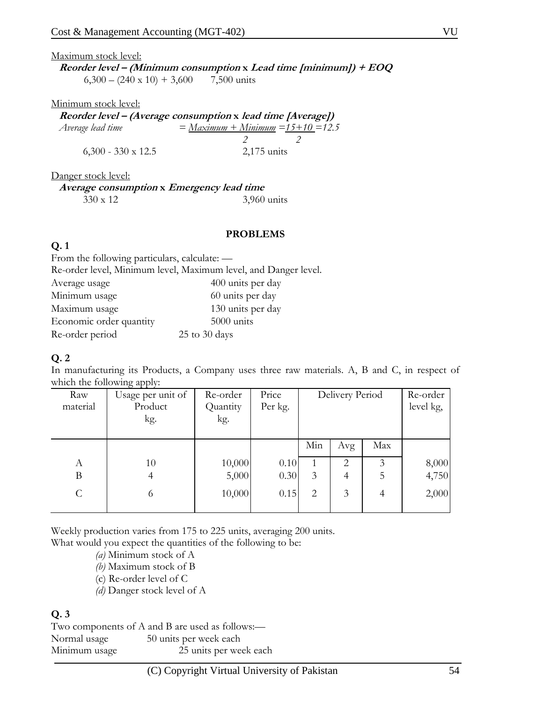#### Maximum stock level:

#### **Reorder level – (Minimum consumption x Lead time [minimum]) + EOQ**   $6,300 - (240 \times 10) + 3,600$  7,500 units

Minimum stock level:

| Reorder level – (Average consumption x lead time [Average]) |                                        |  |  |  |
|-------------------------------------------------------------|----------------------------------------|--|--|--|
| Average lead time                                           | $=$ Maximum + Minimum = 15 + 10 = 12.5 |  |  |  |
|                                                             |                                        |  |  |  |
| $6,300 - 330 \times 12.5$                                   | $2,175$ units                          |  |  |  |

Danger stock level:

**Average consumption x Emergency lead time**  330 x 12 3,960 units

#### **PROBLEMS**

## **Q. 1**  From the following particulars, calculate: — Re-order level, Minimum level, Maximum level, and Danger level. Average usage 400 units per day Minimum usage 60 units per day Maximum usage 130 units per day Economic order quantity 5000 units Re-order period 25 to 30 days

## **Q. 2**

In manufacturing its Products, a Company uses three raw materials. A, B and C, in respect of which the following apply:

| Raw              | Usage per unit of | Re-order | Price   | Delivery Period |                | Re-order |           |
|------------------|-------------------|----------|---------|-----------------|----------------|----------|-----------|
| material         | Product           | Quantity | Per kg. |                 |                |          | level kg, |
|                  | kg.               | kg.      |         |                 |                |          |           |
|                  |                   |          |         |                 |                |          |           |
|                  |                   |          |         | Min             | Avg            | Max      |           |
| $\boldsymbol{A}$ | 10                | 10,000   | 0.10    |                 | $\overline{2}$ | 3        | 8,000     |
| B                | 4                 | 5,000    | 0.30    | 3               | 4              | 5        | 4,750     |
| $\mathcal{C}$    | 6                 | 10,000   | 0.15    | 2               | 3              | 4        | 2,000     |
|                  |                   |          |         |                 |                |          |           |

Weekly production varies from 175 to 225 units, averaging 200 units.

What would you expect the quantities of the following to be:

- *(a)* Minimum stock of A
- *(b)* Maximum stock of B
- (c) Re-order level of C
- *(d)* Danger stock level of A

## **Q. 3**

|               | Two components of A and B are used as follows:— |
|---------------|-------------------------------------------------|
| Normal usage  | 50 units per week each                          |
| Minimum usage | 25 units per week each                          |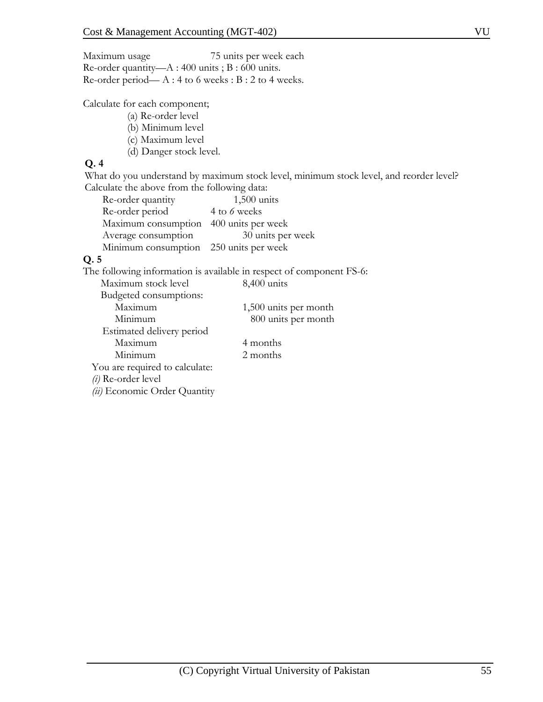Maximum usage 75 units per week each Re-order quantity—A : 400 units ; B : 600 units. Re-order period— A : 4 to 6 weeks : B : 2 to 4 weeks.

Calculate for each component;

- (a) Re-order level
- (b) Minimum level
- (c) Maximum level
- (d) Danger stock level.

## **Q. 4**

What do you understand by maximum stock level, minimum stock level, and reorder level? Calculate the above from the following data:

| Re-order quantity                      | $1,500$ units     |
|----------------------------------------|-------------------|
| Re-order period                        | 4 to 6 weeks      |
| Maximum consumption 400 units per week |                   |
| Average consumption                    | 30 units per week |
| Minimum consumption 250 units per week |                   |

## **Q. 5**

The following information is available in respect of component FS-6:

| Maximum stock level            | 8,400 units           |
|--------------------------------|-----------------------|
| Budgeted consumptions:         |                       |
| Maximum                        | 1,500 units per month |
| Minimum                        | 800 units per month   |
| Estimated delivery period      |                       |
| Maximum                        | 4 months              |
| Minimum                        | 2 months              |
| You are required to calculate: |                       |
| $(i)$ Re-order level           |                       |
| (ii) Economic Order Quantity   |                       |
|                                |                       |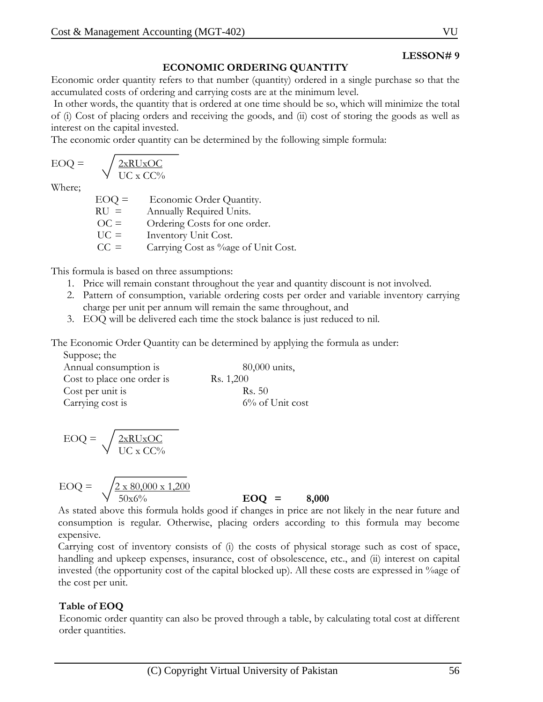# **LESSON# 9**

**ECONOMIC ORDERING QUANTITY**  Economic order quantity refers to that number (quantity) ordered in a single purchase so that the accumulated costs of ordering and carrying costs are at the minimum level.

 In other words, the quantity that is ordered at one time should be so, which will minimize the total of (i) Cost of placing orders and receiving the goods, and (ii) cost of storing the goods as well as interest on the capital invested.

The economic order quantity can be determined by the following simple formula:

 $EOQ = \frac{2xRUxOC}{2}$  $\forall$  UC x CC%

Where;

| $EOQ =$ | Economic Order Quantity.             |
|---------|--------------------------------------|
| $RU =$  | Annually Required Units.             |
| $OC =$  | Ordering Costs for one order.        |
| $UC =$  | Inventory Unit Cost.                 |
| $CC =$  | Carrying Cost as % age of Unit Cost. |

This formula is based on three assumptions:

- 1. Price will remain constant throughout the year and quantity discount is not involved.
- 2. Pattern of consumption, variable ordering costs per order and variable inventory carrying charge per unit per annum will remain the same throughout, and
- 3. EOQ will be delivered each time the stock balance is just reduced to nil.

The Economic Order Quantity can be determined by applying the formula as under:

Suppose; the Annual consumption is  $80,000$  units, Cost to place one order is Rs. 1,200 Cost per unit is Rs. 50 Carrying cost is 6% of Unit cost

$$
EOQ = \sqrt{\frac{2xRUxOC}{UC \times CC\%}}
$$

EOQ = 
$$
\sqrt{\frac{2 \times 80,000 \times 1,200}{50 \times 6\%}}
$$

 $EOO = 8,000$ 

As stated above this formula holds good if changes in price are not likely in the near future and consumption is regular. Otherwise, placing orders according to this formula may become expensive.

Carrying cost of inventory consists of (i) the costs of physical storage such as cost of space, handling and upkeep expenses, insurance, cost of obsolescence, etc., and (ii) interest on capital invested (the opportunity cost of the capital blocked up). All these costs are expressed in %age of the cost per unit.

# **Table of EOQ**

Economic order quantity can also be proved through a table, by calculating total cost at different order quantities.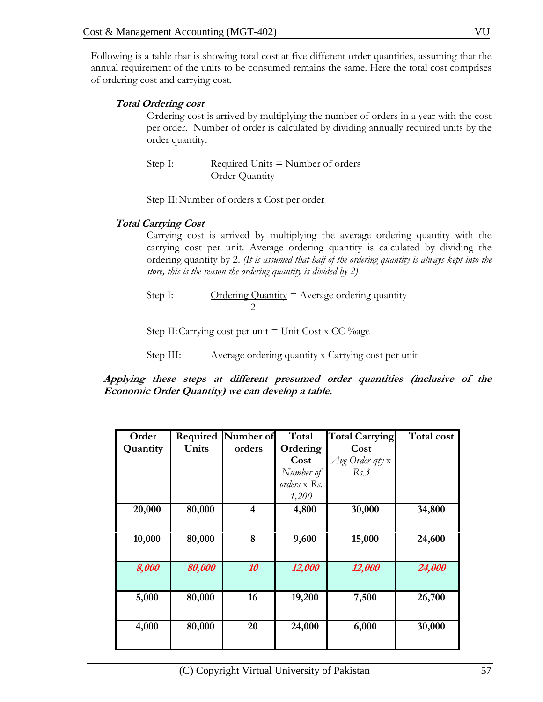Following is a table that is showing total cost at five different order quantities, assuming that the annual requirement of the units to be consumed remains the same. Here the total cost comprises of ordering cost and carrying cost.

#### **Total Ordering cost**

Ordering cost is arrived by multiplying the number of orders in a year with the cost per order. Number of order is calculated by dividing annually required units by the order quantity.

Step I: Required Units = Number of orders Order Quantity

Step II: Number of orders x Cost per order

#### **Total Carrying Cost**

Carrying cost is arrived by multiplying the average ordering quantity with the carrying cost per unit. Average ordering quantity is calculated by dividing the ordering quantity by 2. *(It is assumed that half of the ordering quantity is always kept into the store, this is the reason the ordering quantity is divided by 2)*

Step I:  $\qquad$   $\qquad$   $\qquad$   $\qquad$   $\qquad$   $\qquad$   $\qquad$   $\qquad$   $\qquad$   $\qquad$   $\qquad$   $\qquad$   $\qquad$   $\qquad$   $\qquad$   $\qquad$   $\qquad$   $\qquad$   $\qquad$   $\qquad$   $\qquad$   $\qquad$   $\qquad$   $\qquad$   $\qquad$   $\qquad$   $\qquad$   $\qquad$   $\qquad$   $\qquad$   $\qquad$   $\qquad$   $\qquad$   $\qquad$   $\qquad$   $\q$ 2

Step II: Carrying cost per unit  $=$  Unit Cost x CC  $\%$ age

Step III: Average ordering quantity x Carrying cost per unit

**Applying these steps at different presumed order quantities (inclusive of the Economic Order Quantity) we can develop a table.** 

| Order    | Required | Number of               | Total        | <b>Total Carrying</b> | Total cost |
|----------|----------|-------------------------|--------------|-----------------------|------------|
| Quantity | Units    | orders                  | Ordering     | Cost                  |            |
|          |          |                         | Cost         | Avg Order qty x       |            |
|          |          |                         | Number of    | Rs.3                  |            |
|          |          |                         | orders x Rs. |                       |            |
|          |          |                         | 1,200        |                       |            |
| 20,000   | 80,000   | $\overline{\mathbf{4}}$ | 4,800        | 30,000                | 34,800     |
|          |          |                         |              |                       |            |
| 10,000   | 80,000   | 8                       | 9,600        | 15,000                | 24,600     |
|          |          |                         |              |                       |            |
| 8,000    | 80,000   | 10                      | 12,000       | 12,000                | 24,000     |
|          |          |                         |              |                       |            |
| 5,000    | 80,000   | 16                      | 19,200       | 7,500                 | 26,700     |
|          |          |                         |              |                       |            |
| 4,000    | 80,000   | 20                      | 24,000       | 6,000                 | 30,000     |
|          |          |                         |              |                       |            |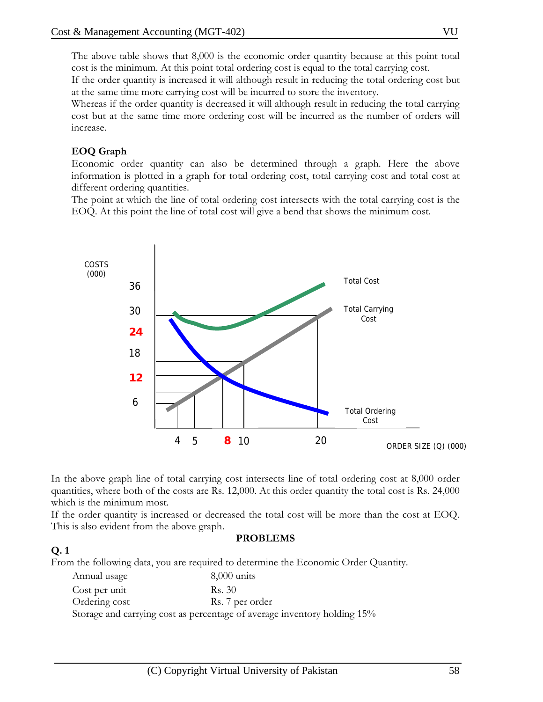The above table shows that 8,000 is the economic order quantity because at this point total cost is the minimum. At this point total ordering cost is equal to the total carrying cost.

If the order quantity is increased it will although result in reducing the total ordering cost but at the same time more carrying cost will be incurred to store the inventory.

Whereas if the order quantity is decreased it will although result in reducing the total carrying cost but at the same time more ordering cost will be incurred as the number of orders will increase.

## **EOQ Graph**

Economic order quantity can also be determined through a graph. Here the above information is plotted in a graph for total ordering cost, total carrying cost and total cost at different ordering quantities.

The point at which the line of total ordering cost intersects with the total carrying cost is the EOQ. At this point the line of total cost will give a bend that shows the minimum cost.



In the above graph line of total carrying cost intersects line of total ordering cost at 8,000 order quantities, where both of the costs are Rs. 12,000. At this order quantity the total cost is Rs. 24,000 which is the minimum most.

If the order quantity is increased or decreased the total cost will be more than the cost at EOQ. This is also evident from the above graph.

#### **PROBLEMS**

## **Q. 1**

From the following data, you are required to determine the Economic Order Quantity.

| Annual usage  | $8,000$ units                                                            |
|---------------|--------------------------------------------------------------------------|
| Cost per unit | Rs. 30                                                                   |
| Ordering cost | Rs. 7 per order                                                          |
|               | Storage and carrying cost as percentage of average inventory holding 15% |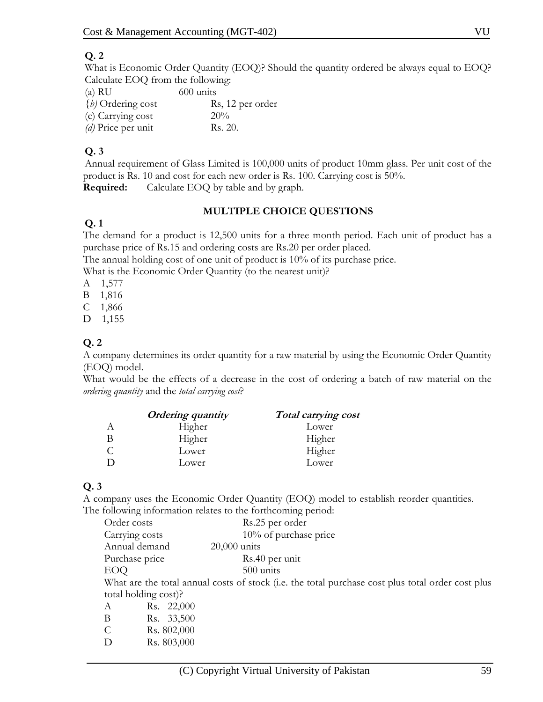# **Q. 2**

What is Economic Order Quantity (EOQ)? Should the quantity ordered be always equal to EOQ? Calculate EOQ from the following:

- (a) RU 600 units
- *{b}* Ordering cost Rs, 12 per order (c) Carrying cost  $20\%$ *(d)* Price per unit Rs. 20.

# **Q. 3**

Annual requirement of Glass Limited is 100,000 units of product 10mm glass. Per unit cost of the product is Rs. 10 and cost for each new order is Rs. 100. Carrying cost is 50%. **Required:** Calculate EOQ by table and by graph.

## **MULTIPLE CHOICE QUESTIONS**

# **Q. 1**

The demand for a product is 12,500 units for a three month period. Each unit of product has a purchase price of Rs.15 and ordering costs are Rs.20 per order placed.

The annual holding cost of one unit of product is 10% of its purchase price.

What is the Economic Order Quantity (to the nearest unit)?

- A 1,577
- B 1,816
- C 1,866
- D 1,155

# **Q. 2**

A company determines its order quantity for a raw material by using the Economic Order Quantity (EOQ) model.

What would be the effects of a decrease in the cost of ordering a batch of raw material on the *ordering quantity* and the *total carrying cost*?

| <b>Ordering</b> quantity | Total carrying cost |
|--------------------------|---------------------|
| Higher                   | Lower               |
| Higher                   | Higher              |
| Lower                    | Higher              |
| Lower                    | Lower               |
|                          |                     |

# **Q. 3**

A company uses the Economic Order Quantity (EOQ) model to establish reorder quantities. The following information relates to the forthcoming period:

| Order costs                 | Rs.25 per order                                                                                           |
|-----------------------------|-----------------------------------------------------------------------------------------------------------|
| Carrying costs              | $10\%$ of purchase price                                                                                  |
| Annual demand               | $20,000$ units                                                                                            |
| Purchase price              | Rs.40 per unit                                                                                            |
| <b>EOQ</b>                  | $500 \text{ units}$                                                                                       |
|                             | What are the total annual costs of stock ( <i>i.e.</i> the total purchase cost plus total order cost plus |
| total holding cost)?        |                                                                                                           |
| A<br>Rs. 22,000             |                                                                                                           |
| B<br>Rs. 33,500             |                                                                                                           |
| $\mathsf{C}$<br>Rs. 802,000 |                                                                                                           |
| D<br>Rs. 803,000            |                                                                                                           |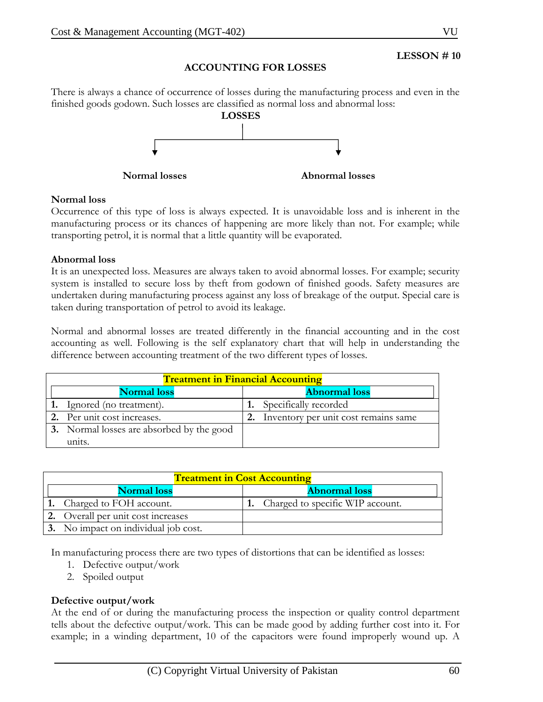## **LESSON # 10**

## **ACCOUNTING FOR LOSSES**

There is always a chance of occurrence of losses during the manufacturing process and even in the finished goods godown. Such losses are classified as normal loss and abnormal loss:



#### **Normal loss**

Occurrence of this type of loss is always expected. It is unavoidable loss and is inherent in the manufacturing process or its chances of happening are more likely than not. For example; while transporting petrol, it is normal that a little quantity will be evaporated.

#### **Abnormal loss**

It is an unexpected loss. Measures are always taken to avoid abnormal losses. For example; security system is installed to secure loss by theft from godown of finished goods. Safety measures are undertaken during manufacturing process against any loss of breakage of the output. Special care is taken during transportation of petrol to avoid its leakage.

Normal and abnormal losses are treated differently in the financial accounting and in the cost accounting as well. Following is the self explanatory chart that will help in understanding the difference between accounting treatment of the two different types of losses.

| <b>Treatment in Financial Accounting</b> |                                                  |    |                                      |
|------------------------------------------|--------------------------------------------------|----|--------------------------------------|
|                                          | <b>Normal loss</b>                               |    | <b>Abnormal loss</b>                 |
|                                          | 1. Ignored (no treatment).                       |    | <b>1.</b> Specifically recorded      |
|                                          | 2. Per unit cost increases.                      | 2. | Inventory per unit cost remains same |
|                                          | <b>3.</b> Normal losses are absorbed by the good |    |                                      |
|                                          | units.                                           |    |                                      |

|                    | <b>Treatment in Cost Accounting</b>  |                      |                                  |  |
|--------------------|--------------------------------------|----------------------|----------------------------------|--|
| <b>Normal loss</b> |                                      | <b>Abnormal loss</b> |                                  |  |
|                    | Charged to FOH account.              |                      | Charged to specific WIP account. |  |
|                    | 2. Overall per unit cost increases   |                      |                                  |  |
|                    | 3. No impact on individual job cost. |                      |                                  |  |

In manufacturing process there are two types of distortions that can be identified as losses:

- 1. Defective output/work
- 2. Spoiled output

## **Defective output/work**

At the end of or during the manufacturing process the inspection or quality control department tells about the defective output/work. This can be made good by adding further cost into it. For example; in a winding department, 10 of the capacitors were found improperly wound up. A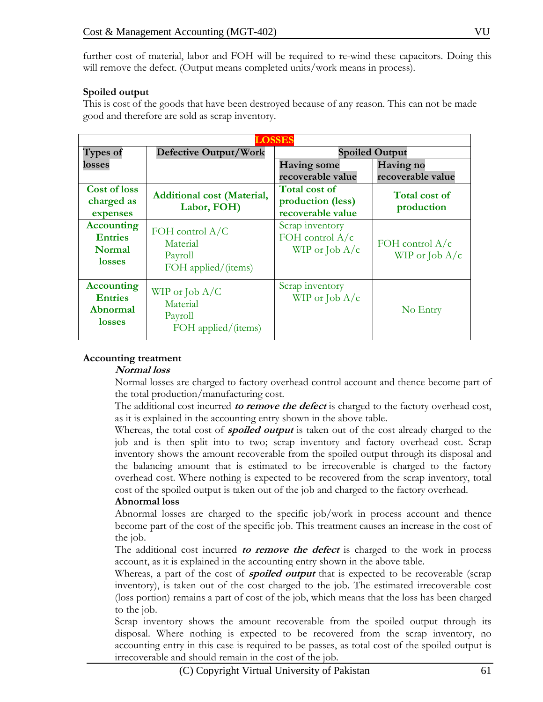further cost of material, labor and FOH will be required to re-wind these capacitors. Doing this will remove the defect. (Output means completed units/work means in process).

# **Spoiled output**

This is cost of the goods that have been destroyed because of any reason. This can not be made good and therefore are sold as scrap inventory.

| <b>LOSSES</b>                                             |                                                                 |                                                          |                                       |  |  |
|-----------------------------------------------------------|-----------------------------------------------------------------|----------------------------------------------------------|---------------------------------------|--|--|
| Types of                                                  | <b>Defective Output/Work</b>                                    | <b>Spoiled Output</b>                                    |                                       |  |  |
| losses                                                    |                                                                 | <b>Having some</b><br>recoverable value                  | <b>Having no</b><br>recoverable value |  |  |
| <b>Cost of loss</b><br>charged as<br>expenses             | <b>Additional cost (Material,</b><br>Labor, FOH)                | Total cost of<br>production (less)<br>recoverable value  | Total cost of<br>production           |  |  |
| Accounting<br><b>Entries</b><br><b>Normal</b><br>losses   | FOH control $A/C$<br>Material<br>Payroll<br>FOH applied/(items) | Scrap inventory<br>FOH control $A/c$<br>WIP or Job $A/c$ | FOH control $A/c$<br>WIP or Job $A/c$ |  |  |
| <b>Accounting</b><br><b>Entries</b><br>Abnormal<br>losses | WIP or Job $A/C$<br>Material<br>Payroll<br>FOH applied/(items)  | Scrap inventory<br>WIP or Job $A/c$                      | No Entry                              |  |  |

# **Accounting treatment**

## **Normal loss**

Normal losses are charged to factory overhead control account and thence become part of the total production/manufacturing cost.

The additional cost incurred **to remove the defect** is charged to the factory overhead cost, as it is explained in the accounting entry shown in the above table.

Whereas, the total cost of **spoiled output** is taken out of the cost already charged to the job and is then split into to two; scrap inventory and factory overhead cost. Scrap inventory shows the amount recoverable from the spoiled output through its disposal and the balancing amount that is estimated to be irrecoverable is charged to the factory overhead cost. Where nothing is expected to be recovered from the scrap inventory, total cost of the spoiled output is taken out of the job and charged to the factory overhead.

# **Abnormal loss**

Abnormal losses are charged to the specific job/work in process account and thence become part of the cost of the specific job. This treatment causes an increase in the cost of the job.

The additional cost incurred **to remove the defect** is charged to the work in process account, as it is explained in the accounting entry shown in the above table.

Whereas, a part of the cost of **spoiled output** that is expected to be recoverable (scrap inventory), is taken out of the cost charged to the job. The estimated irrecoverable cost (loss portion) remains a part of cost of the job, which means that the loss has been charged to the job.

Scrap inventory shows the amount recoverable from the spoiled output through its disposal. Where nothing is expected to be recovered from the scrap inventory, no accounting entry in this case is required to be passes, as total cost of the spoiled output is irrecoverable and should remain in the cost of the job.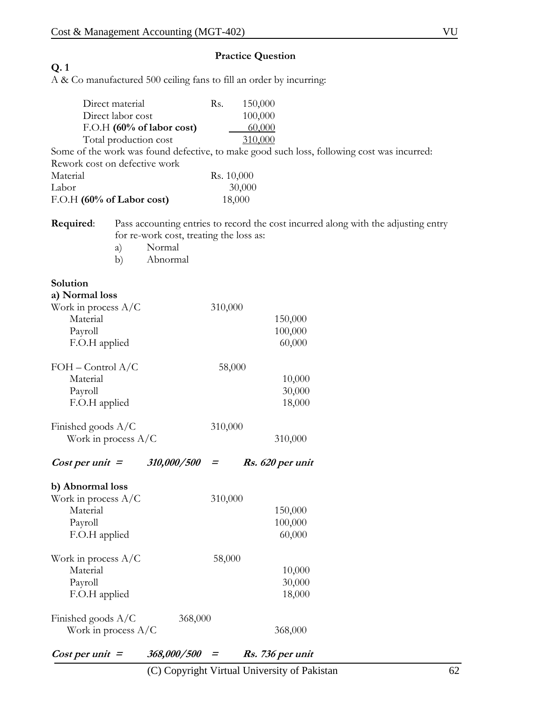## **Q. 1**

## **Practice Question**

A & Co manufactured 500 ceiling fans to fill an order by incurring:

| Direct material               |                                                               | Rs.        | 150,000 |                  |                                                                                            |
|-------------------------------|---------------------------------------------------------------|------------|---------|------------------|--------------------------------------------------------------------------------------------|
| Direct labor cost             |                                                               |            | 100,000 |                  |                                                                                            |
| F.O.H (60% of labor cost)     |                                                               | 60,000     |         |                  |                                                                                            |
| Total production cost         |                                                               |            | 310,000 |                  |                                                                                            |
|                               |                                                               |            |         |                  | Some of the work was found defective, to make good such loss, following cost was incurred: |
| Rework cost on defective work |                                                               |            |         |                  |                                                                                            |
| Material                      |                                                               | Rs. 10,000 |         |                  |                                                                                            |
| Labor                         |                                                               |            | 30,000  |                  |                                                                                            |
| F.O.H (60% of Labor cost)     |                                                               | 18,000     |         |                  |                                                                                            |
| Required:<br>a)<br>b)         | for re-work cost, treating the loss as:<br>Normal<br>Abnormal |            |         |                  | Pass accounting entries to record the cost incurred along with the adjusting entry         |
| Solution                      |                                                               |            |         |                  |                                                                                            |
| a) Normal loss                |                                                               |            |         |                  |                                                                                            |
| Work in process $A/C$         |                                                               | 310,000    |         |                  |                                                                                            |
| Material                      |                                                               |            |         | 150,000          |                                                                                            |
| Payroll                       |                                                               |            |         | 100,000          |                                                                                            |
| F.O.H applied                 |                                                               |            |         | 60,000           |                                                                                            |
| $FOH - Control A/C$           |                                                               | 58,000     |         |                  |                                                                                            |
| Material                      |                                                               |            |         | 10,000           |                                                                                            |
| Payroll                       |                                                               |            |         | 30,000           |                                                                                            |
| F.O.H applied                 |                                                               |            |         | 18,000           |                                                                                            |
| Finished goods $A/C$          |                                                               | 310,000    |         |                  |                                                                                            |
| Work in process $A/C$         |                                                               |            |         | 310,000          |                                                                                            |
| Cost per unit $=$             | 310,000/500                                                   | =          |         | Rs. 620 per unit |                                                                                            |
| b) Abnormal loss              |                                                               |            |         |                  |                                                                                            |
| Work in process $A/C$         |                                                               | 310,000    |         |                  |                                                                                            |
| Material                      |                                                               |            |         | 150,000          |                                                                                            |
| Payroll                       |                                                               |            |         | 100,000          |                                                                                            |
| F.O.H applied                 |                                                               |            |         | 60,000           |                                                                                            |
| Work in process $A/C$         |                                                               | 58,000     |         |                  |                                                                                            |
| Material                      |                                                               |            |         | 10,000           |                                                                                            |
| Payroll                       |                                                               |            |         | 30,000           |                                                                                            |
| F.O.H applied                 |                                                               |            |         | 18,000           |                                                                                            |
| Finished goods A/C            | 368,000                                                       |            |         |                  |                                                                                            |
| Work in process $A/C$         |                                                               |            |         | 368,000          |                                                                                            |
| Cost per unit $=$             | 368,000/500                                                   | Ξ          |         | Rs. 736 per unit |                                                                                            |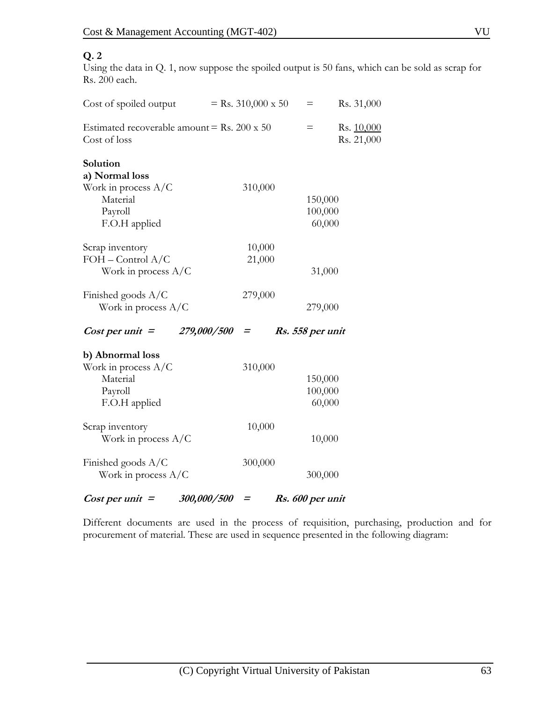## **Q. 2**

Using the data in Q. 1, now suppose the spoiled output is 50 fans, which can be sold as scrap for Rs. 200 each.

| Cost of spoiled output                                             |             | $=$ Rs. 310,000 x 50 | $\equiv$         | Rs. 31,000               |
|--------------------------------------------------------------------|-------------|----------------------|------------------|--------------------------|
| Estimated recoverable amount = Rs. $200 \times 50$<br>Cost of loss |             |                      | $=$              | Rs. 10,000<br>Rs. 21,000 |
| Solution                                                           |             |                      |                  |                          |
| a) Normal loss                                                     |             |                      |                  |                          |
| Work in process $A/C$                                              |             | 310,000              |                  |                          |
| Material                                                           |             |                      | 150,000          |                          |
| Payroll                                                            |             |                      | 100,000          |                          |
| F.O.H applied                                                      |             |                      | 60,000           |                          |
|                                                                    |             |                      |                  |                          |
| Scrap inventory                                                    |             | 10,000               |                  |                          |
| FOH - Control A/C                                                  |             | 21,000               |                  |                          |
| Work in process $A/C$                                              |             |                      | 31,000           |                          |
| Finished goods A/C                                                 |             | 279,000              |                  |                          |
| Work in process $A/C$                                              |             |                      | 279,000          |                          |
| Cost per unit $=$                                                  | 279,000/500 | =                    | Rs. 558 per unit |                          |
| b) Abnormal loss                                                   |             |                      |                  |                          |
| Work in process $A/C$                                              |             | 310,000              |                  |                          |
| Material                                                           |             |                      | 150,000          |                          |
| Payroll                                                            |             |                      | 100,000          |                          |
| F.O.H applied                                                      |             |                      | 60,000           |                          |
|                                                                    |             | 10,000               |                  |                          |
| Scrap inventory                                                    |             |                      |                  |                          |
| Work in process $A/C$                                              |             |                      | 10,000           |                          |
| Finished goods $A/C$                                               |             | 300,000              |                  |                          |
| Work in process $A/C$                                              |             |                      | 300,000          |                          |
| Cost per unit $=$                                                  | 300,000/500 |                      | Rs. 600 per unit |                          |

Different documents are used in the process of requisition, purchasing, production and for procurement of material. These are used in sequence presented in the following diagram: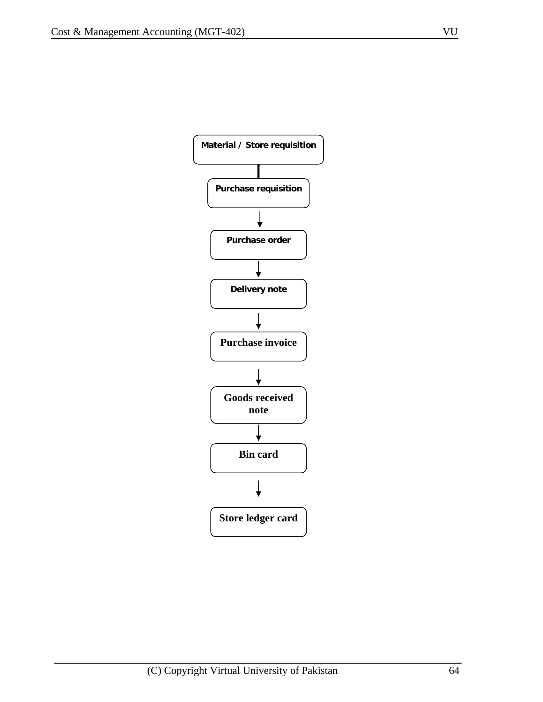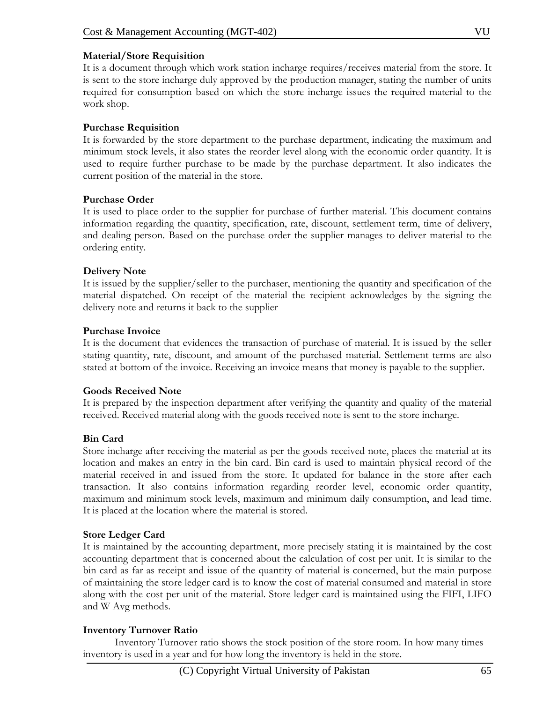## **Material/Store Requisition**

It is a document through which work station incharge requires/receives material from the store. It is sent to the store incharge duly approved by the production manager, stating the number of units required for consumption based on which the store incharge issues the required material to the work shop.

## **Purchase Requisition**

It is forwarded by the store department to the purchase department, indicating the maximum and minimum stock levels, it also states the reorder level along with the economic order quantity. It is used to require further purchase to be made by the purchase department. It also indicates the current position of the material in the store.

## **Purchase Order**

It is used to place order to the supplier for purchase of further material. This document contains information regarding the quantity, specification, rate, discount, settlement term, time of delivery, and dealing person. Based on the purchase order the supplier manages to deliver material to the ordering entity.

## **Delivery Note**

It is issued by the supplier/seller to the purchaser, mentioning the quantity and specification of the material dispatched. On receipt of the material the recipient acknowledges by the signing the delivery note and returns it back to the supplier

## **Purchase Invoice**

It is the document that evidences the transaction of purchase of material. It is issued by the seller stating quantity, rate, discount, and amount of the purchased material. Settlement terms are also stated at bottom of the invoice. Receiving an invoice means that money is payable to the supplier.

## **Goods Received Note**

It is prepared by the inspection department after verifying the quantity and quality of the material received. Received material along with the goods received note is sent to the store incharge.

# **Bin Card**

Store incharge after receiving the material as per the goods received note, places the material at its location and makes an entry in the bin card. Bin card is used to maintain physical record of the material received in and issued from the store. It updated for balance in the store after each transaction. It also contains information regarding reorder level, economic order quantity, maximum and minimum stock levels, maximum and minimum daily consumption, and lead time. It is placed at the location where the material is stored.

## **Store Ledger Card**

It is maintained by the accounting department, more precisely stating it is maintained by the cost accounting department that is concerned about the calculation of cost per unit. It is similar to the bin card as far as receipt and issue of the quantity of material is concerned, but the main purpose of maintaining the store ledger card is to know the cost of material consumed and material in store along with the cost per unit of the material. Store ledger card is maintained using the FIFI, LIFO and W Avg methods.

## **Inventory Turnover Ratio**

 Inventory Turnover ratio shows the stock position of the store room. In how many times inventory is used in a year and for how long the inventory is held in the store.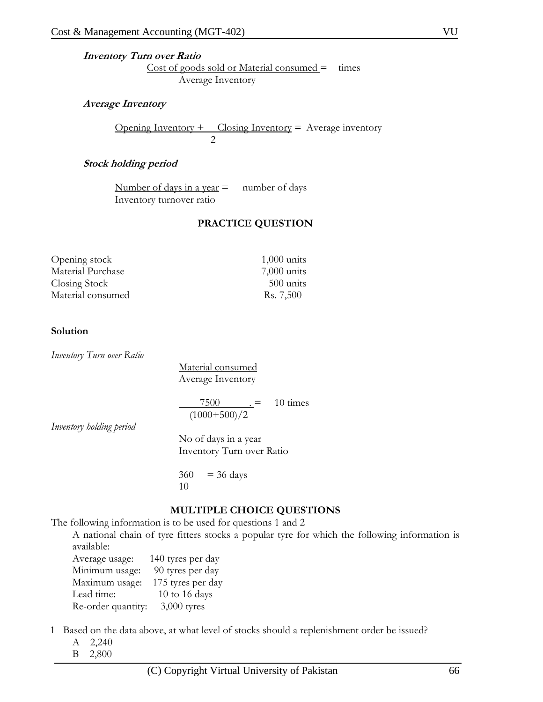#### **Inventory Turn over Ratio**

```
Cost of goods sold or Material consumed = times
Average Inventory
```
#### **Average Inventory**

Opening Inventory + Closing Inventory = Average inventory 2

#### **Stock holding period**

Number of days in a year  $=$  number of days Inventory turnover ratio

#### **PRACTICE QUESTION**

| Opening stock     | $1,000$ units |
|-------------------|---------------|
| Material Purchase | $7,000$ units |
| Closing Stock     | 500 units     |
| Material consumed | Rs. 7,500     |

#### **Solution**

*Inventory Turn over Ratio* 

 Material consumed Average Inventory

 $7500$   $\qquad$   $\qquad$  = 10 times  $(1000+500)/2$ 

*Inventory holding period* 

No of days in a year Inventory Turn over Ratio

 $\frac{360}{ }$  = 36 days 10

#### **MULTIPLE CHOICE QUESTIONS**

The following information is to be used for questions 1 and 2

A national chain of tyre fitters stocks a popular tyre for which the following information is available:

| Average usage:     | 140 tyres per day |
|--------------------|-------------------|
| Minimum usage:     | 90 tyres per day  |
| Maximum usage:     | 175 tyres per day |
| Lead time:         | 10 to 16 days     |
| Re-order quantity: | $3,000$ tyres     |

1 Based on the data above, at what level of stocks should a replenishment order be issued?

- A 2,240
- B 2,800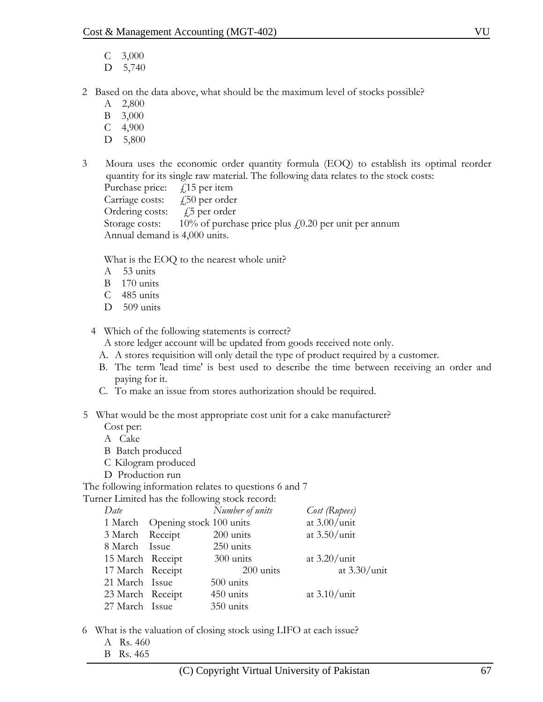- C 3,000
- D 5,740
- 2 Based on the data above, what should be the maximum level of stocks possible?
	- A 2,800
	- B 3,000
	- C 4,900
	- D 5,800

3 Moura uses the economic order quantity formula (EOQ) to establish its optimal reorder quantity for its single raw material. The following data relates to the stock costs:

Purchase price:  $\angle f$  15 per item Carriage costs:  $\angle$  £50 per order Ordering costs:  $\angle$  4.5 per order Storage costs:  $10\%$  of purchase price plus  $f(0.20)$  per unit per annum Annual demand is 4,000 units.

What is the EOQ to the nearest whole unit?

- A 53 units
- B 170 units
- $C$  485 units
- D 509 units

4 Which of the following statements is correct?

A store ledger account will be updated from goods received note only.

- A. A stores requisition will only detail the type of product required by a customer.
- B. The term 'lead time' is best used to describe the time between receiving an order and paying for it.
- C. To make an issue from stores authorization should be required.
- 5 What would be the most appropriate cost unit for a cake manufacturer?
	- Cost per:
	- A Cake
	- B Batch produced
	- C Kilogram produced
	- D Production run

The following information relates to questions 6 and 7

Turner Limited has the following stock record:

| Date             |                                 | Number of units | Cost (Rupees)         |
|------------------|---------------------------------|-----------------|-----------------------|
|                  | 1 March Opening stock 100 units |                 | at $3.00/\text{unit}$ |
| 3 March Receipt  |                                 | 200 units       | at $3.50/$ unit       |
| 8 March Issue    |                                 | 250 units       |                       |
| 15 March Receipt |                                 | 300 units       | at $3.20/$ unit       |
| 17 March Receipt |                                 | 200 units       | at $3.30$ /unit       |
| 21 March Issue   |                                 | 500 units       |                       |
| 23 March Receipt |                                 | 450 units       | at $3.10$ /unit       |
| 27 March Issue   |                                 | 350 units       |                       |

6 What is the valuation of closing stock using LIFO at each issue?

- A Rs. 460
	- B Rs. 465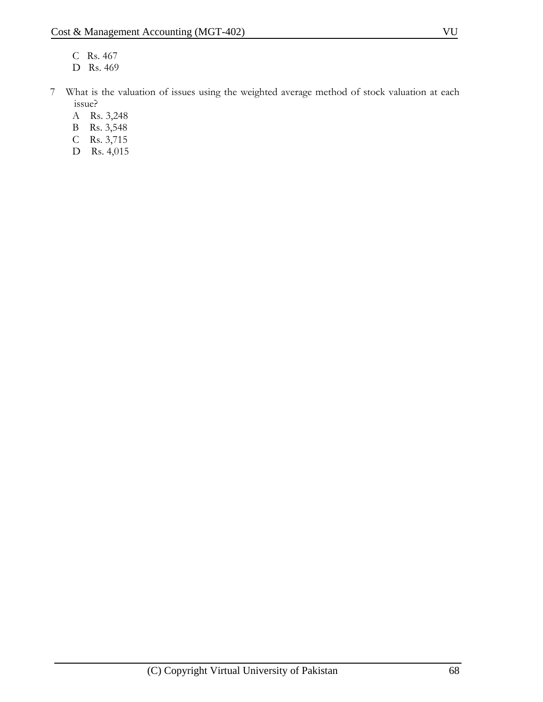- C Rs. 467
- D Rs. 469
- 7 What is the valuation of issues using the weighted average method of stock valuation at each issue?
	- A Rs. 3,248
	- B Rs. 3,548
	- C Rs. 3,715
	- D Rs. 4,015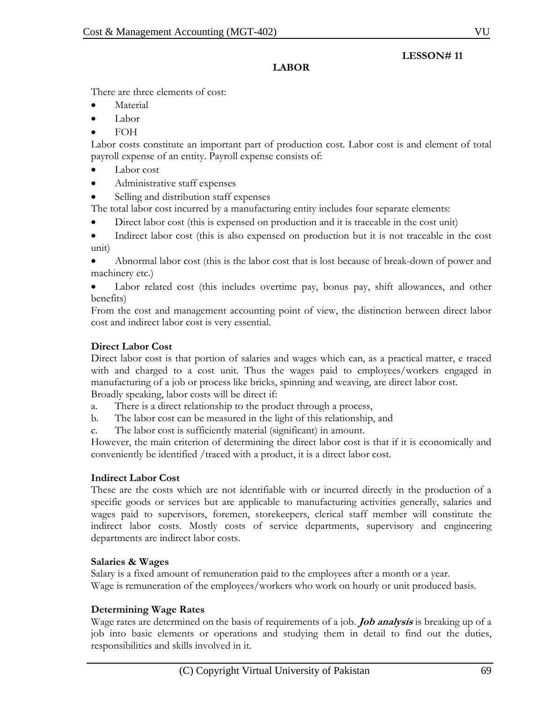# **LESSON# 11**

## **LABOR**

There are three elements of cost:

- **Material**
- Labor
- FOH

Labor costs constitute an important part of production cost. Labor cost is and element of total payroll expense of an entity. Payroll expense consists of:

- Labor cost
- Administrative staff expenses
- Selling and distribution staff expenses

The total labor cost incurred by a manufacturing entity includes four separate elements:

• Direct labor cost (this is expensed on production and it is traceable in the cost unit)

Indirect labor cost (this is also expensed on production but it is not traceable in the cost unit)

• Abnormal labor cost (this is the labor cost that is lost because of break-down of power and machinery etc.)

Labor related cost (this includes overtime pay, bonus pay, shift allowances, and other benefits)

From the cost and management accounting point of view, the distinction between direct labor cost and indirect labor cost is very essential.

## **Direct Labor Cost**

Direct labor cost is that portion of salaries and wages which can, as a practical matter, e traced with and charged to a cost unit. Thus the wages paid to employees/workers engaged in manufacturing of a job or process like bricks, spinning and weaving, are direct labor cost. Broadly speaking, labor costs will be direct if:

a. There is a direct relationship to the product through a process,

b. The labor cost can be measured in the light of this relationship, and

c. The labor cost is sufficiently material (significant) in amount.

However, the main criterion of determining the direct labor cost is that if it is economically and conveniently be identified /traced with a product, it is a direct labor cost.

## **Indirect Labor Cost**

These are the costs which are not identifiable with or incurred directly in the production of a specific goods or services but are applicable to manufacturing activities generally, salaries and wages paid to supervisors, foremen, storekeepers, clerical staff member will constitute the indirect labor costs. Mostly costs of service departments, supervisory and engineering departments are indirect labor costs.

## **Salaries & Wages**

Salary is a fixed amount of remuneration paid to the employees after a month or a year. Wage is remuneration of the employees/workers who work on hourly or unit produced basis.

## **Determining Wage Rates**

Wage rates are determined on the basis of requirements of a job. **Job analysis** is breaking up of a job into basic elements or operations and studying them in detail to find out the duties, responsibilities and skills involved in it.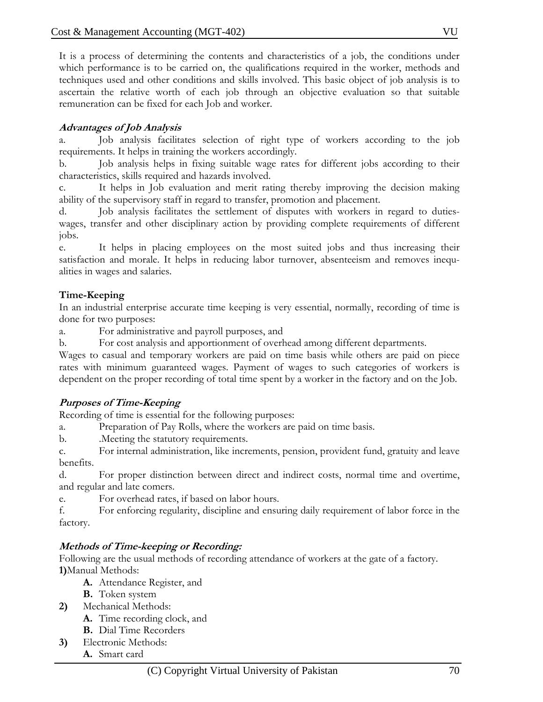It is a process of determining the contents and characteristics of a job, the conditions under which performance is to be carried on, the qualifications required in the worker, methods and techniques used and other conditions and skills involved. This basic object of job analysis is to ascertain the relative worth of each job through an objective evaluation so that suitable remuneration can be fixed for each Job and worker.

# **Advantages of Job Analysis**

a. Job analysis facilitates selection of right type of workers according to the job requirements. It helps in training the workers accordingly.

b. Job analysis helps in fixing suitable wage rates for different jobs according to their characteristics, skills required and hazards involved.

c. It helps in Job evaluation and merit rating thereby improving the decision making ability of the supervisory staff in regard to transfer, promotion and placement.

d. Job analysis facilitates the settlement of disputes with workers in regard to dutieswages, transfer and other disciplinary action by providing complete requirements of different jobs.

e. It helps in placing employees on the most suited jobs and thus increasing their satisfaction and morale. It helps in reducing labor turnover, absenteeism and removes inequalities in wages and salaries.

# **Time-Keeping**

In an industrial enterprise accurate time keeping is very essential, normally, recording of time is done for two purposes:

a. For administrative and payroll purposes, and

b. For cost analysis and apportionment of overhead among different departments.

Wages to casual and temporary workers are paid on time basis while others are paid on piece rates with minimum guaranteed wages. Payment of wages to such categories of workers is dependent on the proper recording of total time spent by a worker in the factory and on the Job.

# **Purposes of Time-Keeping**

Recording of time is essential for the following purposes:

a. Preparation of Pay Rolls, where the workers are paid on time basis.

b. .Meeting the statutory requirements.

c. For internal administration, like increments, pension, provident fund, gratuity and leave benefits.

d. For proper distinction between direct and indirect costs, normal time and overtime, and regular and late comers.

e. For overhead rates, if based on labor hours.

f. For enforcing regularity, discipline and ensuring daily requirement of labor force in the factory.

# **Methods of Time-keeping or Recording:**

Following are the usual methods of recording attendance of workers at the gate of a factory. **1)**Manual Methods:

- **A.** Attendance Register, and
- **B.** Token system
- **2)** Mechanical Methods:
	- **A.** Time recording clock, and
	- **B.** Dial Time Recorders
- **3)** Electronic Methods:
- **A.** Smart card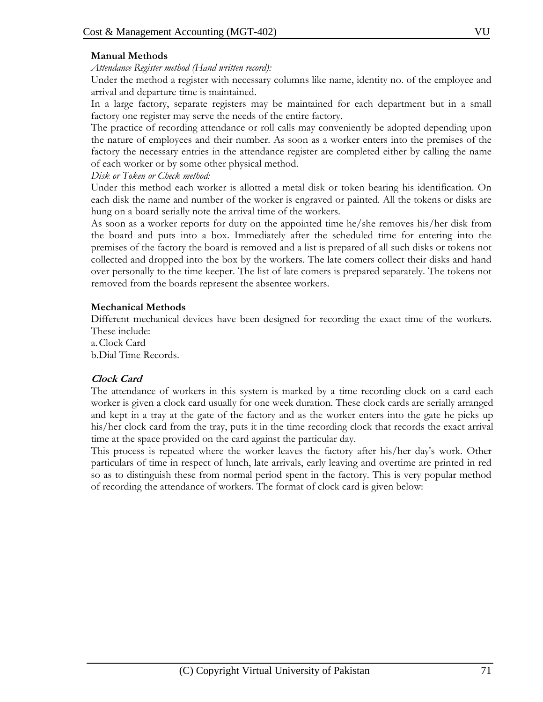## **Manual Methods**

#### *Attendance Register method (Hand written record):*

Under the method a register with necessary columns like name, identity no. of the employee and arrival and departure time is maintained.

In a large factory, separate registers may be maintained for each department but in a small factory one register may serve the needs of the entire factory.

The practice of recording attendance or roll calls may conveniently be adopted depending upon the nature of employees and their number. As soon as a worker enters into the premises of the factory the necessary entries in the attendance register are completed either by calling the name of each worker or by some other physical method.

#### *Disk or Token or Check method:*

Under this method each worker is allotted a metal disk or token bearing his identification. On each disk the name and number of the worker is engraved or painted. All the tokens or disks are hung on a board serially note the arrival time of the workers.

As soon as a worker reports for duty on the appointed time he/she removes his/her disk from the board and puts into a box. Immediately after the scheduled time for entering into the premises of the factory the board is removed and a list is prepared of all such disks or tokens not collected and dropped into the box by the workers. The late comers collect their disks and hand over personally to the time keeper. The list of late comers is prepared separately. The tokens not removed from the boards represent the absentee workers.

## **Mechanical Methods**

Different mechanical devices have been designed for recording the exact time of the workers. These include:

a.Clock Card b.Dial Time Records.

# **Clock Card**

The attendance of workers in this system is marked by a time recording clock on a card each worker is given a clock card usually for one week duration. These clock cards are serially arranged and kept in a tray at the gate of the factory and as the worker enters into the gate he picks up his/her clock card from the tray, puts it in the time recording clock that records the exact arrival time at the space provided on the card against the particular day.

This process is repeated where the worker leaves the factory after his/her day's work. Other particulars of time in respect of lunch, late arrivals, early leaving and overtime are printed in red so as to distinguish these from normal period spent in the factory. This is very popular method of recording the attendance of workers. The format of clock card is given below: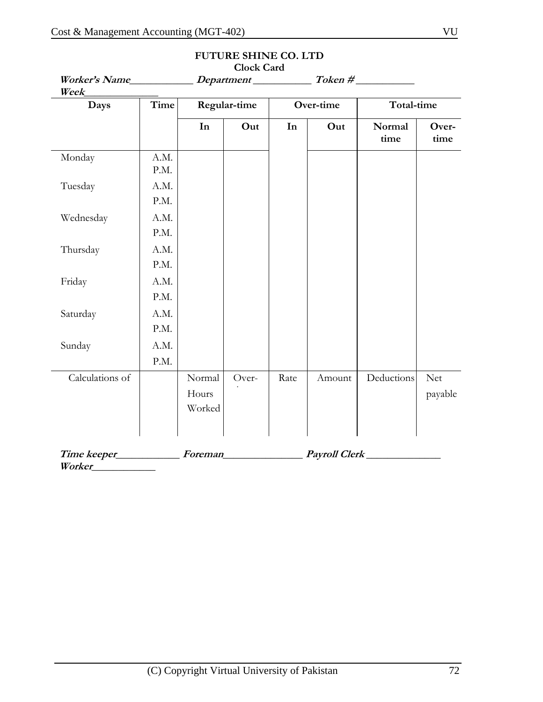| Worker's Name       |              | <b>Clock Card</b><br>Department |       |      |           |                |                |
|---------------------|--------------|---------------------------------|-------|------|-----------|----------------|----------------|
| <b>Week</b><br>Days | Time         | Regular-time                    |       |      | Over-time | Total-time     |                |
|                     |              | In                              | Out   | In   | Out       | Normal<br>time | Over-<br>time  |
| Monday              | A.M.<br>P.M. |                                 |       |      |           |                |                |
| Tuesday             | A.M.<br>P.M. |                                 |       |      |           |                |                |
| Wednesday           | A.M.<br>P.M. |                                 |       |      |           |                |                |
| Thursday            | A.M.<br>P.M. |                                 |       |      |           |                |                |
| Friday              | A.M.<br>P.M. |                                 |       |      |           |                |                |
| Saturday            | A.M.<br>P.M. |                                 |       |      |           |                |                |
| Sunday              | A.M.<br>P.M. |                                 |       |      |           |                |                |
| Calculations of     |              | Normal<br>Hours<br>Worked       | Over- | Rate | Amount    | Deductions     | Net<br>payable |
| Worker              |              | Foreman                         |       |      |           | Payroll Clerk  |                |

# **FUTURE SHINE CO. LTD**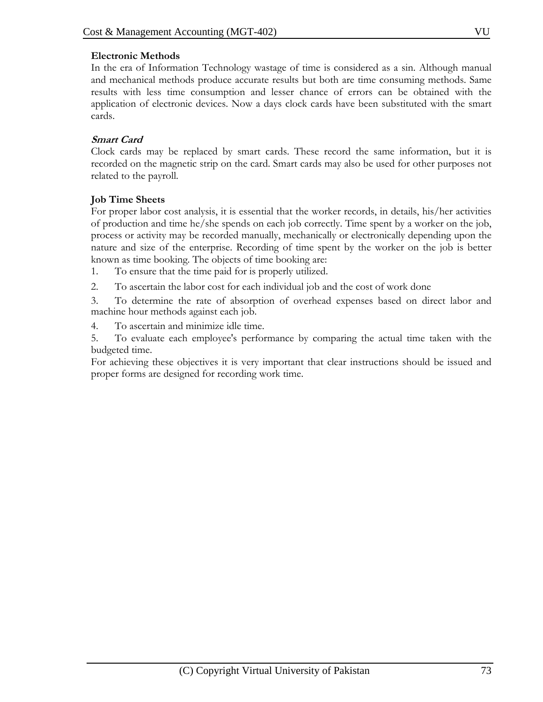## **Electronic Methods**

In the era of Information Technology wastage of time is considered as a sin. Although manual and mechanical methods produce accurate results but both are time consuming methods. Same results with less time consumption and lesser chance of errors can be obtained with the application of electronic devices. Now a days clock cards have been substituted with the smart cards.

## **Smart Card**

Clock cards may be replaced by smart cards. These record the same information, but it is recorded on the magnetic strip on the card. Smart cards may also be used for other purposes not related to the payroll.

## **Job Time Sheets**

For proper labor cost analysis, it is essential that the worker records, in details, his/her activities of production and time he/she spends on each job correctly. Time spent by a worker on the job, process or activity may be recorded manually, mechanically or electronically depending upon the nature and size of the enterprise. Recording of time spent by the worker on the job is better known as time booking. The objects of time booking are:

1. To ensure that the time paid for is properly utilized.

- 2. To ascertain the labor cost for each individual job and the cost of work done
- 3. To determine the rate of absorption of overhead expenses based on direct labor and machine hour methods against each job.
- 4. To ascertain and minimize idle time.

5. To evaluate each employee's performance by comparing the actual time taken with the budgeted time.

For achieving these objectives it is very important that clear instructions should be issued and proper forms are designed for recording work time.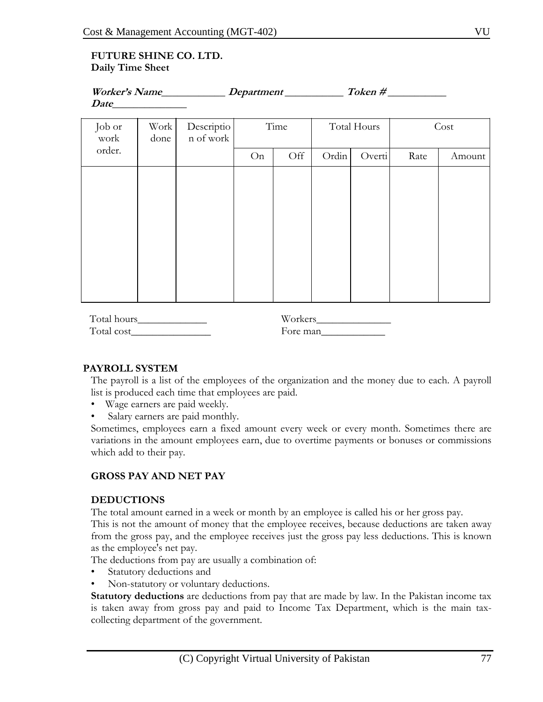| Worker's Name<br>Date |              |                         |    | Department |       | $Token~\#$  |      |        |
|-----------------------|--------------|-------------------------|----|------------|-------|-------------|------|--------|
| Job or<br>work        | Work<br>done | Descriptio<br>n of work |    | Time       |       | Total Hours |      | Cost   |
| order.                |              |                         | On | Off        | Ordin | Overti      | Rate | Amount |
|                       |              |                         |    |            |       |             |      |        |

| Total hours | Workers  |
|-------------|----------|
| Total cost  | Fore man |

#### **PAYROLL SYSTEM**

The payroll is a list of the employees of the organization and the money due to each. A payroll list is produced each time that employees are paid.

- Wage earners are paid weekly.
- Salary earners are paid monthly.

Sometimes, employees earn a fixed amount every week or every month. Sometimes there are variations in the amount employees earn, due to overtime payments or bonuses or commissions which add to their pay.

#### **GROSS PAY AND NET PAY**

#### **DEDUCTIONS**

The total amount earned in a week or month by an employee is called his or her gross pay. This is not the amount of money that the employee receives, because deductions are taken away

from the gross pay, and the employee receives just the gross pay less deductions. This is known as the employee's net pay.

The deductions from pay are usually a combination of:

- Statutory deductions and
- Non-statutory or voluntary deductions.

**Statutory deductions** are deductions from pay that are made by law. In the Pakistan income tax is taken away from gross pay and paid to Income Tax Department, which is the main taxcollecting department of the government.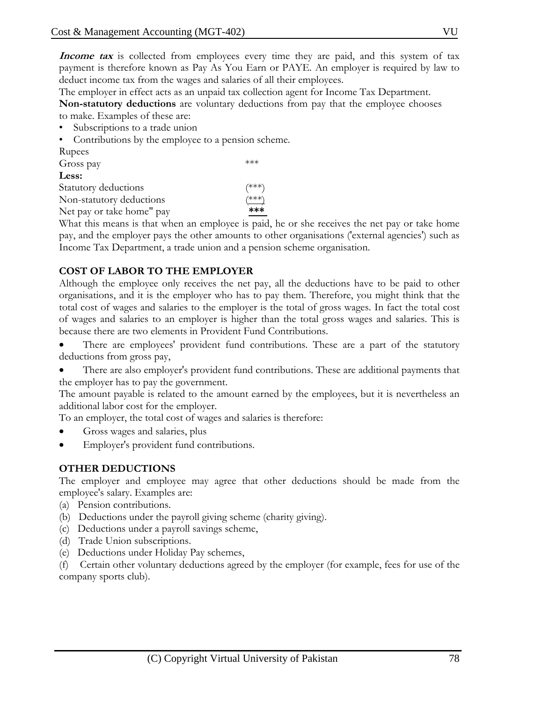**Income tax** is collected from employees every time they are paid, and this system of tax payment is therefore known as Pay As You Earn or PAYE. An employer is required by law to deduct income tax from the wages and salaries of all their employees.

The employer in effect acts as an unpaid tax collection agent for Income Tax Department.

**Non-statutory deductions** are voluntary deductions from pay that the employee chooses

- to make. Examples of these are: • Subscriptions to a trade union
- Contributions by the employee to a pension scheme.

Rupees

| Gross pay                 | $***$   |
|---------------------------|---------|
| Less:                     |         |
| Statutory deductions      | $(***)$ |
| Non-statutory deductions  | $(***`$ |
| Net pay or take home" pay | ***     |

What this means is that when an employee is paid, he or she receives the net pay or take home pay, and the employer pays the other amounts to other organisations ('external agencies') such as Income Tax Department, a trade union and a pension scheme organisation.

## **COST OF LABOR TO THE EMPLOYER**

Although the employee only receives the net pay, all the deductions have to be paid to other organisations, and it is the employer who has to pay them. Therefore, you might think that the total cost of wages and salaries to the employer is the total of gross wages. In fact the total cost of wages and salaries to an employer is higher than the total gross wages and salaries. This is because there are two elements in Provident Fund Contributions.

There are employees' provident fund contributions. These are a part of the statutory deductions from gross pay,

• There are also employer's provident fund contributions. These are additional payments that the employer has to pay the government.

The amount payable is related to the amount earned by the employees, but it is nevertheless an additional labor cost for the employer.

To an employer, the total cost of wages and salaries is therefore:

- Gross wages and salaries, plus
- Employer's provident fund contributions.

## **OTHER DEDUCTIONS**

The employer and employee may agree that other deductions should be made from the employee's salary. Examples are:

- (a) Pension contributions.
- (b) Deductions under the payroll giving scheme (charity giving).
- (c) Deductions under a payroll savings scheme,
- (d) Trade Union subscriptions.
- (e) Deductions under Holiday Pay schemes,

(f) Certain other voluntary deductions agreed by the employer (for example, fees for use of the company sports club).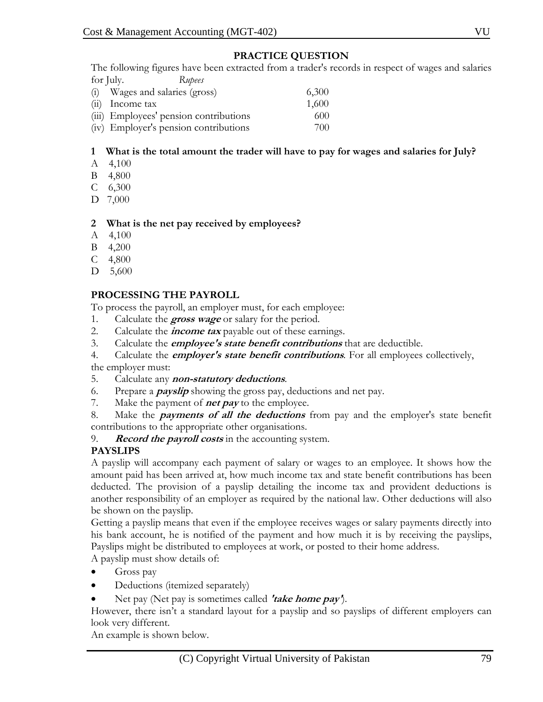## **PRACTICE QUESTION**

The following figures have been extracted from a trader's records in respect of wages and salaries for July. *Rupees*

| (i) Wages and salaries (gross)         | 6,300 |
|----------------------------------------|-------|
| $(ii)$ Income tax                      | 1,600 |
| (iii) Employees' pension contributions | 600   |
| (iv) Employer's pension contributions  | 700   |

## **1 What is the total amount the trader will have to pay for wages and salaries for July?**

- A 4,100
- B 4,800
- C 6,300
- D 7,000

### **2 What is the net pay received by employees?**

- A 4,100
- B 4,200
- C 4,800
- D 5,600

## **PROCESSING THE PAYROLL**

To process the payroll, an employer must, for each employee:

- 1. Calculate the **gross wage** or salary for the period.
- 2. Calculate the **income tax** payable out of these earnings.
- 3. Calculate the **employee's state benefit contributions** that are deductible.
- 4. Calculate the **employer's state benefit contributions**. For all employees collectively, the employer must:
- 5. Calculate any **non-statutory deductions**.
- 6. Prepare a **payslip** showing the gross pay, deductions and net pay.
- 7. Make the payment of **net pay** to the employee.

8. Make the **payments of all the deductions** from pay and the employer's state benefit contributions to the appropriate other organisations.

9. **Record the payroll costs** in the accounting system.

### **PAYSLIPS**

A payslip will accompany each payment of salary or wages to an employee. It shows how the amount paid has been arrived at, how much income tax and state benefit contributions has been deducted. The provision of a payslip detailing the income tax and provident deductions is another responsibility of an employer as required by the national law. Other deductions will also be shown on the payslip.

Getting a payslip means that even if the employee receives wages or salary payments directly into his bank account, he is notified of the payment and how much it is by receiving the payslips, Payslips might be distributed to employees at work, or posted to their home address.

A payslip must show details of:

- Gross pay
- Deductions (itemized separately)
- Net pay (Net pay is sometimes called **'take home pay'**).

However, there isn't a standard layout for a payslip and so payslips of different employers can look very different.

An example is shown below.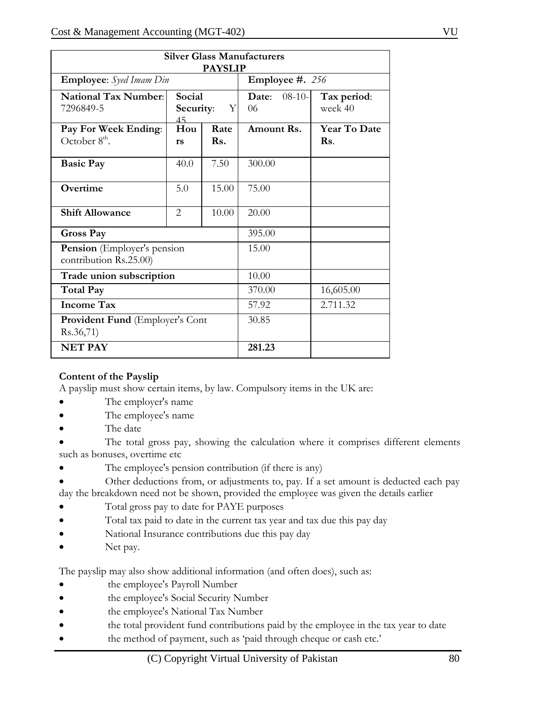| <b>Silver Glass Manufacturers</b><br><b>PAYSLIP</b>          |                                |             |                         |                                      |  |
|--------------------------------------------------------------|--------------------------------|-------------|-------------------------|--------------------------------------|--|
| <b>Employee</b> : Syed Imam Din                              |                                |             | Employee #. 256         |                                      |  |
| <b>National Tax Number:</b><br>7296849-5                     | Social<br>Y<br>Security:<br>45 |             | Date:<br>$08-10-$<br>06 | Tax period:<br>week 40               |  |
| Pay For Week Ending:<br>October $8th$ .                      | Hou<br><b>rs</b>               | Rate<br>Rs. | Amount Rs.              | <b>Year To Date</b><br>$\mathbf{Rs}$ |  |
| <b>Basic Pay</b>                                             | 40.0                           | 7.50        | 300.00                  |                                      |  |
| Overtime                                                     | 5.0                            | 15.00       | 75.00                   |                                      |  |
| <b>Shift Allowance</b><br>$\overline{2}$<br>10.00            |                                | 20.00       |                         |                                      |  |
| <b>Gross Pay</b>                                             |                                |             | 395.00                  |                                      |  |
| <b>Pension</b> (Employer's pension<br>contribution Rs.25.00) |                                |             | 15.00                   |                                      |  |
| Trade union subscription                                     |                                |             | 10.00                   |                                      |  |
| <b>Total Pay</b>                                             |                                | 370.00      | 16,605.00               |                                      |  |
| <b>Income Tax</b>                                            |                                | 57.92       | 2.711.32                |                                      |  |
| <b>Provident Fund</b> (Employer's Cont<br>Rs.36,71)          |                                | 30.85       |                         |                                      |  |
| <b>NET PAY</b>                                               |                                |             | 281.23                  |                                      |  |

## **Content of the Payslip**

A payslip must show certain items, by law. Compulsory items in the UK are:

- The employer's name
- The employee's name
- The date
- The total gross pay, showing the calculation where it comprises different elements such as bonuses, overtime etc
- The employee's pension contribution (if there is any)
- Other deductions from, or adjustments to, pay. If a set amount is deducted each pay day the breakdown need not be shown, provided the employee was given the details earlier
- Total gross pay to date for PAYE purposes
- Total tax paid to date in the current tax year and tax due this pay day
- National Insurance contributions due this pay day
- Net pay.

The payslip may also show additional information (and often does), such as:

- the employee's Payroll Number
- the employee's Social Security Number
- the employee's National Tax Number
- the total provident fund contributions paid by the employee in the tax year to date
- the method of payment, such as 'paid through cheque or cash etc.'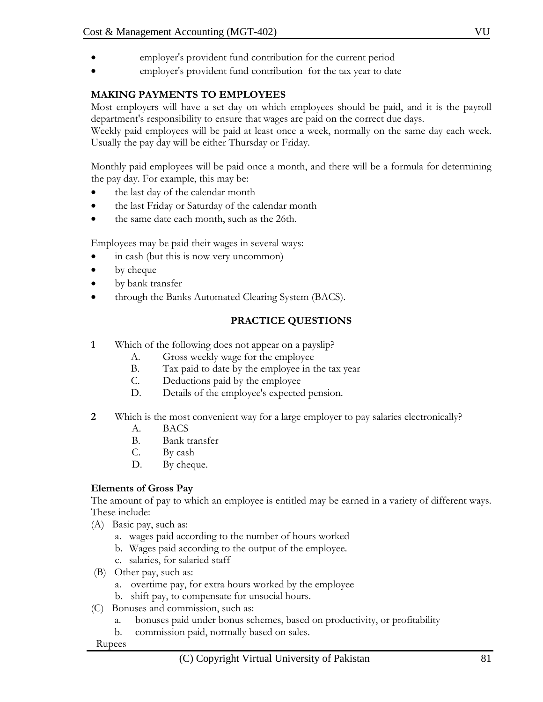- employer's provident fund contribution for the current period
- employer's provident fund contribution for the tax year to date

## **MAKING PAYMENTS TO EMPLOYEES**

Most employers will have a set day on which employees should be paid, and it is the payroll department's responsibility to ensure that wages are paid on the correct due days.

Weekly paid employees will be paid at least once a week, normally on the same day each week. Usually the pay day will be either Thursday or Friday.

Monthly paid employees will be paid once a month, and there will be a formula for determining the pay day. For example, this may be:

- the last day of the calendar month
- the last Friday or Saturday of the calendar month
- the same date each month, such as the 26th.

Employees may be paid their wages in several ways:

- in cash (but this is now very uncommon)
- by cheque
- by bank transfer
- through the Banks Automated Clearing System (BACS).

## **PRACTICE QUESTIONS**

- **1** Which of the following does not appear on a payslip?
	- A. Gross weekly wage for the employee
	- B. Tax paid to date by the employee in the tax year
	- C. Deductions paid by the employee
	- D. Details of the employee's expected pension.
- **2** Which is the most convenient way for a large employer to pay salaries electronically?
	- A. BACS
	- B. Bank transfer
	- C. By cash
	- D. By cheque.

### **Elements of Gross Pay**

The amount of pay to which an employee is entitled may be earned in a variety of different ways. These include:

- (A) Basic pay, such as:
	- a. wages paid according to the number of hours worked
	- b. Wages paid according to the output of the employee.
	- c. salaries, for salaried staff
- (B) Other pay, such as:
	- a. overtime pay, for extra hours worked by the employee
	- b. shift pay, to compensate for unsocial hours.
- (C) Bonuses and commission, such as:
	- a. bonuses paid under bonus schemes, based on productivity, or profitability
	- b. commission paid, normally based on sales.
- Rupees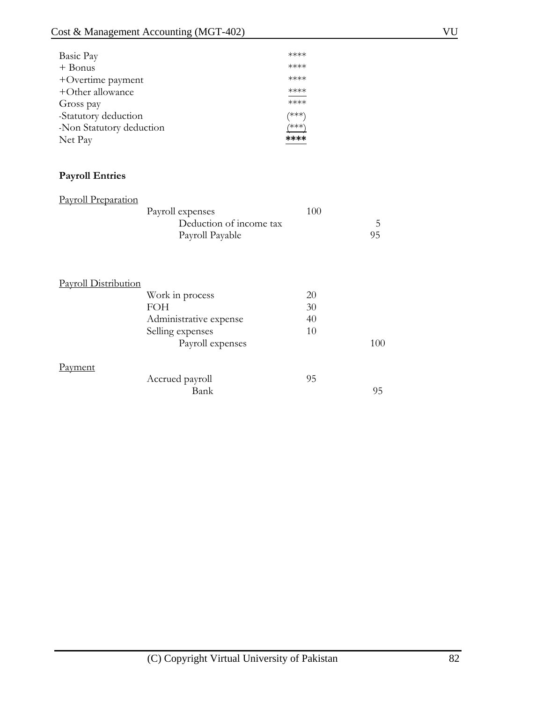| Basic Pay                | ****  |
|--------------------------|-------|
| + Bonus                  | ****  |
| +Overtime payment        | ****  |
| +Other allowance         | ****  |
| Gross pay                | ****  |
| -Statutory deduction     | (***) |
| -Non Statutory deduction | ′***` |
| Net Pay                  |       |

## **Payroll Entries**

| <b>Payroll Preparation</b>  | Payroll expenses<br>Deduction of income tax<br>Payroll Payable | 100 | 5<br>95 |
|-----------------------------|----------------------------------------------------------------|-----|---------|
| <b>Payroll Distribution</b> |                                                                |     |         |
|                             | Work in process                                                | 20  |         |
|                             | FOH                                                            | 30  |         |
|                             | Administrative expense                                         | 40  |         |
|                             | Selling expenses                                               | 10  |         |
|                             | Payroll expenses                                               |     | 100     |
| <b>Payment</b>              |                                                                |     |         |
|                             | Accrued payroll                                                | 95  |         |
|                             | Bank                                                           |     | 95      |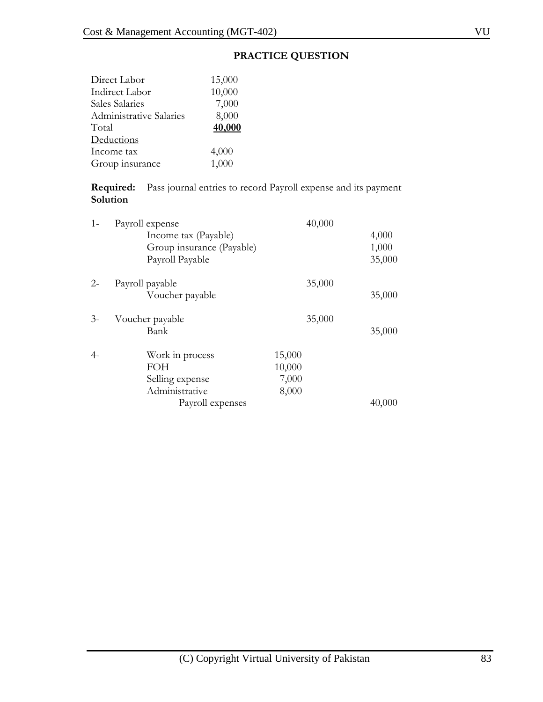# **PRACTICE QUESTION**

| Direct Labor            | 15,000 |
|-------------------------|--------|
| Indirect Labor          | 10,000 |
| Sales Salaries          | 7,000  |
| Administrative Salaries | 8,000  |
| Total                   | 40,000 |
| Deductions              |        |
| Income tax              | 4,000  |
| Group insurance         | 1,000  |

**Required:** Pass journal entries to record Payroll expense and its payment **Solution** 

| $1 -$ | Payroll expense           | 40,000 |        |
|-------|---------------------------|--------|--------|
|       | Income tax (Payable)      |        | 4,000  |
|       | Group insurance (Payable) |        | 1,000  |
|       | Payroll Payable           |        | 35,000 |
| $2 -$ | Payroll payable           | 35,000 |        |
|       | Voucher payable           |        | 35,000 |
| $3-$  | Voucher payable           | 35,000 |        |
|       | Bank                      |        | 35,000 |
| $4-$  | Work in process           | 15,000 |        |
|       | <b>FOH</b>                | 10,000 |        |
|       | Selling expense           | 7,000  |        |
|       | Administrative            | 8,000  |        |
|       | Payroll expenses          |        | 40,000 |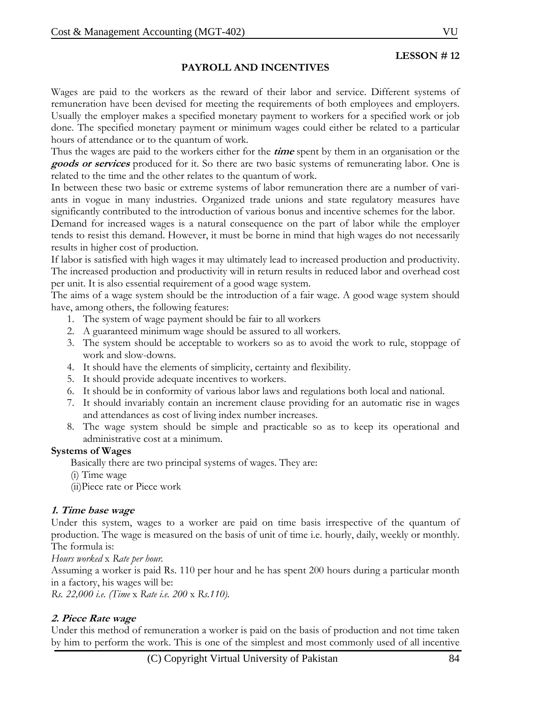## **LESSON # 12**

## **PAYROLL AND INCENTIVES**

Wages are paid to the workers as the reward of their labor and service. Different systems of remuneration have been devised for meeting the requirements of both employees and employers. Usually the employer makes a specified monetary payment to workers for a specified work or job done. The specified monetary payment or minimum wages could either be related to a particular hours of attendance or to the quantum of work.

Thus the wages are paid to the workers either for the **time** spent by them in an organisation or the **goods or services** produced for it. So there are two basic systems of remunerating labor. One is related to the time and the other relates to the quantum of work.

In between these two basic or extreme systems of labor remuneration there are a number of variants in vogue in many industries. Organized trade unions and state regulatory measures have significantly contributed to the introduction of various bonus and incentive schemes for the labor.

Demand for increased wages is a natural consequence on the part of labor while the employer tends to resist this demand. However, it must be borne in mind that high wages do not necessarily results in higher cost of production.

If labor is satisfied with high wages it may ultimately lead to increased production and productivity. The increased production and productivity will in return results in reduced labor and overhead cost per unit. It is also essential requirement of a good wage system.

The aims of a wage system should be the introduction of a fair wage. A good wage system should have, among others, the following features:

- 1. The system of wage payment should be fair to all workers
- 2. A guaranteed minimum wage should be assured to all workers*.*
- 3. The system should be acceptable to workers so as to avoid the work to rule, stoppage of work and slow-downs.
- 4. It should have the elements of simplicity, certainty and flexibility.
- 5. It should provide adequate incentives to workers.
- 6. It should be in conformity of various labor laws and regulations both local and national.
- 7. It should invariably contain an increment clause providing for an automatic rise in wages and attendances as cost of living index number increases.
- 8. The wage system should be simple and practicable so as to keep its operational and administrative cost at a minimum.

### **Systems of Wages**

Basically there are two principal systems of wages. They are:

- (i) Time wage
- (ii)Piece rate or Piece work

### **1. Time base wage**

Under this system, wages to a worker are paid on time basis irrespective of the quantum of production. The wage is measured on the basis of unit of time i.e. hourly, daily, weekly or monthly. The formula is:

*Hours worked* x *Rate per hour.* 

Assuming a worker is paid Rs. 110 per hour and he has spent 200 hours during a particular month in a factory, his wages will be:

*Rs. 22,000 i.e. (Time* x *Rate i.e. 200* x *Rs.110).* 

### **2. Piece Rate wage**

Under this method of remuneration a worker is paid on the basis of production and not time taken by him to perform the work. This is one of the simplest and most commonly used of all incentive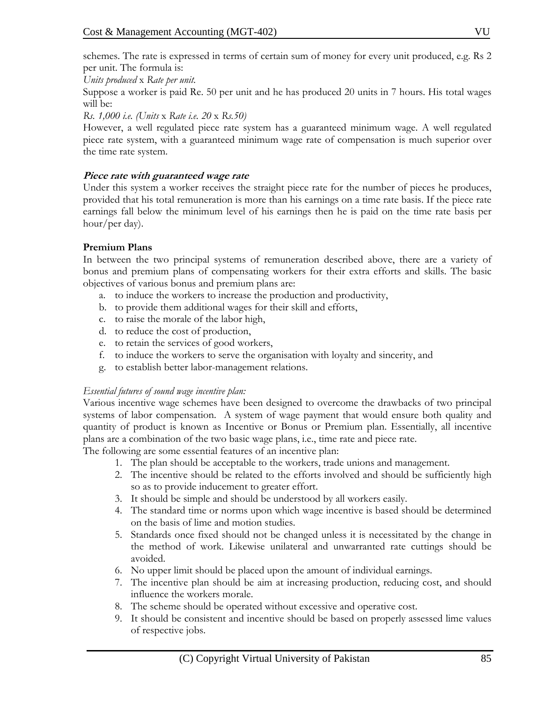schemes. The rate is expressed in terms of certain sum of money for every unit produced, e.g. Rs 2 per unit. The formula is:

*Units produced* x *Rate per unit.* 

Suppose a worker is paid Re. 50 per unit and he has produced 20 units in 7 hours. His total wages will be:

*Rs. 1,000 i.e. (Units* x *Rate i.e. 20* x *Rs.50)* 

However, a well regulated piece rate system has a guaranteed minimum wage. A well regulated piece rate system, with a guaranteed minimum wage rate of compensation is much superior over the time rate system.

## **Piece rate with guaranteed wage rate**

Under this system a worker receives the straight piece rate for the number of pieces he produces, provided that his total remuneration is more than his earnings on a time rate basis. If the piece rate earnings fall below the minimum level of his earnings then he is paid on the time rate basis per hour/per day).

## **Premium Plans**

In between the two principal systems of remuneration described above, there are a variety of bonus and premium plans of compensating workers for their extra efforts and skills. The basic objectives of various bonus and premium plans are:

- a. to induce the workers to increase the production and productivity,
- b. to provide them additional wages for their skill and efforts,
- c. to raise the morale of the labor high,
- d. to reduce the cost of production,
- e. to retain the services of good workers,
- f. to induce the workers to serve the organisation with loyalty and sincerity, and
- g. to establish better labor-management relations.

### *Essential futures of sound wage incentive plan:*

Various incentive wage schemes have been designed to overcome the drawbacks of two principal systems of labor compensation. A system of wage payment that would ensure both quality and quantity of product is known as Incentive or Bonus or Premium plan. Essentially, all incentive plans are a combination of the two basic wage plans, i.e., time rate and piece rate.

The following are some essential features of an incentive plan:

- 1. The plan should be acceptable to the workers, trade unions and management.
- 2. The incentive should be related to the efforts involved and should be sufficiently high so as to provide inducement to greater effort.
- 3. It should be simple and should be understood by all workers easily.
- 4. The standard time or norms upon which wage incentive is based should be determined on the basis of lime and motion studies.
- 5. Standards once fixed should not be changed unless it is necessitated by the change in the method of work. Likewise unilateral and unwarranted rate cuttings should be avoided.
- 6. No upper limit should be placed upon the amount of individual earnings.
- 7. The incentive plan should be aim at increasing production, reducing cost, and should influence the workers morale.
- 8. The scheme should be operated without excessive and operative cost.
- 9. It should be consistent and incentive should be based on properly assessed lime values of respective jobs.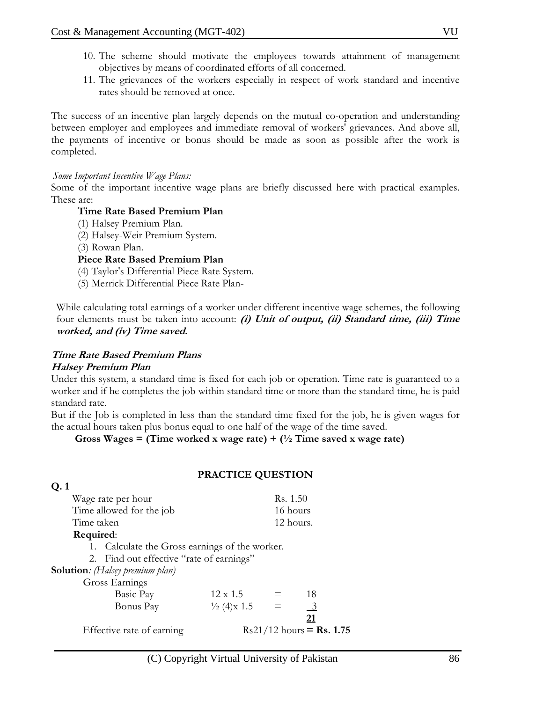- 10. The scheme should motivate the employees towards attainment of management objectives by means of coordinated efforts of all concerned.
- 11. The grievances of the workers especially in respect of work standard and incentive rates should be removed at once.

The success of an incentive plan largely depends on the mutual co-operation and understanding between employer and employees and immediate removal of workers' grievances. And above all, the payments of incentive or bonus should be made as soon as possible after the work is completed.

#### *Some Important Incentive Wage Plans:*

Some of the important incentive wage plans are briefly discussed here with practical examples. These are:

#### **Time Rate Based Premium Plan**

- (1) Halsey Premium Plan.
- (2) Halsey-Weir Premium System.

(3) Rowan Plan.

#### **Piece Rate Based Premium Plan**

(4) Taylor's Differential Piece Rate System.

(5) Merrick Differential Piece Rate Plan-

While calculating total earnings of a worker under different incentive wage schemes, the following four elements must be taken into account: **(i) Unit of output, (ii) Standard time, (iii) Time worked, and (iv) Time saved.** 

#### **Time Rate Based Premium Plans Halsey Premium Plan**

**Q. 1** 

Under this system, a standard time is fixed for each job or operation. Time rate is guaranteed to a worker and if he completes the job within standard time or more than the standard time, he is paid standard rate.

But if the Job is completed in less than the standard time fixed for the job, he is given wages for the actual hours taken plus bonus equal to one half of the wage of the time saved.

**Gross Wages = (Time worked x wage rate) + (½ Time saved x wage rate)** 

### **PRACTICE QUESTION**

| Wage rate per hour                             | Rs. 1.50                |           |                            |  |
|------------------------------------------------|-------------------------|-----------|----------------------------|--|
| Time allowed for the job                       | 16 hours                |           |                            |  |
| Time taken                                     |                         | 12 hours. |                            |  |
| Required:                                      |                         |           |                            |  |
| 1. Calculate the Gross earnings of the worker. |                         |           |                            |  |
| 2. Find out effective "rate of earnings"       |                         |           |                            |  |
| <b>Solution:</b> (Halsey premium plan)         |                         |           |                            |  |
| Gross Earnings                                 |                         |           |                            |  |
| Basic Pay                                      | $12 \times 1.5$         | =         | 18                         |  |
| Bonus Pay                                      | $\frac{1}{2}$ (4) x 1.5 | $=$       | $\overline{\mathbf{3}}$    |  |
|                                                |                         |           | 21                         |  |
| Effective rate of earning                      |                         |           | $Rs21/12 hours = Rs. 1.75$ |  |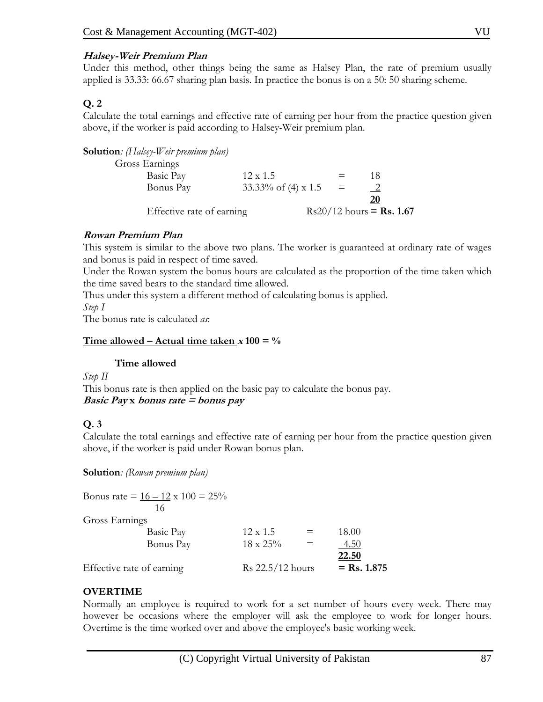## **Halsey-Weir Premium Plan**

Under this method, other things being the same as Halsey Plan, the rate of premium usually applied is 33.33: 66.67 sharing plan basis. In practice the bonus is on a 50: 50 sharing scheme.

## **Q. 2**

Calculate the total earnings and effective rate of earning per hour from the practice question given above, if the worker is paid according to Halsey-Weir premium plan.

**Solution***: (Halsey-Weir premium plan)*

| Gross Earnings |                           |                                        |                            |
|----------------|---------------------------|----------------------------------------|----------------------------|
| Basic Pay      | $12 \times 1.5$           | $=$                                    | 18                         |
| Bonus Pay      |                           | $33.33\% \text{ of } (4) \times 1.5 =$ | $\frac{2}{2}$              |
|                |                           |                                        | 20                         |
|                | Effective rate of earning |                                        | $Rs20/12 hours = Rs. 1.67$ |

### **Rowan Premium Plan**

This system is similar to the above two plans. The worker is guaranteed at ordinary rate of wages and bonus is paid in respect of time saved.

Under the Rowan system the bonus hours are calculated as the proportion of the time taken which the time saved bears to the standard time allowed.

Thus under this system a different method of calculating bonus is applied. *Step I* 

The bonus rate is calculated *as*:

## **Time allowed – Actual time taken**  $\boldsymbol{x}$  **100 = %**

### **Time allowed**

*Step II* 

This bonus rate is then applied on the basic pay to calculate the bonus pay. **Basic Pay x bonus rate = bonus pay** 

## **Q. 3**

Calculate the total earnings and effective rate of earning per hour from the practice question given above, if the worker is paid under Rowan bonus plan.

**Solution***: (Rowan premium plan)*

| Bonus rate = $16 - 12 \times 100 = 25\%$ |                  |               |
|------------------------------------------|------------------|---------------|
| 16                                       |                  |               |
| Gross Earnings                           |                  |               |
| Basic Pay                                | $12 \times 1.5$  | 18.00         |
| Bonus Pay                                | $18 \times 25\%$ | 4.50          |
|                                          |                  | 22.50         |
| Effective rate of earning                | Rs 22.5/12 hours | $=$ Rs. 1.875 |

## **OVERTIME**

Normally an employee is required to work for a set number of hours every week. There may however be occasions where the employer will ask the employee to work for longer hours. Overtime is the time worked over and above the employee's basic working week.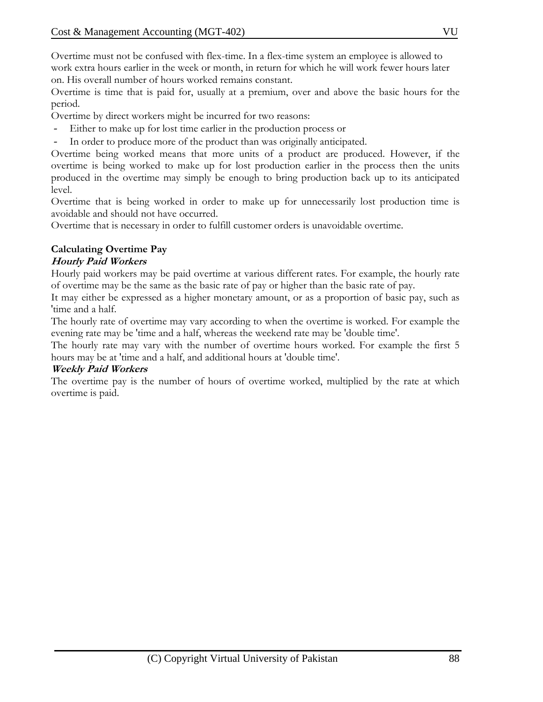Overtime must not be confused with flex-time. In a flex-time system an employee is allowed to work extra hours earlier in the week or month, in return for which he will work fewer hours later on. His overall number of hours worked remains constant.

Overtime is time that is paid for, usually at a premium, over and above the basic hours for the period.

Overtime by direct workers might be incurred for two reasons:

- Either to make up for lost time earlier in the production process or
- In order to produce more of the product than was originally anticipated.

Overtime being worked means that more units of a product are produced. However, if the overtime is being worked to make up for lost production earlier in the process then the units produced in the overtime may simply be enough to bring production back up to its anticipated level.

Overtime that is being worked in order to make up for unnecessarily lost production time is avoidable and should not have occurred.

Overtime that is necessary in order to fulfill customer orders is unavoidable overtime.

## **Calculating Overtime Pay**

#### **Hourly Paid Workers**

Hourly paid workers may be paid overtime at various different rates. For example, the hourly rate of overtime may be the same as the basic rate of pay or higher than the basic rate of pay.

It may either be expressed as a higher monetary amount, or as a proportion of basic pay, such as 'time and a half.

The hourly rate of overtime may vary according to when the overtime is worked. For example the evening rate may be 'time and a half, whereas the weekend rate may be 'double time'.

The hourly rate may vary with the number of overtime hours worked. For example the first 5 hours may be at 'time and a half, and additional hours at 'double time'.

#### **Weekly Paid Workers**

The overtime pay is the number of hours of overtime worked, multiplied by the rate at which overtime is paid.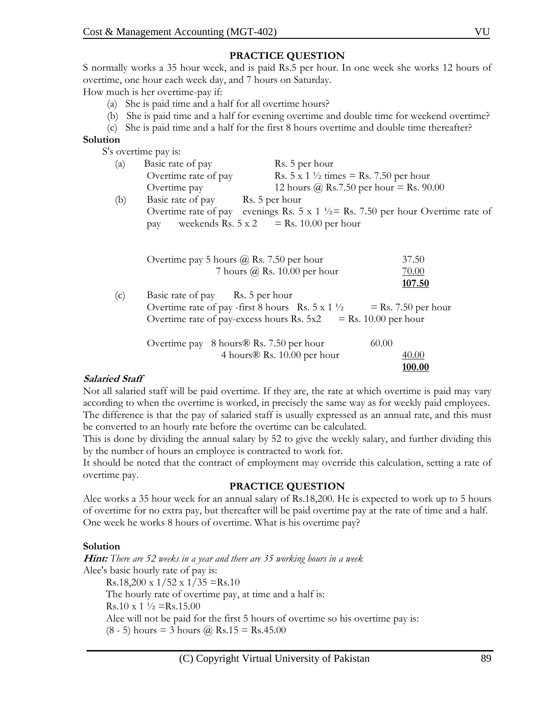## **PRACTICE QUESTION**

S normally works a 35 hour week, and is paid Rs.5 per hour. In one week she works 12 hours of overtime, one hour each week day, and 7 hours on Saturday.

How much is her overtime-pay if:

- (a) She is paid time and a half for all overtime hours?
- (b) She is paid time and a half for evening overtime and double time for weekend overtime?
- (c) She is paid time and a half for the first 8 hours overtime and double time thereafter?

#### **Solution**

S's overtime pay is:

| (a) | Basic rate of pay    | Rs. 5 per hour                                                      |
|-----|----------------------|---------------------------------------------------------------------|
|     | Overtime rate of pay | Rs. $5 \times 1\frac{1}{2}$ times = Rs. 7.50 per hour               |
|     | Overtime pay         | 12 hours @ Rs.7.50 per hour = Rs. 90.00                             |
| (b) | Basic rate of pay    | Rs. 5 per hour                                                      |
|     | Overtime rate of pay | evenings Rs. 5 x 1 $\frac{1}{2}$ Rs. 7.50 per hour Overtime rate of |
|     | pay                  | weekends Rs. $5 \times 2 =$ Rs. 10.00 per hour                      |
|     |                      |                                                                     |
|     |                      |                                                                     |

|     | Overtime pay 5 hours $\omega$ Rs. 7.50 per hour                  | 37.50                 |
|-----|------------------------------------------------------------------|-----------------------|
|     | 7 hours $\omega$ Rs. 10.00 per hour                              | 70.00                 |
|     |                                                                  | 107.50                |
| (c) | Basic rate of pay Rs. 5 per hour                                 |                       |
|     | Overtime rate of pay -first 8 hours Rs. $5 \times 1\frac{1}{2}$  | $=$ Rs. 7.50 per hour |
|     | Overtime rate of pay-excess hours Rs. $5x2 = Rs. 10.00$ per hour |                       |
|     | Overtime pay 8 hours® Rs. 7.50 per hour                          | 60.00                 |
|     | 4 hours <sup>®</sup> Rs. 10.00 per hour                          | 40.00                 |
|     |                                                                  | 100.00                |

### **Salaried Staff**

Not all salaried staff will be paid overtime. If they are, the rate at which overtime is paid may vary according to when the overtime is worked, in precisely the same way as for weekly paid employees. The difference is that the pay of salaried staff is usually expressed as an annual rate, and this must be converted to an hourly rate before the overtime can be calculated.

This is done by dividing the annual salary by 52 to give the weekly salary, and further dividing this by the number of hours an employee is contracted to work for.

It should be noted that the contract of employment may override this calculation, setting a rate of overtime pay.

#### **PRACTICE QUESTION**

Alee works a 35 hour week for an annual salary of Rs.18,200. He is expected to work up to 5 hours of overtime for no extra pay, but thereafter will be paid overtime pay at the rate of time and a half. One week he works 8 hours of overtime. What is his overtime pay?

#### **Solution**

**Hint:** *There are 52 weeks in a year and there are 35 working hours in a week*  Alee's basic hourly rate of pay is:

Rs.18,200 x  $1/52$  x  $1/35$  =Rs.10 The hourly rate of overtime pay, at time and a half is:  $Rs.10 \times 1\frac{1}{2} = Rs.15.00$ Alee will not be paid for the first 5 hours of overtime so his overtime pay is:  $(8 - 5)$  hours = 3 hours  $\omega$  Rs.15 = Rs.45.00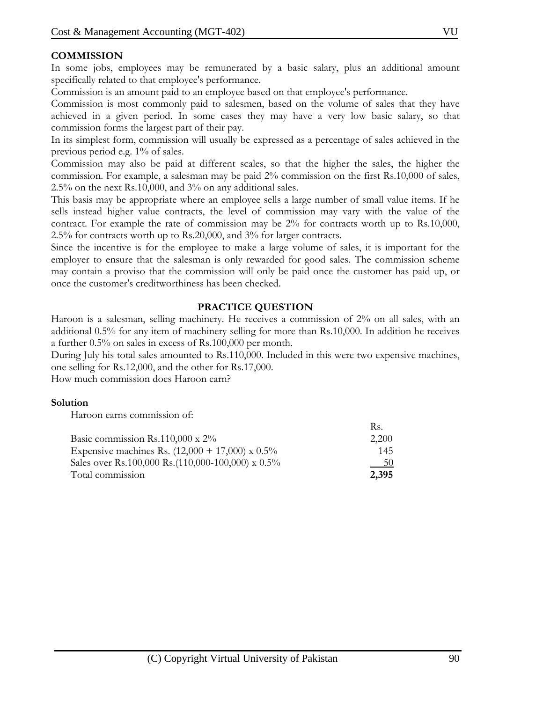#### **COMMISSION**

In some jobs, employees may be remunerated by a basic salary, plus an additional amount specifically related to that employee's performance.

Commission is an amount paid to an employee based on that employee's performance.

Commission is most commonly paid to salesmen, based on the volume of sales that they have achieved in a given period. In some cases they may have a very low basic salary, so that commission forms the largest part of their pay.

In its simplest form, commission will usually be expressed as a percentage of sales achieved in the previous period e.g. 1% of sales.

Commission may also be paid at different scales, so that the higher the sales, the higher the commission. For example, a salesman may be paid 2% commission on the first Rs.10,000 of sales, 2.5% on the next Rs.10,000, and 3% on any additional sales.

This basis may be appropriate where an employee sells a large number of small value items. If he sells instead higher value contracts, the level of commission may vary with the value of the contract. For example the rate of commission may be 2% for contracts worth up to Rs.10,000, 2.5% for contracts worth up to Rs.20,000, and 3% for larger contracts.

Since the incentive is for the employee to make a large volume of sales, it is important for the employer to ensure that the salesman is only rewarded for good sales. The commission scheme may contain a proviso that the commission will only be paid once the customer has paid up, or once the customer's creditworthiness has been checked.

#### **PRACTICE QUESTION**

Haroon is a salesman, selling machinery. He receives a commission of 2% on all sales, with an additional 0.5% for any item of machinery selling for more than Rs.10,000. In addition he receives a further 0.5% on sales in excess of Rs.100,000 per month.

During July his total sales amounted to Rs.110,000. Included in this were two expensive machines, one selling for Rs.12,000, and the other for Rs.17,000.

How much commission does Haroon earn?

#### **Solution**

Haroon earns commission of:

| KS.             |
|-----------------|
| 2,200           |
| 145             |
| 50 <sup>2</sup> |
| 2,395           |
|                 |

Rs.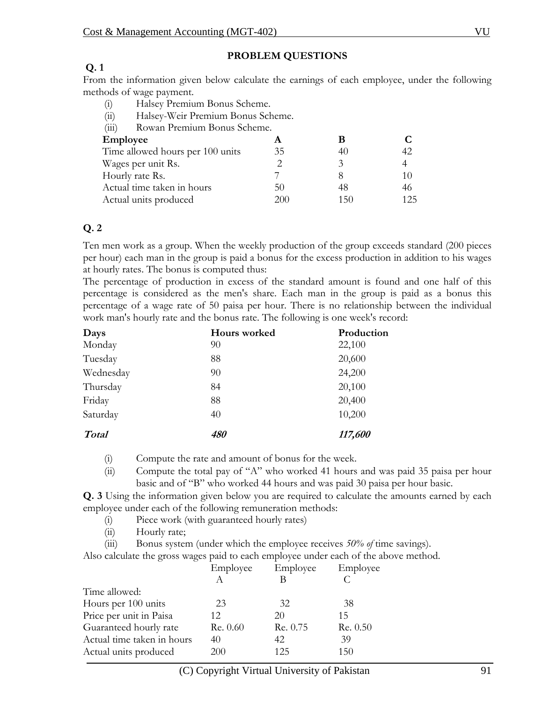## **PROBLEM QUESTIONS**

## **Q. 1**

From the information given below calculate the earnings of each employee, under the following methods of wage payment.

- (i) Halsey Premium Bonus Scheme.
- (ii) Halsey-Weir Premium Bonus Scheme.
- (iii) Rowan Premium Bonus Scheme.

|     | В   |     |
|-----|-----|-----|
| 35  | 40  | 42. |
|     |     |     |
|     |     |     |
| 50  | 48  | 40  |
| 200 | 150 | 125 |
|     |     |     |

## **Q. 2**

Ten men work as a group. When the weekly production of the group exceeds standard (200 pieces per hour) each man in the group is paid a bonus for the excess production in addition to his wages at hourly rates. The bonus is computed thus:

The percentage of production in excess of the standard amount is found and one half of this percentage is considered as the men's share. Each man in the group is paid as a bonus this percentage of a wage rate of 50 paisa per hour. There is no relationship between the individual work man's hourly rate and the bonus rate. The following is one week's record:

| Days         | Hours worked      | Production |  |  |
|--------------|-------------------|------------|--|--|
| Monday       | 90                | 22,100     |  |  |
| Tuesday      | 88                | 20,600     |  |  |
| Wednesday    | 90                | 24,200     |  |  |
| Thursday     | 84                | 20,100     |  |  |
| Friday       | 88                | 20,400     |  |  |
| Saturday     | 40                | 10,200     |  |  |
| <b>Total</b> | <i><b>480</b></i> | 117,600    |  |  |

(i) Compute the rate and amount of bonus for the week.

(ii) Compute the total pay of "A" who worked 41 hours and was paid 35 paisa per hour basic and of "B" who worked 44 hours and was paid 30 paisa per hour basic.

**Q. 3** Using the information given below you are required to calculate the amounts earned by each employee under each of the following remuneration methods:

(i) Piece work (with guaranteed hourly rates)

(ii) Hourly rate;

(iii) Bonus system (under which the employee receives *50% of* time savings).

Also calculate the gross wages paid to each employee under each of the above method.

|                            | Employee | Employee | Employee |
|----------------------------|----------|----------|----------|
|                            | A        |          |          |
| Time allowed:              |          |          |          |
| Hours per 100 units        | 23       | 32       | 38       |
| Price per unit in Paisa    | 12       | 20       | 15       |
| Guaranteed hourly rate     | Re. 0.60 | Re. 0.75 | Re. 0.50 |
| Actual time taken in hours | 40       | 42.      | 39       |
| Actual units produced      | 200      | 125      | 150      |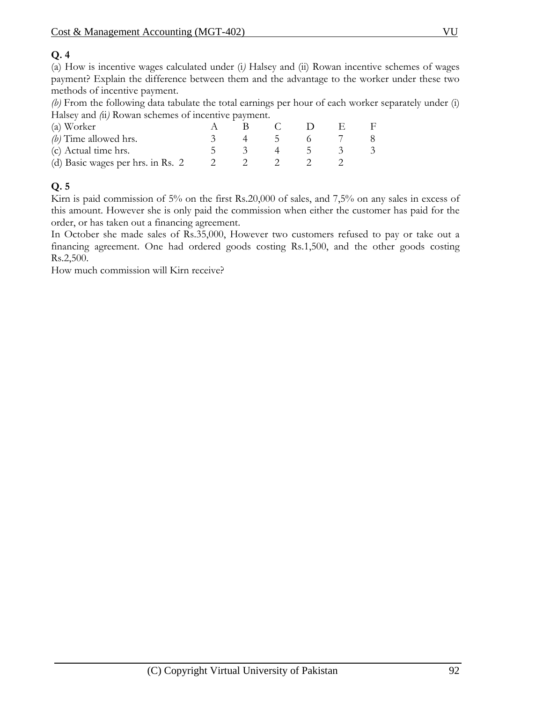## **Q. 4**

(a) How is incentive wages calculated under (i*)* Halsey and (ii) Rowan incentive schemes of wages payment? Explain the difference between them and the advantage to the worker under these two methods of incentive payment.

*(b)* From the following data tabulate the total earnings per hour of each worker separately under (i) Halsey and  $\hat{\mu}$ *i*) Rowan schemes of incentive payment.

| (a) Worker                        |  |  |  |
|-----------------------------------|--|--|--|
| (b) Time allowed hrs.             |  |  |  |
| (c) Actual time hrs.              |  |  |  |
| (d) Basic wages per hrs. in Rs. 2 |  |  |  |
|                                   |  |  |  |

## **Q. 5**

Kirn is paid commission of 5% on the first Rs.20,000 of sales, and 7,5% on any sales in excess of this amount. However she is only paid the commission when either the customer has paid for the order, or has taken out a financing agreement.

In October she made sales of Rs.35,000, However two customers refused to pay or take out a financing agreement. One had ordered goods costing Rs.1,500, and the other goods costing Rs.2,500.

How much commission will Kirn receive?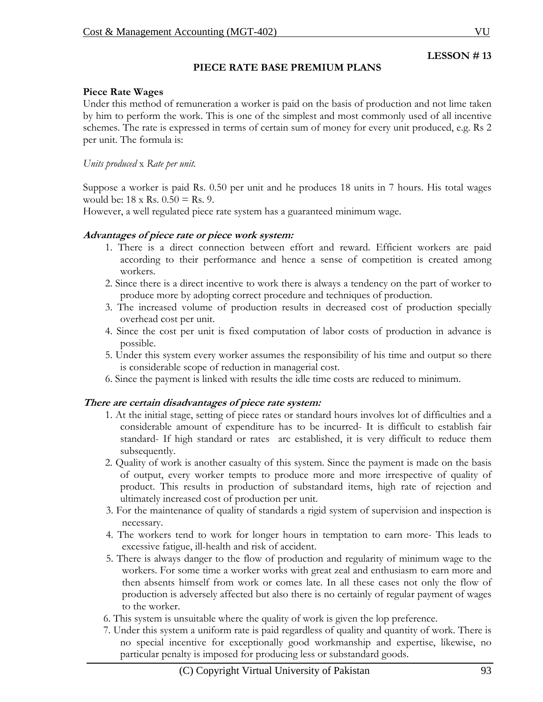#### **LESSON # 13**

## **PIECE RATE BASE PREMIUM PLANS**

#### **Piece Rate Wages**

Under this method of remuneration a worker is paid on the basis of production and not lime taken by him to perform the work. This is one of the simplest and most commonly used of all incentive schemes. The rate is expressed in terms of certain sum of money for every unit produced, e.g. Rs 2 per unit. The formula is:

### *Units produced* x *Rate per unit.*

Suppose a worker is paid Rs. 0.50 per unit and he produces 18 units in 7 hours. His total wages would be:  $18 \times \text{Rs.} 0.50 = \text{Rs.} 9$ .

However, a well regulated piece rate system has a guaranteed minimum wage.

### **Advantages of piece rate or piece work system:**

- 1. There is a direct connection between effort and reward. Efficient workers are paid according to their performance and hence a sense of competition is created among workers.
- 2. Since there is a direct incentive to work there is always a tendency on the part of worker to produce more by adopting correct procedure and techniques of production.
- 3. The increased volume of production results in decreased cost of production specially overhead cost per unit.
- 4. Since the cost per unit is fixed computation of labor costs of production in advance is possible.
- 5. Under this system every worker assumes the responsibility of his time and output so there is considerable scope of reduction in managerial cost.
- 6. Since the payment is linked with results the idle time costs are reduced to minimum.

### **There are certain disadvantages of piece rate system:**

- 1. At the initial stage, setting of piece rates or standard hours involves lot of difficulties and a considerable amount of expenditure has to be incurred- It is difficult to establish fair standard- If high standard or rates arc established, it is very difficult to reduce them subsequently.
- 2. Quality of work is another casualty of this system. Since the payment is made on the basis of output, every worker tempts to produce more and more irrespective of quality of product. This results in production of substandard items, high rate of rejection and ultimately increased cost of production per unit.
- 3. For the maintenance of quality of standards a rigid system of supervision and inspection is necessary.
- 4. The workers tend to work for longer hours in temptation to earn more- This leads to excessive fatigue, ill-health and risk of accident.
- 5. There is always danger to the flow of production and regularity of minimum wage to the workers. For some time a worker works with great zeal and enthusiasm to earn more and then absents himself from work or comes late. In all these cases not only the flow of production is adversely affected but also there is no certainly of regular payment of wages to the worker.
- 6. This system is unsuitable where the quality of work is given the lop preference.
- 7. Under this system a uniform rate is paid regardless of quality and quantity of work. There is no special incentive for exceptionally good workmanship and expertise, likewise, no particular penalty is imposed for producing less or substandard goods.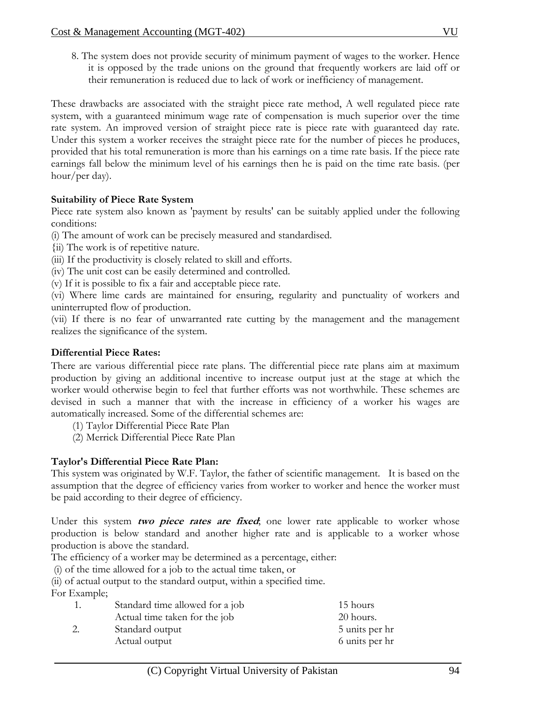8. The system does not provide security of minimum payment of wages to the worker. Hence it is opposed by the trade unions on the ground that frequently workers are laid off or their remuneration is reduced due to lack of work or inefficiency of management.

These drawbacks are associated with the straight piece rate method, A well regulated piece rate system, with a guaranteed minimum wage rate of compensation is much superior over the time rate system. An improved version of straight piece rate is piece rate with guaranteed day rate. Under this system a worker receives the straight piece rate for the number of pieces he produces, provided that his total remuneration is more than his earnings on a time rate basis. If the piece rate earnings fall below the minimum level of his earnings then he is paid on the time rate basis. (per hour/per day).

### **Suitability of Piece Rate System**

Piece rate system also known as 'payment by results' can be suitably applied under the following conditions:

(i) The amount of work can be precisely measured and standardised.

{ii) The work is of repetitive nature.

(iii) If the productivity is closely related to skill and efforts.

(iv) The unit cost can be easily determined and controlled.

(v) If it is possible to fix a fair and acceptable piece rate.

(vi) Where lime cards are maintained for ensuring, regularity and punctuality of workers and uninterrupted flow of production.

(vii) If there is no fear of unwarranted rate cutting by the management and the management realizes the significance of the system.

#### **Differential Piece Rates:**

There are various differential piece rate plans. The differential piece rate plans aim at maximum production by giving an additional incentive to increase output just at the stage at which the worker would otherwise begin to feel that further efforts was not worthwhile. These schemes are devised in such a manner that with the increase in efficiency of a worker his wages are automatically increased. Some of the differential schemes are:

(1) Taylor Differential Piece Rate Plan

(2) Merrick Differential Piece Rate Plan

### **Taylor's Differential Piece Rate Plan:**

This system was originated by W.F. Taylor, the father of scientific management. It is based on the assumption that the degree of efficiency varies from worker to worker and hence the worker must be paid according to their degree of efficiency.

Under this system **two piece rates are fixed**; one lower rate applicable to worker whose production is below standard and another higher rate and is applicable to a worker whose production is above the standard.

The efficiency of a worker may be determined as a percentage, either:

(i) of the time allowed for a job to the actual time taken, or

(ii) of actual output to the standard output, within a specified time.

For Example;

| Standard time allowed for a job | 15 hours       |
|---------------------------------|----------------|
| Actual time taken for the job   | 20 hours.      |
| Standard output                 | 5 units per hr |
| Actual output                   | 6 units per hr |
|                                 |                |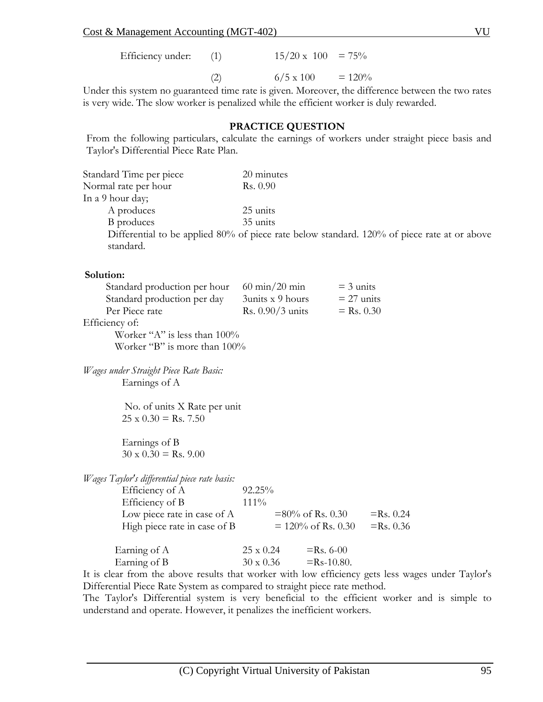| Efficiency under: |  | $15/20 \times 100 = 75\%$ |  |
|-------------------|--|---------------------------|--|
|-------------------|--|---------------------------|--|

(2)  $6/5 \times 100 = 120\%$ 

Under this system no guaranteed time rate is given. Moreover, the difference between the two rates is very wide. The slow worker is penalized while the efficient worker is duly rewarded.

#### **PRACTICE QUESTION**

From the following particulars, calculate the earnings of workers under straight piece basis and Taylor's Differential Piece Rate Plan.

| Standard Time per piece             | 20 minutes                                                                                  |
|-------------------------------------|---------------------------------------------------------------------------------------------|
| Normal rate per hour                | Rs. 0.90                                                                                    |
| In a 9 hour day;                    |                                                                                             |
| A produces                          | 25 units                                                                                    |
| B produces                          | 35 units                                                                                    |
| standard.                           | Differential to be applied 80% of piece rate below standard. 120% of piece rate at or above |
| Solution:<br>$0.1111$ $1.1$ $1.001$ |                                                                                             |

| Standard production per hour                  |                  | $60 \text{ min}/20 \text{ min}$ |                       | $=$ 3 units  |              |
|-----------------------------------------------|------------------|---------------------------------|-----------------------|--------------|--------------|
| Standard production per day                   |                  | 3units x 9 hours                |                       | $= 27$ units |              |
| Per Piece rate                                |                  | Rs. $0.90/3$ units              |                       | $=$ Rs. 0.30 |              |
| Efficiency of:                                |                  |                                 |                       |              |              |
| Worker "A" is less than $100\%$               |                  |                                 |                       |              |              |
| Worker "B" is more than $100\%$               |                  |                                 |                       |              |              |
| Wages under Straight Piece Rate Basic:        |                  |                                 |                       |              |              |
| Earnings of A                                 |                  |                                 |                       |              |              |
| No. of units X Rate per unit                  |                  |                                 |                       |              |              |
| $25 \times 0.30 =$ Rs. 7.50                   |                  |                                 |                       |              |              |
| Earnings of B                                 |                  |                                 |                       |              |              |
| $30 \times 0.30 =$ Rs. 9.00                   |                  |                                 |                       |              |              |
| Wages Taylor's differential piece rate basis: |                  |                                 |                       |              |              |
| Efficiency of A                               | 92.25%           |                                 |                       |              |              |
| Efficiency of B                               | 111%             |                                 |                       |              |              |
| Low piece rate in case of A                   |                  |                                 | $=80\%$ of Rs. 0.30   |              | $=$ Rs. 0.24 |
| High piece rate in case of B                  |                  |                                 | $= 120\%$ of Rs. 0.30 |              | $=$ Rs. 0.36 |
| Earning of A                                  |                  | $25 \times 0.24$                | $=$ Rs. 6-00          |              |              |
| Earning of B                                  | $30 \times 0.36$ |                                 | $=Rs-10.80$ .         |              |              |

It is clear from the above results that worker with low efficiency gets less wages under Taylor's Differential Piece Rate System as compared to straight piece rate method.

The Taylor's Differential system is very beneficial to the efficient worker and is simple to understand and operate. However, it penalizes the inefficient workers.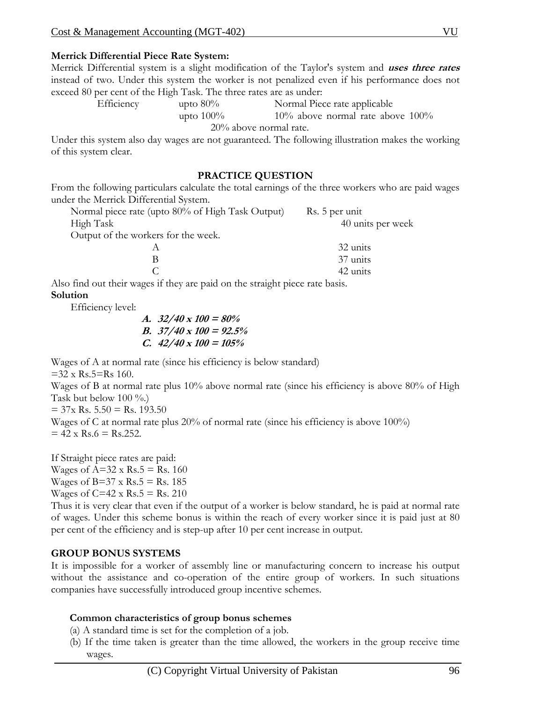#### **Merrick Differential Piece Rate System:**

Merrick Differential system is a slight modification of the Taylor's system and **uses three rates** instead of two. Under this system the worker is not penalized even if his performance does not exceed 80 per cent of the High Task. The three rates are as under:

Efficiency upto 80% Normal Piece rate applicable

upto  $100\%$  10% above normal rate above  $100\%$ 

20% above normal rate.

Under this system also day wages are not guaranteed. The following illustration makes the working of this system clear.

#### **PRACTICE QUESTION**

From the following particulars calculate the total earnings of the three workers who are paid wages under the Merrick Differential System.

| Normal piece rate (upto 80% of High Task Output) | Rs. 5 per unit    |  |  |
|--------------------------------------------------|-------------------|--|--|
| High Task                                        | 40 units per week |  |  |
| Output of the workers for the week.              |                   |  |  |
|                                                  | 32 units          |  |  |
|                                                  | 37 units          |  |  |
|                                                  | 42 units          |  |  |

Also find out their wages if they are paid on the straight piece rate basis. **Solution** 

Efficiency level:

**A. 32/40 x 100 = 80% B. 37/40 x 100 = 92.5% C. 42/40 x 100 = 105%** 

Wages of A at normal rate (since his efficiency is below standard)  $=32 \times$  Rs.5=Rs 160.

Wages of B at normal rate plus 10% above normal rate (since his efficiency is above 80% of High Task but below 100 %.)

 $= 37x$  Rs.  $5.50 =$  Rs. 193.50 Wages of C at normal rate plus 20% of normal rate (since his efficiency is above 100%)  $= 42$  x Rs.6 = Rs.252.

If Straight piece rates are paid: Wages of  $A = 32$  x Rs.  $5 =$  Rs. 160 Wages of  $B = 37$  x  $Rs.5 = Rs. 185$ Wages of  $C=42 \times Rs.5 = Rs. 210$ 

Thus it is very clear that even if the output of a worker is below standard, he is paid at normal rate of wages. Under this scheme bonus is within the reach of every worker since it is paid just at 80 per cent of the efficiency and is step-up after 10 per cent increase in output.

#### **GROUP BONUS SYSTEMS**

It is impossible for a worker of assembly line or manufacturing concern to increase his output without the assistance and co-operation of the entire group of workers. In such situations companies have successfully introduced group incentive schemes.

#### **Common characteristics of group bonus schemes**

(a) A standard time is set for the completion of a job.

(b) If the time taken is greater than the time allowed, the workers in the group receive time wages.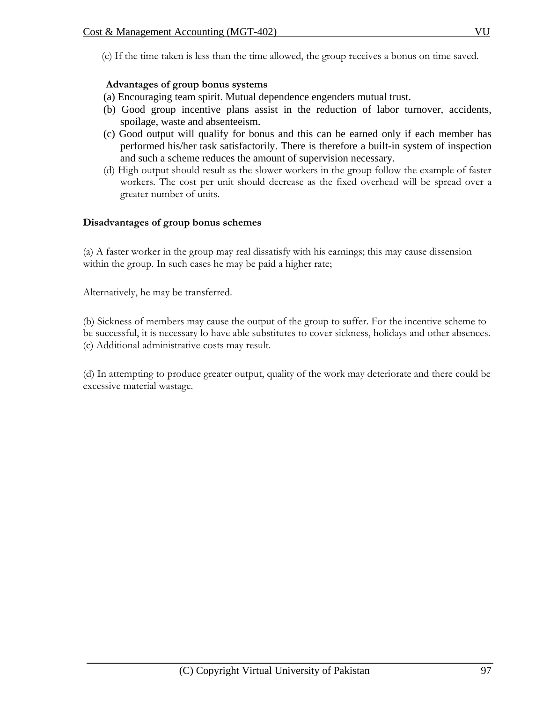(c) If the time taken is less than the time allowed, the group receives a bonus on time saved.

### **Advantages of group bonus systems**

(a) Encouraging team spirit. Mutual dependence engenders mutual trust.

- (b) Good group incentive plans assist in the reduction of labor turnover, accidents, spoilage, waste and absenteeism.
- (c) Good output will qualify for bonus and this can be earned only if each member has performed his/her task satisfactorily. There is therefore a built-in system of inspection and such a scheme reduces the amount of supervision necessary.
- (d) High output should result as the slower workers in the group follow the example of faster workers. The cost per unit should decrease as the fixed overhead will be spread over a greater number of units.

### **Disadvantages of group bonus schemes**

(a) A faster worker in the group may real dissatisfy with his earnings; this may cause dissension within the group. In such cases he may be paid a higher rate;

Alternatively, he may be transferred.

(b) Sickness of members may cause the output of the group to suffer. For the incentive scheme to be successful, it is necessary lo have able substitutes to cover sickness, holidays and other absences. (c) Additional administrative costs may result.

(d) In attempting to produce greater output, quality of the work may deteriorate and there could be excessive material wastage.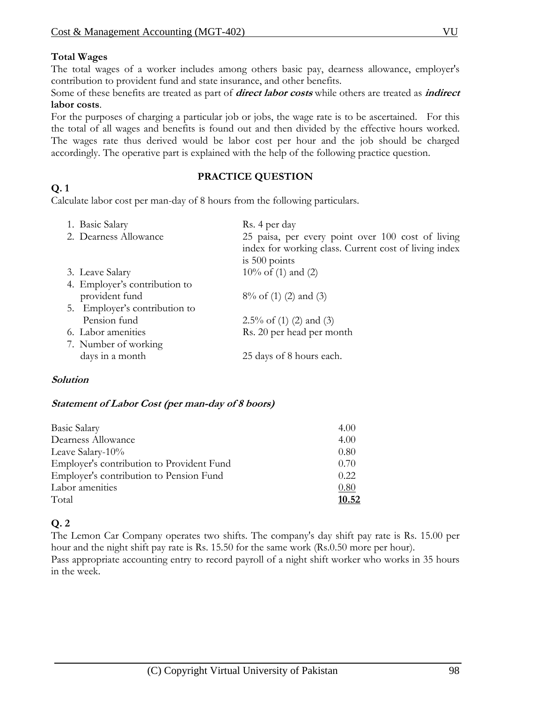## **Total Wages**

The total wages of a worker includes among others basic pay, dearness allowance, employer's contribution to provident fund and state insurance, and other benefits.

Some of these benefits are treated as part of **direct labor costs** while others are treated as **indirect labor costs**.

For the purposes of charging a particular job or jobs, the wage rate is to be ascertained. For this the total of all wages and benefits is found out and then divided by the effective hours worked. The wages rate thus derived would be labor cost per hour and the job should be charged accordingly. The operative part is explained with the help of the following practice question.

### **PRACTICE QUESTION**

## **Q. 1**

Calculate labor cost per man-day of 8 hours from the following particulars.

| 1. Basic Salary               | Rs. 4 per day                                         |
|-------------------------------|-------------------------------------------------------|
| 2. Dearness Allowance         | 25 paisa, per every point over 100 cost of living     |
|                               | index for working class. Current cost of living index |
|                               | is $500$ points                                       |
| 3. Leave Salary               | $10\%$ of (1) and (2)                                 |
| 4. Employer's contribution to |                                                       |
| provident fund                | $8\%$ of (1) (2) and (3)                              |
| 5. Employer's contribution to |                                                       |
| Pension fund                  | $2.5\%$ of (1) (2) and (3)                            |
| 6. Labor amenities            | Rs. 20 per head per month                             |
| 7. Number of working          |                                                       |
| days in a month               | 25 days of 8 hours each.                              |
|                               |                                                       |

## **Solution**

### **Statement of Labor Cost (per man-day of 8 boors)**

| <b>Basic Salary</b>                       | 4.00  |
|-------------------------------------------|-------|
| Dearness Allowance                        | 4.00  |
| Leave Salary-10%                          | 0.80  |
| Employer's contribution to Provident Fund | 0.70  |
| Employer's contribution to Pension Fund   | 0.22  |
| Labor amenities                           | 0.80  |
| Total                                     | 10.52 |

### **Q. 2**

The Lemon Car Company operates two shifts. The company's day shift pay rate is Rs. 15.00 per hour and the night shift pay rate is Rs. 15.50 for the same work (Rs.0.50 more per hour). Pass appropriate accounting entry to record payroll of a night shift worker who works in 35 hours in the week.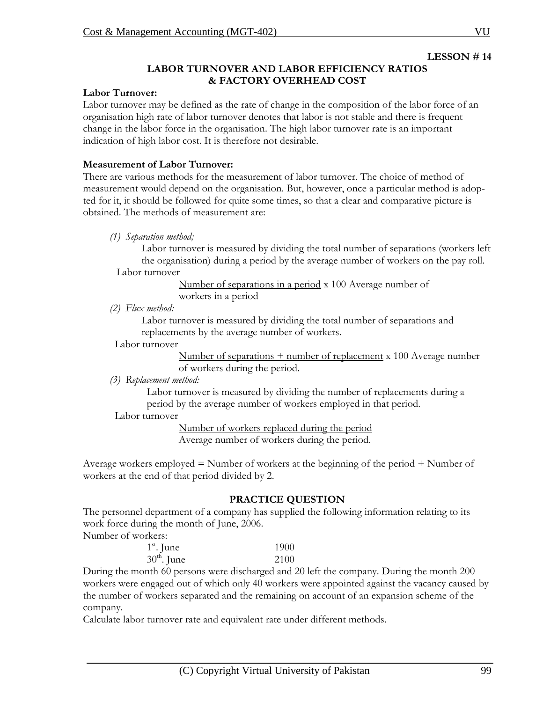#### **LESSON # 14**

#### **LABOR TURNOVER AND LABOR EFFICIENCY RATIOS & FACTORY OVERHEAD COST**

#### **Labor Turnover:**

Labor turnover may be defined as the rate of change in the composition of the labor force of an organisation high rate of labor turnover denotes that labor is not stable and there is frequent change in the labor force in the organisation. The high labor turnover rate is an important indication of high labor cost. It is therefore not desirable.

#### **Measurement of Labor Turnover:**

There are various methods for the measurement of labor turnover. The choice of method of measurement would depend on the organisation. But, however, once a particular method is adopted for it, it should be followed for quite some times, so that a clear and comparative picture is obtained. The methods of measurement are:

*(1) Separation method;* 

Labor turnover is measured by dividing the total number of separations (workers left the organisation) during a period by the average number of workers on the pay roll. Labor turnover

> Number of separations in a period x 100 Average number of workers in a period

*(2) Flux method:* 

Labor turnover is measured by dividing the total number of separations and replacements by the average number of workers.

Labor turnover

Number of separations + number of replacement x 100 Average number of workers during the period.

*(3) Replacement method:* 

Labor turnover is measured by dividing the number of replacements during a period by the average number of workers employed in that period.

Labor turnover

Number of workers replaced during the period

Average number of workers during the period.

Average workers employed  $=$  Number of workers at the beginning of the period  $+$  Number of workers at the end of that period divided by 2.

### **PRACTICE QUESTION**

The personnel department of a company has supplied the following information relating to its work force during the month of June, 2006.

Number of workers:

| $1st$ . June  | 1900 |
|---------------|------|
| $30th$ . June | 2100 |
|               |      |

During the month 60 persons were discharged and 20 left the company. During the month 200 workers were engaged out of which only 40 workers were appointed against the vacancy caused by the number of workers separated and the remaining on account of an expansion scheme of the company.

Calculate labor turnover rate and equivalent rate under different methods.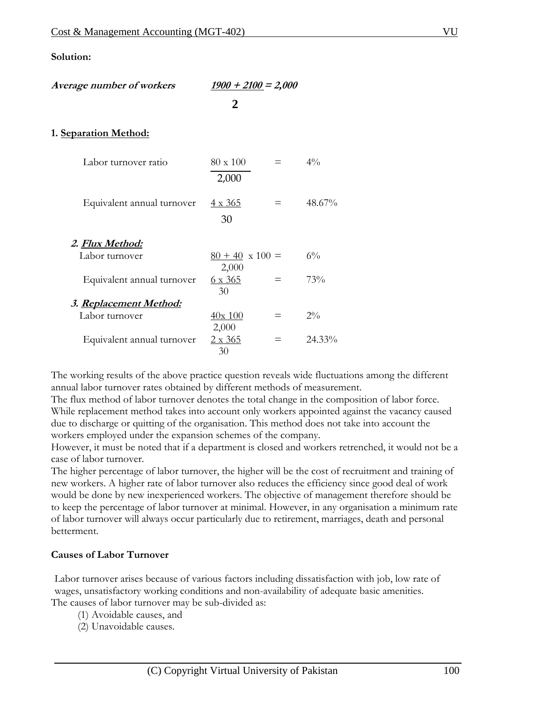#### **Solution:**

| Average number of workers  | $1900 + 2100 = 2,000$           |     |        |
|----------------------------|---------------------------------|-----|--------|
|                            | 2                               |     |        |
| 1. Separation Method:      |                                 |     |        |
| Labor turnover ratio       | 80 x 100<br>2,000               | $=$ | $4\%$  |
| Equivalent annual turnover | <u>4 x 365</u><br>30            |     | 48.67% |
| <u>2. Flux Method:</u>     |                                 |     |        |
| Labor turnover             | $80 + 40 \times 100 =$<br>2,000 |     | $6\%$  |
| Equivalent annual turnover | <u>6 x 365</u><br>30            |     | 73%    |
| 3. Replacement Method:     |                                 |     |        |
| Labor turnover             | 40x100<br>2,000                 |     | $2\%$  |
| Equivalent annual turnover | <u>2 x 365</u><br>30            |     | 24.33% |

The working results of the above practice question reveals wide fluctuations among the different annual labor turnover rates obtained by different methods of measurement.

The flux method of labor turnover denotes the total change in the composition of labor force. While replacement method takes into account only workers appointed against the vacancy caused due to discharge or quitting of the organisation. This method does not take into account the workers employed under the expansion schemes of the company.

However, it must be noted that if a department is closed and workers retrenched, it would not be a case of labor turnover.

The higher percentage of labor turnover, the higher will be the cost of recruitment and training of new workers. A higher rate of labor turnover also reduces the efficiency since good deal of work would be done by new inexperienced workers. The objective of management therefore should be to keep the percentage of labor turnover at minimal. However, in any organisation a minimum rate of labor turnover will always occur particularly due to retirement, marriages, death and personal betterment.

### **Causes of Labor Turnover**

Labor turnover arises because of various factors including dissatisfaction with job, low rate of wages, unsatisfactory working conditions and non-availability of adequate basic amenities. The causes of labor turnover may be sub-divided as:

- (1) Avoidable causes, and
- (2) Unavoidable causes.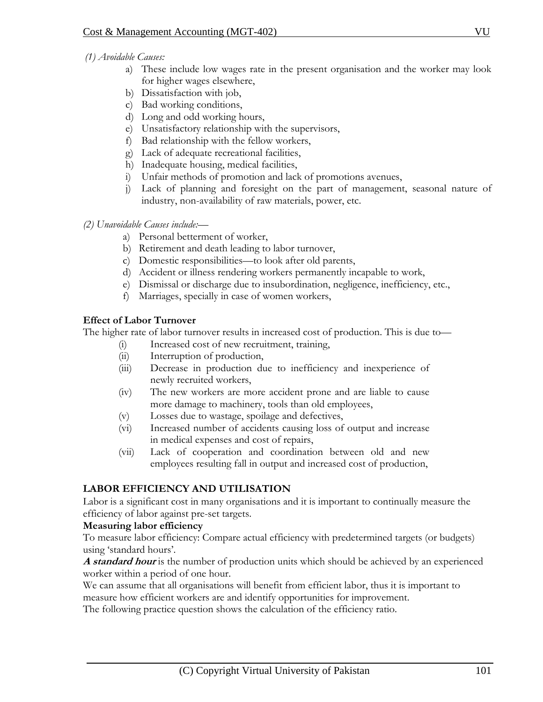- *(1) Avoidable Causes:* 
	- a) These include low wages rate in the present organisation and the worker may look for higher wages elsewhere,
	- b) Dissatisfaction with job,
	- c) Bad working conditions,
	- d) Long and odd working hours,
	- e) Unsatisfactory relationship with the supervisors,
	- f) Bad relationship with the fellow workers,
	- g) Lack of adequate recreational facilities,
	- h) Inadequate housing, medical facilities,
	- i) Unfair methods of promotion and lack of promotions avenues,
	- j) Lack of planning and foresight on the part of management, seasonal nature of industry, non-availability of raw materials, power, etc.
- *(2) Unavoidable Causes include:* 
	- a) Personal betterment of worker,
	- b) Retirement and death leading to labor turnover,
	- c) Domestic responsibilities—to look after old parents,
	- d) Accident or illness rendering workers permanently incapable to work,
	- e) Dismissal or discharge due to insubordination, negligence, inefficiency, etc.,
	- f) Marriages, specially in case of women workers,

## **Effect of Labor Turnover**

The higher rate of labor turnover results in increased cost of production. This is due to—

- (i) Increased cost of new recruitment, training,
- (ii) Interruption of production,
- (iii) Decrease in production due to inefficiency and inexperience of newly recruited workers,
- (iv) The new workers are more accident prone and are liable to cause more damage to machinery, tools than old employees,
- (v) Losses due to wastage, spoilage and defectives,
- (vi) Increased number of accidents causing loss of output and increase in medical expenses and cost of repairs,
- (vii) Lack of cooperation and coordination between old and new employees resulting fall in output and increased cost of production,

## **LABOR EFFICIENCY AND UTILISATION**

Labor is a significant cost in many organisations and it is important to continually measure the efficiency of labor against pre-set targets.

### **Measuring labor efficiency**

To measure labor efficiency: Compare actual efficiency with predetermined targets (or budgets) using 'standard hours'.

**A standard hour** is the number of production units which should be achieved by an experienced worker within a period of one hour.

We can assume that all organisations will benefit from efficient labor, thus it is important to measure how efficient workers are and identify opportunities for improvement.

The following practice question shows the calculation of the efficiency ratio.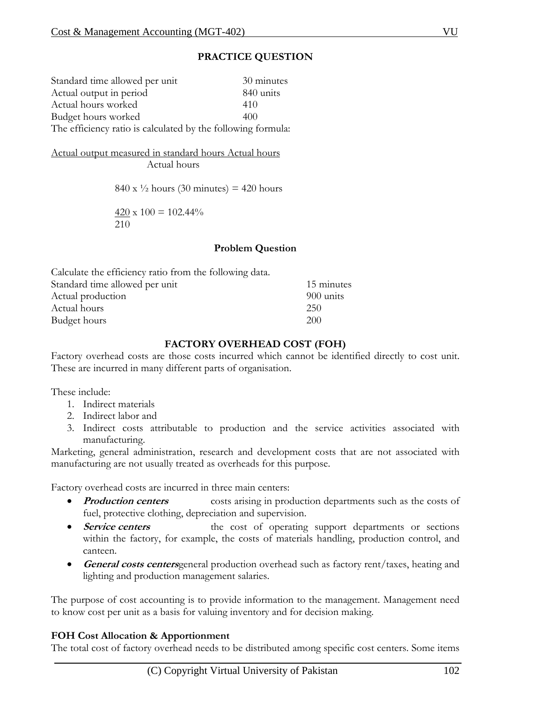| Standard time allowed per unit                               | 30 minutes |
|--------------------------------------------------------------|------------|
| Actual output in period                                      | 840 units  |
| Actual hours worked                                          | 410        |
| Budget hours worked                                          | 400        |
| The efficiency ratio is calculated by the following formula: |            |

Actual output measured in standard hours Actual hours Actual hours

 $840 \times \frac{1}{2}$  hours (30 minutes) = 420 hours

 $420 \times 100 = 102.44\%$ 210

### **Problem Question**

| Calculate the efficiency ratio from the following data. |            |
|---------------------------------------------------------|------------|
| Standard time allowed per unit                          | 15 minutes |
| Actual production                                       | 900 units  |
| Actual hours                                            | 250        |
| Budget hours                                            | 200        |

## **FACTORY OVERHEAD COST (FOH)**

Factory overhead costs are those costs incurred which cannot be identified directly to cost unit. These are incurred in many different parts of organisation.

These include:

- 1. Indirect materials
- 2. Indirect labor and
- 3. Indirect costs attributable to production and the service activities associated with manufacturing.

Marketing, general administration, research and development costs that are not associated with manufacturing are not usually treated as overheads for this purpose.

Factory overhead costs are incurred in three main centers:

- **Production centers** costs arising in production departments such as the costs of fuel, protective clothing, depreciation and supervision.
- **Service centers** the cost of operating support departments or sections within the factory, for example, the costs of materials handling, production control, and canteen.
- **General costs centers** general production overhead such as factory rent/taxes, heating and lighting and production management salaries.

The purpose of cost accounting is to provide information to the management. Management need to know cost per unit as a basis for valuing inventory and for decision making.

### **FOH Cost Allocation & Apportionment**

The total cost of factory overhead needs to be distributed among specific cost centers. Some items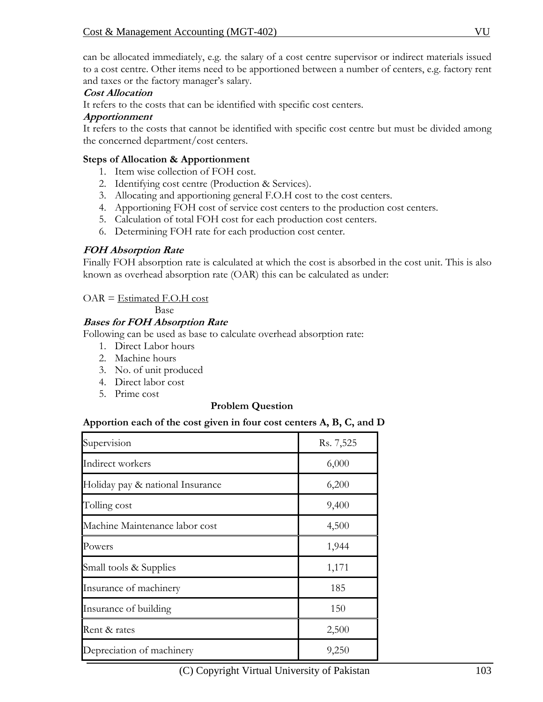can be allocated immediately, e.g. the salary of a cost centre supervisor or indirect materials issued to a cost centre. Other items need to be apportioned between a number of centers, e.g. factory rent and taxes or the factory manager's salary.

### **Cost Allocation**

It refers to the costs that can be identified with specific cost centers.

#### **Apportionment**

It refers to the costs that cannot be identified with specific cost centre but must be divided among the concerned department/cost centers.

### **Steps of Allocation & Apportionment**

- 1. Item wise collection of FOH cost.
- 2. Identifying cost centre (Production & Services).
- 3. Allocating and apportioning general F.O.H cost to the cost centers.
- 4. Apportioning FOH cost of service cost centers to the production cost centers.
- 5. Calculation of total FOH cost for each production cost centers.
- 6. Determining FOH rate for each production cost center.

### **FOH Absorption Rate**

Finally FOH absorption rate is calculated at which the cost is absorbed in the cost unit. This is also known as overhead absorption rate (OAR) this can be calculated as under:

 $OAR = *Estimated F.O.H cost*$ 

Base

### **Bases for FOH Absorption Rate**

Following can be used as base to calculate overhead absorption rate:

- 1. Direct Labor hours
- 2. Machine hours
- 3. No. of unit produced
- 4. Direct labor cost
- 5. Prime cost

#### **Problem Question**

### **Apportion each of the cost given in four cost centers A, B, C, and D**

| Supervision                      | Rs. 7,525 |
|----------------------------------|-----------|
| Indirect workers                 | 6,000     |
| Holiday pay & national Insurance | 6,200     |
| Tolling cost                     | 9,400     |
| Machine Maintenance labor cost   | 4,500     |
| Powers                           | 1,944     |
| Small tools & Supplies           | 1,171     |
| Insurance of machinery           | 185       |
| Insurance of building            | 150       |
| Rent & rates                     | 2,500     |
| Depreciation of machinery        | 9,250     |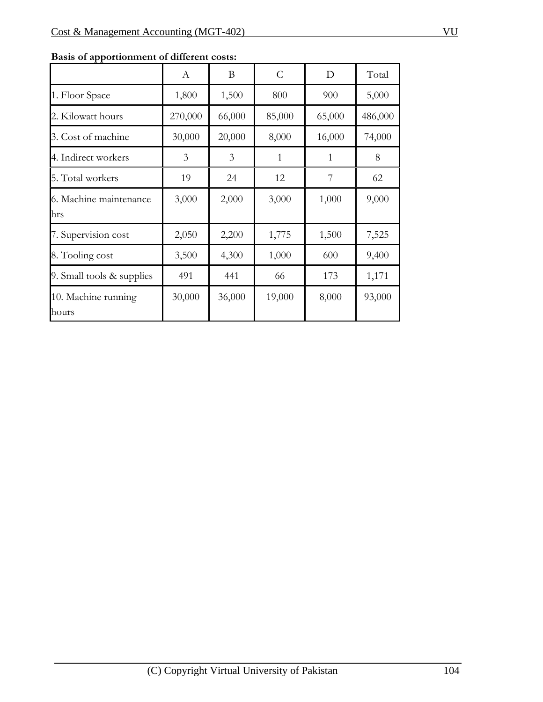| $1000$ in the position of $100$ |         |        |               |        |         |
|---------------------------------|---------|--------|---------------|--------|---------|
|                                 | A       | B      | $\mathcal{C}$ | D      | Total   |
| 1. Floor Space                  | 1,800   | 1,500  | 800           | 900    | 5,000   |
| 2. Kilowatt hours               | 270,000 | 66,000 | 85,000        | 65,000 | 486,000 |
| 3. Cost of machine              | 30,000  | 20,000 | 8,000         | 16,000 | 74,000  |
| 4. Indirect workers             | 3       | 3      | 1             | 1      | 8       |
| 5. Total workers                | 19      | 24     | 12            | 7      | 62      |
| 6. Machine maintenance<br>hrs   | 3,000   | 2,000  | 3,000         | 1,000  | 9,000   |
| 7. Supervision cost             | 2,050   | 2,200  | 1,775         | 1,500  | 7,525   |
| 8. Tooling cost                 | 3,500   | 4,300  | 1,000         | 600    | 9,400   |
| 9. Small tools & supplies       | 491     | 441    | 66            | 173    | 1,171   |
| 10. Machine running<br>hours    | 30,000  | 36,000 | 19,000        | 8,000  | 93,000  |

**Basis of apportionment of different costs:**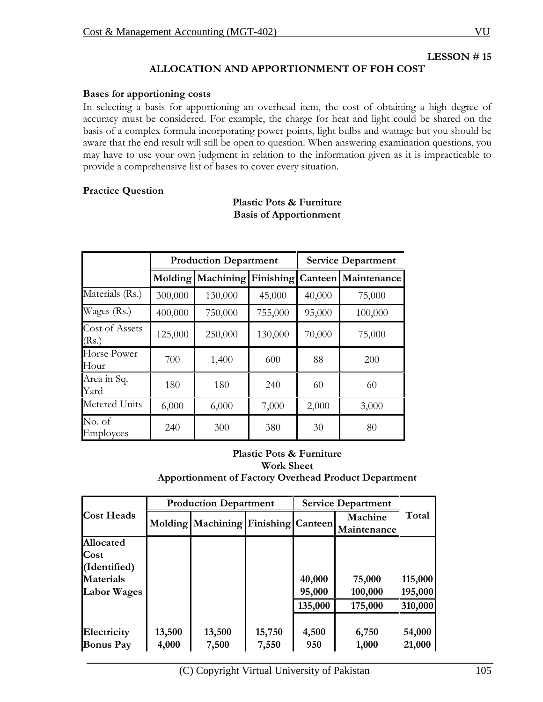**LESSON # 15** 

## **ALLOCATION AND APPORTIONMENT OF FOH COST**

#### **Bases for apportioning costs**

In selecting a basis for apportioning an overhead item, the cost of obtaining a high degree of accuracy must be considered. For example, the charge for heat and light could be shared on the basis of a complex formula incorporating power points, light bulbs and wattage but you should be aware that the end result will still be open to question. When answering examination questions, you may have to use your own judgment in relation to the information given as it is impracticable to provide a comprehensive list of bases to cover every situation.

#### **Practice Question**

|                                | <b>Production Department</b> |         |         | <b>Service Department</b> |                                                         |  |
|--------------------------------|------------------------------|---------|---------|---------------------------|---------------------------------------------------------|--|
|                                |                              |         |         |                           | Molding   Machining   Finishing   Canteen   Maintenance |  |
| Materials (Rs.)                | 300,000                      | 130,000 | 45,000  | 40,000                    | 75,000                                                  |  |
| Wages (Rs.)                    | 400,000                      | 750,000 | 755,000 | 95,000                    | 100,000                                                 |  |
| <b>Cost of Assets</b><br>(Rs.) | 125,000                      | 250,000 | 130,000 | 70,000                    | 75,000                                                  |  |
| Horse Power<br>Hour            | 700                          | 1,400   | 600     | 88                        | 200                                                     |  |
| Area in Sq.<br>Yard            | 180                          | 180     | 240     | 60                        | 60                                                      |  |
| Metered Units                  | 6,000                        | 6,000   | 7,000   | 2,000                     | 3,000                                                   |  |
| No. of<br>Employees            | 240                          | 300     | 380     | 30                        | 80                                                      |  |

#### **Plastic Pots & Furniture Basis of Apportionment**

## **Plastic Pots & Furniture Work Sheet Apportionment of Factory Overhead Product Department**

|                    | <b>Production Department</b> |        |                                           | <b>Service Department</b> |             |         |
|--------------------|------------------------------|--------|-------------------------------------------|---------------------------|-------------|---------|
| <b>Cost Heads</b>  |                              |        | Molding   Machining   Finishing   Canteen |                           | Machine     | Total   |
|                    |                              |        |                                           |                           | Maintenance |         |
| <b>Allocated</b>   |                              |        |                                           |                           |             |         |
| <b>Cost</b>        |                              |        |                                           |                           |             |         |
| (Identified)       |                              |        |                                           |                           |             |         |
| <b>Materials</b>   |                              |        |                                           | 40,000                    | 75,000      | 115,000 |
| <b>Labor Wages</b> |                              |        |                                           | 95,000                    | 100,000     | 195,000 |
|                    |                              |        |                                           | 135,000                   | 175,000     | 310,000 |
|                    |                              |        |                                           |                           |             |         |
| Electricity        | 13,500                       | 13,500 | 15,750                                    | 4,500                     | 6,750       | 54,000  |
| <b>Bonus Pay</b>   | 4,000                        | 7,500  | 7,550                                     | 950                       | 1,000       | 21,000  |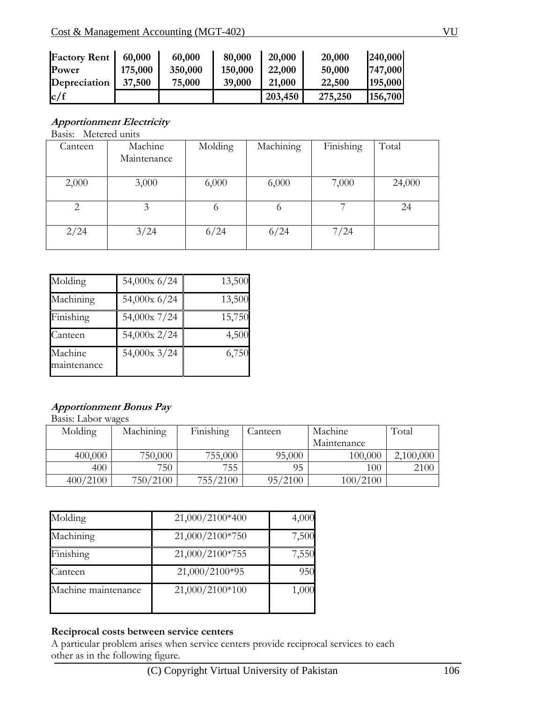| <b>Factory Rent</b> | 60,000  | 60,000  | 80,000  | 20,000  | 20,000  | 240,000 |
|---------------------|---------|---------|---------|---------|---------|---------|
| Power               | 175,000 | 350,000 | 150,000 | 22,000  | 50,000  | 747,000 |
| Depreciation        | 37,500  | 75,000  | 39,000  | 21,000  | 22,500  | 195,000 |
| c/f                 |         |         |         | 203,450 | 275,250 | 156,700 |

## **Apportionment Electricity**

Basis: Metered units

| Canteen | Machine     | Molding | Machining | Finishing | Total  |
|---------|-------------|---------|-----------|-----------|--------|
|         | Maintenance |         |           |           |        |
|         |             |         |           |           |        |
| 2,000   | 3,000       | 6,000   | 6,000     | 7,000     | 24,000 |
|         |             |         |           |           |        |
| 2       |             | 0       | $\circ$   | 7         | 24     |
|         |             |         |           |           |        |
| 2/24    | 3/24        | 6/24    | 6/24      | 7/24      |        |
|         |             |         |           |           |        |

| Molding                | 54,000x 6/24 | 13,500 |
|------------------------|--------------|--------|
| Machining              | 54,000x 6/24 | 13,500 |
| Finishing              | 54,000x 7/24 | 15,750 |
| Canteen                | 54,000x 2/24 | 4,500  |
| Machine<br>maintenance | 54,000x 3/24 | 6,750  |

## **Apportionment Bonus Pay**

Basis: Labor wages

| Molding  | Machining | Finishing | Lanteen | Machine     | Total    |
|----------|-----------|-----------|---------|-------------|----------|
|          |           |           |         | Maintenance |          |
| 400,000  | 750,000   | 755,000   | 95,000  | 100,000     | ,100,000 |
| 400      | 750       | 755       | 95      | 100         | 2100     |
| 400/2100 | 750/2100  | 755/2100  | 95/2100 | 100/2100    |          |

| Molding             | 21,000/2100*400 | 4,000 |
|---------------------|-----------------|-------|
| Machining           | 21,000/2100*750 | 7,500 |
| Finishing           | 21,000/2100*755 | 7,550 |
| Canteen             | 21,000/2100*95  | 950   |
| Machine maintenance | 21,000/2100*100 | 1,000 |

## **Reciprocal costs between service centers**

A particular problem arises when service centers provide reciprocal services to each other as in the following figure.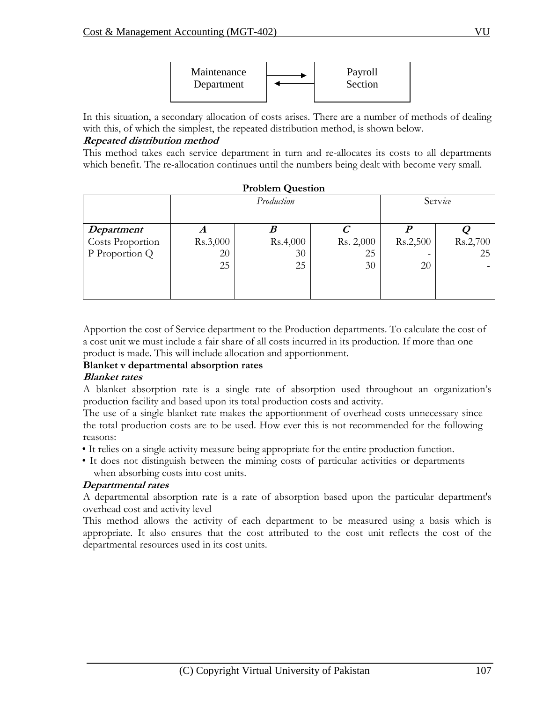

In this situation, a secondary allocation of costs arises. There are a number of methods of dealing with this, of which the simplest, the repeated distribution method, is shown below.

#### **Repeated distribution method**

This method takes each service department in turn and re-allocates its costs to all departments which benefit. The re-allocation continues until the numbers being dealt with become very small.

| <b>Problem Question</b> |            |          |           |          |          |  |
|-------------------------|------------|----------|-----------|----------|----------|--|
|                         | Production |          |           |          | Service  |  |
| Department              | A          | B        |           |          |          |  |
| Costs Proportion        | Rs.3,000   | Rs.4,000 | Rs. 2,000 | Rs.2,500 | Rs.2,700 |  |
| P Proportion Q          | 20         | 30       | 25        |          | 25       |  |
|                         | 25         | 25       | 30        | 20       |          |  |
|                         |            |          |           |          |          |  |
|                         |            |          |           |          |          |  |

Apportion the cost of Service department to the Production departments. To calculate the cost of a cost unit we must include a fair share of all costs incurred in its production. If more than one product is made. This will include allocation and apportionment.

### **Blanket v departmental absorption rates**

#### **Blanket rates**

A blanket absorption rate is a single rate of absorption used throughout an organization's production facility and based upon its total production costs and activity.

The use of a single blanket rate makes the apportionment of overhead costs unnecessary since the total production costs are to be used. How ever this is not recommended for the following reasons:

- It relies on a single activity measure being appropriate for the entire production function.
- It does not distinguish between the miming costs of particular activities or departments when absorbing costs into cost units.

#### **Departmental rates**

A departmental absorption rate is a rate of absorption based upon the particular department's overhead cost and activity level

This method allows the activity of each department to be measured using a basis which is appropriate. It also ensures that the cost attributed to the cost unit reflects the cost of the departmental resources used in its cost units.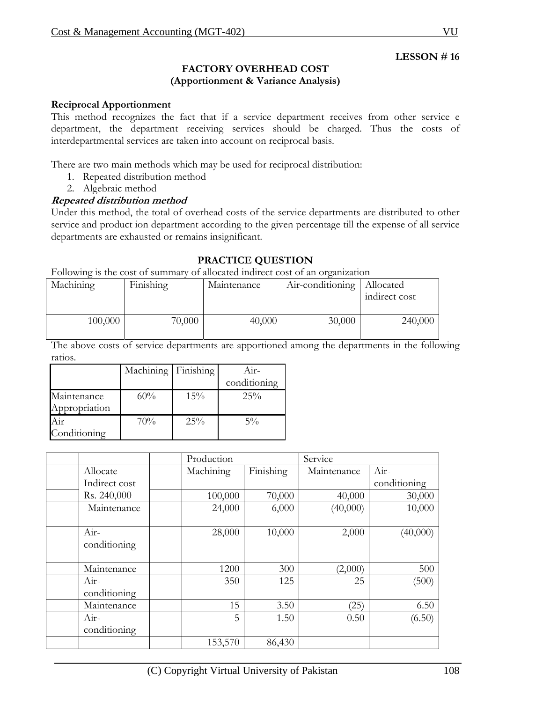## **LESSON # 16**

# **FACTORY OVERHEAD COST**

# **(Apportionment & Variance Analysis)**

## **Reciprocal Apportionment**

This method recognizes the fact that if a service department receives from other service e department, the department receiving services should be charged. Thus the costs of interdepartmental services are taken into account on reciprocal basis.

There are two main methods which may be used for reciprocal distribution:

- 1. Repeated distribution method
- 2. Algebraic method

## **Repeated distribution method**

Under this method, the total of overhead costs of the service departments are distributed to other service and product ion department according to the given percentage till the expense of all service departments are exhausted or remains insignificant.

## **PRACTICE QUESTION**

Following is the cost of summary of allocated indirect cost of an organization

| Machining | Finishing | Maintenance | Air-conditioning | Allocated     |
|-----------|-----------|-------------|------------------|---------------|
|           |           |             |                  | indirect cost |
| 100,000   | 70,000    | 40,000      | 30,000           | 240,000       |
|           |           |             |                  |               |

The above costs of service departments are apportioned among the departments in the following ratios.

|               | Machining Finishing |     | $Air-$       |
|---------------|---------------------|-----|--------------|
|               |                     |     | conditioning |
| Maintenance   | 60%                 | 15% | 25%          |
| Appropriation |                     |     |              |
|               | 70%                 | 25% | $5\%$        |
| Conditioning  |                     |     |              |

|               | Production |           | Service     |              |
|---------------|------------|-----------|-------------|--------------|
| Allocate      | Machining  | Finishing | Maintenance | Air-         |
| Indirect cost |            |           |             | conditioning |
| Rs. 240,000   | 100,000    | 70,000    | 40,000      | 30,000       |
| Maintenance   | 24,000     | 6,000     | (40,000)    | 10,000       |
|               |            |           |             |              |
| Air-          | 28,000     | 10,000    | 2,000       | (40,000)     |
| conditioning  |            |           |             |              |
|               |            |           |             |              |
| Maintenance   | 1200       | 300       | (2,000)     | 500          |
| Air-          | 350        | 125       | 25          | (500)        |
| conditioning  |            |           |             |              |
| Maintenance   | 15         | 3.50      | (25)        | 6.50         |
| Air-          | 5          | 1.50      | 0.50        | (6.50)       |
| conditioning  |            |           |             |              |
|               | 153,570    | 86,430    |             |              |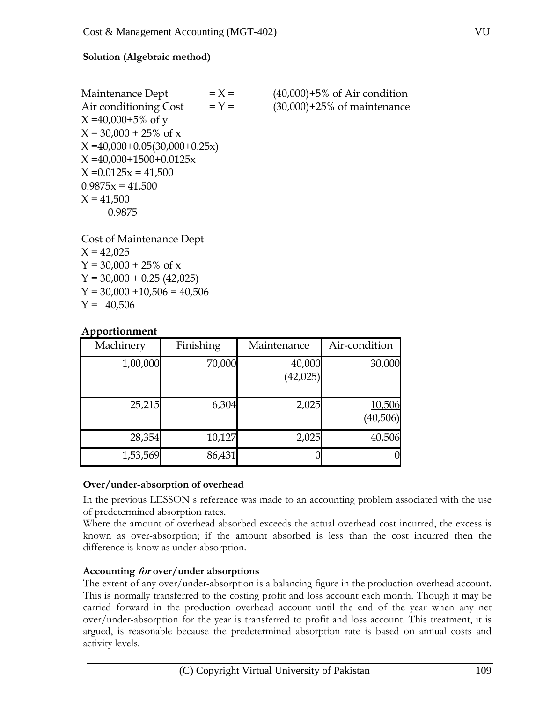## **Solution (Algebraic method)**

| Maintenance Dept                    | $=X=$   | $(40,000)$ +5% of Air condition |
|-------------------------------------|---------|---------------------------------|
| Air conditioning Cost               | $= Y =$ | $(30,000)$ +25% of maintenance  |
| $X = 40,000+5\%$ of y               |         |                                 |
| $X = 30,000 + 25\% \text{ of } x$   |         |                                 |
| $X = 40,000 + 0.05(30,000 + 0.25x)$ |         |                                 |
| $X = 40,000 + 1500 + 0.0125x$       |         |                                 |
| $X = 0.0125x = 41,500$              |         |                                 |
| $0.9875x = 41,500$                  |         |                                 |
| $X = 41,500$                        |         |                                 |
| 0.9875                              |         |                                 |
|                                     |         |                                 |
|                                     |         |                                 |

Cost of Maintenance Dept  $X = 42,025$  $Y = 30,000 + 25\% \text{ of } x$  $Y = 30,000 + 0.25 (42,025)$  $Y = 30,000 + 10,506 = 40,506$  $Y = 40,506$ 

| Apportionment |           |                     |                    |
|---------------|-----------|---------------------|--------------------|
| Machinery     | Finishing | Maintenance         | Air-condition      |
| 1,00,000      | 70,000    | 40,000<br>(42, 025) | 30,000             |
| 25,215        | 6,304     | 2,025               | 10,506<br>(40,506) |
| 28,354        | 10,127    | 2,025               | 40,506             |
| 1,53,569      | 86,431    |                     | 0                  |

## **Apportionment**

### **Over/under-absorption of overhead**

In the previous LESSON s reference was made to an accounting problem associated with the use of predetermined absorption rates.

Where the amount of overhead absorbed exceeds the actual overhead cost incurred, the excess is known as over-absorption; if the amount absorbed is less than the cost incurred then the difference is know as under-absorption.

## **Accounting for over/under absorptions**

The extent of any over/under-absorption is a balancing figure in the production overhead account. This is normally transferred to the costing profit and loss account each month. Though it may be carried forward in the production overhead account until the end of the year when any net over/under-absorption for the year is transferred to profit and loss account. This treatment, it is argued, is reasonable because the predetermined absorption rate is based on annual costs and activity levels.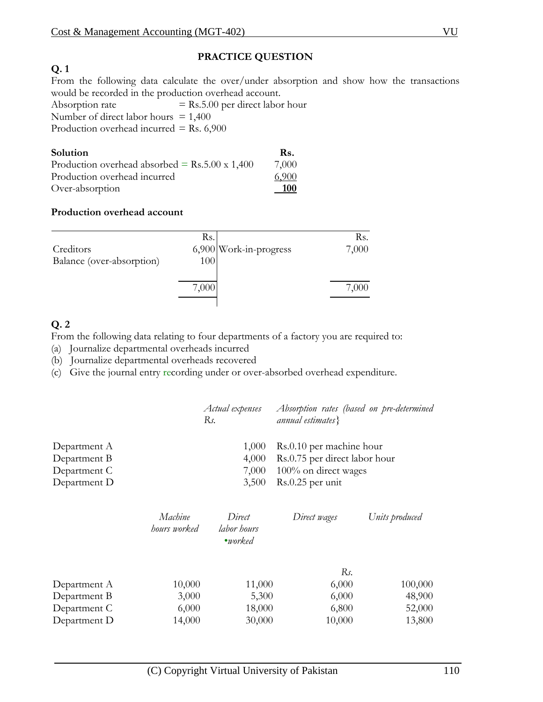## **PRACTICE QUESTION**

## **Q. 1**

From the following data calculate the over/under absorption and show how the transactions would be recorded in the production overhead account.

Absorption rate  $=$  Rs.5.00 per direct labor hour Number of direct labor hours  $= 1,400$ Production overhead incurred  $=$  Rs. 6,900

| <b>Solution</b>                                              | Rs.        |
|--------------------------------------------------------------|------------|
| Production overhead absorbed = $\text{Rs.}5.00 \times 1,400$ | 7.000      |
| Production overhead incurred                                 | 6.900      |
| Over-absorption                                              | <b>100</b> |

### **Production overhead account**

| Creditors                 | Rs.   | 6,900 Work-in-progress | Rs.   |
|---------------------------|-------|------------------------|-------|
| Balance (over-absorption) | 100   |                        | 7,000 |
|                           | 7,000 |                        | 7,000 |

## **Q. 2**

From the following data relating to four departments of a factory you are required to:

- (a) Journalize departmental overheads incurred
- (b) Journalize departmental overheads recovered

(c) Give the journal entry recording under or over-absorbed overhead expenditure.

|                                                              |                          | Actual expenses<br>Rs.                  | Absorption rates (based on pre-determined<br>annual estimates}                                           |                            |
|--------------------------------------------------------------|--------------------------|-----------------------------------------|----------------------------------------------------------------------------------------------------------|----------------------------|
| Department A<br>Department B<br>Department C<br>Department D |                          | 1,000<br>4,000<br>7,000<br>3,500        | Rs.0.10 per machine hour<br>Rs.0.75 per direct labor hour<br>$100\%$ on direct wages<br>Rs.0.25 per unit |                            |
|                                                              | Machine<br>hours worked  | Direct<br>labor hours<br>$\cdot$ worked | Direct wages                                                                                             | Units produced             |
| Department A                                                 | 10,000                   | 11,000                                  | Rs.<br>6,000                                                                                             | 100,000                    |
| Department B<br>Department C<br>Department D                 | 3,000<br>6,000<br>14,000 | 5,300<br>18,000<br>30,000               | 6,000<br>6,800<br>10,000                                                                                 | 48,900<br>52,000<br>13,800 |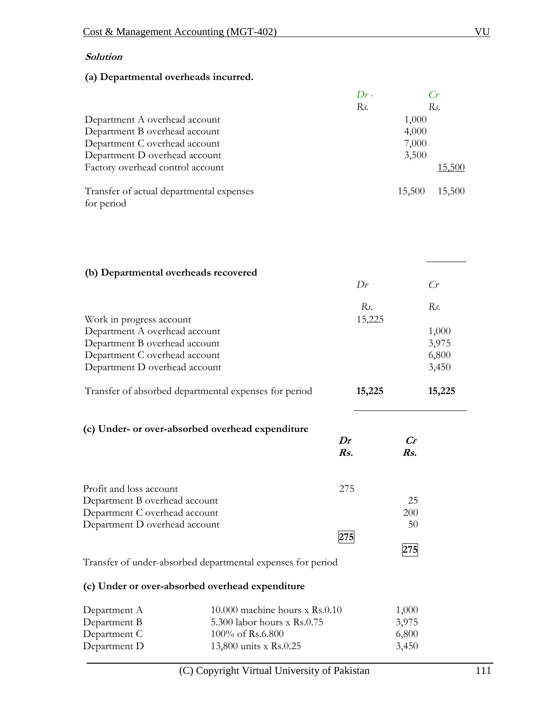# **Solution**

# **(a) Departmental overheads incurred.**

|                                          | $Dr-$ |        |        |
|------------------------------------------|-------|--------|--------|
|                                          | Rs.   |        | Rs.    |
| Department A overhead account            |       | 1,000  |        |
| Department B overhead account            |       | 4,000  |        |
| Department C overhead account            |       | 7,000  |        |
| Department D overhead account            |       | 3,500  |        |
| Factory overhead control account         |       |        | 15,500 |
| Transfer of actual departmental expenses |       | 15,500 | 15,500 |
| for period                               |       |        |        |

| (b) Departmental overheads recovered                  |                                                             |                       |                |                 |
|-------------------------------------------------------|-------------------------------------------------------------|-----------------------|----------------|-----------------|
|                                                       |                                                             | Dr                    |                | $\mathcal{C}$ r |
| Work in progress account                              |                                                             | Rs.<br>15,225         |                | Rs.             |
| Department A overhead account                         |                                                             |                       |                | 1,000           |
| Department B overhead account                         |                                                             |                       |                | 3,975           |
| Department C overhead account                         |                                                             |                       |                | 6,800           |
| Department D overhead account                         |                                                             |                       |                | 3,450           |
| Transfer of absorbed departmental expenses for period |                                                             | 15,225                |                | 15,225          |
| (c) Under- or over-absorbed overhead expenditure      |                                                             | Dr<br>$\mathbb{R}$ s. | $C_{r}$<br>Rs. |                 |
| Profit and loss account                               |                                                             | 275                   |                |                 |
| Department B overhead account                         |                                                             |                       | 25             |                 |
| Department C overhead account                         |                                                             |                       | 200            |                 |
| Department D overhead account                         |                                                             | 275                   | 50             |                 |
|                                                       |                                                             |                       | 275            |                 |
|                                                       | Transfer of under-absorbed departmental expenses for period |                       |                |                 |
| (c) Under or over-absorbed overhead expenditure       |                                                             |                       |                |                 |
| Department A                                          | 10.000 machine hours x Rs.0.10                              |                       | 1,000          |                 |

| $10.000$ machine hours x Rs.0.10 | 1,000 |
|----------------------------------|-------|
| 5.300 labor hours x Rs.0.75      | 3.975 |
| $100\%$ of Rs.6.800              | 6,800 |
| 13,800 units x Rs.0.25           | 3,450 |
|                                  |       |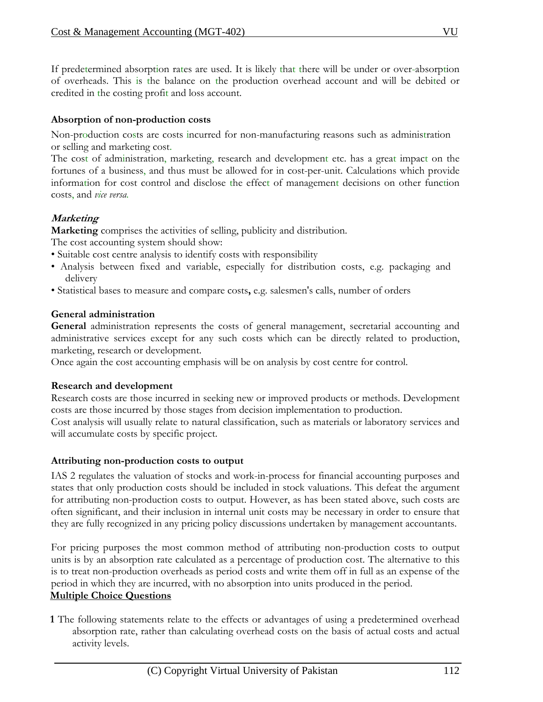If predetermined absorption rates are used. It is likely that there will be under or over-absorption of overheads. This is the balance on the production overhead account and will be debited or credited in the costing profit and loss account.

# **Absorption of non-production costs**

Non-production costs are costs incurred for non-manufacturing reasons such as administration or selling and marketing cost.

The cost of administration, marketing, research and development etc. has a great impact on the fortunes of a business, and thus must be allowed for in cost-per-unit. Calculations which provide information for cost control and disclose the effect of management decisions on other function costs, and *vice versa.*

# **Marketing**

**Marketing** comprises the activities of selling, publicity and distribution.

The cost accounting system should show:

- Suitable cost centre analysis to identify costs with responsibility
- Analysis between fixed and variable, especially for distribution costs, e.g. packaging and delivery
- Statistical bases to measure and compare costs**,** e.g. salesmen's calls, number of orders

# **General administration**

**General** administration represents the costs of general management, secretarial accounting and administrative services except for any such costs which can be directly related to production, marketing, research or development.

Once again the cost accounting emphasis will be on analysis by cost centre for control.

#### **Research and development**

Research costs are those incurred in seeking new or improved products or methods. Development costs are those incurred by those stages from decision implementation to production.

Cost analysis will usually relate to natural classification, such as materials or laboratory services and will accumulate costs by specific project.

#### **Attributing non-production costs to output**

IAS 2 regulates the valuation of stocks and work-in-process for financial accounting purposes and states that only production costs should be included in stock valuations. This defeat the argument for attributing non-production costs to output. However, as has been stated above, such costs are often significant, and their inclusion in internal unit costs may be necessary in order to ensure that they are fully recognized in any pricing policy discussions undertaken by management accountants.

For pricing purposes the most common method of attributing non-production costs to output units is by an absorption rate calculated as a percentage of production cost. The alternative to this is to treat non-production overheads as period costs and write them off in full as an expense of the period in which they are incurred, with no absorption into units produced in the period. **Multiple Choice Questions**

**1** The following statements relate to the effects or advantages of using a predetermined overhead absorption rate, rather than calculating overhead costs on the basis of actual costs and actual activity levels.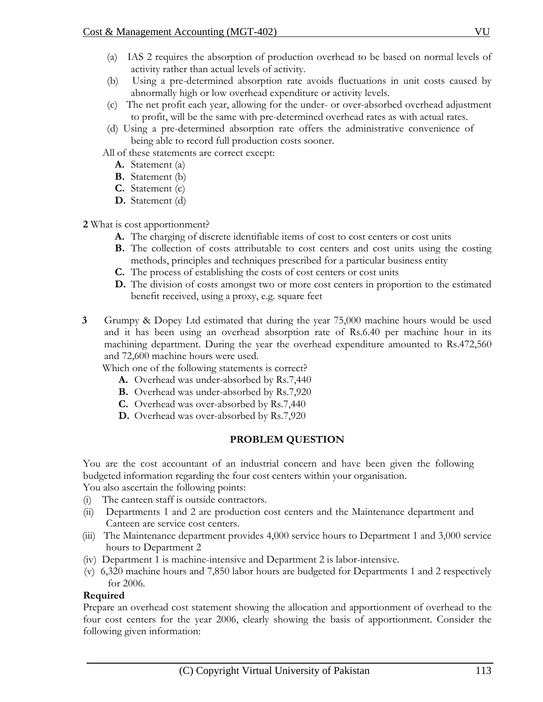- (a) IAS 2 requires the absorption of production overhead to be based on normal levels of activity rather than actual levels of activity.
- (b) Using a pre-determined absorption rate avoids fluctuations in unit costs caused by abnormally high or low overhead expenditure or activity levels.
- (c) The net profit each year, allowing for the under- or over-absorbed overhead adjustment to profit, will be the same with pre-determined overhead rates as with actual rates.
- (d) Using a pre-determined absorption rate offers the administrative convenience of being able to record full production costs sooner.

All of these statements are correct except:

- **A.** Statement (a)
- **B.** Statement (b)
- **C.** Statement (c)
- **D.** Statement (d)
- **2** What is cost apportionment?
	- **A.** The charging of discrete identifiable items of cost to cost centers or cost units
	- **B.** The collection of costs attributable to cost centers and cost units using the costing methods, principles and techniques prescribed for a particular business entity
	- **C.** The process of establishing the costs of cost centers or cost units
	- **D.** The division of costs amongst two or more cost centers in proportion to the estimated benefit received, using a proxy, e.g. square feet
- **3** Grumpy & Dopey Ltd estimated that during the year 75,000 machine hours would be used and it has been using an overhead absorption rate of Rs.6.40 per machine hour in its machining department. During the year the overhead expenditure amounted to Rs.472,560 and 72,600 machine hours were used.

Which one of the following statements is correct?

- **A.** Overhead was under-absorbed by Rs.7,440
- **B.** Overhead was under-absorbed by Rs.7,920
- **C.** Overhead was over-absorbed by Rs.7,440
- **D.** Overhead was over-absorbed by Rs.7,920

#### **PROBLEM QUESTION**

You are the cost accountant of an industrial concern and have been given the following budgeted information regarding the four cost centers within your organisation.

You also ascertain the following points:

- (i) The canteen staff is outside contractors.
- (ii) Departments 1 and 2 are production cost centers and the Maintenance department and Canteen are service cost centers.
- (iii) The Maintenance department provides 4,000 service hours to Department 1 and 3,000 service hours to Department 2
- (iv) Department 1 is machine-intensive and Department 2 is labor-intensive.
- (v) 6,320 machine hours and 7,850 labor hours are budgeted for Departments 1 and 2 respectively for 2006.

#### **Required**

Prepare an overhead cost statement showing the allocation and apportionment of overhead to the four cost centers for the year 2006, clearly showing the basis of apportionment. Consider the following given information: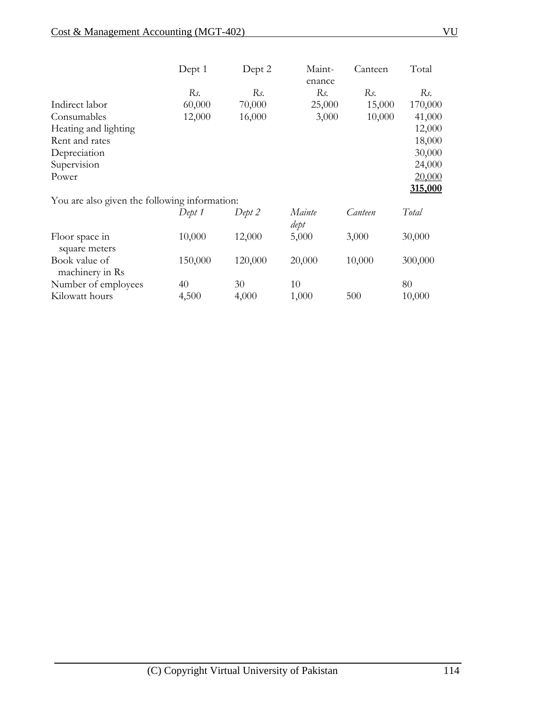|                                               | Dept 1  | Dept 2  | Maint-<br>enance | Canteen | Total   |
|-----------------------------------------------|---------|---------|------------------|---------|---------|
|                                               | Rs.     | Rs.     | Rs.              | Rs.     | Rs.     |
| Indirect labor                                | 60,000  | 70,000  | 25,000           | 15,000  | 170,000 |
| Consumables                                   | 12,000  | 16,000  | 3,000            | 10,000  | 41,000  |
| Heating and lighting                          |         |         |                  |         | 12,000  |
| Rent and rates                                |         |         |                  |         | 18,000  |
| Depreciation                                  |         |         |                  |         | 30,000  |
| Supervision                                   |         |         |                  |         | 24,000  |
| Power                                         |         |         |                  |         | 20,000  |
|                                               |         |         |                  |         | 315,000 |
| You are also given the following information: |         |         |                  |         |         |
|                                               | Dept 1  | Dept 2  | Mainte<br>dept   | Canteen | Total   |
| Floor space in<br>square meters               | 10,000  | 12,000  | 5,000            | 3,000   | 30,000  |
| Book value of<br>machinery in Rs              | 150,000 | 120,000 | 20,000           | 10,000  | 300,000 |
| Number of employees                           | 40      | 30      | 10               |         | 80      |
| Kilowatt hours                                | 4,500   | 4,000   | 1,000            | 500     | 10,000  |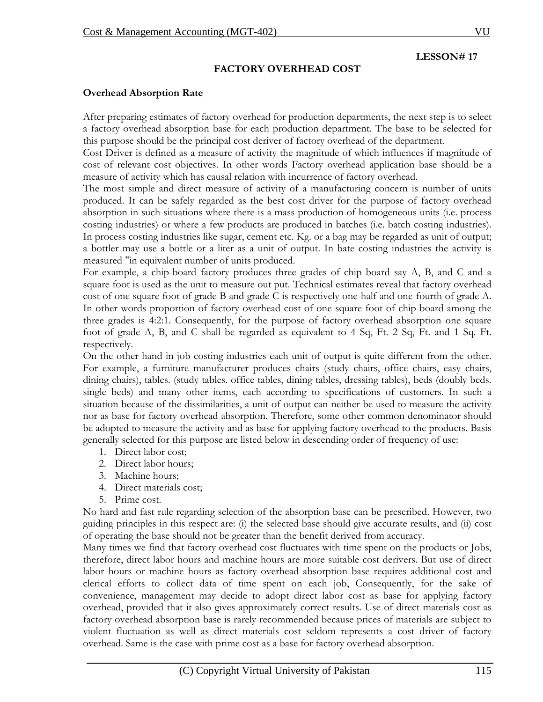#### **LESSON# 17**

#### **FACTORY OVERHEAD COST**

#### **Overhead Absorption Rate**

After preparing estimates of factory overhead for production departments, the next step is to select a factory overhead absorption base for each production department. The base to be selected for this purpose should be the principal cost deriver of factory overhead of the department.

Cost Driver is defined as a measure of activity the magnitude of which influences if magnitude of cost of relevant cost objectives. In other words Factory overhead application base should be a measure of activity which has causal relation with incurrence of factory overhead.

The most simple and direct measure of activity of a manufacturing concern is number of units produced. It can be safely regarded as the best cost driver for the purpose of factory overhead absorption in such situations where there is a mass production of homogeneous units (i.e. process costing industries) or where a few products are produced in batches (i.e. batch costing industries). In process costing industries like sugar, cement etc. Kg. or a bag may be regarded as unit of output; a bottler may use a bottle or a liter as a unit of output. In bate costing industries the activity is measured "in equivalent number of units produced.

For example, a chip-board factory produces three grades of chip board say A, B, and C and a square foot is used as the unit to measure out put. Technical estimates reveal that factory overhead cost of one square foot of grade B and grade C is respectively one-half and one-fourth of grade A. In other words proportion of factory overhead cost of one square foot of chip board among the three grades is 4:2:1. Consequently, for the purpose of factory overhead absorption one square foot of grade A, B, and C shall be regarded as equivalent to 4 Sq, Ft. 2 Sq, Ft. and 1 Sq. Ft. respectively.

On the other hand in job costing industries each unit of output is quite different from the other. For example, a furniture manufacturer produces chairs (study chairs, office chairs, easy chairs, dining chairs), tables. (study tables. office tables, dining tables, dressing tables), beds (doubly beds. single beds) and many other items, each according to specifications of customers. In such a situation because of the dissimilarities, a unit of output can neither be used to measure the activity nor as base for factory overhead absorption. Therefore, some other common denominator should be adopted to measure the activity and as base for applying factory overhead to the products. Basis generally selected for this purpose are listed below in descending order of frequency of use:

- 1. Direct labor cost;
- 2. Direct labor hours;
- 3. Machine hours;
- 4. Direct materials cost;
- 5. Prime cost.

No hard and fast rule regarding selection of the absorption base can be prescribed. However, two guiding principles in this respect are: (i) the selected base should give accurate results, and (ii) cost of operating the base should not be greater than the benefit derived from accuracy.

Many times we find that factory overhead cost fluctuates with time spent on the products or Jobs, therefore, direct labor hours and machine hours are more suitable cost derivers. But use of direct labor hours or machine hours as factory overhead absorption base requires additional cost and clerical efforts to collect data of time spent on each job, Consequently, for the sake of convenience, management may decide to adopt direct labor cost as base for applying factory overhead, provided that it also gives approximately correct results. Use of direct materials cost as factory overhead absorption base is rarely recommended because prices of materials are subject to violent fluctuation as well as direct materials cost seldom represents a cost driver of factory overhead. Same is the case with prime cost as a base for factory overhead absorption.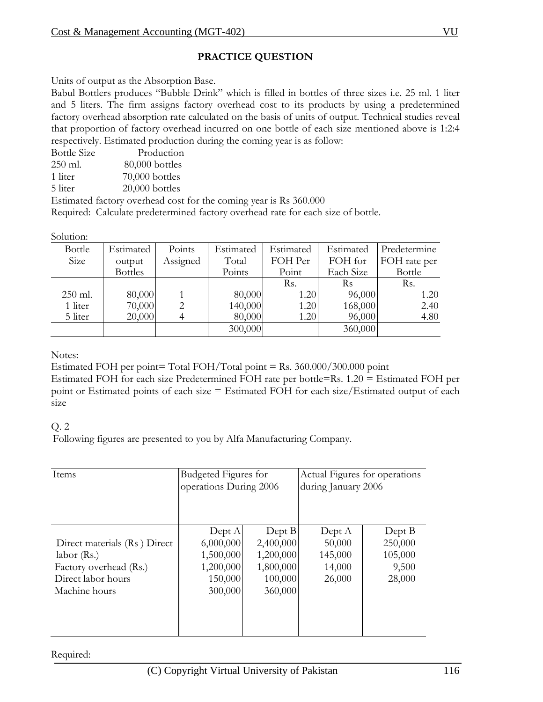# **PRACTICE QUESTION**

Units of output as the Absorption Base.

Babul Bottlers produces "Bubble Drink" which is filled in bottles of three sizes i.e. 25 ml. 1 liter and 5 liters. The firm assigns factory overhead cost to its products by using a predetermined factory overhead absorption rate calculated on the basis of units of output. Technical studies reveal that proportion of factory overhead incurred on one bottle of each size mentioned above is 1:2:4 respectively. Estimated production during the coming year is as follow:

Bottle Size Production

| 250 ml. | 80,000 bottles |
|---------|----------------|
|---------|----------------|

- 1 liter 70,000 bottles
- 5 liter 20,000 bottles

Estimated factory overhead cost for the coming year is Rs 360.000

Required: Calculate predetermined factory overhead rate for each size of bottle.

Solution:

| Bottle    | Estimated      | Points   | Estimated | Estimated | Estimated | Predetermine |
|-----------|----------------|----------|-----------|-----------|-----------|--------------|
| Size      | output         | Assigned | Total     | FOH Per   | FOH for   | FOH rate per |
|           | <b>Bottles</b> |          | Points    | Point     | Each Size | Bottle       |
|           |                |          |           | Rs.       | Rs        | Rs.          |
| $250$ ml. | 80,000         |          | 80,000    | 1.20      | 96,000    | 1.20         |
| 1 liter   | 70,000         | 2        | 140,000   | 1.20      | 168,000   | 2.40         |
| 5 liter   | 20,000         |          | 80,000    | 1.20      | 96,000    | 4.80         |
|           |                |          | 300,000   |           | 360,000   |              |

Notes:

Estimated FOH per point= Total FOH/Total point = Rs. 360.000/300.000 point Estimated FOH for each size Predetermined FOH rate per bottle=Rs. 1.20 = Estimated FOH per point or Estimated points of each size  $=$  Estimated FOH for each size/Estimated output of each size

#### Q. 2

Following figures are presented to you by Alfa Manufacturing Company.

| <b>Items</b>                                                                                                   | Budgeted Figures for<br>operations During 2006                        |                                                                               | Actual Figures for operations<br>during January 2006 |                                                           |
|----------------------------------------------------------------------------------------------------------------|-----------------------------------------------------------------------|-------------------------------------------------------------------------------|------------------------------------------------------|-----------------------------------------------------------|
| Direct materials (Rs) Direct<br>$labor$ (Rs.)<br>Factory overhead (Rs.)<br>Direct labor hours<br>Machine hours | Dept $A$<br>6,000,000<br>1,500,000<br>1,200,000<br>150,000<br>300,000 | $\text{Depth }B$<br>2,400,000<br>1,200,000<br>1,800,000<br>100,000<br>360,000 | Dept $A$<br>50,000<br>145,000<br>14,000<br>26,000    | $\text{Depth }B$<br>250,000<br>105,000<br>9,500<br>28,000 |

Required: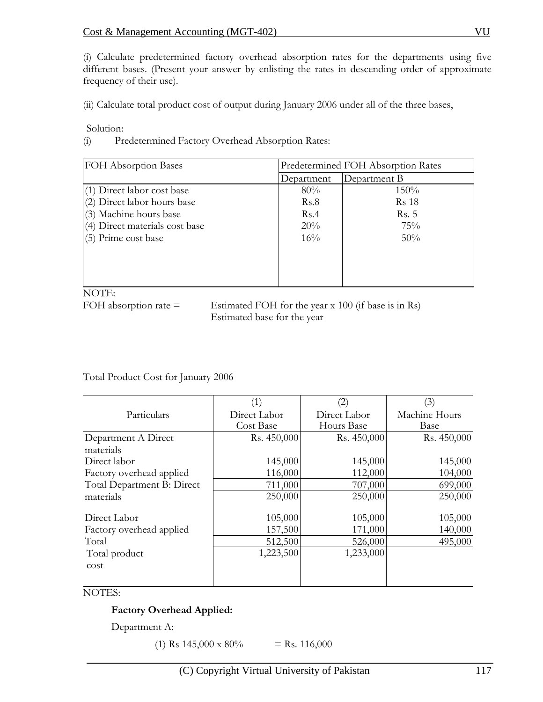(i) Calculate predetermined factory overhead absorption rates for the departments using five different bases. (Present your answer by enlisting the rates in descending order of approximate frequency of their use).

(ii) Calculate total product cost of output during January 2006 under all of the three bases,

Solution:

(i) Predetermined Factory Overhead Absorption Rates:

| <b>FOH Absorption Bases</b>    | Predetermined FOH Absorption Rates |              |  |
|--------------------------------|------------------------------------|--------------|--|
|                                | Department                         | Department B |  |
| (1) Direct labor cost base     | 80%                                | 150%         |  |
| (2) Direct labor hours base    | Rs.8                               | <b>Rs</b> 18 |  |
| (3) Machine hours base         | Rs.4                               | Rs. 5        |  |
| (4) Direct materials cost base | 20%                                | 75%          |  |
| (5) Prime cost base            | 16%                                | 50%          |  |
|                                |                                    |              |  |
|                                |                                    |              |  |
|                                |                                    |              |  |
|                                |                                    |              |  |

NOTE:

FOH absorption rate  $=$  Estimated FOH for the year x 100 (if base is in Rs) Estimated base for the year

# Total Product Cost for January 2006

|                            | (1)          | $\left( 2\right)$ | (3)           |
|----------------------------|--------------|-------------------|---------------|
| Particulars                | Direct Labor | Direct Labor      | Machine Hours |
|                            | Cost Base    | Hours Base        | Base          |
| Department A Direct        | Rs. 450,000  | Rs. 450,000       | Rs. 450,000   |
| materials                  |              |                   |               |
| Direct labor               | 145,000      | 145,000           | 145,000       |
| Factory overhead applied   | 116,000      | 112,000           | 104,000       |
| Total Department B: Direct | 711,000      | 707,000           | 699,000       |
| materials                  | 250,000      | 250,000           | 250,000       |
| Direct Labor               | 105,000      | 105,000           | 105,000       |
| Factory overhead applied   | 157,500      | 171,000           | 140,000       |
| Total                      | 512,500      | 526,000           | 495,000       |
| Total product              | 1,223,500    | 1,233,000         |               |
| cost                       |              |                   |               |
|                            |              |                   |               |

#### NOTES:

# **Factory Overhead Applied:**

Department A:

(1) Rs  $145,000 \times 80\% =$  Rs.  $116,000$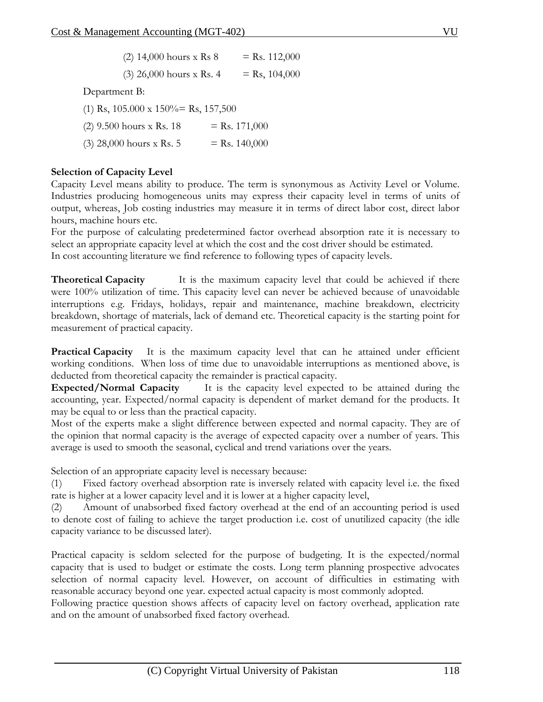| $(2)$ 14,000 hours x Rs 8 | $=$ Rs. 112,000 |
|---------------------------|-----------------|
|                           |                 |

(3) 26,000 hours x Rs. 4 = Rs, 104,000

Department B:

(1) Rs,  $105.000 \times 150\% =$  Rs,  $157,500$ 

(2) 9.500 hours x Rs. 18 = Rs. 171,000

(3) 28,000 hours x Rs. 5  $=$  Rs. 140,000

# **Selection of Capacity Level**

Capacity Level means ability to produce. The term is synonymous as Activity Level or Volume. Industries producing homogeneous units may express their capacity level in terms of units of output, whereas, Job costing industries may measure it in terms of direct labor cost, direct labor hours, machine hours etc.

For the purpose of calculating predetermined factor overhead absorption rate it is necessary to select an appropriate capacity level at which the cost and the cost driver should be estimated. In cost accounting literature we find reference to following types of capacity levels.

**Theoretical Capacity** It is the maximum capacity level that could be achieved if there were 100% utilization of time. This capacity level can never be achieved because of unavoidable interruptions e.g. Fridays, holidays, repair and maintenance, machine breakdown, electricity breakdown, shortage of materials, lack of demand etc. Theoretical capacity is the starting point for measurement of practical capacity.

**Practical Capacity** It is the maximum capacity level that can he attained under efficient working conditions. When loss of time due to unavoidable interruptions as mentioned above, is deducted from theoretical capacity the remainder is practical capacity.

**Expected/Normal Capacity** It is the capacity level expected to be attained during the accounting, year. Expected/normal capacity is dependent of market demand for the products. It may be equal to or less than the practical capacity.

Most of the experts make a slight difference between expected and normal capacity. They are of the opinion that normal capacity is the average of expected capacity over a number of years. This average is used to smooth the seasonal, cyclical and trend variations over the years.

Selection of an appropriate capacity level is necessary because:

(1) Fixed factory overhead absorption rate is inversely related with capacity level i.e. the fixed rate is higher at a lower capacity level and it is lower at a higher capacity level,

(2) Amount of unabsorbed fixed factory overhead at the end of an accounting period is used to denote cost of failing to achieve the target production i.e. cost of unutilized capacity (the idle capacity variance to be discussed later).

Practical capacity is seldom selected for the purpose of budgeting. It is the expected/normal capacity that is used to budget or estimate the costs. Long term planning prospective advocates selection of normal capacity level. However, on account of difficulties in estimating with reasonable accuracy beyond one year. expected actual capacity is most commonly adopted.

Following practice question shows affects of capacity level on factory overhead, application rate and on the amount of unabsorbed fixed factory overhead.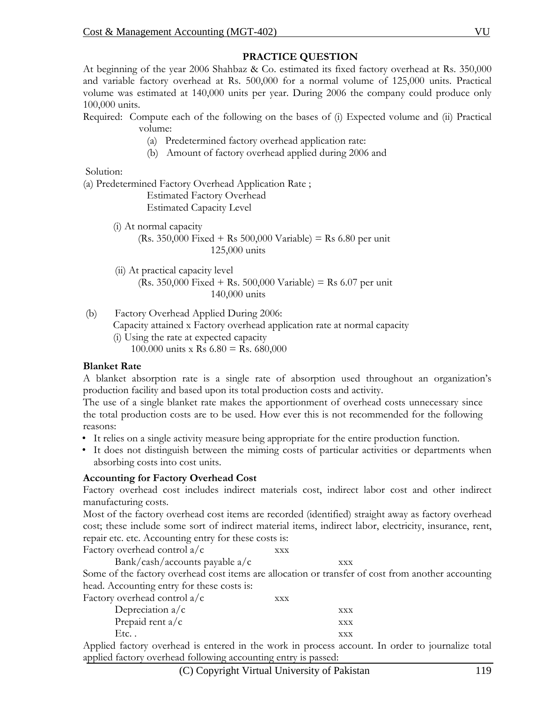# **PRACTICE QUESTION**

At beginning of the year 2006 Shahbaz & Co. estimated its fixed factory overhead at Rs. 350,000 and variable factory overhead at Rs. 500,000 for a normal volume of 125,000 units. Practical volume was estimated at 140,000 units per year. During 2006 the company could produce only 100,000 units.

Required: Compute each of the following on the bases of (i) Expected volume and (ii) Practical volume:

- (a) Predetermined factory overhead application rate:
- (b) Amount of factory overhead applied during 2006 and

Solution:

(a) Predetermined Factory Overhead Application Rate ;

Estimated Factory Overhead Estimated Capacity Level

(i) At normal capacity

(Rs. 350,000 Fixed + Rs 500,000 Variable) = Rs 6.80 per unit 125,000 units

(ii) At practical capacity level (Rs. 350,000 Fixed + Rs. 500,000 Variable) = Rs 6.07 per unit 140,000 units

(b) Factory Overhead Applied During 2006:

Capacity attained x Factory overhead application rate at normal capacity

(i) Using the rate at expected capacity

100.000 units x Rs  $6.80 =$  Rs. 680,000

# **Blanket Rate**

A blanket absorption rate is a single rate of absorption used throughout an organization's production facility and based upon its total production costs and activity.

The use of a single blanket rate makes the apportionment of overhead costs unnecessary since the total production costs are to be used. How ever this is not recommended for the following reasons:

- It relies on a single activity measure being appropriate for the entire production function.
- It does not distinguish between the miming costs of particular activities or departments when absorbing costs into cost units.

# **Accounting for Factory Overhead Cost**

Factory overhead cost includes indirect materials cost, indirect labor cost and other indirect manufacturing costs.

Most of the factory overhead cost items are recorded (identified) straight away as factory overhead cost; these include some sort of indirect material items, indirect labor, electricity, insurance, rent, repair etc. etc. Accounting entry for these costs is:

Factory overhead control  $a/c$  xxx

 $Bank/cash/accounts$  payable  $a/c$  xxx

Some of the factory overhead cost items are allocation or transfer of cost from another accounting head. Accounting entry for these costs is:

| Factory overhead control $a/c$                                                                                                                                                                                     | <b>XXX</b> |
|--------------------------------------------------------------------------------------------------------------------------------------------------------------------------------------------------------------------|------------|
| Depreciation $a/c$                                                                                                                                                                                                 | <b>XXX</b> |
| Prepaid rent $a/c$                                                                                                                                                                                                 | <b>XXX</b> |
| $Etc.$ .                                                                                                                                                                                                           | <b>XXX</b> |
| $\mathbf{1}$ $\mathbf{1}$ $\mathbf{1}$ $\mathbf{1}$ $\mathbf{1}$ $\mathbf{1}$ $\mathbf{1}$ $\mathbf{1}$ $\mathbf{1}$ $\mathbf{1}$ $\mathbf{1}$<br>$\mathbf{1}$ $\mathbf{1}$ $\mathbf{1}$ $\mathbf{2}$ $\mathbf{3}$ |            |

Applied factory overhead is entered in the work in process account. In order to journalize total applied factory overhead following accounting entry is passed:

(C) Copyright Virtual University of Pakistan 119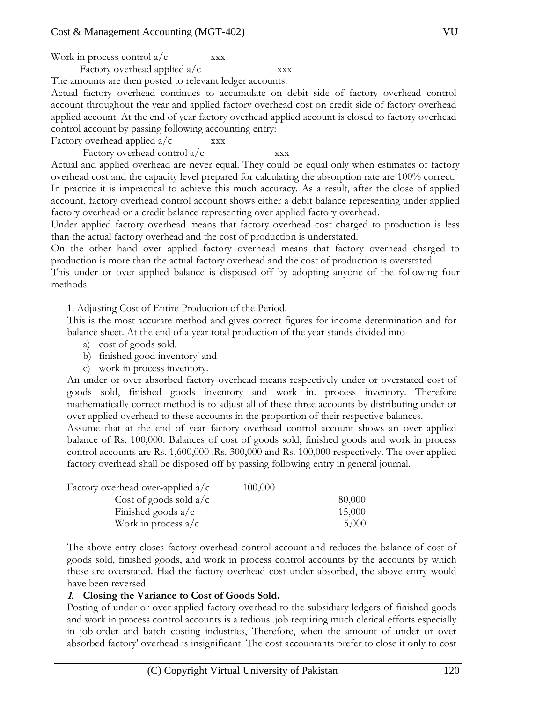Work in process control  $a/c$  xxx

Factory overhead applied  $a/c$  xxx

The amounts are then posted to relevant ledger accounts.

Actual factory overhead continues to accumulate on debit side of factory overhead control account throughout the year and applied factory overhead cost on credit side of factory overhead applied account. At the end of year factory overhead applied account is closed to factory overhead control account by passing following accounting entry:

Factory overhead applied  $a/c$ 

Factory overhead control  $a/c$  xxx

Actual and applied overhead are never equal. They could be equal only when estimates of factory overhead cost and the capacity level prepared for calculating the absorption rate are 100% correct.

In practice it is impractical to achieve this much accuracy. As a result, after the close of applied account, factory overhead control account shows either a debit balance representing under applied factory overhead or a credit balance representing over applied factory overhead.

Under applied factory overhead means that factory overhead cost charged to production is less than the actual factory overhead and the cost of production is understated.

On the other hand over applied factory overhead means that factory overhead charged to production is more than the actual factory overhead and the cost of production is overstated.

This under or over applied balance is disposed off by adopting anyone of the following four methods.

1. Adjusting Cost of Entire Production of the Period.

This is the most accurate method and gives correct figures for income determination and for balance sheet. At the end of a year total production of the year stands divided into

- a) cost of goods sold,
- b) finished good inventory' and
- c) work in process inventory.

An under or over absorbed factory overhead means respectively under or overstated cost of goods sold, finished goods inventory and work in. process inventory. Therefore mathematically correct method is to adjust all of these three accounts by distributing under or over applied overhead to these accounts in the proportion of their respective balances.

Assume that at the end of year factory overhead control account shows an over applied balance of Rs. 100,000. Balances of cost of goods sold, finished goods and work in process control accounts are Rs. 1,600,000 .Rs. 300,000 and Rs. 100,000 respectively. The over applied factory overhead shall be disposed off by passing following entry in general journal.

| Factory overhead over-applied a/c | 100,000 |        |
|-----------------------------------|---------|--------|
| Cost of goods sold $a/c$          |         | 80,000 |
| Finished goods $a/c$              |         | 15,000 |
| Work in process $a/c$             |         | 5,000  |

The above entry closes factory overhead control account and reduces the balance of cost of goods sold, finished goods, and work in process control accounts by the accounts by which these are overstated. Had the factory overhead cost under absorbed, the above entry would have been reversed.

#### **1. Closing the Variance to Cost of Goods Sold.**

Posting of under or over applied factory overhead to the subsidiary ledgers of finished goods and work in process control accounts is a tedious .job requiring much clerical efforts especially in job-order and batch costing industries, Therefore, when the amount of under or over absorbed factory' overhead is insignificant. The cost accountants prefer to close it only to cost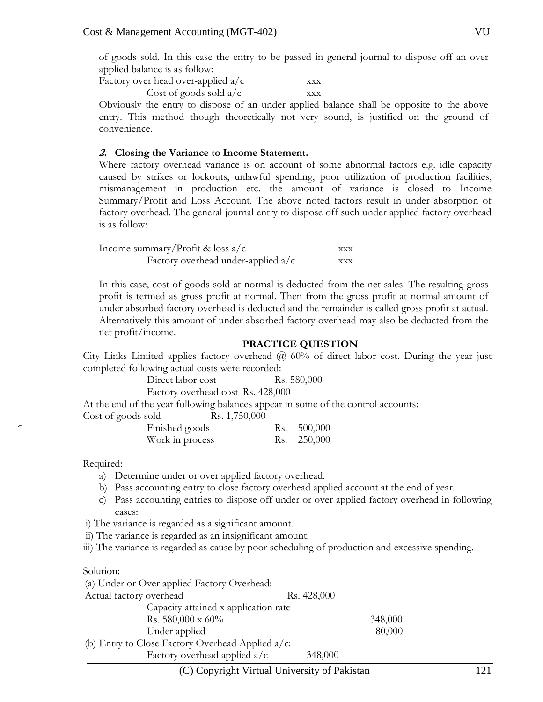of goods sold. In this case the entry to be passed in general journal to dispose off an over applied balance is as follow:

| Factory over head over-applied $a/c$ | XXX        |
|--------------------------------------|------------|
| Cost of goods sold $a/c$             | <b>XXX</b> |

Obviously the entry to dispose of an under applied balance shall be opposite to the above entry. This method though theoretically not very sound, is justified on the ground of convenience.

#### **2. Closing the Variance to Income Statement.**

Where factory overhead variance is on account of some abnormal factors e.g. idle capacity caused by strikes or lockouts, unlawful spending, poor utilization of production facilities, mismanagement in production etc. the amount of variance is closed to Income Summary/Profit and Loss Account. The above noted factors result in under absorption of factory overhead. The general journal entry to dispose off such under applied factory overhead is as follow:

| Income summary/Profit & loss $a/c$   | <b>XXX</b> |
|--------------------------------------|------------|
| Factory overhead under-applied $a/c$ | <b>XXX</b> |

In this case, cost of goods sold at normal is deducted from the net sales. The resulting gross profit is termed as gross profit at normal. Then from the gross profit at normal amount of under absorbed factory overhead is deducted and the remainder is called gross profit at actual. Alternatively this amount of under absorbed factory overhead may also be deducted from the net profit/income.

#### **PRACTICE QUESTION**

City Links Limited applies factory overhead  $\omega$  60% of direct labor cost. During the year just completed following actual costs were recorded:

> Direct labor cost Rs. 580,000 Factory overhead cost Rs. 428,000

At the end of the year following balances appear in some of the control accounts:

Cost of goods sold Rs. 1,750,000

| Finished goods  | Rs. 500,000 |
|-----------------|-------------|
| Work in process | Rs. 250,000 |

Required:

- a) Determine under or over applied factory overhead.
- b) Pass accounting entry to close factory overhead applied account at the end of year.
- c) Pass accounting entries to dispose off under or over applied factory overhead in following cases:
- i) The variance is regarded as a significant amount.
- ii) The variance is regarded as an insignificant amount.
- iii) The variance is regarded as cause by poor scheduling of production and excessive spending.

Solution:

| (a) Under or Over applied Factory Overhead:         |             |         |
|-----------------------------------------------------|-------------|---------|
| Actual factory overhead                             | Rs. 428,000 |         |
| Capacity attained x application rate                |             |         |
| Rs. 580,000 x 60%                                   |             | 348,000 |
| Under applied                                       |             | 80,000  |
| (b) Entry to Close Factory Overhead Applied $a/c$ : |             |         |
| Factory overhead applied $a/c$                      | 348,000     |         |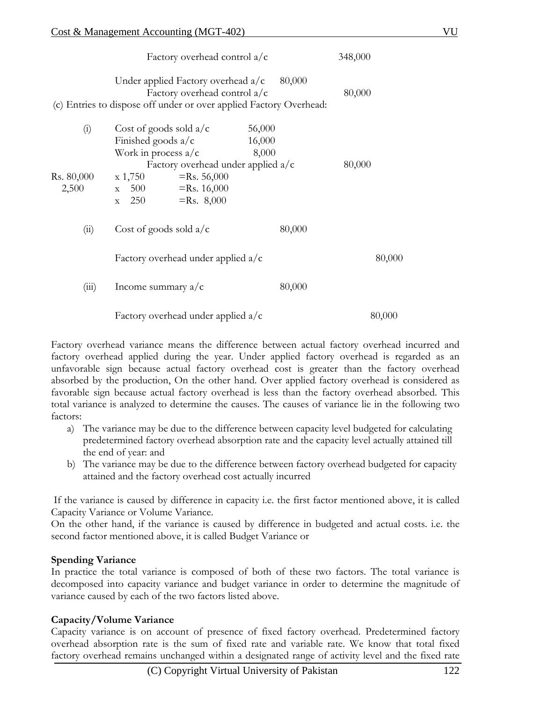|                     | Factory overhead control $a/c$                                                                           |                                                                              | 348,000 |
|---------------------|----------------------------------------------------------------------------------------------------------|------------------------------------------------------------------------------|---------|
|                     | Under applied Factory overhead $a/c$<br>Factory overhead control $a/c$                                   | 80,000<br>(c) Entries to dispose off under or over applied Factory Overhead: | 80,000  |
| (i)                 | Cost of goods sold $a/c$<br>Finished goods $a/c$<br>Work in process $a/c$                                | 56,000<br>16,000<br>8,000<br>Factory overhead under applied $a/c$            | 80,000  |
| Rs. 80,000<br>2,500 | $=Rs. 56,000$<br>$x\,1,750$<br>$500 = Rs. 16,000$<br>$\mathbf{X}$<br>$=$ Rs. 8,000<br>250<br>$\mathbf X$ |                                                                              |         |
| $\overline{u}$      | Cost of goods sold $a/c$                                                                                 | 80,000                                                                       |         |
| (111)               | Factory overhead under applied $a/c$<br>Income summary $a/c$                                             | 80,000                                                                       | 80,000  |
|                     |                                                                                                          |                                                                              |         |

Factory overhead under applied  $a/c$  80,000

Factory overhead variance means the difference between actual factory overhead incurred and factory overhead applied during the year. Under applied factory overhead is regarded as an unfavorable sign because actual factory overhead cost is greater than the factory overhead absorbed by the production, On the other hand. Over applied factory overhead is considered as favorable sign because actual factory overhead is less than the factory overhead absorbed. This total variance is analyzed to determine the causes. The causes of variance lie in the following two factors:

- a) The variance may be due to the difference between capacity level budgeted for calculating predetermined factory overhead absorption rate and the capacity level actually attained till the end of year: and
- b) The variance may be due to the difference between factory overhead budgeted for capacity attained and the factory overhead cost actually incurred

 If the variance is caused by difference in capacity i.e. the first factor mentioned above, it is called Capacity Variance or Volume Variance.

On the other hand, if the variance is caused by difference in budgeted and actual costs. i.e. the second factor mentioned above, it is called Budget Variance or

#### **Spending Variance**

In practice the total variance is composed of both of these two factors. The total variance is decomposed into capacity variance and budget variance in order to determine the magnitude of variance caused by each of the two factors listed above.

#### **Capacity/Volume Variance**

Capacity variance is on account of presence of fixed factory overhead. Predetermined factory overhead absorption rate is the sum of fixed rate and variable rate. We know that total fixed factory overhead remains unchanged within a designated range of activity level and the fixed rate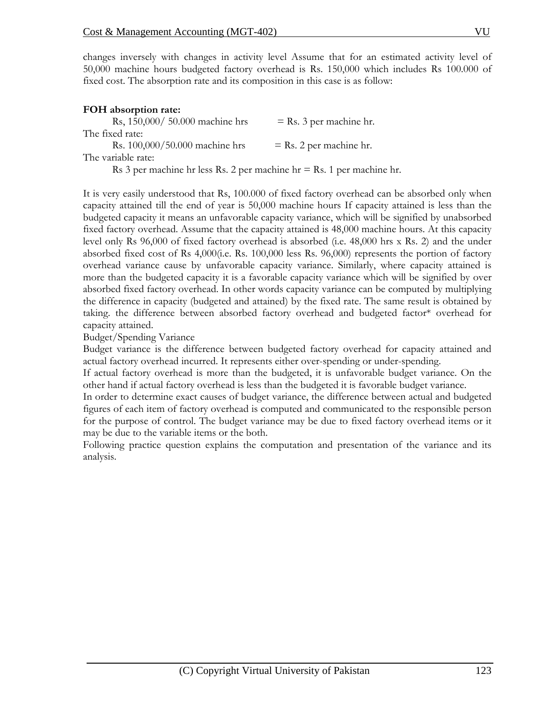changes inversely with changes in activity level Assume that for an estimated activity level of 50,000 machine hours budgeted factory overhead is Rs. 150,000 which includes Rs 100.000 of fixed cost. The absorption rate and its composition in this case is as follow:

#### **FOH absorption rate:**

| Rs, 150,000/ 50.000 machine hrs                                         | $=$ Rs. 3 per machine hr. |
|-------------------------------------------------------------------------|---------------------------|
| The fixed rate:                                                         |                           |
| Rs. 100,000/50.000 machine hrs                                          | $=$ Rs. 2 per machine hr. |
| The variable rate:                                                      |                           |
| Rs 3 per machine hr less Rs. 2 per machine hr $=$ Rs. 1 per machine hr. |                           |

It is very easily understood that Rs, 100.000 of fixed factory overhead can be absorbed only when capacity attained till the end of year is 50,000 machine hours If capacity attained is less than the budgeted capacity it means an unfavorable capacity variance, which will be signified by unabsorbed fixed factory overhead. Assume that the capacity attained is 48,000 machine hours. At this capacity level only Rs 96,000 of fixed factory overhead is absorbed (i.e. 48,000 hrs x Rs. 2) and the under absorbed fixed cost of Rs 4,000(i.e. Rs. 100,000 less Rs. 96,000) represents the portion of factory overhead variance cause by unfavorable capacity variance. Similarly, where capacity attained is more than the budgeted capacity it is a favorable capacity variance which will be signified by over absorbed fixed factory overhead. In other words capacity variance can be computed by multiplying the difference in capacity (budgeted and attained) by the fixed rate. The same result is obtained by taking. the difference between absorbed factory overhead and budgeted factor\* overhead for capacity attained.

Budget/Spending Variance

Budget variance is the difference between budgeted factory overhead for capacity attained and actual factory overhead incurred. It represents either over-spending or under-spending.

If actual factory overhead is more than the budgeted, it is unfavorable budget variance. On the other hand if actual factory overhead is less than the budgeted it is favorable budget variance.

In order to determine exact causes of budget variance, the difference between actual and budgeted figures of each item of factory overhead is computed and communicated to the responsible person for the purpose of control. The budget variance may be due to fixed factory overhead items or it may be due to the variable items or the both.

Following practice question explains the computation and presentation of the variance and its analysis.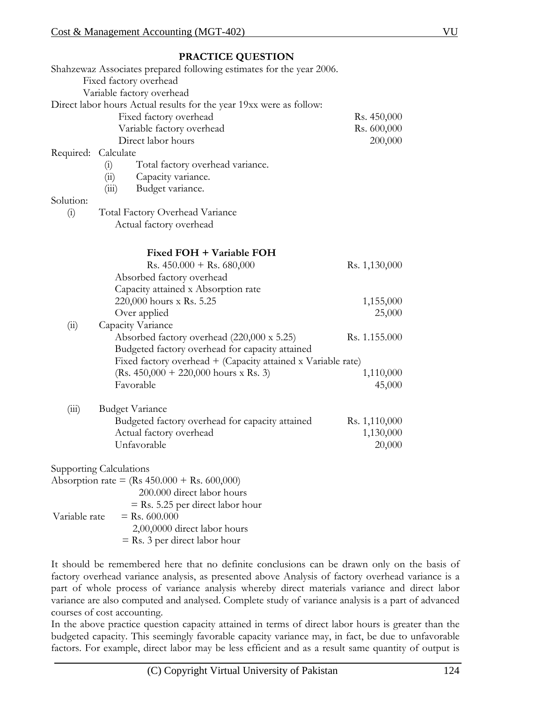|                                  | PRACTICE QUESTION                                                    |               |
|----------------------------------|----------------------------------------------------------------------|---------------|
|                                  | Shahzewaz Associates prepared following estimates for the year 2006. |               |
|                                  | Fixed factory overhead                                               |               |
|                                  | Variable factory overhead                                            |               |
|                                  | Direct labor hours Actual results for the year 19xx were as follow:  |               |
|                                  | Fixed factory overhead                                               | Rs. 450,000   |
|                                  | Variable factory overhead                                            | Rs. 600,000   |
|                                  | Direct labor hours                                                   | 200,000       |
|                                  | Required: Calculate                                                  |               |
|                                  | Total factory overhead variance.<br>$\left( 1\right)$                |               |
|                                  | Capacity variance.<br>(ii)                                           |               |
|                                  | Budget variance.<br>(iii)                                            |               |
| Solution:                        |                                                                      |               |
| (i)                              | <b>Total Factory Overhead Variance</b>                               |               |
|                                  | Actual factory overhead                                              |               |
|                                  |                                                                      |               |
|                                  |                                                                      |               |
|                                  | Fixed FOH + Variable FOH                                             |               |
|                                  | Rs. $450.000 +$ Rs. 680,000                                          | Rs. 1,130,000 |
|                                  | Absorbed factory overhead                                            |               |
|                                  | Capacity attained x Absorption rate                                  |               |
|                                  | 220,000 hours x Rs. 5.25                                             | 1,155,000     |
|                                  | Over applied                                                         | 25,000        |
| (i)                              | Capacity Variance                                                    |               |
|                                  | Absorbed factory overhead (220,000 x 5.25)                           | Rs. 1.155.000 |
|                                  | Budgeted factory overhead for capacity attained                      |               |
|                                  | Fixed factory overhead + (Capacity attained x Variable rate)         |               |
|                                  | $(Rs. 450,000 + 220,000$ hours x Rs. 3)                              | 1,110,000     |
|                                  | Favorable                                                            | 45,000        |
|                                  |                                                                      |               |
| (iii)                            | <b>Budget Variance</b>                                               |               |
|                                  | Budgeted factory overhead for capacity attained                      | Rs. 1,110,000 |
|                                  | Actual factory overhead                                              | 1,130,000     |
|                                  | Unfavorable                                                          | 20,000        |
|                                  |                                                                      |               |
|                                  | <b>Supporting Calculations</b>                                       |               |
|                                  | Absorption rate = (Rs $450.000 +$ Rs. 600,000)                       |               |
|                                  | 200.000 direct labor hours                                           |               |
|                                  | $=$ Rs. 5.25 per direct labor hour                                   |               |
| Variable rate<br>$=$ Rs. 600,000 |                                                                      |               |
|                                  | 2,00,0000 direct labor hours                                         |               |
|                                  | $=$ Rs. 3 per direct labor hour                                      |               |

It should be remembered here that no definite conclusions can be drawn only on the basis of factory overhead variance analysis, as presented above Analysis of factory overhead variance is a part of whole process of variance analysis whereby direct materials variance and direct labor variance are also computed and analysed. Complete study of variance analysis is a part of advanced courses of cost accounting.

In the above practice question capacity attained in terms of direct labor hours is greater than the budgeted capacity. This seemingly favorable capacity variance may, in fact, be due to unfavorable factors. For example, direct labor may be less efficient and as a result same quantity of output is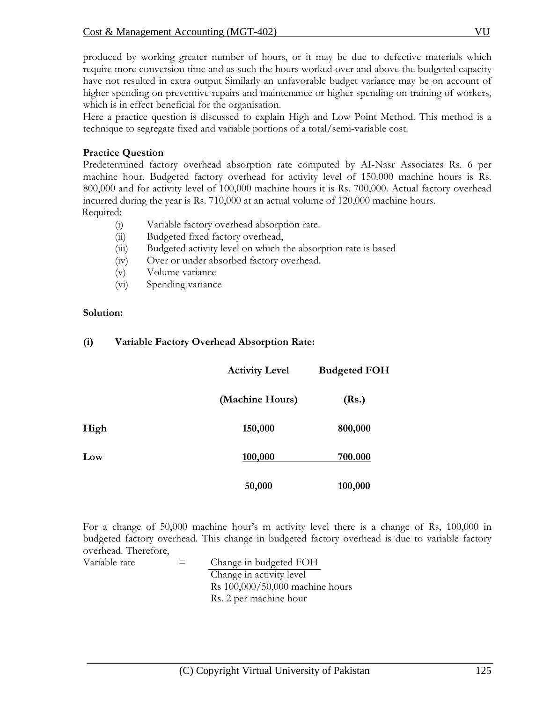produced by working greater number of hours, or it may be due to defective materials which require more conversion time and as such the hours worked over and above the budgeted capacity have not resulted in extra output Similarly an unfavorable budget variance may be on account of higher spending on preventive repairs and maintenance or higher spending on training of workers, which is in effect beneficial for the organisation.

Here a practice question is discussed to explain High and Low Point Method. This method is a technique to segregate fixed and variable portions of a total/semi-variable cost.

#### **Practice Question**

Predetermined factory overhead absorption rate computed by AI-Nasr Associates Rs. 6 per machine hour. Budgeted factory overhead for activity level of 150.000 machine hours is Rs. 800,000 and for activity level of 100,000 machine hours it is Rs. 700,000. Actual factory overhead incurred during the year is Rs. 710,000 at an actual volume of 120,000 machine hours. Required:

- (i) Variable factory overhead absorption rate.
- (ii) Budgeted fixed factory overhead,
- (iii) Budgeted activity level on which the absorption rate is based
- (iv) Over or under absorbed factory overhead.
- (v) Volume variance
- (vi) Spending variance

#### **Solution:**

| (1)  | Variable Factory Overhead Absorption Rate: |                     |  |
|------|--------------------------------------------|---------------------|--|
|      | <b>Activity Level</b>                      | <b>Budgeted FOH</b> |  |
|      | (Machine Hours)                            | (Rs.)               |  |
| High | 150,000                                    | 800,000             |  |
| Low  | 100,000                                    | 700.000             |  |

 **50,000 100,000** 

# **(i) Variable Factory Overhead Absorption Rate:**

For a change of 50,000 machine hour's m activity level there is a change of Rs, 100,000 in budgeted factory overhead. This change in budgeted factory overhead is due to variable factory overhead. Therefore,

Variable rate  $=$  Change in budgeted FOH Change in activity level Rs 100,000/50,000 machine hours Rs. 2 per machine hour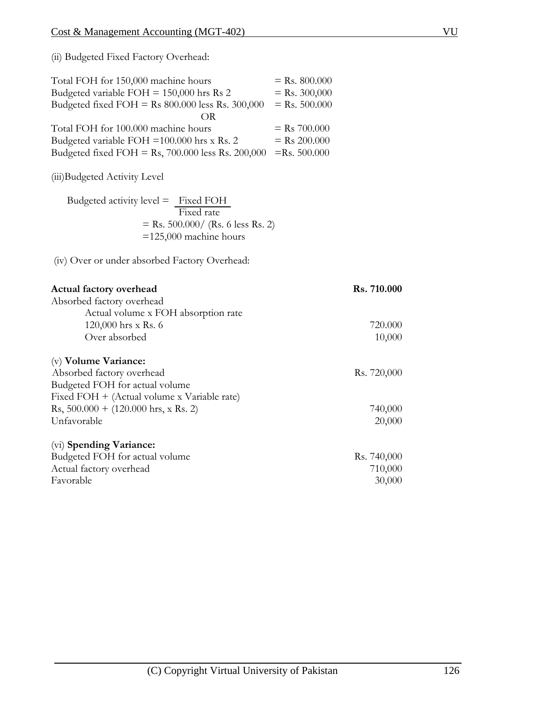(ii) Budgeted Fixed Factory Overhead:

| Total FOH for 150,000 machine hours                   | $=$ Rs. 800.000 |
|-------------------------------------------------------|-----------------|
| Budgeted variable FOH = $150,000$ hrs Rs 2            | $=$ Rs. 300,000 |
| Budgeted fixed FOH = Rs $800.000$ less Rs. 300,000    | $=$ Rs. 500.000 |
| OR.                                                   |                 |
| Total FOH for 100.000 machine hours                   | $=$ Rs 700.000  |
| Budgeted variable FOH $=$ 100.000 hrs x Rs. 2         | $=$ Rs 200.000  |
| Budgeted fixed FOH = Rs, $700.000$ less Rs. $200,000$ | $=Rs. 500.000$  |

(iii)Budgeted Activity Level

Budgeted activity level  $=$  Fixed FOH Fixed rate  $=$  Rs. 500.000/ (Rs. 6 less Rs. 2) =125,000 machine hours

(iv) Over or under absorbed Factory Overhead:

| <b>Actual factory overhead</b><br>Absorbed factory overhead   | Rs. 710.000 |
|---------------------------------------------------------------|-------------|
| Actual volume x FOH absorption rate                           |             |
| 120,000 hrs x Rs. 6                                           | 720.000     |
| Over absorbed                                                 | 10,000      |
| (v) Volume Variance:                                          |             |
| Absorbed factory overhead                                     | Rs. 720,000 |
| Budgeted FOH for actual volume                                |             |
| Fixed FOH + (Actual volume x Variable rate)                   |             |
| Rs, $500.000 + (120.000 \text{ hrs}, \text{x} \text{ Rs. 2})$ | 740,000     |
| Unfavorable                                                   | 20,000      |
| (vi) Spending Variance:                                       |             |
| Budgeted FOH for actual volume                                | Rs. 740,000 |
| Actual factory overhead                                       | 710,000     |
| Favorable                                                     | 30,000      |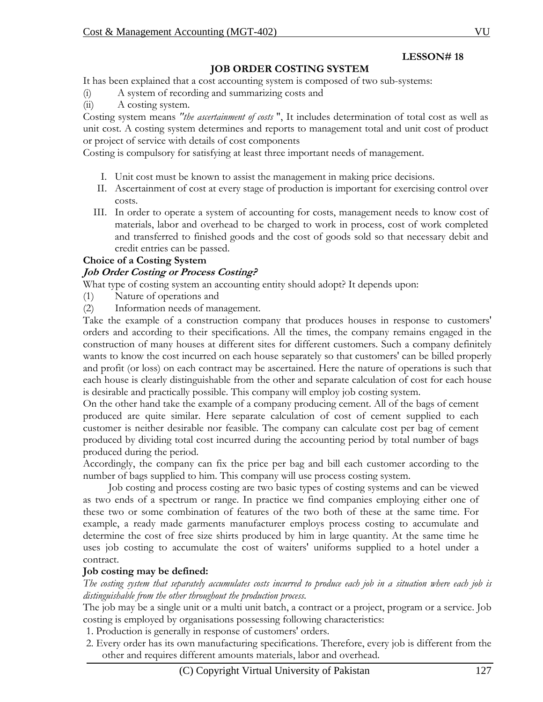#### **LESSON# 18**

#### **JOB ORDER COSTING SYSTEM**

It has been explained that a cost accounting system is composed of two sub-systems:

- (i) A system of recording and summarizing costs and
- (ii) A costing system.

Costing system means *"the ascertainment of costs* ", It includes determination of total cost as well as unit cost. A costing system determines and reports to management total and unit cost of product or project of service with details of cost components

Costing is compulsory for satisfying at least three important needs of management.

- I. Unit cost must be known to assist the management in making price decisions.
- II. Ascertainment of cost at every stage of production is important for exercising control over costs.
- III. In order to operate a system of accounting for costs, management needs to know cost of materials, labor and overhead to be charged to work in process, cost of work completed and transferred to finished goods and the cost of goods sold so that necessary debit and credit entries can be passed.

#### **Choice of a Costing System**

#### **Job Order Costing or Process Costing?**

What type of costing system an accounting entity should adopt? It depends upon:

- (1) Nature of operations and
- (2) Information needs of management.

Take the example of a construction company that produces houses in response to customers' orders and according to their specifications. All the times, the company remains engaged in the construction of many houses at different sites for different customers. Such a company definitely wants to know the cost incurred on each house separately so that customers' can be billed properly and profit (or loss) on each contract may be ascertained. Here the nature of operations is such that each house is clearly distinguishable from the other and separate calculation of cost for each house is desirable and practically possible. This company will employ job costing system.

On the other hand take the example of a company producing cement. All of the bags of cement produced are quite similar. Here separate calculation of cost of cement supplied to each customer is neither desirable nor feasible. The company can calculate cost per bag of cement produced by dividing total cost incurred during the accounting period by total number of bags produced during the period.

Accordingly, the company can fix the price per bag and bill each customer according to the number of bags supplied to him. This company will use process costing system.

Job costing and process costing are two basic types of costing systems and can be viewed as two ends of a spectrum or range. In practice we find companies employing either one of these two or some combination of features of the two both of these at the same time. For example, a ready made garments manufacturer employs process costing to accumulate and determine the cost of free size shirts produced by him in large quantity. At the same time he uses job costing to accumulate the cost of waiters' uniforms supplied to a hotel under a contract.

#### **Job costing may be defined:**

*The costing system that separately accumulates costs incurred to produce each job in a situation where each job is distinguishable from the other throughout the production process.* 

The job may be a single unit or a multi unit batch, a contract or a project, program or a service. Job costing is employed by organisations possessing following characteristics:

- 1. Production is generally in response of customers' orders.
- 2. Every order has its own manufacturing specifications. Therefore, every job is different from the other and requires different amounts materials, labor and overhead.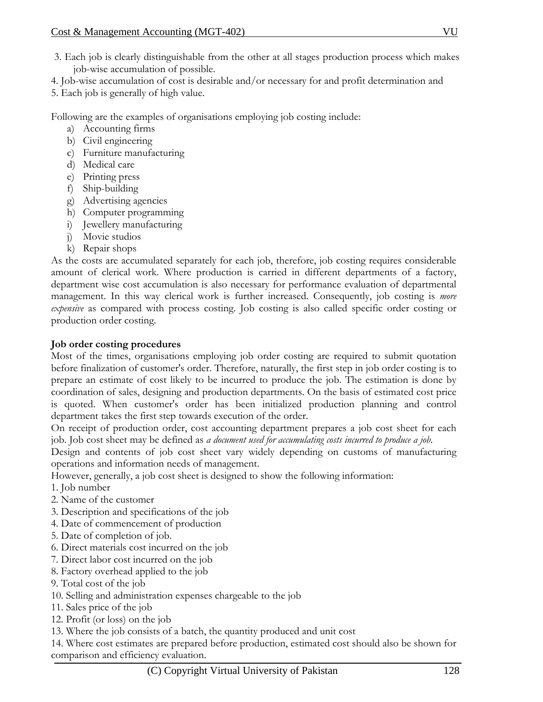- 3. Each job is clearly distinguishable from the other at all stages production process which makes job-wise accumulation of possible.
- 4. Job-wise accumulation of cost is desirable and/or necessary for and profit determination and
- 5. Each job is generally of high value.

Following are the examples of organisations employing job costing include:

- a) Accounting firms
- b) Civil engineering
- c) Furniture manufacturing
- d) Medical care
- e) Printing press
- f) Ship-building
- g) Advertising agencies
- h) Computer programming
- i) Jewellery manufacturing
- j) Movie studios
- k) Repair shops

As the costs are accumulated separately for each job, therefore, job costing requires considerable amount of clerical work. Where production is carried in different departments of a factory, department wise cost accumulation is also necessary for performance evaluation of departmental management. In this way clerical work is further increased. Consequently, job costing is *more expensive* as compared with process costing. Job costing is also called specific order costing or production order costing.

# **Job order costing procedures**

Most of the times, organisations employing job order costing are required to submit quotation before finalization of customer's order. Therefore, naturally, the first step in job order costing is to prepare an estimate of cost likely to be incurred to produce the job. The estimation is done by coordination of sales, designing and production departments. On the basis of estimated cost price is quoted. When customer's order has been initialized production planning and control department takes the first step towards execution of the order.

On receipt of production order, cost accounting department prepares a job cost sheet for each job. Job cost sheet may be defined as *a document used for accumulating costs incurred to produce a job.* 

Design and contents of job cost sheet vary widely depending on customs of manufacturing operations and information needs of management.

However, generally, a job cost sheet is designed to show the following information:

- 1. Job number
- 2. Name of the customer
- 3. Description and specifications of the job
- 4. Date of commencement of production
- 5. Date of completion of job.
- 6. Direct materials cost incurred on the job
- 7. Direct labor cost incurred on the job
- 8. Factory overhead applied to the job
- 9. Total cost of the job
- 10. Selling and administration expenses chargeable to the job
- 11. Sales price of the job
- 12. Profit (or loss) on the job

13. Where the job consists of a batch, the quantity produced and unit cost

14. Where cost estimates are prepared before production, estimated cost should also be shown for comparison and efficiency evaluation.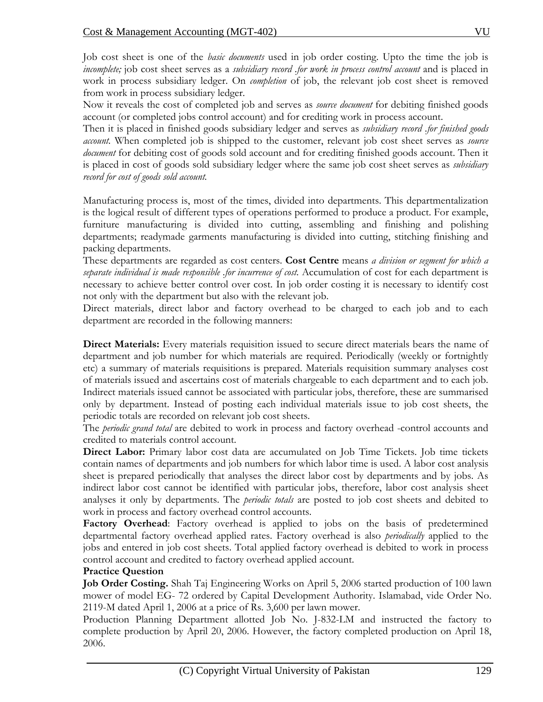Job cost sheet is one of the *basic documents* used in job order costing. Upto the time the job is *incomplete;* job cost sheet serves as a *subsidiary record .for work in process control account* and is placed in work in process subsidiary ledger. On *completion* of job, the relevant job cost sheet is removed from work in process subsidiary ledger.

Now it reveals the cost of completed job and serves as *source document* for debiting finished goods account (or completed jobs control account) and for crediting work in process account.

Then it is placed in finished goods subsidiary ledger and serves as *subsidiary record .for finished goods account.* When completed job is shipped to the customer, relevant job cost sheet serves as *source document* for debiting cost of goods sold account and for crediting finished goods account. Then it is placed in cost of goods sold subsidiary ledger where the same job cost sheet serves as *subsidiary record for cost of goods sold account.* 

Manufacturing process is, most of the times, divided into departments. This departmentalization is the logical result of different types of operations performed to produce a product. For example, furniture manufacturing is divided into cutting, assembling and finishing and polishing departments; readymade garments manufacturing is divided into cutting, stitching finishing and packing departments.

These departments are regarded as cost centers. **Cost Centre** means *a division or segment for which a separate individual is made responsible .for incurrence of cost.* Accumulation of cost for each department is necessary to achieve better control over cost. In job order costing it is necessary to identify cost not only with the department but also with the relevant job.

Direct materials, direct labor and factory overhead to be charged to each job and to each department are recorded in the following manners:

**Direct Materials:** Every materials requisition issued to secure direct materials bears the name of department and job number for which materials are required. Periodically (weekly or fortnightly etc) a summary of materials requisitions is prepared. Materials requisition summary analyses cost of materials issued and ascertains cost of materials chargeable to each department and to each job. Indirect materials issued cannot be associated with particular jobs, therefore, these are summarised only by department. Instead of posting each individual materials issue to job cost sheets, the periodic totals are recorded on relevant job cost sheets.

The *periodic grand total* are debited to work in process and factory overhead -control accounts and credited to materials control account.

**Direct Labor:** Primary labor cost data are accumulated on Job Time Tickets. Job time tickets contain names of departments and job numbers for which labor time is used. A labor cost analysis sheet is prepared periodically that analyses the direct labor cost by departments and by jobs. As indirect labor cost cannot be identified with particular jobs, therefore, labor cost analysis sheet analyses it only by departments. The *periodic totals* are posted to job cost sheets and debited to work in process and factory overhead control accounts.

**Factory Overhead**: Factory overhead is applied to jobs on the basis of predetermined departmental factory overhead applied rates. Factory overhead is also *periodically* applied to the jobs and entered in job cost sheets. Total applied factory overhead is debited to work in process control account and credited to factory overhead applied account.

#### **Practice Question**

**Job Order Costing.** Shah Taj Engineering Works on April 5, 2006 started production of 100 lawn mower of model EG- 72 ordered by Capital Development Authority. Islamabad, vide Order No. 2119-M dated April 1, 2006 at a price of Rs. 3,600 per lawn mower.

Production Planning Department allotted Job No. J-832-LM and instructed the factory to complete production by April 20, 2006. However, the factory completed production on April 18, 2006.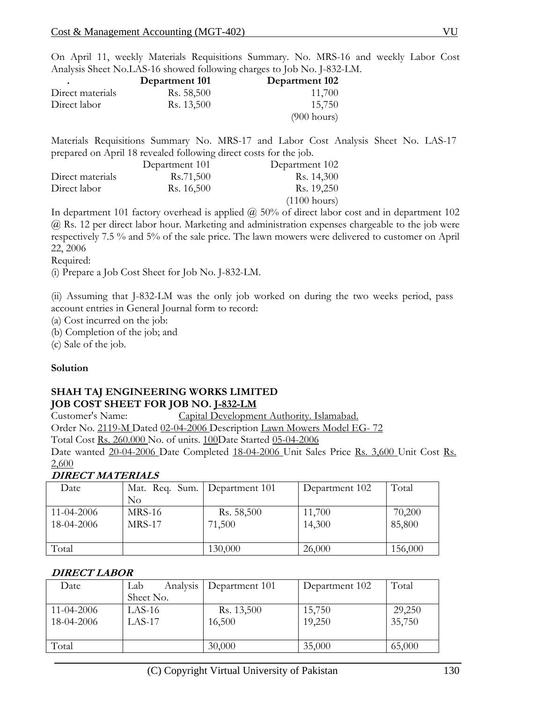On April 11, weekly Materials Requisitions Summary. No. MRS-16 and weekly Labor Cost Analysis Sheet No.LAS-16 showed following charges to Job No. J-832-LM.

|                  | Department 101 | Department 102        |
|------------------|----------------|-----------------------|
| Direct materials | Rs. 58,500     | 11,700                |
| Direct labor     | Rs. 13,500     | 15,750                |
|                  |                | $(900 \text{ hours})$ |

Materials Requisitions Summary No. MRS-17 and Labor Cost Analysis Sheet No. LAS-17 prepared on April 18 revealed following direct costs for the job.

|                  | Department 101 | Department 102 |
|------------------|----------------|----------------|
| Direct materials | Rs.71,500      | Rs. 14,300     |
| Direct labor     | Rs. 16,500     | Rs. 19,250     |
|                  |                | (1100 hours)   |

In department 101 factory overhead is applied  $\omega$  50% of direct labor cost and in department 102 @ Rs. 12 per direct labor hour. Marketing and administration expenses chargeable to the job were respectively 7.5 % and 5% of the sale price. The lawn mowers were delivered to customer on April 22, 2006

#### Required:

(i) Prepare a Job Cost Sheet for Job No. J-832-LM.

(ii) Assuming that J-832-LM was the only job worked on during the two weeks period, pass account entries in General Journal form to record:

(a) Cost incurred on the job:

(b) Completion of the job; and

(c) Sale of the job.

#### **Solution**

#### **SHAH TAJ ENGINEERING WORKS LIMITED JOB COST SHEET FOR JOB NO. J-832-LM**

Customer's Name: Capital Development Authority. Islamabad.

Order No. 2119-M Dated 02-04-2006 Description Lawn Mowers Model EG- 72

Total Cost Rs. 260.000 No. of units. 100Date Started 05-04-2006

Date wanted 20-04-2006 Date Completed 18-04-2006 Unit Sales Price Rs. 3,600 Unit Cost Rs. 2,600

# **DIRECT MATERIALS**

| Date       | Mat. Req. Sum.   Department 101 |            | Department 102 | Total   |  |  |
|------------|---------------------------------|------------|----------------|---------|--|--|
|            | $\rm No$                        |            |                |         |  |  |
| 11-04-2006 | $MRS-16$                        | Rs. 58,500 | 11,700         | 70,200  |  |  |
| 18-04-2006 | <b>MRS-17</b>                   | 71,500     | 14,300         | 85,800  |  |  |
|            |                                 |            |                |         |  |  |
| Total      |                                 | 130,000    | 26,000         | 156,000 |  |  |

#### **DIRECT LABOR**

| Date       | Analysis<br>Lab | Department 101 | Department 102 | Total  |
|------------|-----------------|----------------|----------------|--------|
|            | Sheet No.       |                |                |        |
| 11-04-2006 | $LAS-16$        | Rs. 13,500     | 15,750         | 29,250 |
| 18-04-2006 | LAS-17          | 16,500         | 19,250         | 35,750 |
|            |                 |                |                |        |
| Total      |                 | 30,000         | 35,000         | 65,000 |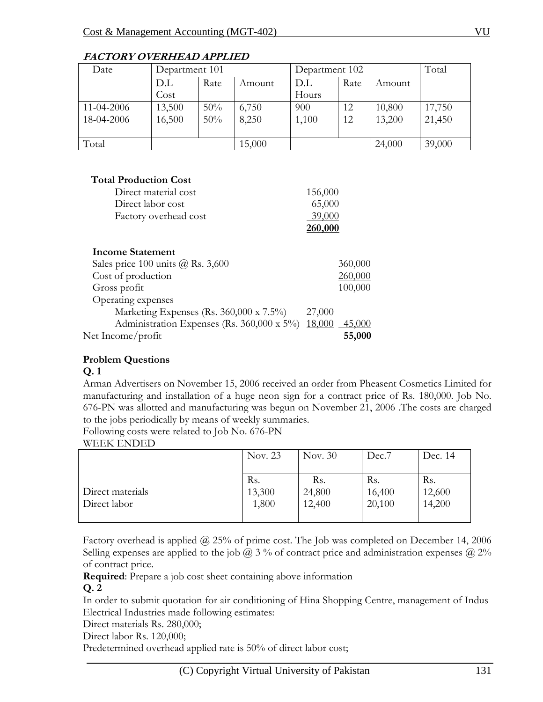| Date       | Department 102<br>Department 101 |        |        | Total |      |        |        |
|------------|----------------------------------|--------|--------|-------|------|--------|--------|
|            | D.L                              | Rate   | Amount | D.L   | Rate | Amount |        |
|            | Cost                             |        |        | Hours |      |        |        |
| 11-04-2006 | 13,500                           | $50\%$ | 6,750  | 900   | 12   | 10,800 | 17,750 |
| 18-04-2006 | 16,500                           | 50%    | 8,250  | 1,100 | 12   | 13,200 | 21,450 |
|            |                                  |        |        |       |      |        |        |
| Total      |                                  |        | 15,000 |       |      | 24,000 | 39,000 |

# **FACTORY OVERHEAD APPLIED**

#### **Total Production Cost**

| Direct material cost                       | 156,000                 |  |
|--------------------------------------------|-------------------------|--|
| Direct labor cost                          | 65,000                  |  |
| Factory overhead cost                      | 39,000                  |  |
|                                            | 260,000                 |  |
|                                            |                         |  |
| Income Statement                           |                         |  |
| Sales price 100 units $\omega$ Rs. 3,600   | 360,000                 |  |
| Cost of production                         | 260,000                 |  |
| Gross profit                               | 100,000                 |  |
| Operating expenses                         |                         |  |
| Marketing Expenses (Rs. 360,000 x 7.5%)    | 27,000                  |  |
| Administration Expenses (Rs. 360,000 x 5%) | 18,000<br><u>45,000</u> |  |
| Net Income/profit                          | 55,000                  |  |

# **Problem Questions**

## **Q. 1**

Arman Advertisers on November 15, 2006 received an order from Pheasent Cosmetics Limited for manufacturing and installation of a huge neon sign for a contract price of Rs. 180,000. Job No. 676-PN was allotted and manufacturing was begun on November 21, 2006 .The costs are charged to the jobs periodically by means of weekly summaries.

Following costs were related to Job No. 676-PN

WEEK ENDED

|                                  | Nov. 23                | Nov. 30                 | Dec.7                   | Dec. 14                 |
|----------------------------------|------------------------|-------------------------|-------------------------|-------------------------|
| Direct materials<br>Direct labor | Rs.<br>13,300<br>1,800 | Rs.<br>24,800<br>12,400 | Rs.<br>16,400<br>20,100 | Rs.<br>12,600<br>14,200 |

Factory overhead is applied @ 25% of prime cost. The Job was completed on December 14, 2006 Selling expenses are applied to the job  $\omega$  3 % of contract price and administration expenses  $\omega$  2% of contract price.

**Required**: Prepare a job cost sheet containing above information

#### **Q. 2**

In order to submit quotation for air conditioning of Hina Shopping Centre, management of Indus Electrical Industries made following estimates:

Direct materials Rs. 280,000;

Direct labor Rs. 120,000;

Predetermined overhead applied rate is 50% of direct labor cost;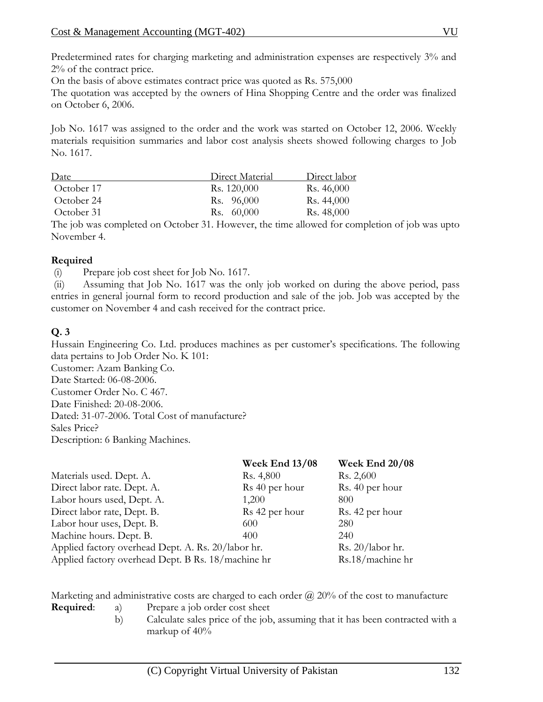Predetermined rates for charging marketing and administration expenses are respectively 3% and 2% of the contract price.

On the basis of above estimates contract price was quoted as Rs. 575,000

The quotation was accepted by the owners of Hina Shopping Centre and the order was finalized on October 6, 2006.

Job No. 1617 was assigned to the order and the work was started on October 12, 2006. Weekly materials requisition summaries and labor cost analysis sheets showed following charges to Job No. 1617.

| Date       | Direct Material           | Direct labor        |
|------------|---------------------------|---------------------|
| October 17 | Rs. 120,000               | Rs. 46,000          |
| October 24 | Rs. 96,000                | $\text{Rs. }44,000$ |
| October 31 | $\text{Rs.} \quad 60,000$ | Rs. 48,000          |

The job was completed on October 31. However, the time allowed for completion of job was upto November 4.

# **Required**

(i) Prepare job cost sheet for Job No. 1617.

 (ii) Assuming that Job No. 1617 was the only job worked on during the above period, pass entries in general journal form to record production and sale of the job. Job was accepted by the customer on November 4 and cash received for the contract price.

# **Q. 3**

Hussain Engineering Co. Ltd. produces machines as per customer's specifications. The following data pertains to Job Order No. K 101:

Customer: Azam Banking Co. Date Started: 06-08-2006. Customer Order No. C 467. Date Finished: 20-08-2006. Dated: 31-07-2006. Total Cost of manufacture? Sales Price? Description: 6 Banking Machines.

|                                                    | <b>Week End 13/08</b> | <b>Week End 20/08</b> |
|----------------------------------------------------|-----------------------|-----------------------|
| Materials used. Dept. A.                           | Rs. 4,800             | Rs. 2,600             |
| Direct labor rate. Dept. A.                        | Rs 40 per hour        | Rs. 40 per hour       |
| Labor hours used, Dept. A.                         | 1,200                 | 800                   |
| Direct labor rate, Dept. B.                        | Rs 42 per hour        | Rs. 42 per hour       |
| Labor hour uses, Dept. B.                          | 600                   | 280                   |
| Machine hours. Dept. B.                            | 400                   | 2.40                  |
| Applied factory overhead Dept. A. Rs. 20/labor hr. |                       | Rs. 20/labor hr.      |
| Applied factory overhead Dept. B Rs. 18/machine hr |                       | Rs.18/machine hr      |
|                                                    |                       |                       |

Marketing and administrative costs are charged to each order  $\omega$  20% of the cost to manufacture

- 
- **Required:** a) Prepare a job order cost sheet
	- b) Calculate sales price of the job, assuming that it has been contracted with a markup of 40%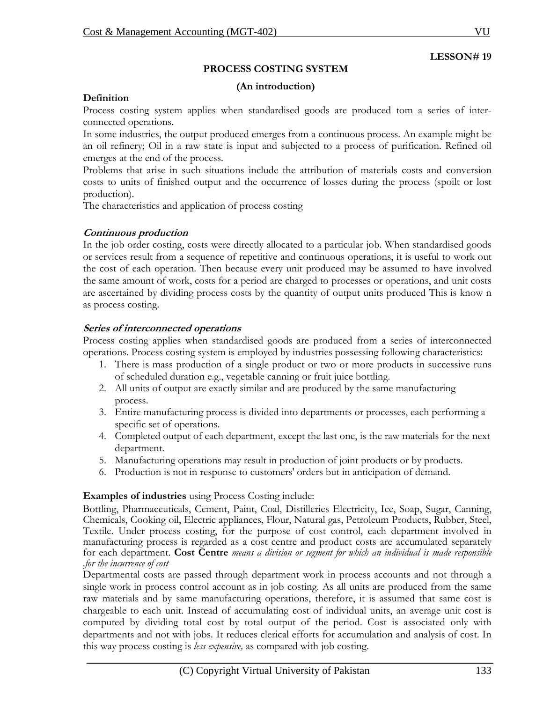#### **PROCESS COSTING SYSTEM**

#### **(An introduction)**

#### **Definition**

Process costing system applies when standardised goods are produced tom a series of interconnected operations.

In some industries, the output produced emerges from a continuous process. An example might be an oil refinery; Oil in a raw state is input and subjected to a process of purification. Refined oil emerges at the end of the process.

Problems that arise in such situations include the attribution of materials costs and conversion costs to units of finished output and the occurrence of losses during the process (spoilt or lost production).

The characteristics and application of process costing

#### **Continuous production**

In the job order costing, costs were directly allocated to a particular job. When standardised goods or services result from a sequence of repetitive and continuous operations, it is useful to work out the cost of each operation. Then because every unit produced may be assumed to have involved the same amount of work, costs for a period are charged to processes or operations, and unit costs are ascertained by dividing process costs by the quantity of output units produced This is know n as process costing.

#### **Series of interconnected operations**

Process costing applies when standardised goods are produced from a series of interconnected operations. Process costing system is employed by industries possessing following characteristics:

- 1. There is mass production of a single product or two or more products in successive runs of scheduled duration e.g., vegetable canning or fruit juice bottling.
- 2. All units of output are exactly similar and are produced by the same manufacturing process.
- 3. Entire manufacturing process is divided into departments or processes, each performing a specific set of operations.
- 4. Completed output of each department, except the last one, is the raw materials for the next department.
- 5. Manufacturing operations may result in production of joint products or by products.
- 6. Production is not in response to customers' orders but in anticipation of demand.

#### **Examples of industries** using Process Costing include:

Bottling, Pharmaceuticals, Cement, Paint, Coal, Distilleries Electricity, Ice, Soap, Sugar, Canning, Chemicals, Cooking oil, Electric appliances, Flour, Natural gas, Petroleum Products, Rubber, Steel, Textile. Under process costing, for the purpose of cost control, each department involved in manufacturing process is regarded as a cost centre and product costs are accumulated separately for each department. **Cost Centre** *means a division or segment for which an individual is made responsible .for the incurrence of cost* 

Departmental costs are passed through department work in process accounts and not through a single work in process control account as in job costing. As all units are produced from the same raw materials and by same manufacturing operations, therefore, it is assumed that same cost is chargeable to each unit. Instead of accumulating cost of individual units, an average unit cost is computed by dividing total cost by total output of the period. Cost is associated only with departments and not with jobs. It reduces clerical efforts for accumulation and analysis of cost. In this way process costing is *less expensive,* as compared with job costing.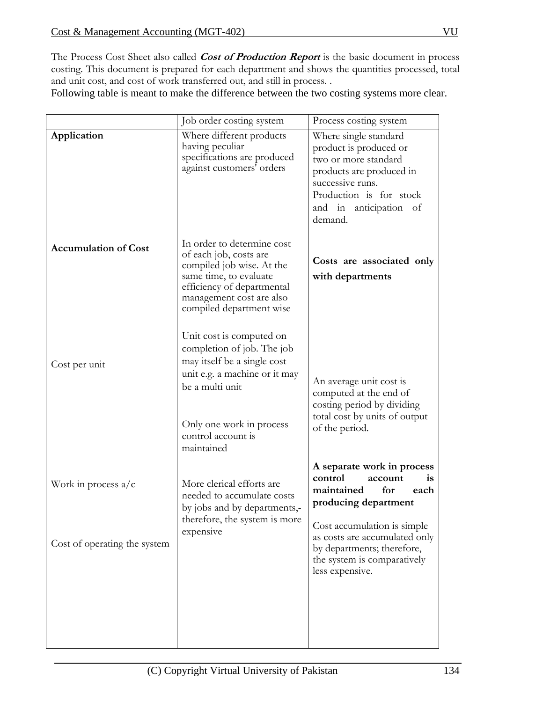The Process Cost Sheet also called **Cost of Production Report** is the basic document in process costing. This document is prepared for each department and shows the quantities processed, total and unit cost, and cost of work transferred out, and still in process. .

Following table is meant to make the difference between the two costing systems more clear.

|                              | Job order costing system                                                                                                                                                                                  | Process costing system                                                                                                                                                                  |
|------------------------------|-----------------------------------------------------------------------------------------------------------------------------------------------------------------------------------------------------------|-----------------------------------------------------------------------------------------------------------------------------------------------------------------------------------------|
| Application                  | Where different products<br>having peculiar<br>specifications are produced<br>against customers' orders                                                                                                   | Where single standard<br>product is produced or<br>two or more standard<br>products are produced in<br>successive runs.<br>Production is for stock<br>and in anticipation of<br>demand. |
| <b>Accumulation of Cost</b>  | In order to determine cost<br>of each job, costs are<br>compiled job wise. At the<br>same time, to evaluate<br>efficiency of departmental<br>management cost are also<br>compiled department wise         | Costs are associated only<br>with departments                                                                                                                                           |
| Cost per unit                | Unit cost is computed on<br>completion of job. The job<br>may itself be a single cost<br>unit e.g. a machine or it may<br>be a multi unit<br>Only one work in process<br>control account is<br>maintained | An average unit cost is<br>computed at the end of<br>costing period by dividing<br>total cost by units of output<br>of the period.                                                      |
| Work in process $a/c$        | More clerical efforts are<br>needed to accumulate costs<br>by jobs and by departments,-<br>therefore, the system is more<br>expensive                                                                     | A separate work in process<br>control<br>account<br><i>is</i><br>maintained<br>for<br>each<br>producing department<br>Cost accumulation is simple<br>as costs are accumulated only      |
| Cost of operating the system |                                                                                                                                                                                                           | by departments; therefore,<br>the system is comparatively<br>less expensive.                                                                                                            |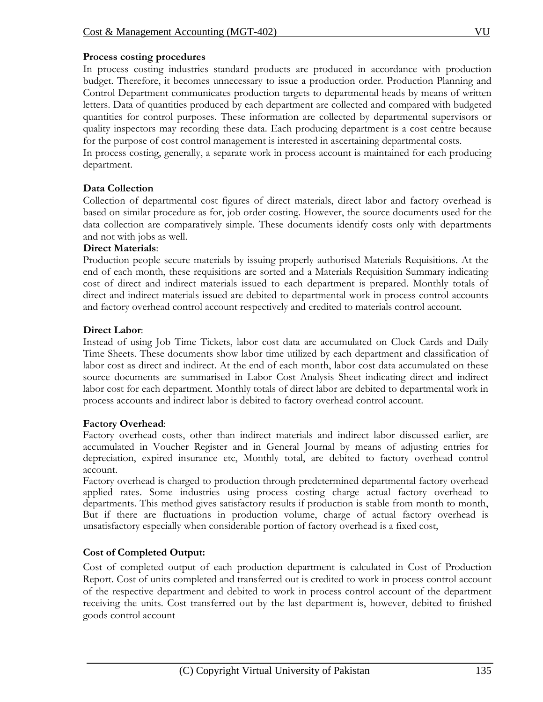#### **Process costing procedures**

In process costing industries standard products are produced in accordance with production budget. Therefore, it becomes unnecessary to issue a production order. Production Planning and Control Department communicates production targets to departmental heads by means of written letters. Data of quantities produced by each department are collected and compared with budgeted quantities for control purposes. These information are collected by departmental supervisors or quality inspectors may recording these data. Each producing department is a cost centre because for the purpose of cost control management is interested in ascertaining departmental costs.

In process costing, generally, a separate work in process account is maintained for each producing department.

#### **Data Collection**

Collection of departmental cost figures of direct materials, direct labor and factory overhead is based on similar procedure as for, job order costing. However, the source documents used for the data collection are comparatively simple. These documents identify costs only with departments and not with jobs as well.

#### **Direct Materials**:

Production people secure materials by issuing properly authorised Materials Requisitions. At the end of each month, these requisitions are sorted and a Materials Requisition Summary indicating cost of direct and indirect materials issued to each department is prepared. Monthly totals of direct and indirect materials issued are debited to departmental work in process control accounts and factory overhead control account respectively and credited to materials control account.

#### **Direct Labor**:

Instead of using Job Time Tickets, labor cost data are accumulated on Clock Cards and Daily Time Sheets. These documents show labor time utilized by each department and classification of labor cost as direct and indirect. At the end of each month, labor cost data accumulated on these source documents are summarised in Labor Cost Analysis Sheet indicating direct and indirect labor cost for each department. Monthly totals of direct labor are debited to departmental work in process accounts and indirect labor is debited to factory overhead control account.

#### **Factory Overhead**:

Factory overhead costs, other than indirect materials and indirect labor discussed earlier, are accumulated in Voucher Register and in General Journal by means of adjusting entries for depreciation, expired insurance etc, Monthly total, are debited to factory overhead control account.

Factory overhead is charged to production through predetermined departmental factory overhead applied rates. Some industries using process costing charge actual factory overhead to departments. This method gives satisfactory results if production is stable from month to month, But if there are fluctuations in production volume, charge of actual factory overhead is unsatisfactory especially when considerable portion of factory overhead is a fixed cost,

#### **Cost of Completed Output:**

Cost of completed output of each production department is calculated in Cost of Production Report. Cost of units completed and transferred out is credited to work in process control account of the respective department and debited to work in process control account of the department receiving the units. Cost transferred out by the last department is, however, debited to finished goods control account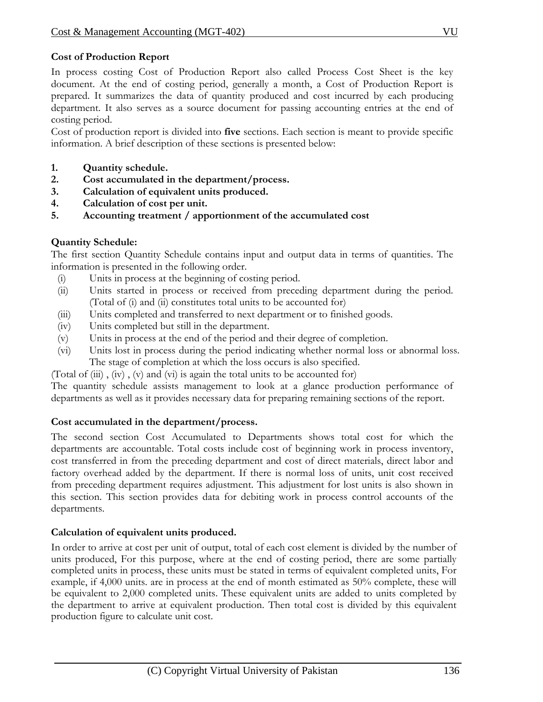# **Cost of Production Report**

In process costing Cost of Production Report also called Process Cost Sheet is the key document. At the end of costing period, generally a month, a Cost of Production Report is prepared. It summarizes the data of quantity produced and cost incurred by each producing department. It also serves as a source document for passing accounting entries at the end of costing period.

Cost of production report is divided into **five** sections. Each section is meant to provide specific information. A brief description of these sections is presented below:

- **1. Quantity schedule.**
- **2. Cost accumulated in the department/process.**
- **3. Calculation of equivalent units produced.**
- **4. Calculation of cost per unit.**
- **5. Accounting treatment / apportionment of the accumulated cost**

#### **Quantity Schedule:**

The first section Quantity Schedule contains input and output data in terms of quantities. The information is presented in the following order.

- (i) Units in process at the beginning of costing period.
- (ii) Units started in process or received from preceding department during the period. (Total of (i) and (ii) constitutes total units to be accounted for)
- (iii) Units completed and transferred to next department or to finished goods.
- (iv) Units completed but still in the department.
- (v) Units in process at the end of the period and their degree of completion.
- (vi) Units lost in process during the period indicating whether normal loss or abnormal loss. The stage of completion at which the loss occurs is also specified.
- (Total of  $(iii)$ ,  $(iv)$ ,  $(v)$  and  $(vi)$  is again the total units to be accounted for)

The quantity schedule assists management to look at a glance production performance of departments as well as it provides necessary data for preparing remaining sections of the report.

#### **Cost accumulated in the department/process.**

The second section Cost Accumulated to Departments shows total cost for which the departments are accountable. Total costs include cost of beginning work in process inventory, cost transferred in from the preceding department and cost of direct materials, direct labor and factory overhead added by the department. If there is normal loss of units, unit cost received from preceding department requires adjustment. This adjustment for lost units is also shown in this section. This section provides data for debiting work in process control accounts of the departments.

#### **Calculation of equivalent units produced.**

In order to arrive at cost per unit of output, total of each cost element is divided by the number of units produced, For this purpose, where at the end of costing period, there are some partially completed units in process, these units must be stated in terms of equivalent completed units, For example, if 4,000 units. are in process at the end of month estimated as 50% complete, these will be equivalent to 2,000 completed units. These equivalent units are added to units completed by the department to arrive at equivalent production. Then total cost is divided by this equivalent production figure to calculate unit cost.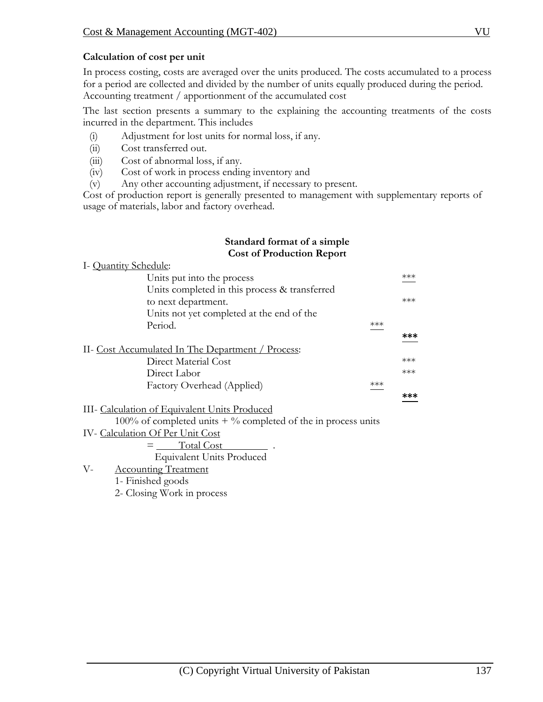# **Calculation of cost per unit**

In process costing, costs are averaged over the units produced. The costs accumulated to a process for a period are collected and divided by the number of units equally produced during the period. Accounting treatment / apportionment of the accumulated cost

The last section presents a summary to the explaining the accounting treatments of the costs incurred in the department. This includes

- (i) Adjustment for lost units for normal loss, if any.
- (ii) Cost transferred out.
- (iii) Cost of abnormal loss, if any.
- (iv) Cost of work in process ending inventory and
- (v) Any other accounting adjustment, if necessary to present.

Cost of production report is generally presented to management with supplementary reports of usage of materials, labor and factory overhead.

#### **Standard format of a simple Cost of Production Report**

| I- Quantity Schedule: |                                                                 |       |
|-----------------------|-----------------------------------------------------------------|-------|
|                       | Units put into the process                                      | $***$ |
|                       | Units completed in this process & transferred                   |       |
|                       | to next department.                                             | $***$ |
|                       | Units not yet completed at the end of the                       |       |
|                       | Period.                                                         | $***$ |
|                       |                                                                 | ***   |
|                       | II- Cost Accumulated In The Department / Process:               |       |
|                       | Direct Material Cost                                            | $***$ |
|                       | Direct Labor                                                    | $***$ |
|                       | Factory Overhead (Applied)                                      | $***$ |
|                       |                                                                 | ***   |
|                       | III- Calculation of Equivalent Units Produced                   |       |
|                       | 100% of completed units $+$ % completed of the in process units |       |
|                       | IV-Calculation Of Per Unit Cost                                 |       |
|                       | <b>Total Cost</b>                                               |       |
|                       | <b>Equivalent Units Produced</b>                                |       |
| $V -$                 | <b>Accounting Treatment</b>                                     |       |
|                       | 1- Finished goods                                               |       |

2- Closing Work in process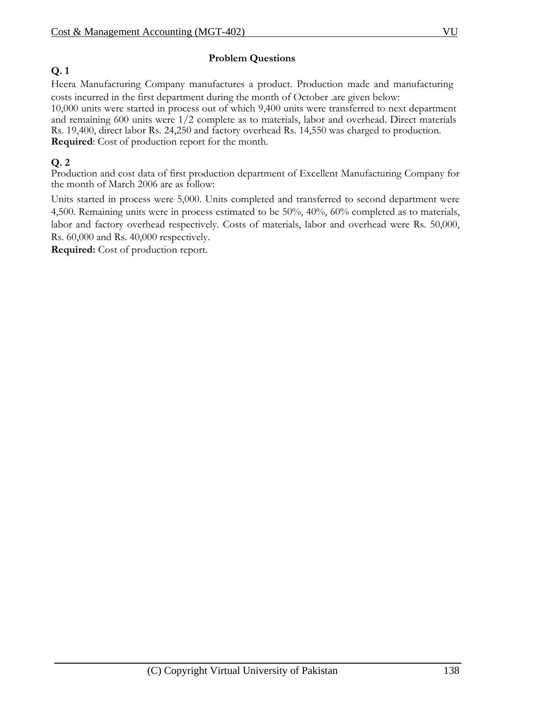# **Problem Questions**

# **Q. 1**

Heera Manufacturing Company manufactures a product. Production made and manufacturing costs incurred in the first department during the month of October .are given below: 10,000 units were started in process out of which 9,400 units were transferred to next department and remaining 600 units were 1/2 complete as to materials, labor and overhead. Direct materials Rs. 19,400, direct labor Rs. 24,250 and factory overhead Rs. 14,550 was charged to production. **Required**: Cost of production report for the month.

# **Q. 2**

Production and cost data of first production department of Excellent Manufacturing Company for the month of March 2006 are as follow:

Units started in process were 5,000. Units completed and transferred to second department were 4,500. Remaining units were in process estimated to be 50%, 40%, 60% completed as to materials, labor and factory overhead respectively. Costs of materials, labor and overhead were Rs. 50,000, Rs. 60,000 and Rs. 40,000 respectively.

**Required:** Cost of production report.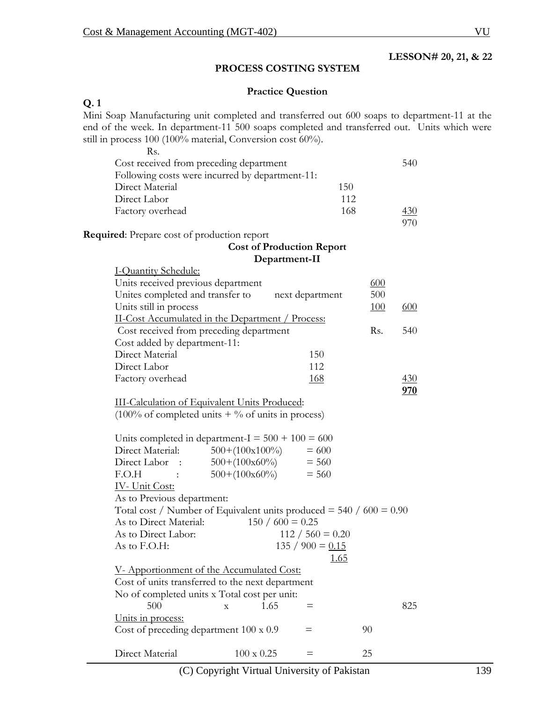#### **LESSON# 20, 21, & 22**

### **PROCESS COSTING SYSTEM**

#### **Practice Question**

**Q. 1** 

Mini Soap Manufacturing unit completed and transferred out 600 soaps to department-11 at the end of the week. In department-11 500 soaps completed and transferred out. Units which were still in process 100 (100% material, Conversion cost 60%).

| Rs.                                                                                                                           |                   |                                  |             |            |            |
|-------------------------------------------------------------------------------------------------------------------------------|-------------------|----------------------------------|-------------|------------|------------|
| Cost received from preceding department                                                                                       |                   |                                  |             |            | 540        |
| Following costs were incurred by department-11:                                                                               |                   |                                  |             |            |            |
| Direct Material                                                                                                               |                   |                                  | 150         |            |            |
| Direct Labor                                                                                                                  |                   |                                  | 112         |            |            |
| Factory overhead                                                                                                              |                   |                                  | 168         |            | 430        |
|                                                                                                                               |                   |                                  |             |            | 970        |
| <b>Required:</b> Prepare cost of production report                                                                            |                   |                                  |             |            |            |
|                                                                                                                               |                   | <b>Cost of Production Report</b> |             |            |            |
|                                                                                                                               |                   | Department-II                    |             |            |            |
| I-Quantity Schedule:                                                                                                          |                   |                                  |             |            |            |
| Units received previous department                                                                                            |                   |                                  |             | 600        |            |
| Unites completed and transfer to                                                                                              |                   | next department                  |             | 500        |            |
| Units still in process                                                                                                        |                   |                                  |             | <u>100</u> | 600        |
| <u>II-Cost Accumulated in the Department / Process:</u>                                                                       |                   |                                  |             |            |            |
| Cost received from preceding department                                                                                       |                   |                                  |             | Rs.        | 540        |
| Cost added by department-11:                                                                                                  |                   |                                  |             |            |            |
| Direct Material                                                                                                               |                   | 150                              |             |            |            |
| Direct Labor                                                                                                                  |                   | 112                              |             |            |            |
|                                                                                                                               |                   | <u>168</u>                       |             |            | 430        |
| Factory overhead                                                                                                              |                   |                                  |             |            | <u>970</u> |
| <b>III-Calculation of Equivalent Units Produced:</b><br>$(100\% \text{ of completed units} + \% \text{ of units in process})$ |                   |                                  |             |            |            |
|                                                                                                                               |                   |                                  |             |            |            |
| Units completed in department-I = $500 + 100 = 600$                                                                           |                   |                                  |             |            |            |
| Direct Material:                                                                                                              | $500+(100x100\%)$ | $= 600$                          |             |            |            |
| Direct Labor :                                                                                                                |                   | $500+(100x60\%)$ = 560           |             |            |            |
| F.O.H<br>$\sim 10^{11}$ and $\sim 10^{11}$                                                                                    |                   | $500+(100x60\%)$ = 560           |             |            |            |
| IV- Unit Cost:                                                                                                                |                   |                                  |             |            |            |
| As to Previous department:                                                                                                    |                   |                                  |             |            |            |
| Total cost / Number of Equivalent units produced = $540 / 600 = 0.90$                                                         |                   |                                  |             |            |            |
| As to Direct Material:                                                                                                        |                   | $150 / 600 = 0.25$               |             |            |            |
| As to Direct Labor:                                                                                                           |                   | $112 / 560 = 0.20$               |             |            |            |
| As to F.O.H:                                                                                                                  |                   | $135 / 900 = 0.15$               |             |            |            |
|                                                                                                                               |                   |                                  | <u>1.65</u> |            |            |
| V-Apportionment of the Accumulated Cost:                                                                                      |                   |                                  |             |            |            |
| Cost of units transferred to the next department                                                                              |                   |                                  |             |            |            |
| No of completed units x Total cost per unit:                                                                                  |                   |                                  |             |            |            |
| 500                                                                                                                           | $\mathbf X$       | 1.65<br>$=$                      |             |            | 825        |
| Units in process:                                                                                                             |                   |                                  |             |            |            |
| Cost of preceding department 100 x 0.9                                                                                        |                   | $\equiv$                         | 90          |            |            |
|                                                                                                                               |                   |                                  |             |            |            |
| Direct Material                                                                                                               | $100 \times 0.25$ |                                  | 25          |            |            |

(C) Copyright Virtual University of Pakistan 139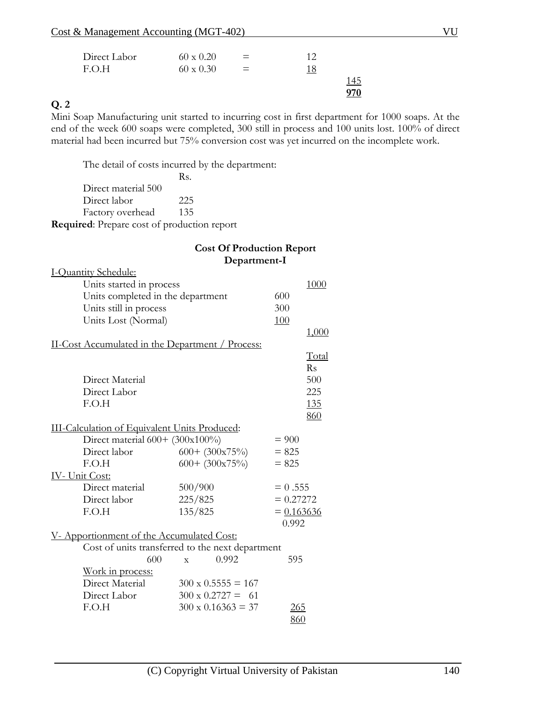| Direct Labor | $60 \times 0.20$ | $=$ | 12  |
|--------------|------------------|-----|-----|
| F.O.H        | $60 \times 0.30$ | $=$ | 18  |
|              |                  |     | 145 |
|              |                  |     | 970 |

# **Q. 2**

Mini Soap Manufacturing unit started to incurring cost in first department for 1000 soaps. At the end of the week 600 soaps were completed, 300 still in process and 100 units lost. 100% of direct material had been incurred but 75% conversion cost was yet incurred on the incomplete work.

The detail of costs incurred by the department:

 Rs. Direct material 500 Direct labor 225 Factory overhead 135 **Required**: Prepare cost of production report

# **Cost Of Production Report Department-I**

| I-Quantity Schedule:                                 |                                                  |                     |
|------------------------------------------------------|--------------------------------------------------|---------------------|
| Units started in process                             |                                                  | 1000                |
| Units completed in the department                    |                                                  | 600                 |
| Units still in process                               |                                                  | 300                 |
| Units Lost (Normal)                                  |                                                  | 100                 |
|                                                      |                                                  | 1,000               |
| II-Cost Accumulated in the Department / Process:     |                                                  |                     |
|                                                      |                                                  | Total               |
|                                                      |                                                  | $\operatorname{Rs}$ |
| Direct Material                                      |                                                  | 500                 |
| Direct Labor                                         |                                                  | 225                 |
| F.O.H                                                |                                                  | 135                 |
|                                                      |                                                  | 860                 |
| <b>III-Calculation of Equivalent Units Produced:</b> |                                                  |                     |
| Direct material $600+$ $(300x100\%)$                 |                                                  | $= 900$             |
| Direct labor                                         | $600 + (300x75%)$                                | $= 825$             |
| F.O.H                                                | $600 + (300x75%)$                                | $= 825$             |
| IV- Unit Cost:                                       |                                                  |                     |
| Direct material                                      | 500/900                                          | $= 0.555$           |
| Direct labor                                         | 225/825                                          | $= 0.27272$         |
| F.O.H                                                | 135/825                                          | $= 0.163636$        |
|                                                      |                                                  | 0.992               |
| V-Apportionment of the Accumulated Cost:             |                                                  |                     |
|                                                      | Cost of units transferred to the next department |                     |
| 600                                                  | 0.992<br>$\mathbf{x}$                            | 595                 |
| Work in process:                                     |                                                  |                     |
| Direct Material                                      | $300 \times 0.5555 = 167$                        |                     |
| Direct Labor                                         | $300 \times 0.2727 = 61$                         |                     |
| F.O.H                                                | $300 \times 0.16363 = 37$                        | 265                 |
|                                                      |                                                  | 860                 |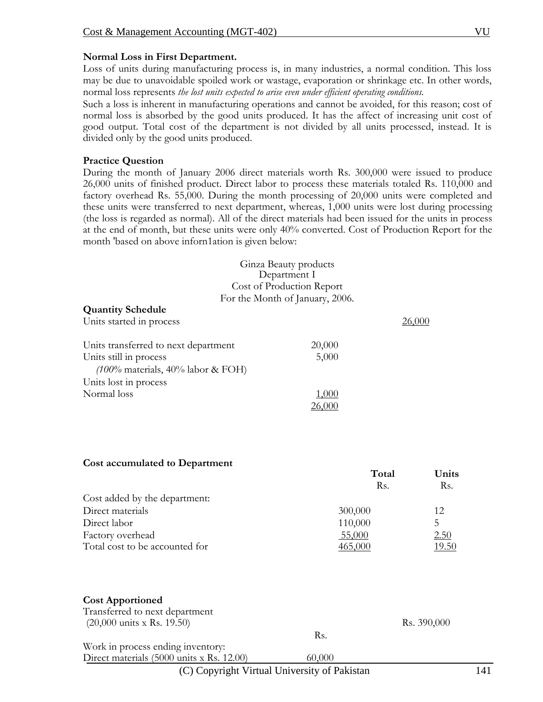#### **Normal Loss in First Department.**

Loss of units during manufacturing process is, in many industries, a normal condition. This loss may be due to unavoidable spoiled work or wastage, evaporation or shrinkage etc. In other words, normal loss represents *the lost units expected to arise even under efficient operating conditions.* 

Such a loss is inherent in manufacturing operations and cannot be avoided, for this reason; cost of normal loss is absorbed by the good units produced. It has the affect of increasing unit cost of good output. Total cost of the department is not divided by all units processed, instead. It is divided only by the good units produced.

#### **Practice Question**

During the month of January 2006 direct materials worth Rs. 300,000 were issued to produce 26,000 units of finished product. Direct labor to process these materials totaled Rs. 110,000 and factory overhead Rs. 55,000. During the month processing of 20,000 units were completed and these units were transferred to next department, whereas, 1,000 units were lost during processing (the loss is regarded as normal). All of the direct materials had been issued for the units in process at the end of month, but these units were only  $40\%$  converted. Cost of Production Report for the month 'based on above inforn1ation is given below:

> Ginza Beauty products Department I Cost of Production Report For the Month of January, 2006.

#### **Quantity Schedule**

| Units started in process                |        | 000 |
|-----------------------------------------|--------|-----|
| Units transferred to next department    | 20,000 |     |
| Units still in process                  | 5,000  |     |
| $(100\%$ materials, $40\%$ labor & FOH) |        |     |
| Units lost in process                   |        |     |
| Normal loss                             | 1,000  |     |
|                                         | 26,000 |     |

| <b>Cost accumulated to Department</b> |  |
|---------------------------------------|--|
|---------------------------------------|--|

|                                | Total   | Units |
|--------------------------------|---------|-------|
|                                | Rs.     | Rs.   |
| Cost added by the department:  |         |       |
| Direct materials               | 300,000 | 12    |
| Direct labor                   | 110,000 | 5     |
| Factory overhead               | 55,000  | 2.50  |
| Total cost to be accounted for | 465,000 | 19.50 |

#### **Cost Apportioned**

| Transferred to next department            |                                              |             |  |
|-------------------------------------------|----------------------------------------------|-------------|--|
|                                           |                                              |             |  |
| $(20,000 \text{ units x Rs. } 19.50)$     |                                              | Rs. 390,000 |  |
|                                           | Rs.                                          |             |  |
| Work in process ending inventory:         |                                              |             |  |
| Direct materials (5000 units x Rs. 12.00) | 60,000                                       |             |  |
|                                           | (C) Copyright Virtual University of Pakistan |             |  |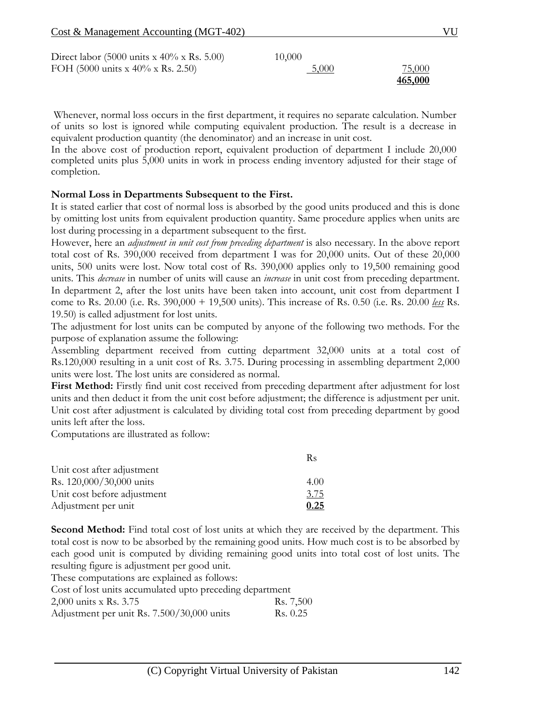| Direct labor (5000 units x $40\%$ x Rs. 5.00)                  | 10,000 |               |
|----------------------------------------------------------------|--------|---------------|
| FOH $(5000 \text{ units} \times 40\% \times \text{Rs. } 2.50)$ | 5,000  | <u>75,000</u> |
|                                                                |        | 465,000       |

 Whenever, normal loss occurs in the first department, it requires no separate calculation. Number of units so lost is ignored while computing equivalent production. The result is a decrease in equivalent production quantity (the denominator) and an increase in unit cost.

In the above cost of production report, equivalent production of department I include 20,000 completed units plus 5,000 units in work in process ending inventory adjusted for their stage of completion.

#### **Normal Loss in Departments Subsequent to the First.**

It is stated earlier that cost of normal loss is absorbed by the good units produced and this is done by omitting lost units from equivalent production quantity. Same procedure applies when units are lost during processing in a department subsequent to the first.

However, here an *adjustment in unit cost from preceding department* is also necessary. In the above report total cost of Rs. 390,000 received from department I was for 20,000 units. Out of these 20,000 units, 500 units were lost. Now total cost of Rs. 390,000 applies only to 19,500 remaining good units. This *decrease* in number of units will cause an *increase* in unit cost from preceding department. In department 2, after the lost units have been taken into account, unit cost from department I come to Rs. 20.00 (i.e. Rs. 390,000 + 19,500 units). This increase of Rs. 0.50 (i.e. Rs. 20.00 *less* Rs. 19.50) is called adjustment for lost units.

The adjustment for lost units can be computed by anyone of the following two methods. For the purpose of explanation assume the following:

Assembling department received from cutting department 32,000 units at a total cost of Rs.120,000 resulting in a unit cost of Rs. 3.75. During processing in assembling department 2,000 units were lost. The lost units are considered as normal.

**First Method:** Firstly find unit cost received from preceding department after adjustment for lost units and then deduct it from the unit cost before adjustment; the difference is adjustment per unit. Unit cost after adjustment is calculated by dividing total cost from preceding department by good units left after the loss.

Computations are illustrated as follow:

|                             | Rs   |
|-----------------------------|------|
| Unit cost after adjustment  |      |
| Rs. 120,000/30,000 units    | 4.00 |
| Unit cost before adjustment | 3.75 |
| Adjustment per unit         | 0.25 |

**Second Method:** Find total cost of lost units at which they are received by the department. This total cost is now to be absorbed by the remaining good units. How much cost is to be absorbed by each good unit is computed by dividing remaining good units into total cost of lost units. The resulting figure is adjustment per good unit.

These computations are explained as follows:

| Cost of lost units accumulated upto preceding department |           |
|----------------------------------------------------------|-----------|
| $2,000$ units x Rs. 3.75                                 | Rs. 7,500 |
| Adjustment per unit Rs. 7.500/30,000 units               | Rs. 0.25  |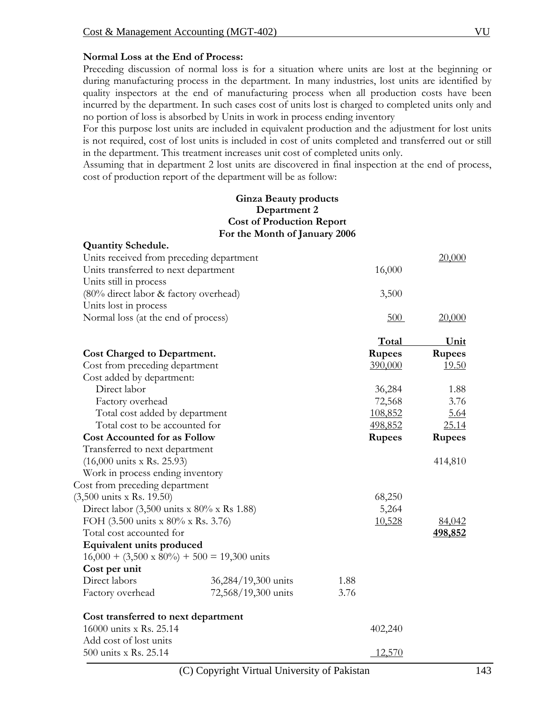#### **Normal Loss at the End of Process:**

Preceding discussion of normal loss is for a situation where units are lost at the beginning or during manufacturing process in the department. In many industries, lost units are identified by quality inspectors at the end of manufacturing process when all production costs have been incurred by the department. In such cases cost of units lost is charged to completed units only and no portion of loss is absorbed by Units in work in process ending inventory

For this purpose lost units are included in equivalent production and the adjustment for lost units is not required, cost of lost units is included in cost of units completed and transferred out or still in the department. This treatment increases unit cost of completed units only.

Assuming that in department 2 lost units are discovered in final inspection at the end of process, cost of production report of the department will be as follow:

#### **Ginza Beauty products Department 2 Cost of Production Report For the Month of January 2006**

| <b>Quantity Schedule.</b>                           |                     |      |               |               |
|-----------------------------------------------------|---------------------|------|---------------|---------------|
| Units received from preceding department            |                     |      |               | 20,000        |
| Units transferred to next department                |                     |      | 16,000        |               |
| Units still in process                              |                     |      |               |               |
| (80% direct labor & factory overhead)               |                     |      | 3,500         |               |
| Units lost in process                               |                     |      |               |               |
| Normal loss (at the end of process)                 |                     |      | 500           | 20,000        |
|                                                     |                     |      | Total         | <u>Unit</u>   |
| Cost Charged to Department.                         |                     |      | <b>Rupees</b> | <b>Rupees</b> |
| Cost from preceding department                      |                     |      | 390,000       | <u>19.50</u>  |
| Cost added by department:                           |                     |      |               |               |
| Direct labor                                        |                     |      | 36,284        | 1.88          |
| Factory overhead                                    |                     |      | 72,568        | 3.76          |
| Total cost added by department                      |                     |      | 108,852       | 5.64          |
| Total cost to be accounted for                      |                     |      | 498,852       | 25.14         |
| <b>Cost Accounted for as Follow</b>                 |                     |      | <b>Rupees</b> | <b>Rupees</b> |
| Transferred to next department                      |                     |      |               |               |
| $(16,000 \text{ units x} \text{ Rs. } 25.93)$       |                     |      |               | 414,810       |
| Work in process ending inventory                    |                     |      |               |               |
| Cost from preceding department                      |                     |      |               |               |
| $(3,500 \text{ units x} \text{ Rs. } 19.50)$        |                     |      | 68,250        |               |
| Direct labor (3,500 units x 80% x Rs 1.88)          |                     |      | 5,264         |               |
| FOH (3.500 units x 80% x Rs. 3.76)                  |                     |      | 10,528        | 84,042        |
| Total cost accounted for                            |                     |      |               | 498,852       |
| <b>Equivalent units produced</b>                    |                     |      |               |               |
| $16,000 + (3,500 \times 80\%) + 500 = 19,300$ units |                     |      |               |               |
| Cost per unit                                       |                     |      |               |               |
| Direct labors                                       | 36,284/19,300 units | 1.88 |               |               |
| Factory overhead                                    | 72,568/19,300 units | 3.76 |               |               |
| Cost transferred to next department                 |                     |      |               |               |
| 16000 units x Rs. 25.14                             |                     |      | 402,240       |               |
| Add cost of lost units                              |                     |      |               |               |
| 500 units x Rs. 25.14                               |                     |      | 12,570        |               |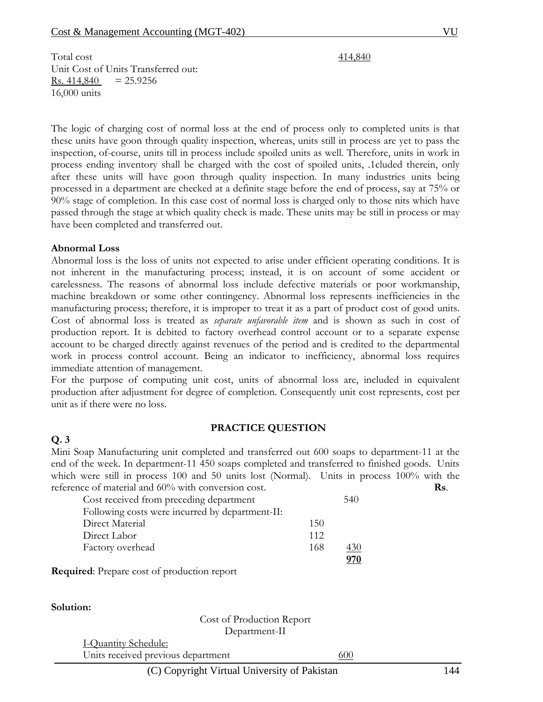Total cost 414,840 Unit Cost of Units Transferred out: Rs.  $414,840 = 25.9256$ 16,000 units

The logic of charging cost of normal loss at the end of process only to completed units is that these units have goon through quality inspection, whereas, units still in process are yet to pass the inspection, of-course, units till in process include spoiled units as well. Therefore, units in work in process ending inventory shall be charged with the cost of spoiled units, .1cluded therein, only after these units will have goon through quality inspection. In many industries units being processed in a department are checked at a definite stage before the end of process, say at 75% or 90% stage of completion. In this case cost of normal loss is charged only to those nits which have passed through the stage at which quality check is made. These units may be still in process or may have been completed and transferred out.

#### **Abnormal Loss**

Abnormal loss is the loss of units not expected to arise under efficient operating conditions. It is not inherent in the manufacturing process; instead, it is on account of some accident or carelessness. The reasons of abnormal loss include defective materials or poor workmanship, machine breakdown or some other contingency. Abnormal loss represents inefficiencies in the manufacturing process; therefore, it is improper to treat it as a part of product cost of good units. Cost of abnormal loss is treated as *separate unfavorable item* and is shown as such in cost of production report. It is debited to factory overhead control account or to a separate expense account to be charged directly against revenues of the period and is credited to the departmental work in process control account. Being an indicator to inefficiency, abnormal loss requires immediate attention of management.

For the purpose of computing unit cost, units of abnormal loss are, included in equivalent production after adjustment for degree of completion. Consequently unit cost represents, cost per unit as if there were no loss.

#### **Q. 3**

#### **PRACTICE QUESTION**

Mini Soap Manufacturing unit completed and transferred out 600 soaps to department-11 at the end of the week. In department-11 450 soaps completed and transferred to finished goods. Units which were still in process 100 and 50 units lost (Normal). Units in process 100% with the reference of material and 60% with conversion cost. **Rs**.

| Cost received from preceding department         |     | 540 |
|-------------------------------------------------|-----|-----|
| Following costs were incurred by department-II: |     |     |
| Direct Material                                 | 150 |     |
| Direct Labor                                    | 112 |     |
| Factory overhead                                | 168 |     |
|                                                 |     |     |

**Required**: Prepare cost of production report

#### **Solution:**

#### Cost of Production Report Department-II

 I-Quantity Schedule: Units received previous department 600

(C) Copyright Virtual University of Pakistan 144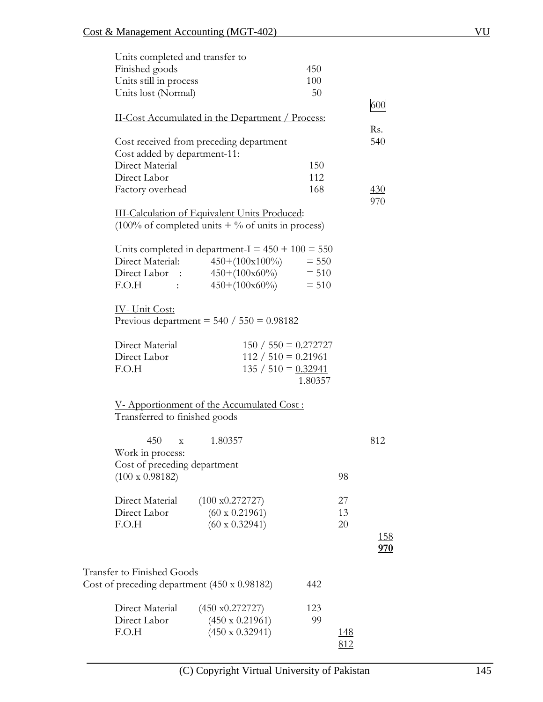| Units completed and transfer to                     |                                                                       |         |            |            |
|-----------------------------------------------------|-----------------------------------------------------------------------|---------|------------|------------|
| Finished goods                                      |                                                                       | 450     |            |            |
| Units still in process                              |                                                                       | 100     |            |            |
| Units lost (Normal)                                 |                                                                       | 50      |            |            |
|                                                     |                                                                       |         |            | 600        |
|                                                     | II-Cost Accumulated in the Department / Process:                      |         |            |            |
|                                                     |                                                                       |         |            | Rs.        |
|                                                     | Cost received from preceding department                               |         |            | 540        |
| Cost added by department-11:                        |                                                                       |         |            |            |
| Direct Material                                     |                                                                       | 150     |            |            |
| Direct Labor                                        |                                                                       | 112     |            |            |
| Factory overhead                                    |                                                                       | 168     |            | <u>430</u> |
|                                                     |                                                                       |         |            | 970        |
|                                                     | <b>III-Calculation of Equivalent Units Produced:</b>                  |         |            |            |
|                                                     | $(100\% \text{ of completed units} + \% \text{ of units in process})$ |         |            |            |
|                                                     |                                                                       |         |            |            |
|                                                     | Units completed in department-I = $450 + 100 = 550$                   |         |            |            |
| Direct Material:                                    | $450+(100x100\%)$ = 550                                               |         |            |            |
|                                                     | Direct Labor : $450+(100x60\%)$ = 510                                 |         |            |            |
| F.O.H                                               | $450 + (100 \times 60\%)$ = 510                                       |         |            |            |
|                                                     |                                                                       |         |            |            |
|                                                     |                                                                       |         |            |            |
| <u>IV- Unit Cost:</u>                               |                                                                       |         |            |            |
|                                                     | Previous department = $540 / 550 = 0.98182$                           |         |            |            |
| Direct Material                                     |                                                                       |         |            |            |
|                                                     | $150 / 550 = 0.272727$                                                |         |            |            |
| Direct Labor                                        | $112 / 510 = 0.21961$                                                 |         |            |            |
| F.O.H                                               | $135 / 510 = 0.32941$                                                 |         |            |            |
|                                                     |                                                                       | 1.80357 |            |            |
|                                                     |                                                                       |         |            |            |
|                                                     | V-Apportionment of the Accumulated Cost:                              |         |            |            |
| Transferred to finished goods                       |                                                                       |         |            |            |
|                                                     |                                                                       |         |            |            |
| 450<br>$\mathbf X$                                  | 1.80357                                                               |         |            | 812        |
| Work in process:                                    |                                                                       |         |            |            |
| Cost of preceding department                        |                                                                       |         |            |            |
| $(100 \times 0.98182)$                              |                                                                       |         | 98         |            |
|                                                     |                                                                       |         |            |            |
| Direct Material                                     | (100 x0.272727)                                                       |         | 27         |            |
| Direct Labor                                        | $(60 \times 0.21961)$                                                 |         | 13         |            |
| F.O.H                                               | $(60 \times 0.32941)$                                                 |         | 20         |            |
|                                                     |                                                                       |         |            | 158        |
|                                                     |                                                                       |         |            | <u>970</u> |
|                                                     |                                                                       |         |            |            |
| Transfer to Finished Goods                          |                                                                       |         |            |            |
| Cost of preceding department $(450 \times 0.98182)$ |                                                                       | 442     |            |            |
|                                                     |                                                                       |         |            |            |
| Direct Material                                     | (450 x0.272727)                                                       | 123     |            |            |
| Direct Labor                                        | $(450 \times 0.21961)$                                                | 99      |            |            |
| F.O.H                                               | $(450 \times 0.32941)$                                                |         | <u>148</u> |            |
|                                                     |                                                                       |         | 812        |            |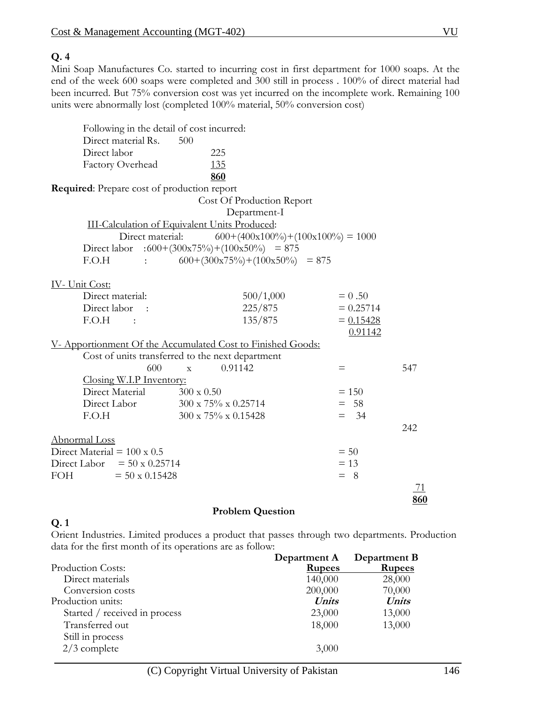# **Q. 4**

Mini Soap Manufactures Co. started to incurring cost in first department for 1000 soaps. At the end of the week 600 soaps were completed and 300 still in process . 100% of direct material had been incurred. But 75% conversion cost was yet incurred on the incomplete work. Remaining 100 units were abnormally lost (completed 100% material, 50% conversion cost)

|                                                    | Following in the detail of cost incurred:                  |             |     |
|----------------------------------------------------|------------------------------------------------------------|-------------|-----|
| Direct material Rs.                                | 500                                                        |             |     |
| Direct labor                                       | 225                                                        |             |     |
| Factory Overhead                                   | 135                                                        |             |     |
|                                                    | 860                                                        |             |     |
| <b>Required:</b> Prepare cost of production report |                                                            |             |     |
|                                                    | Cost Of Production Report                                  |             |     |
|                                                    | Department-I                                               |             |     |
|                                                    | <b>III-Calculation of Equivalent Units Produced:</b>       |             |     |
| Direct material:                                   | $600+(400x100\%)+(100x100\%) = 1000$                       |             |     |
|                                                    | Direct labor :600+(300x75%)+(100x50%) = 875                |             |     |
| F.O.H                                              | $600+(300x75%)+(100x50%) = 875$                            |             |     |
|                                                    |                                                            |             |     |
| <u> IV- Unit Cost:</u>                             |                                                            |             |     |
| Direct material:                                   | 500/1,000                                                  | $= 0.50$    |     |
| Direct labor :                                     | 225/875                                                    | $= 0.25714$ |     |
|                                                    |                                                            |             |     |
| F.O.H<br>$\sim$ $\sim$ $\sim$ $\sim$ $\sim$        | 135/875                                                    | $= 0.15428$ |     |
|                                                    |                                                            | 0.91142     |     |
|                                                    | V-Apportionment Of the Accumulated Cost to Finished Goods: |             |     |
|                                                    | Cost of units transferred to the next department           |             |     |
| 600                                                | 0.91142<br>$\mathbf X$                                     | $=$         | 547 |
| Closing W.I.P Inventory:                           |                                                            |             |     |
| Direct Material                                    | $300 \times 0.50$                                          | $= 150$     |     |
| Direct Labor                                       | $300 \times 75\% \times 0.25714$                           | $= 58$      |     |
| F.O.H                                              | 300 x 75% x 0.15428                                        | $=$ 34      |     |
|                                                    |                                                            |             | 242 |
| Abnormal Loss                                      |                                                            |             |     |
| Direct Material = $100 \times 0.5$                 |                                                            | $= 50$      |     |
| Direct Labor = $50 \times 0.25714$                 |                                                            | $= 13$      |     |
| $= 50 \times 0.15428$<br>FOH                       |                                                            | $= 8$       |     |
|                                                    |                                                            |             | 71  |
|                                                    |                                                            |             | 860 |
|                                                    |                                                            |             |     |

# **Q. 1**

**Problem Question** 

Orient Industries. Limited produces a product that passes through two departments. Production data for the first month of its operations are as follow:

|                               | Department A  | Department B  |
|-------------------------------|---------------|---------------|
| Production Costs:             | <b>Rupees</b> | <b>Rupees</b> |
| Direct materials              | 140,000       | 28,000        |
| Conversion costs              | 200,000       | 70,000        |
| Production units:             | <b>Units</b>  | <b>Units</b>  |
| Started / received in process | 23,000        | 13,000        |
| Transferred out               | 18,000        | 13,000        |
| Still in process              |               |               |
| $2/3$ complete                | 3,000         |               |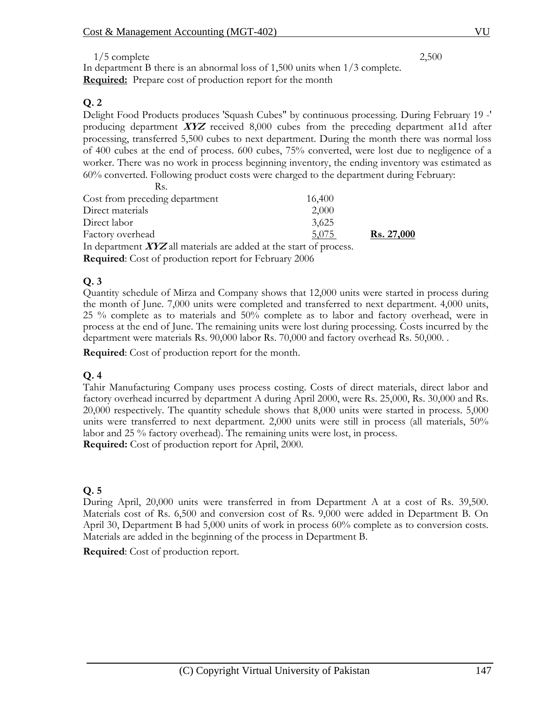1/5 complete 2,500 In department B there is an abnormal loss of 1,500 units when 1/3 complete. **Required:** Prepare cost of production report for the month

## **Q. 2**

Delight Food Products produces 'Squash Cubes" by continuous processing. During February 19 -' producing department **XYZ** received 8,000 cubes from the preceding department aI1d after processing, transferred 5,500 cubes to next department. During the month there was normal loss of 400 cubes at the end of process. 600 cubes, 75% converted, were lost due to negligence of a worker. There was no work in process beginning inventory, the ending inventory was estimated as 60% converted. Following product costs were charged to the department during February:

| Rs.                                                                  |        |            |
|----------------------------------------------------------------------|--------|------------|
| Cost from preceding department                                       | 16,400 |            |
| Direct materials                                                     | 2,000  |            |
| Direct labor                                                         | 3,625  |            |
| Factory overhead                                                     | 5,075  | Rs. 27,000 |
| In department $XYZ$ all materials are added at the start of process. |        |            |
| <b>Dequired:</b> Cost of production report for February 2006         |        |            |

**Required**: Cost of production report for February 2006

## **Q. 3**

Quantity schedule of Mirza and Company shows that 12,000 units were started in process during the month of June. 7,000 units were completed and transferred to next department. 4,000 units, 25 % complete as to materials and 50% complete as to labor and factory overhead, were in process at the end of June. The remaining units were lost during processing. Costs incurred by the department were materials Rs. 90,000 labor Rs. 70,000 and factory overhead Rs. 50,000. .

**Required**: Cost of production report for the month.

## **Q. 4**

Tahir Manufacturing Company uses process costing. Costs of direct materials, direct labor and factory overhead incurred by department A during April 2000, were Rs. 25,000, Rs. 30,000 and Rs. 20,000 respectively. The quantity schedule shows that 8,000 units were started in process. 5,000 units were transferred to next department. 2,000 units were still in process (all materials, 50% labor and 25 % factory overhead). The remaining units were lost, in process. **Required:** Cost of production report for April, 2000.

## **Q. 5**

During April, 20,000 units were transferred in from Department A at a cost of Rs. 39,500. Materials cost of Rs. 6,500 and conversion cost of Rs. 9,000 were added in Department B. On April 30, Department B had 5,000 units of work in process 60% complete as to conversion costs. Materials are added in the beginning of the process in Department B.

**Required**: Cost of production report.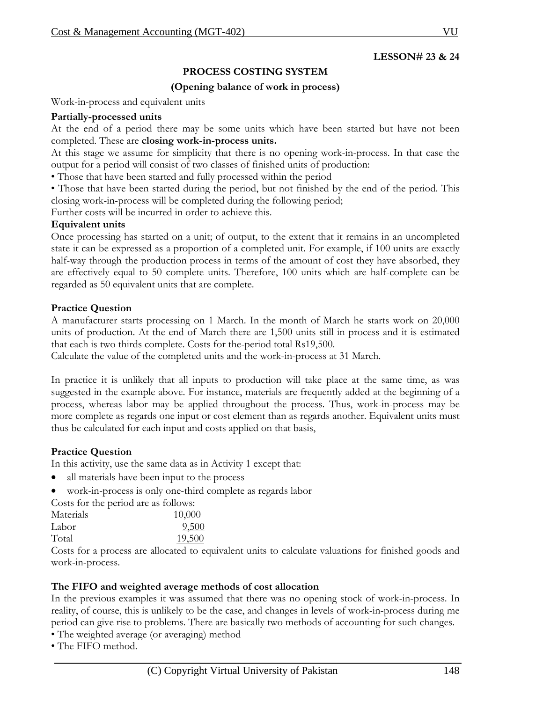## **PROCESS COSTING SYSTEM**

## **(Opening balance of work in process)**

Work-in-process and equivalent units

## **Partially-processed units**

At the end of a period there may be some units which have been started but have not been completed. These are **closing work-in-process units.**

At this stage we assume for simplicity that there is no opening work-in-process. In that case the output for a period will consist of two classes of finished units of production:

• Those that have been started and fully processed within the period

• Those that have been started during the period, but not finished by the end of the period. This closing work-in-process will be completed during the following period;

Further costs will be incurred in order to achieve this.

## **Equivalent units**

Once processing has started on a unit; of output, to the extent that it remains in an uncompleted state it can be expressed as a proportion of a completed unit. For example, if 100 units are exactly half-way through the production process in terms of the amount of cost they have absorbed, they are effectively equal to 50 complete units. Therefore, 100 units which are half-complete can be regarded as 50 equivalent units that are complete.

## **Practice Question**

A manufacturer starts processing on 1 March. In the month of March he starts work on 20,000 units of production. At the end of March there are 1,500 units still in process and it is estimated that each is two thirds complete. Costs for the-period total Rs19,500.

Calculate the value of the completed units and the work-in-process at 31 March.

In practice it is unlikely that all inputs to production will take place at the same time, as was suggested in the example above. For instance, materials are frequently added at the beginning of a process, whereas labor may be applied throughout the process. Thus, work-in-process may be more complete as regards one input or cost element than as regards another. Equivalent units must thus be calculated for each input and costs applied on that basis,

## **Practice Question**

In this activity, use the same data as in Activity 1 except that:

- all materials have been input to the process
- work-in-process is only one-third complete as regards labor

Costs for the period are as follows:

| Materials | 10,000 |
|-----------|--------|
| Labor     | 9,500  |
| Total     | 19,500 |

Costs for a process are allocated to equivalent units to calculate valuations for finished goods and work-in-process.

## **The FIFO and weighted average methods of cost allocation**

In the previous examples it was assumed that there was no opening stock of work-in-process. In reality, of course, this is unlikely to be the case, and changes in levels of work-in-process during me period can give rise to problems. There are basically two methods of accounting for such changes.

- The weighted average (or averaging) method
- The FIFO method.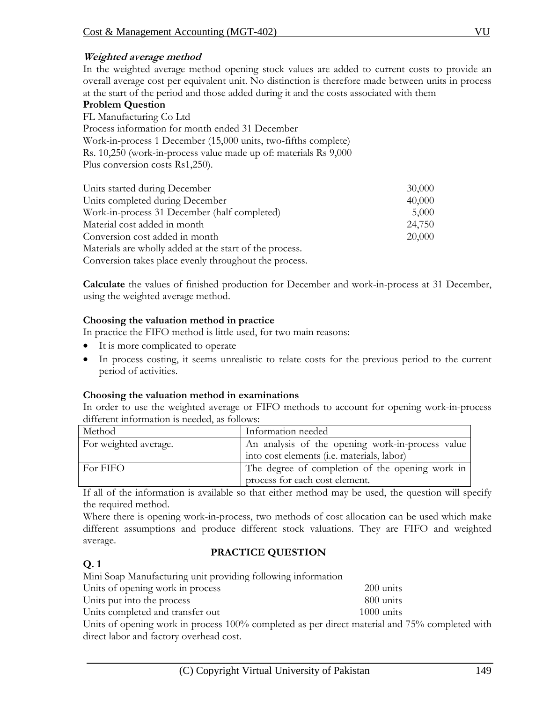## **Weighted average method**

In the weighted average method opening stock values are added to current costs to provide an overall average cost per equivalent unit. No distinction is therefore made between units in process at the start of the period and those added during it and the costs associated with them

#### **Problem Question**

FL Manufacturing Co Ltd Process information for month ended 31 December Work-in-process 1 December (15,000 units, two-fifths complete) Rs. 10,250 (work-in-process value made up of: materials Rs 9,000 Plus conversion costs Rs1,250).

| Units started during December                           | 30,000 |
|---------------------------------------------------------|--------|
| Units completed during December                         | 40,000 |
| Work-in-process 31 December (half completed)            | 5,000  |
| Material cost added in month                            | 24,750 |
| Conversion cost added in month                          | 20,000 |
| Materials are wholly added at the start of the process. |        |
| Conversion takes place evenly throughout the process.   |        |

**Calculate** the values of finished production for December and work-in-process at 31 December, using the weighted average method.

#### **Choosing the valuation method in practice**

In practice the FIFO method is little used, for two main reasons:

- It is more complicated to operate
- In process costing, it seems unrealistic to relate costs for the previous period to the current period of activities.

#### **Choosing the valuation method in examinations**

In order to use the weighted average or FIFO methods to account for opening work-in-process different information is needed, as follows:

| Method                | Information needed                               |  |
|-----------------------|--------------------------------------------------|--|
| For weighted average. | An analysis of the opening work-in-process value |  |
|                       | into cost elements (i.e. materials, labor)       |  |
| For $FIFO$            | The degree of completion of the opening work in  |  |
|                       | process for each cost element.                   |  |

If all of the information is available so that either method may be used, the question will specify the required method.

Where there is opening work-in-process, two methods of cost allocation can be used which make different assumptions and produce different stock valuations. They are FIFO and weighted average.

#### **PRACTICE QUESTION**

#### **Q. 1**

Mini Soap Manufacturing unit providing following information

| Units of opening work in process | $200 \text{ units}$ |
|----------------------------------|---------------------|
| Units put into the process       | 800 units           |
|                                  | .                   |

Units completed and transfer out 1000 units

Units of opening work in process 100% completed as per direct material and 75% completed with direct labor and factory overhead cost.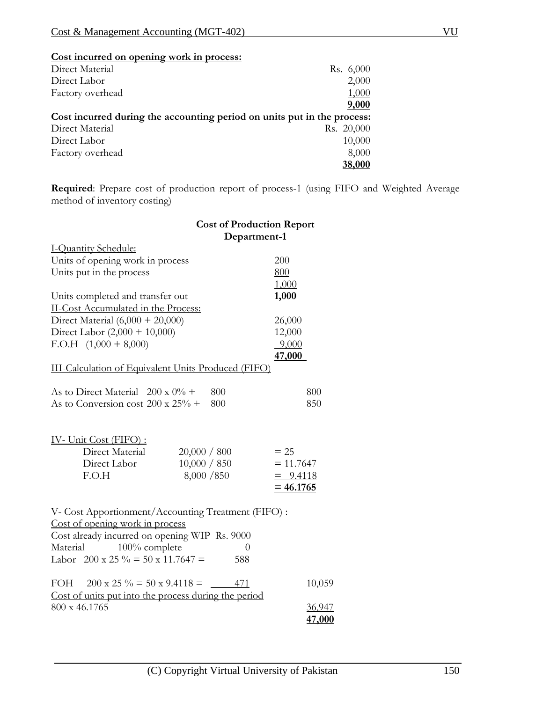**Cost incurred on opening work in process:**

| Direct Material                                                         | Rs. 6,000  |
|-------------------------------------------------------------------------|------------|
| Direct Labor                                                            | 2,000      |
| Factory overhead                                                        | 1,000      |
|                                                                         | 9,000      |
| Cost incurred during the accounting period on units put in the process: |            |
| Direct Material                                                         | Rs. 20,000 |
| Direct Labor                                                            | 10,000     |
| Factory overhead                                                        | 8,000      |
|                                                                         | 38,000     |

**Required**: Prepare cost of production report of process-1 (using FIFO and Weighted Average method of inventory costing)

|                                                            |                | <b>Cost of Production Report</b> |  |  |
|------------------------------------------------------------|----------------|----------------------------------|--|--|
|                                                            | Department-1   |                                  |  |  |
| I-Quantity Schedule:                                       |                |                                  |  |  |
| Units of opening work in process                           |                | 200                              |  |  |
| Units put in the process                                   |                | 800                              |  |  |
|                                                            |                | 1,000                            |  |  |
| Units completed and transfer out                           |                | 1,000                            |  |  |
| II-Cost Accumulated in the Process:                        |                |                                  |  |  |
| Direct Material $(6,000 + 20,000)$                         |                | 26,000                           |  |  |
| Direct Labor $(2,000 + 10,000)$                            |                | 12,000                           |  |  |
| $F.O.H$ $(1,000 + 8,000)$                                  |                | 9,000                            |  |  |
|                                                            |                | 47,000                           |  |  |
| <b>III-Calculation of Equivalent Units Produced (FIFO)</b> |                |                                  |  |  |
|                                                            |                |                                  |  |  |
| As to Direct Material $200 \times 0\%$ +                   | 800            | 800                              |  |  |
|                                                            |                |                                  |  |  |
| As to Conversion cost $200 \times 25\%$ +                  | 800            | 850                              |  |  |
|                                                            |                |                                  |  |  |
|                                                            |                |                                  |  |  |
| <u>IV- Unit Cost (FIFO):</u>                               |                |                                  |  |  |
| Direct Material                                            | 20,000 / 800   | $= 25$                           |  |  |
| Direct Labor                                               | 10,000 / 850   | $= 11.7647$                      |  |  |
| F.O.H                                                      | 8,000 / 850    | $= 9.4118$                       |  |  |
|                                                            |                | $= 46.1765$                      |  |  |
|                                                            |                |                                  |  |  |
| V- Cost Apportionment/Accounting Treatment (FIFO):         |                |                                  |  |  |
| Cost of opening work in process                            |                |                                  |  |  |
| Cost already incurred on opening WIP Rs. 9000              |                |                                  |  |  |
| 100% complete<br>Material                                  | $\overline{0}$ |                                  |  |  |
| Labor 200 x 25 $\%$ = 50 x 11.7647 =                       | 588            |                                  |  |  |
|                                                            |                |                                  |  |  |
| FOH $200 \times 25\% = 50 \times 9.4118 =$                 | 4/1            | 10,059                           |  |  |
| Cost of units put into the process during the period       |                |                                  |  |  |
| 800 x 46.1765                                              |                | 36,947                           |  |  |
|                                                            |                |                                  |  |  |
|                                                            |                | 47,000                           |  |  |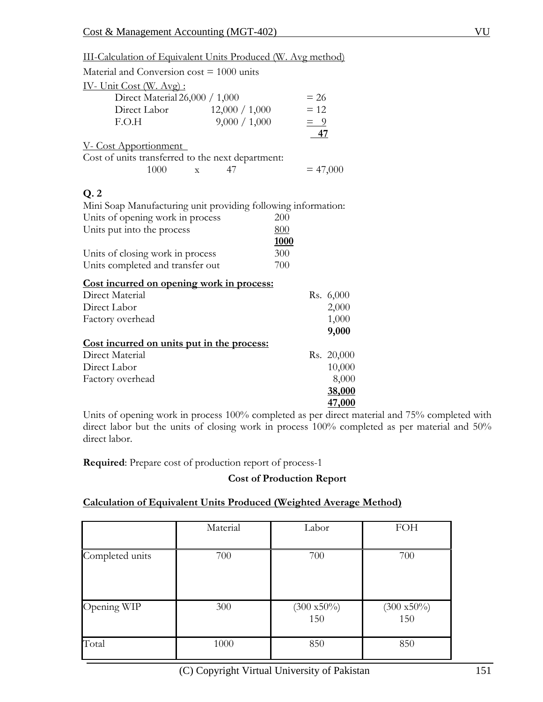| <b>III-Calculation of Equivalent Units Produced (W. Avg method)</b>         |            |
|-----------------------------------------------------------------------------|------------|
| Material and Conversion $cost = 1000$ units                                 |            |
| IV- Unit Cost (W. Avg):                                                     |            |
| Direct Material 26,000 / 1,000                                              | $= 26$     |
| Direct Labor<br>12,000 / 1,000                                              | $= 12$     |
| F.O.H<br>9,000 / 1,000                                                      | $= 9$      |
|                                                                             | 47         |
| V-Cost Apportionment                                                        |            |
| Cost of units transferred to the next department:                           |            |
| 1000<br>47<br>$\overline{X}$                                                | $= 47,000$ |
|                                                                             |            |
| Q.2                                                                         |            |
| Mini Soap Manufacturing unit providing following information:               |            |
| Units of opening work in process<br>200                                     |            |
| Units put into the process<br>800                                           |            |
| 1000<br>300                                                                 |            |
| Units of closing work in process<br>Units completed and transfer out<br>700 |            |
|                                                                             |            |
| <u>Cost incurred on opening work in process:</u>                            |            |
| Direct Material                                                             | Rs. 6,000  |
| Direct Labor                                                                | 2,000      |
| Factory overhead                                                            | 1,000      |
|                                                                             | 9,000      |
| Cost incurred on units put in the process:                                  |            |
| Direct Material                                                             | Rs. 20,000 |
| Direct Labor                                                                | 10,000     |
| Factory overhead                                                            | 8,000      |
|                                                                             | 38,000     |
|                                                                             | 47,000     |

Units of opening work in process 100% completed as per direct material and 75% completed with direct labor but the units of closing work in process 100% completed as per material and 50% direct labor.

## **Required**: Prepare cost of production report of process-1

#### **Cost of Production Report**

#### **Calculation of Equivalent Units Produced (Weighted Average Method)**

|                 | Material | Labor              | <b>FOH</b>        |
|-----------------|----------|--------------------|-------------------|
| Completed units | 700      | 700                | 700               |
| Opening WIP     | 300      | (300 x 50%)<br>150 | (300 x50%)<br>150 |
| Total           | 1000     | 850                | 850               |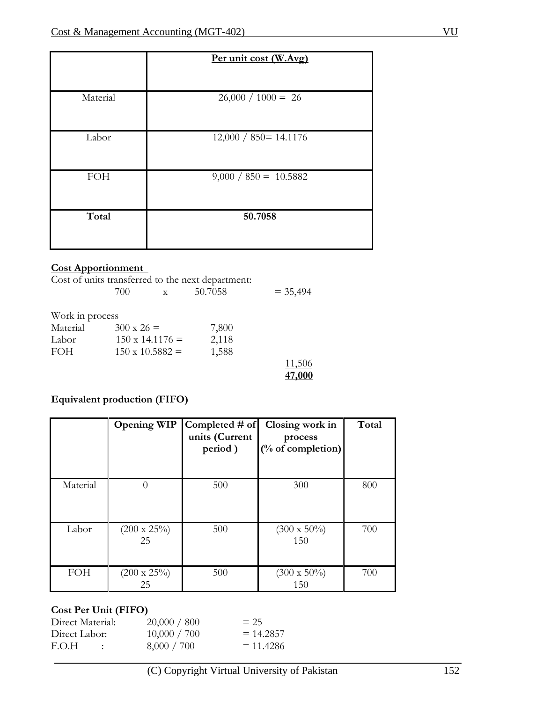|            | Per unit cost (W.Avg)    |
|------------|--------------------------|
| Material   | $26,000 / 1000 = 26$     |
| Labor      | $12,000 / 850 = 14.1176$ |
| <b>FOH</b> | $9,000 / 850 = 10.5882$  |
| Total      | 50.7058                  |

## **Cost Apportionment**

| Cost of units transferred to the next department: |                        |              |         |               |  |
|---------------------------------------------------|------------------------|--------------|---------|---------------|--|
|                                                   | 700                    | $\mathbf{X}$ | 50.7058 | $= 35,494$    |  |
| Work in process                                   |                        |              |         |               |  |
| Material                                          | $300 \times 26 =$      |              | 7,800   |               |  |
| Labor                                             | $150 \times 14.1176 =$ |              | 2,118   |               |  |
| <b>FOH</b>                                        | $150 \times 10.5882 =$ |              | 1,588   |               |  |
|                                                   |                        |              |         | <u>11,506</u> |  |
|                                                   |                        |              |         | 47,000        |  |

## **Equivalent production (FIFO)**

|            | <b>Opening WIP</b>        | Completed # of<br>units (Current<br>period) | Closing work in<br>process<br>$(\%$ of completion) | Total |
|------------|---------------------------|---------------------------------------------|----------------------------------------------------|-------|
| Material   | $\left( \right)$          | 500                                         | 300                                                | 800   |
| Labor      | $(200 \times 25\%)$<br>25 | 500                                         | $(300 \times 50\%)$<br>150                         | 700   |
| <b>FOH</b> | $(200 \times 25\%)$<br>25 | 500                                         | $(300 \times 50\%)$<br>150                         | 700   |

## **Cost Per Unit (FIFO)**

| Direct Material:                  | 20,000 / 800 | $= 25$      |
|-----------------------------------|--------------|-------------|
| Direct Labor:                     | 10,000 / 700 | $= 14.2857$ |
| E.O.H<br><b>Contract Contract</b> | 8,000 / 700  | $= 11.4286$ |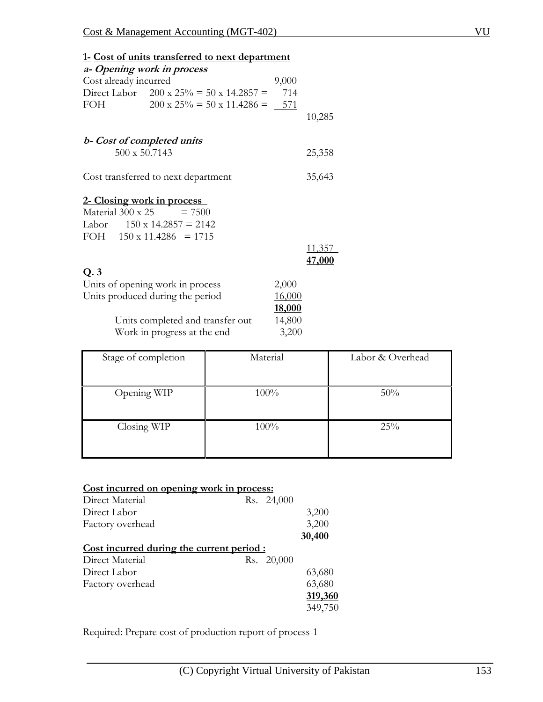| 1- Cost of units transferred to next department |                                                      |               |               |  |
|-------------------------------------------------|------------------------------------------------------|---------------|---------------|--|
|                                                 | a- Opening work in process                           |               |               |  |
| Cost already incurred                           |                                                      | 9,000         |               |  |
|                                                 | Direct Labor $200 \times 25\% = 50 \times 14.2857 =$ | 714           |               |  |
| FOH                                             | $200 \times 25\% = 50 \times 11.4286 = 571$          |               |               |  |
|                                                 |                                                      |               | 10,285        |  |
|                                                 |                                                      |               |               |  |
| b- Cost of completed units                      |                                                      |               |               |  |
| 500 x 50.7143                                   |                                                      |               | <u>25,358</u> |  |
|                                                 |                                                      |               |               |  |
|                                                 | Cost transferred to next department                  |               | 35,643        |  |
|                                                 |                                                      |               |               |  |
| 2- Closing work in process                      |                                                      |               |               |  |
|                                                 | Material 300 x 25 = 7500                             |               |               |  |
|                                                 | Labor $150 \times 14.2857 = 2142$                    |               |               |  |
|                                                 | FOH $150 \times 11.4286 = 1715$                      |               |               |  |
|                                                 |                                                      |               | <u>11,357</u> |  |
|                                                 |                                                      |               | <u>47,000</u> |  |
| Q.3                                             |                                                      |               |               |  |
|                                                 | Units of opening work in process                     | 2,000         |               |  |
|                                                 | Units produced during the period                     | 16,000        |               |  |
|                                                 |                                                      | <u>18,000</u> |               |  |
|                                                 | Units completed and transfer out                     | 14,800        |               |  |
|                                                 | Work in progress at the end                          | 3,200         |               |  |
|                                                 |                                                      |               |               |  |

| Stage of completion | Material | Labor & Overhead |
|---------------------|----------|------------------|
|                     |          |                  |
| Opening WIP         | 100%     | 50%              |
|                     |          |                  |
| Closing WIP         | 100%     | 25%              |
|                     |          |                  |
|                     |          |                  |

| Cost incurred on opening work in process:       |            |         |
|-------------------------------------------------|------------|---------|
| Direct Material                                 | Rs. 24,000 |         |
| Direct Labor                                    |            | 3,200   |
| Factory overhead                                |            | 3,200   |
|                                                 |            | 30,400  |
| <u>Cost incurred during the current period:</u> |            |         |
| Direct Material                                 | Rs. 20,000 |         |
| Direct Labor                                    |            | 63,680  |
| Factory overhead                                |            | 63,680  |
|                                                 |            | 319,360 |
|                                                 |            | 349,750 |

Required: Prepare cost of production report of process-1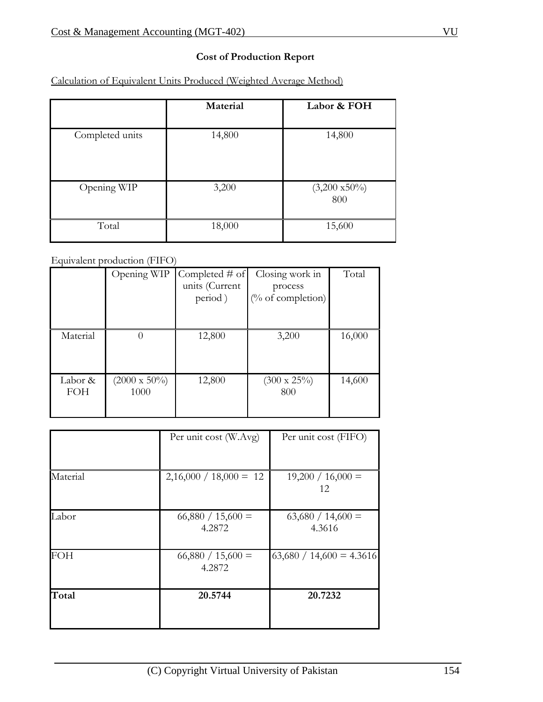# **Cost of Production Report**

| Calculation of Equivalent Units Produced (Weighted Average Method) |  |
|--------------------------------------------------------------------|--|
|                                                                    |  |

|                 | Material | Labor & FOH                  |
|-----------------|----------|------------------------------|
| Completed units | 14,800   | 14,800                       |
| Opening WIP     | 3,200    | $(3,200 \times 50\%)$<br>800 |
| Total           | 18,000   | 15,600                       |

## Equivalent production (FIFO)

|                       | Opening WIP                  | Completed $#$ of<br>units (Current | Closing work in                                    | Total  |
|-----------------------|------------------------------|------------------------------------|----------------------------------------------------|--------|
|                       |                              | period)                            | process<br>$\left(\% \text{ of completion}\right)$ |        |
|                       |                              |                                    |                                                    |        |
| Material              | $\left( \right)$             | 12,800                             | 3,200                                              | 16,000 |
| Labor &<br><b>FOH</b> | $(2000 \times 50\%)$<br>1000 | 12,800                             | $(300 \times 25\%)$<br>800                         | 14,600 |

|          | Per unit cost (W.Avg)         | Per unit cost (FIFO)          |
|----------|-------------------------------|-------------------------------|
| Material | $2,16,000 / 18,000 = 12$      | $19,200 / 16,000 =$<br>12     |
| Labor    | $66,880 / 15,600 =$<br>4.2872 | $63,680 / 14,600 =$<br>4.3616 |
| FOH      | $66,880 / 15,600 =$<br>4.2872 | $63,680 / 14,600 = 4.3616$    |
| Total    | 20.5744                       | 20.7232                       |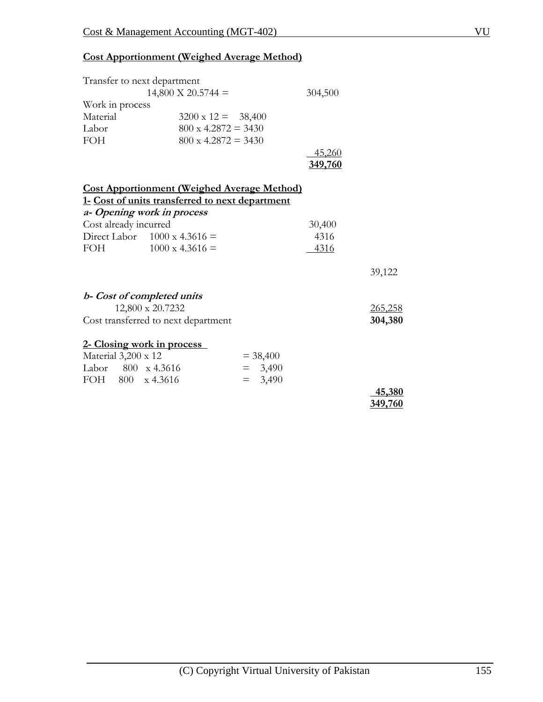## **Cost Apportionment (Weighed Average Method)**

| Transfer to next department         |                                                    |            |         |                |
|-------------------------------------|----------------------------------------------------|------------|---------|----------------|
|                                     | $14,800 \text{ X } 20.5744 =$                      |            | 304,500 |                |
| Work in process                     |                                                    |            |         |                |
| Material                            | $3200 \times 12 = 38,400$                          |            |         |                |
| Labor                               | $800 \times 4.2872 = 3430$                         |            |         |                |
| <b>FOH</b>                          | $800 \times 4.2872 = 3430$                         |            |         |                |
|                                     |                                                    |            | 45,260  |                |
|                                     |                                                    |            | 349,760 |                |
|                                     | <b>Cost Apportionment (Weighed Average Method)</b> |            |         |                |
|                                     | 1- Cost of units transferred to next department    |            |         |                |
| a- Opening work in process          |                                                    |            |         |                |
| Cost already incurred               |                                                    |            | 30,400  |                |
| Direct Labor $1000 \times 4.3616 =$ |                                                    |            | 4316    |                |
| FOH FOR                             | $1000 \times 4.3616 =$                             |            | 4316    |                |
|                                     |                                                    |            |         | 39,122         |
| b- Cost of completed units          |                                                    |            |         |                |
| 12,800 x 20.7232                    |                                                    |            |         | <u>265,258</u> |
|                                     | Cost transferred to next department                |            |         | 304,380        |
| 2- Closing work in process          |                                                    |            |         |                |
| Material 3,200 x 12                 |                                                    | $= 38,400$ |         |                |
| Labor 800 x 4.3616                  |                                                    | $= 3,490$  |         |                |
| FOH 800 x 4.3616                    |                                                    | $= 3,490$  |         |                |
|                                     |                                                    |            |         | <u>45,380</u>  |
|                                     |                                                    |            |         | <u>349,760</u> |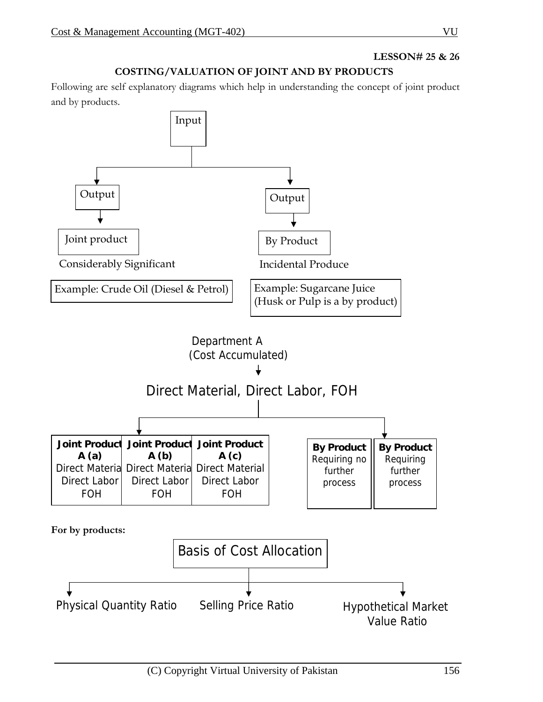## **LESSON# 25 & 26**

# **COSTING/VALUATION OF JOINT AND BY PRODUCTS**

Following are self explanatory diagrams which help in understanding the concept of joint product and by products.

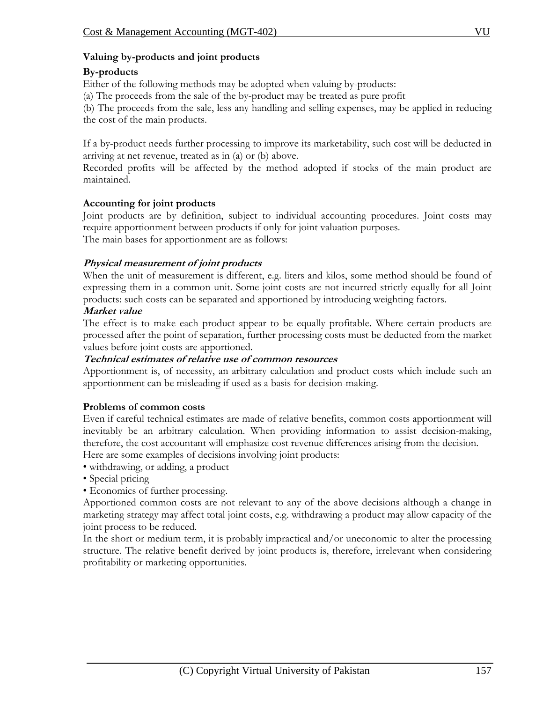## **Valuing by-products and joint products**

## **By-products**

Either of the following methods may be adopted when valuing by-products:

(a) The proceeds from the sale of the by-product may be treated as pure profit

(b) The proceeds from the sale, less any handling and selling expenses, may be applied in reducing the cost of the main products.

If a by-product needs further processing to improve its marketability, such cost will be deducted in arriving at net revenue, treated as in (a) or (b) above.

Recorded profits will be affected by the method adopted if stocks of the main product are maintained.

## **Accounting for joint products**

Joint products are by definition, subject to individual accounting procedures. Joint costs may require apportionment between products if only for joint valuation purposes. The main bases for apportionment are as follows:

## **Physical measurement of joint products**

When the unit of measurement is different, e.g. liters and kilos, some method should be found of expressing them in a common unit. Some joint costs are not incurred strictly equally for all Joint products: such costs can be separated and apportioned by introducing weighting factors.

## **Market value**

The effect is to make each product appear to be equally profitable. Where certain products are processed after the point of separation, further processing costs must be deducted from the market values before joint costs are apportioned.

## **Technical estimates of relative use of common resources**

Apportionment is, of necessity, an arbitrary calculation and product costs which include such an apportionment can be misleading if used as a basis for decision-making.

## **Problems of common costs**

Even if careful technical estimates are made of relative benefits, common costs apportionment will inevitably be an arbitrary calculation. When providing information to assist decision-making, therefore, the cost accountant will emphasize cost revenue differences arising from the decision. Here are some examples of decisions involving joint products:

- withdrawing, or adding, a product
- Special pricing
- Economics of further processing.

Apportioned common costs are not relevant to any of the above decisions although a change in marketing strategy may affect total joint costs, e.g. withdrawing a product may allow capacity of the joint process to be reduced.

In the short or medium term, it is probably impractical and/or uneconomic to alter the processing structure. The relative benefit derived by joint products is, therefore, irrelevant when considering profitability or marketing opportunities.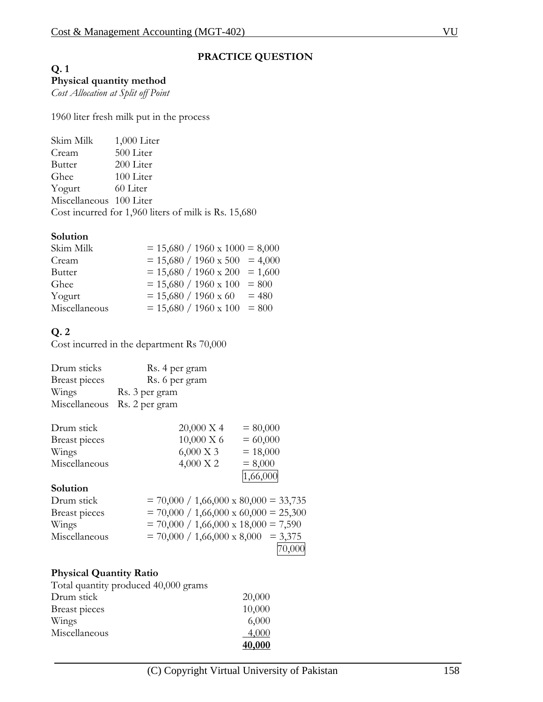## **PRACTICE QUESTION**

# **Q. 1 Physical quantity method**

*Cost Allocation at Split off Point* 

1960 liter fresh milk put in the process

| Skim Milk               | 1,000 Liter                                          |
|-------------------------|------------------------------------------------------|
| Cream                   | 500 Liter                                            |
| <b>Butter</b>           | 200 Liter                                            |
| Ghee                    | 100 Liter                                            |
| Yogurt                  | 60 Liter                                             |
| Miscellaneous 100 Liter |                                                      |
|                         | Cost incurred for 1,960 liters of milk is Rs. 15,680 |

## **Solution**

| Skim Milk     | $= 15,680 / 1960 \times 1000 = 8,000$ |  |
|---------------|---------------------------------------|--|
| Cream         | $= 15,680 / 1960 \times 500 = 4,000$  |  |
| <b>Butter</b> | $= 15,680 / 1960 \times 200 = 1,600$  |  |
| Ghee          | $= 15,680 / 1960 \times 100 = 800$    |  |
| Yogurt        | $= 15,680 / 1960 \times 60 = 480$     |  |
| Miscellaneous | $= 15,680 / 1960 \times 100 = 800$    |  |

## **Q. 2**

Cost incurred in the department Rs 70,000

| Drum sticks          | Rs. 4 per gram        |  |
|----------------------|-----------------------|--|
| <b>Breast pieces</b> | Rs. 6 per gram        |  |
| Wings                | Rs. 3 per gram        |  |
| Miscellaneous        | Rs. 2 per gram        |  |
| Drum stick           | $20,000 \text{ X } 4$ |  |

| Drum stick    | $20,000 \text{ X } 4$ | $= 80,000$ |
|---------------|-----------------------|------------|
| Breast pieces | $10,000 \text{ X} 6$  | $= 60,000$ |
| Wings         | $6,000 \text{ X } 3$  | $= 18,000$ |
| Miscellaneous | $4,000 \text{ X } 2$  | $= 8,000$  |
|               |                       | 1,66,000   |

## **Solution**

| Drum stick           | $= 70,000 / 1,66,000 \times 80,000 = 33,735$ |
|----------------------|----------------------------------------------|
| <b>Breast</b> pieces | $= 70,000 / 1,66,000 \times 60,000 = 25,300$ |
| Wings                | $= 70,000 / 1,66,000 \times 18,000 = 7,590$  |
| Miscellaneous        | $= 70,000 / 1,66,000 \times 8,000 = 3,375$   |
|                      | 70,000                                       |

## **Physical Quantity Ratio**

| Total quantity produced 40,000 grams |        |
|--------------------------------------|--------|
| Drum stick                           | 20,000 |
| Breast pieces                        | 10,000 |
| Wings                                | 6,000  |
| Miscellaneous                        | 4,000  |
|                                      | 40,000 |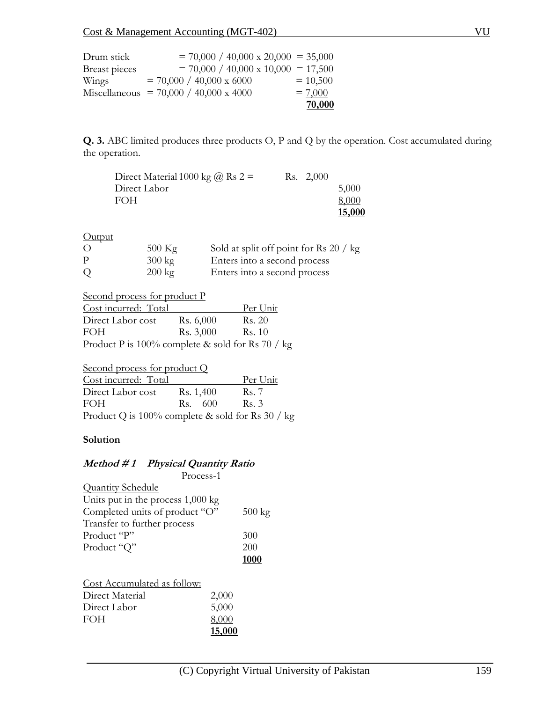| Drum stick    | $= 70,000 / 40,000 \times 20,000 = 35,000$ |            |
|---------------|--------------------------------------------|------------|
| Breast pieces | $= 70,000 / 40,000 \times 10,000 = 17,500$ |            |
| Wings         | $= 70,000 / 40,000 \times 6000$            | $= 10,500$ |
|               | Miscellaneous = 70,000 / 40,000 x 4000     | $= 7,000$  |
|               |                                            | 70,000     |

**Q. 3.** ABC limited produces three products O, P and Q by the operation. Cost accumulated during the operation.

|      | Direct Material 1000 kg $\omega$ Rs 2 = | $\text{Rs.} \quad 2{,}000$ |        |
|------|-----------------------------------------|----------------------------|--------|
|      | Direct Labor                            |                            | 5,000  |
| FOH. |                                         |                            | 8,000  |
|      |                                         |                            | 15,000 |

#### **Output**

| $\overline{O}$ | $500 \text{ Kg}$ | Sold at split off point for Rs 20 / kg |
|----------------|------------------|----------------------------------------|
| P              | $300 \text{ kg}$ | Enters into a second process           |
| $\overline{O}$ | $200 \text{ kg}$ | Enters into a second process           |

Second process for product P

| Cost incurred: Total                             |           | Per Unit |
|--------------------------------------------------|-----------|----------|
| Direct Labor cost                                | Rs. 6,000 | Rs. 20   |
| FOH.                                             | Rs. 3,000 | Rs. 10   |
| Product P is 100% complete & sold for Rs 70 / kg |           |          |

Second process for product Q

| Cost incurred: Total                             |           | Per Unit |
|--------------------------------------------------|-----------|----------|
| Direct Labor cost                                | Rs. 1,400 | Rs. 7    |
| <b>FOH</b>                                       | Rs. 600   | Rs. 3    |
| Product Q is 100% complete & sold for Rs 30 / kg |           |          |

#### **Solution**

## **Method # 1 Physical Quantity Ratio**

| Process-1                           |                  |
|-------------------------------------|------------------|
| <b>Quantity Schedule</b>            |                  |
| Units put in the process $1,000$ kg |                  |
| Completed units of product "O"      | $500 \text{ kg}$ |
| Transfer to further process         |                  |
| Product "P"                         | 300              |
| Product "Q"                         | 200              |
|                                     | 1000             |

| Cost Accumulated as follow: |  |  |
|-----------------------------|--|--|
|                             |  |  |

| Direct Material | 2,000  |
|-----------------|--------|
| Direct Labor    | 5,000  |
| FOH             | 8,000  |
|                 | 15,000 |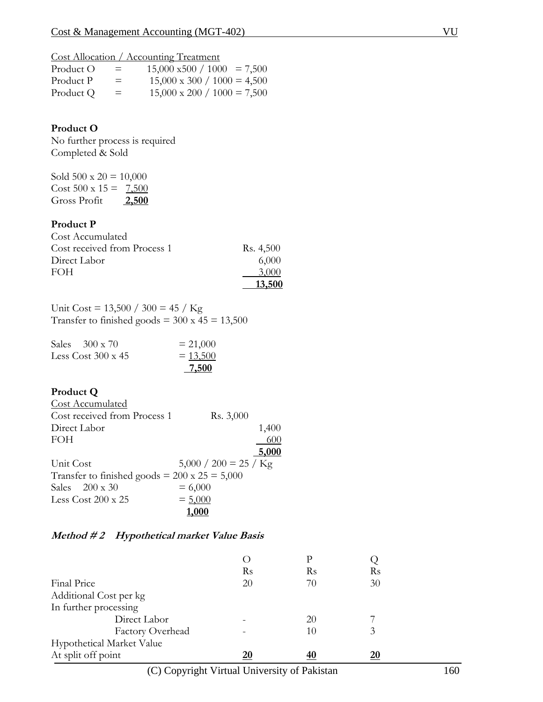## Cost Allocation / Accounting Treatment

| Product O | $=$ | $15,000 \times 500 / 1000 = 7,500$ |
|-----------|-----|------------------------------------|
| Product P | $=$ | $15,000 \times 300 / 1000 = 4,500$ |
| Product Q | $=$ | $15,000 \times 200 / 1000 = 7,500$ |

## **Product O**

No further process is required Completed & Sold

Sold  $500 \times 20 = 10,000$ Cost 500 x 15 =  $\frac{7,500}{2,500}$ Gross Profit **2,500**

## **Product P**

| Cost Accumulated             |           |
|------------------------------|-----------|
| Cost received from Process 1 | Rs. 4,500 |
| Direct Labor                 | 6,000     |
| <b>FOH</b>                   | 3.000     |
|                              | 13,500    |

Unit Cost =  $13,500 / 300 = 45 / Kg$ Transfer to finished goods =  $300 \times 45 = 13,500$ 

| Sales $300 \times 70$     | $= 21,000$ |
|---------------------------|------------|
| Less Cost $300 \times 45$ | $= 13,500$ |
|                           | $-7,500$   |

#### **Product Q**

| <b>Cost Accumulated</b>                              |                         |       |
|------------------------------------------------------|-------------------------|-------|
| Cost received from Process 1                         | Rs. 3,000               |       |
| Direct Labor                                         |                         | 1,400 |
| <b>FOH</b>                                           |                         | 600   |
|                                                      |                         | 5,000 |
| Unit Cost                                            | $5,000 / 200 = 25 /$ Kg |       |
| Transfer to finished goods = $200 \times 25 = 5,000$ |                         |       |
| Sales $200 \times 30$                                | $= 6,000$               |       |
| Less Cost $200 \times 25$                            | $= 5,000$               |       |
|                                                      |                         |       |

## **Method # 2 Hypothetical market Value Basis**

|                           | $\rm Rs$ | $\rm Rs$ | $\rm Rs$ |
|---------------------------|----------|----------|----------|
| Final Price               | 20       | 70       | 30       |
| Additional Cost per kg    |          |          |          |
| In further processing     |          |          |          |
| Direct Labor              |          | 20       |          |
| Factory Overhead          |          | 10       | 3        |
| Hypothetical Market Value |          |          |          |
| At split off point        |          |          | 20       |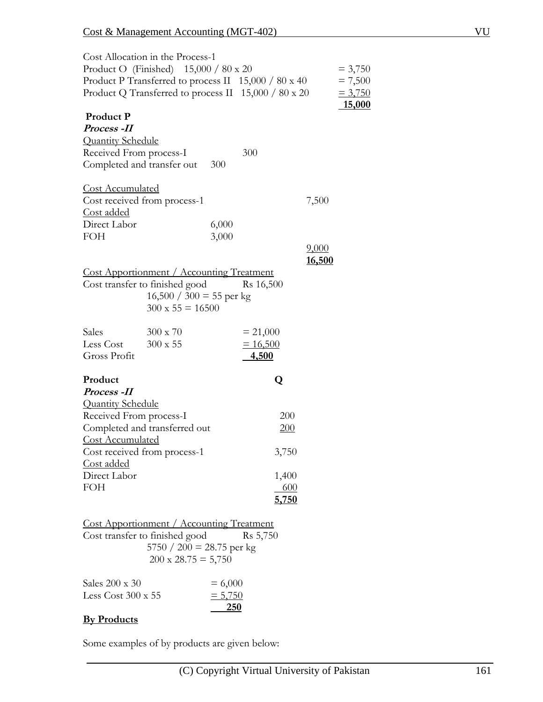|                                                                                                                                           | Cost Allocation in the Process-1<br>Product O (Finished) $15,000 / 80 \times 20$<br>Product P Transferred to process II 15,000 / 80 x 40<br>Product Q Transferred to process II 15,000 / 80 x 20 |                        |                                                                                     |                                 | $= 3,750$<br>$= 7,500$<br>$= 3,750$<br><u>15,000</u> |
|-------------------------------------------------------------------------------------------------------------------------------------------|--------------------------------------------------------------------------------------------------------------------------------------------------------------------------------------------------|------------------------|-------------------------------------------------------------------------------------|---------------------------------|------------------------------------------------------|
| <b>Product P</b><br>Process -II<br><b>Quantity Schedule</b><br>Received From process-I<br>Completed and transfer out                      |                                                                                                                                                                                                  | 300                    | 300                                                                                 |                                 |                                                      |
| <b>Cost Accumulated</b><br><u>Cost added</u><br>Direct Labor<br><b>FOH</b>                                                                | Cost received from process-1                                                                                                                                                                     | 6,000<br>3,000         |                                                                                     | 7,500<br>9,000<br><u>16,500</u> |                                                      |
|                                                                                                                                           | <u>Cost Apportionment / Accounting Treatment</u><br>Cost transfer to finished good<br>$16,500 / 300 = 55$ per kg<br>$300 \times 55 = 16500$                                                      |                        | Rs 16,500                                                                           |                                 |                                                      |
| Sales<br>Less Cost<br>Gross Profit                                                                                                        | $300 \times 70$<br>$300 \times 55$                                                                                                                                                               |                        | $= 21,000$<br>$= 16,500$<br>4,500                                                   |                                 |                                                      |
| Product                                                                                                                                   |                                                                                                                                                                                                  |                        | Q                                                                                   |                                 |                                                      |
| Process -II<br><b>Quantity Schedule</b><br>Received From process-I<br><u>Cost Accumulated</u><br>Cost added<br>Direct Labor<br><b>FOH</b> | Completed and transferred out<br>Cost received from process-1<br><u>Cost Apportionment / Accounting Treatment</u><br>Cost transfer to finished good                                              |                        | <b>200</b><br><u> 200</u><br>3,750<br>1,400<br>600<br>5,750<br>R <sub>s</sub> 5,750 |                                 |                                                      |
|                                                                                                                                           | 5750 / 200 = 28.75 per kg<br>$200 \times 28.75 = 5,750$                                                                                                                                          |                        |                                                                                     |                                 |                                                      |
| Sales 200 x 30<br>Less Cost $300 \times 55$                                                                                               |                                                                                                                                                                                                  | $= 6,000$<br>$= 5,750$ |                                                                                     |                                 |                                                      |

## **By Products**

Some examples of by products are given below:

**250**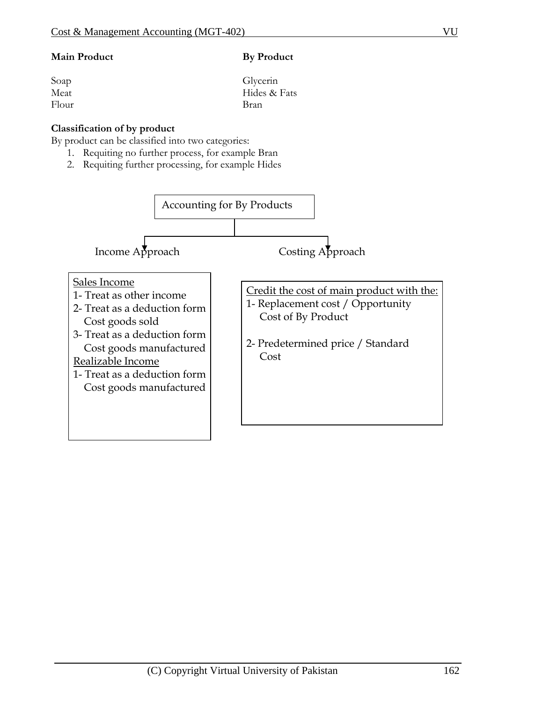## **Main Product** By Product

| Soap  | Glycerin     |
|-------|--------------|
| Meat  | Hides & Fats |
| Flour | Bran         |

## **Classification of by product**

By product can be classified into two categories:

- 1. Requiting no further process, for example Bran
- 2. Requiting further processing, for example Hides

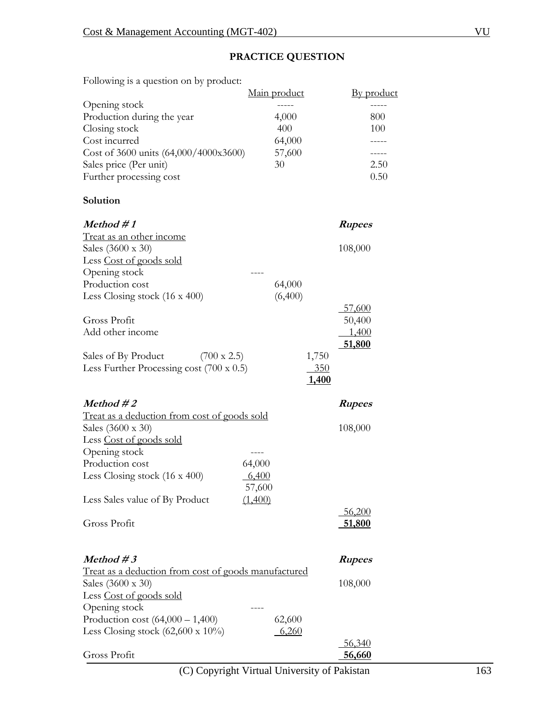# **PRACTICE QUESTION**

Following is a question on by product:

|                                                             | Main product | <u>By product</u> |
|-------------------------------------------------------------|--------------|-------------------|
| Opening stock                                               |              |                   |
| Production during the year                                  | 4,000        | 800               |
| Closing stock                                               | 400          | 100               |
| Cost incurred                                               | 64,000       |                   |
| Cost of 3600 units (64,000/4000x3600)                       | 57,600       |                   |
| Sales price (Per unit)                                      | 30           | 2.50              |
| Further processing cost                                     |              | 0.50              |
| Solution                                                    |              |                   |
|                                                             |              |                   |
| Method #1                                                   |              | <b>Rupees</b>     |
| <u>Treat as an other income</u>                             |              |                   |
| Sales (3600 x 30)                                           |              | 108,000           |
| Less Cost of goods sold                                     |              |                   |
| Opening stock                                               |              |                   |
| Production cost                                             | 64,000       |                   |
| Less Closing stock $(16 \times 400)$                        | (6,400)      |                   |
|                                                             |              |                   |
|                                                             |              | 57,600            |
| Gross Profit                                                |              | 50,400            |
| Add other income                                            |              | 1,400             |
|                                                             |              | 51,800            |
| Sales of By Product $(700 \times 2.5)$                      | 1,750        |                   |
| Less Further Processing cost $(700 \times 0.5)$             | 350          |                   |
|                                                             | 1,400        |                   |
|                                                             |              |                   |
| Method #2                                                   |              | <b>Rupees</b>     |
| <u>Treat as a deduction from cost of goods sold</u>         |              |                   |
| Sales (3600 x 30)                                           |              | 108,000           |
| Less Cost of goods sold                                     |              |                   |
| Opening stock                                               |              |                   |
| Production cost                                             | 64,000       |                   |
| Less Closing stock $(16 \times 400)$                        | 6,400        |                   |
|                                                             | 57,600       |                   |
| Less Sales value of By Product                              | (1,400)      |                   |
|                                                             |              | 56,200            |
| Gross Profit                                                |              | 51,800            |
|                                                             |              |                   |
|                                                             |              |                   |
| Method #3                                                   |              | <b>Rupees</b>     |
| <u>Treat as a deduction from cost of goods manufactured</u> |              |                   |
| Sales (3600 x 30)                                           |              | 108,000           |
| Less Cost of goods sold                                     |              |                   |
| Opening stock                                               |              |                   |
| Production cost $(64,000 - 1,400)$                          | 62,600       |                   |
| Less Closing stock $(62,600 \times 10\%)$                   | 6,260        |                   |
|                                                             |              | <u>56,340</u>     |
| Gross Profit                                                |              | <u>56,660</u>     |
|                                                             |              |                   |

(C) Copyright Virtual University of Pakistan 163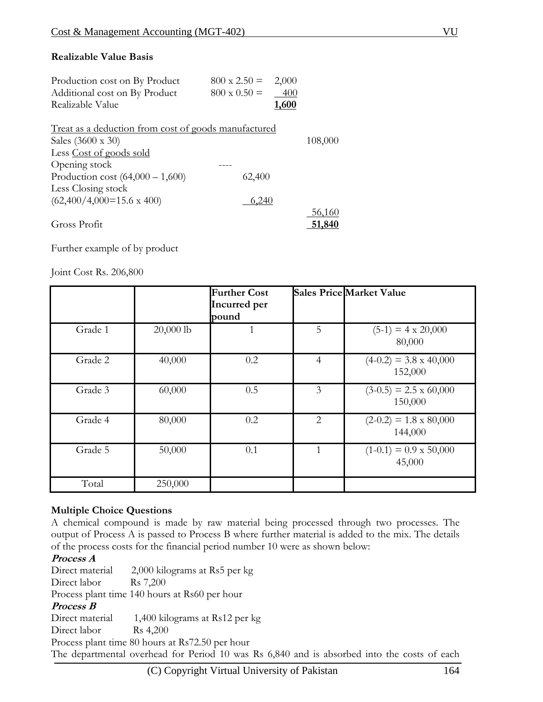## **Realizable Value Basis**

| Production cost on By Product<br>Additional cost on By Product<br>Realizable Value | $800 \times 2.50 = 2,000$<br>$800 \times 0.50 =$ | 400<br>1,600 |         |
|------------------------------------------------------------------------------------|--------------------------------------------------|--------------|---------|
| Treat as a deduction from cost of goods manufactured                               |                                                  |              |         |
| Sales (3600 x 30)                                                                  |                                                  |              | 108,000 |
| Less Cost of goods sold                                                            |                                                  |              |         |
| Opening stock                                                                      |                                                  |              |         |
| Production cost $(64,000 - 1,600)$                                                 | 62,400                                           |              |         |
| Less Closing stock                                                                 |                                                  |              |         |
| $(62,400/4,000=15.6 \times 400)$                                                   | 6,240                                            |              |         |
|                                                                                    |                                                  |              | 56,160  |
| Gross Profit                                                                       |                                                  |              | 51,840  |

Further example of by product

Joint Cost Rs. 206,800

|         |           | <b>Further Cost</b><br>Incurred per<br>pound |                | <b>Sales Price Market Value</b>          |
|---------|-----------|----------------------------------------------|----------------|------------------------------------------|
| Grade 1 | 20,000 lb | 1                                            | 5              | $(5-1) = 4 \times 20,000$<br>80,000      |
| Grade 2 | 40,000    | 0.2                                          | $\overline{4}$ | $(4-0.2) = 3.8 \times 40,000$<br>152,000 |
| Grade 3 | 60,000    | 0.5                                          | 3              | $(3-0.5) = 2.5 \times 60,000$<br>150,000 |
| Grade 4 | 80,000    | 0.2                                          | $\overline{2}$ | $(2-0.2) = 1.8 \times 80,000$<br>144,000 |
| Grade 5 | 50,000    | 0.1                                          |                | $(1-0.1) = 0.9 \times 50,000$<br>45,000  |
| Total   | 250,000   |                                              |                |                                          |

## **Multiple Choice Questions**

A chemical compound is made by raw material being processed through two processes. The output of Process A is passed to Process B where further material is added to the mix. The details of the process costs for the financial period number 10 were as shown below:

#### **Process A**

Direct material 2,000 kilograms at Rs5 per kg Direct labor Rs 7,200 Process plant time 140 hours at Rs60 per hour **Process B**  Direct material 1,400 kilograms at Rs12 per kg Direct labor Rs 4,200 Process plant time 80 hours at Rs72.50 per hour The departmental overhead for Period 10 was Rs 6,840 and is absorbed into the costs of each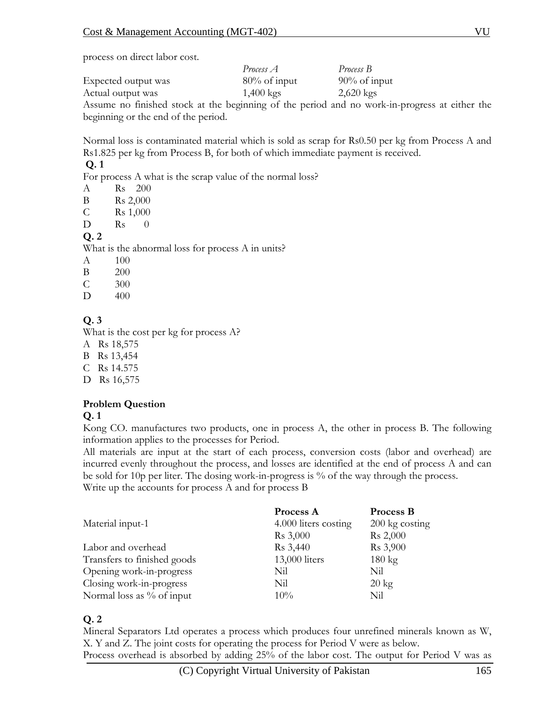process on direct labor cost.

|                                     | Process A           | <i>Process B</i>                                                                              |
|-------------------------------------|---------------------|-----------------------------------------------------------------------------------------------|
| Expected output was                 | $80\%$ of input     | $90\%$ of input                                                                               |
| Actual output was                   | $1,400 \text{ kgs}$ | $2,620$ kgs                                                                                   |
|                                     |                     | Assume no finished stock at the beginning of the period and no work-in-progress at either the |
| beginning or the end of the period. |                     |                                                                                               |

Normal loss is contaminated material which is sold as scrap for Rs0.50 per kg from Process A and Rs1.825 per kg from Process B, for both of which immediate payment is received.

## **Q. 1**

For process A what is the scrap value of the normal loss?

- A Rs 200
- B Rs 2,000
- C Rs 1,000
- $D$  Rs  $0$

## **Q. 2**

What is the abnormal loss for process A in units?

- A 100
- B 200
- C 300
- D 400

# **Q. 3**

What is the cost per kg for process A?

- A Rs 18,575
- B Rs 13,454
- C Rs 14.575
- D Rs 16,575

# **Problem Question**

## **Q. 1**

Kong CO. manufactures two products, one in process A, the other in process B. The following information applies to the processes for Period.

All materials are input at the start of each process, conversion costs (labor and overhead) are incurred evenly throughout the process, and losses are identified at the end of process A and can be sold for 10p per liter. The dosing work-in-progress is % of the way through the process. Write up the accounts for process A and for process B

|                             | Process A            | <b>Process B</b>         |
|-----------------------------|----------------------|--------------------------|
| Material input-1            | 4.000 liters costing | $200 \text{ kg}$ costing |
|                             | R <sub>s</sub> 3,000 | Rs 2,000                 |
| Labor and overhead          | R <sub>s</sub> 3,440 | Rs 3,900                 |
| Transfers to finished goods | 13,000 liters        | $180 \text{ kg}$         |
| Opening work-in-progress    | Nil                  | Nil                      |
| Closing work-in-progress    | Nil                  | $20 \text{ kg}$          |
| Normal loss as % of input   | $10\%$               | Nil                      |

## **Q. 2**

Mineral Separators Ltd operates a process which produces four unrefined minerals known as W, X. Y and Z. The joint costs for operating the process for Period V were as below.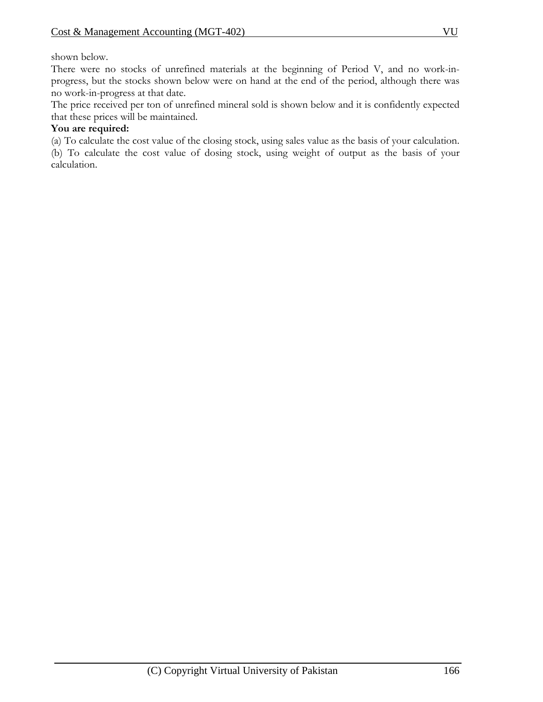shown below.

There were no stocks of unrefined materials at the beginning of Period V, and no work-inprogress, but the stocks shown below were on hand at the end of the period, although there was no work-in-progress at that date.

The price received per ton of unrefined mineral sold is shown below and it is confidently expected that these prices will be maintained.

## **You are required:**

(a) To calculate the cost value of the closing stock, using sales value as the basis of your calculation.

(b) To calculate the cost value of dosing stock, using weight of output as the basis of your calculation.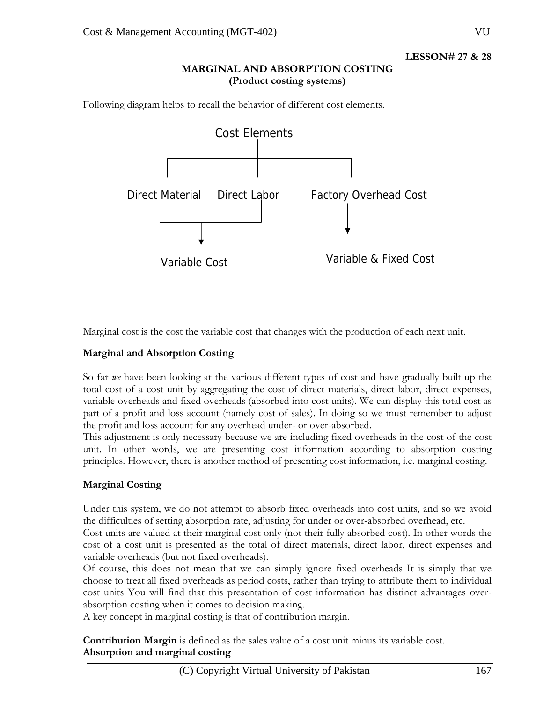# **LESSON# 27 & 28**

#### **MARGINAL AND ABSORPTION COSTING (Product costing systems)**

Following diagram helps to recall the behavior of different cost elements.



Marginal cost is the cost the variable cost that changes with the production of each next unit.

## **Marginal and Absorption Costing**

So far *we* have been looking at the various different types of cost and have gradually built up the total cost of a cost unit by aggregating the cost of direct materials, direct labor, direct expenses, variable overheads and fixed overheads (absorbed into cost units). We can display this total cost as part of a profit and loss account (namely cost of sales). In doing so we must remember to adjust the profit and loss account for any overhead under- or over-absorbed.

This adjustment is only necessary because we are including fixed overheads in the cost of the cost unit. In other words, we are presenting cost information according to absorption costing principles. However, there is another method of presenting cost information, i.e. marginal costing.

## **Marginal Costing**

Under this system, we do not attempt to absorb fixed overheads into cost units, and so we avoid the difficulties of setting absorption rate, adjusting for under or over-absorbed overhead, etc.

Cost units are valued at their marginal cost only (not their fully absorbed cost). In other words the cost of a cost unit is presented as the total of direct materials, direct labor, direct expenses and variable overheads (but not fixed overheads).

Of course, this does not mean that we can simply ignore fixed overheads It is simply that we choose to treat all fixed overheads as period costs, rather than trying to attribute them to individual cost units You will find that this presentation of cost information has distinct advantages overabsorption costing when it comes to decision making.

A key concept in marginal costing is that of contribution margin.

**Contribution Margin** is defined as the sales value of a cost unit minus its variable cost. **Absorption and marginal costing**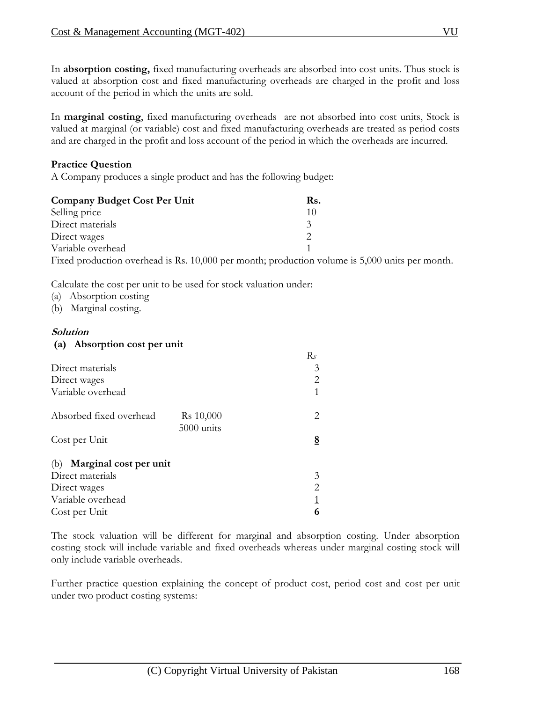In **absorption costing,** fixed manufacturing overheads are absorbed into cost units. Thus stock is valued at absorption cost and fixed manufacturing overheads are charged in the profit and loss account of the period in which the units are sold.

In **marginal costing**, fixed manufacturing overheads are not absorbed into cost units, Stock is valued at marginal (or variable) cost and fixed manufacturing overheads are treated as period costs and are charged in the profit and loss account of the period in which the overheads are incurred.

## **Practice Question**

A Company produces a single product and has the following budget:

| <b>Company Budget Cost Per Unit</b>                                                            | Rs.           |  |
|------------------------------------------------------------------------------------------------|---------------|--|
| Selling price                                                                                  | 10            |  |
| Direct materials                                                                               | $\mathcal{Z}$ |  |
| Direct wages                                                                                   |               |  |
| Variable overhead                                                                              |               |  |
| Fixed production overhead is Rs. 10,000 per month; production volume is 5,000 units per month. |               |  |

Calculate the cost per unit to be used for stock valuation under:

- (a) Absorption costing
- (b) Marginal costing.

## **Solution**

|  | (a) Absorption cost per unit |  |  |  |
|--|------------------------------|--|--|--|
|--|------------------------------|--|--|--|

|                               | R <sub>s</sub>                 |
|-------------------------------|--------------------------------|
| Direct materials              | 3                              |
| Direct wages                  | 2                              |
| Variable overhead             |                                |
| Absorbed fixed overhead       | $Rs$ 10,000<br>2<br>5000 units |
| Cost per Unit                 | $\underline{8}$                |
| Marginal cost per unit<br>(b) |                                |
| Direct materials              | 3                              |
| Direct wages                  | 2                              |
| Variable overhead             | 1                              |
| Cost per Unit                 | <u>6</u>                       |

The stock valuation will be different for marginal and absorption costing. Under absorption costing stock will include variable and fixed overheads whereas under marginal costing stock will only include variable overheads.

Further practice question explaining the concept of product cost, period cost and cost per unit under two product costing systems: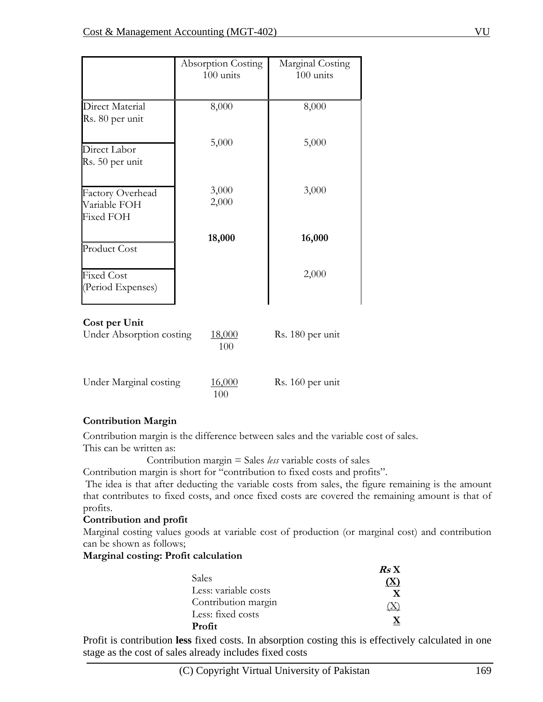|                                 | Absorption Costing | Marginal Costing |
|---------------------------------|--------------------|------------------|
|                                 | 100 units          | 100 units        |
|                                 |                    |                  |
| Direct Material                 | 8,000              | 8,000            |
| Rs. 80 per unit                 |                    |                  |
|                                 |                    |                  |
|                                 | 5,000              | 5,000            |
| Direct Labor                    |                    |                  |
| Rs. 50 per unit                 |                    |                  |
|                                 |                    |                  |
| Factory Overhead                | 3,000              | 3,000            |
| Variable FOH                    | 2,000              |                  |
| <b>Fixed FOH</b>                |                    |                  |
|                                 |                    |                  |
|                                 | 18,000             | 16,000           |
| <b>Product Cost</b>             |                    |                  |
|                                 |                    |                  |
| <b>Fixed Cost</b>               |                    | 2,000            |
| (Period Expenses)               |                    |                  |
|                                 |                    |                  |
| Cost per Unit                   |                    |                  |
| <b>Under Absorption costing</b> | 18,000             | Rs. 180 per unit |
|                                 | 100                |                  |
|                                 |                    |                  |
|                                 |                    |                  |
| Under Marginal costing          | <u>16,000</u>      | Rs. 160 per unit |
|                                 | 100                |                  |

## **Contribution Margin**

Contribution margin is the difference between sales and the variable cost of sales. This can be written as:

Contribution margin = Sales *less* variable costs of sales

```
Contribution margin is short for "contribution to fixed costs and profits".
```
 The idea is that after deducting the variable costs from sales, the figure remaining is the amount that contributes to fixed costs, and once fixed costs are covered the remaining amount is that of profits.

## **Contribution and profit**

Marginal costing values goods at variable cost of production (or marginal cost) and contribution can be shown as follows;

## **Marginal costing: Profit calculation**

|                      | $\mathbf{R} s X$ |
|----------------------|------------------|
| Sales                |                  |
| Less: variable costs |                  |
| Contribution margin  |                  |
| Less: fixed costs    |                  |
| Profit               |                  |

Profit is contribution **less** fixed costs. In absorption costing this is effectively calculated in one stage as the cost of sales already includes fixed costs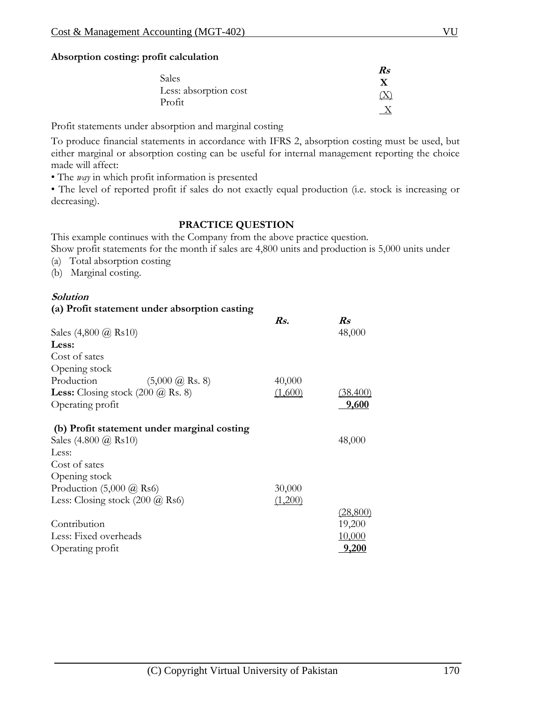## **Absorption costing: profit calculation**

| Sales                 |                   |
|-----------------------|-------------------|
| Less: absorption cost | $(\underline{X})$ |
| Profit                |                   |
|                       |                   |

Profit statements under absorption and marginal costing

To produce financial statements in accordance with IFRS 2, absorption costing must be used, but either marginal or absorption costing can be useful for internal management reporting the choice made will affect:

• The *way* in which profit information is presented

• The level of reported profit if sales do not exactly equal production (i.e. stock is increasing or decreasing).

## **PRACTICE QUESTION**

This example continues with the Company from the above practice question.

Show profit statements for the month if sales are 4,800 units and production is 5,000 units under

- (a) Total absorption costing
- (b) Marginal costing.

## **Solution**

| (a) Profit statement under absorption casting           |         |                                |
|---------------------------------------------------------|---------|--------------------------------|
|                                                         | Rs.     | $\boldsymbol{R}\boldsymbol{s}$ |
| Sales $(4,800 \ (\omega$ Rs10)                          |         | 48,000                         |
| Less:                                                   |         |                                |
| Cost of sates                                           |         |                                |
| Opening stock                                           |         |                                |
| Production<br>$(5,000 \ (\omega$ Rs. 8)                 | 40,000  |                                |
| <b>Less:</b> Closing stock $(200 \omega \text{Rs. } 8)$ | (1,600) | <u>(38.400)</u>                |
| Operating profit                                        |         | 9,600                          |
| (b) Profit statement under marginal costing             |         |                                |
| Sales $(4.800 \omega$ Rs10)                             |         | 48,000                         |
| Less:                                                   |         |                                |
| Cost of sates                                           |         |                                |
| Opening stock                                           |         |                                |
| Production $(5,000 \ (\omega$ Rs6)                      | 30,000  |                                |
| Less: Closing stock $(200 \omega \text{ Rs} 6)$         | (1,200) |                                |
|                                                         |         | (28,800)                       |
| Contribution                                            |         | 19,200                         |
| Less: Fixed overheads                                   |         | 10,000                         |
| Operating profit                                        |         | <u>9,200</u>                   |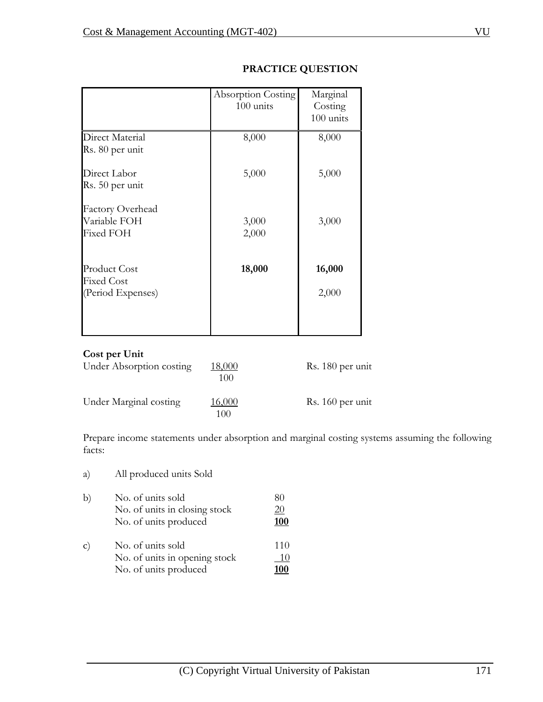|                                                        | Absorption Costing<br>100 units | Marginal<br>Costing<br>100 units |
|--------------------------------------------------------|---------------------------------|----------------------------------|
| Direct Material<br>Rs. 80 per unit                     | 8,000                           | 8,000                            |
| Direct Labor<br>Rs. 50 per unit                        | 5,000                           | 5,000                            |
| <b>Factory Overhead</b><br>Variable FOH<br>Fixed FOH   | 3,000<br>2,000                  | 3,000                            |
| Product Cost<br><b>Fixed Cost</b><br>(Period Expenses) | 18,000                          | 16,000<br>2,000                  |

## **PRACTICE QUESTION**

#### **Cost per Unit**

| Under Absorption costing | <u>18,000</u><br>100. | Rs. 180 per unit |
|--------------------------|-----------------------|------------------|
| Under Marginal costing   | <u>16,000</u><br>100  | Rs. 160 per unit |

Prepare income statements under absorption and marginal costing systems assuming the following facts:

a) All produced units Sold b) No. of units sold 80 No. of units in closing stock 20

|              | No. of units produced         | 100 |
|--------------|-------------------------------|-----|
| $\mathbf{C}$ | No. of units sold             | 110 |
|              | No. of units in opening stock | 10  |
|              | No. of units produced         | 100 |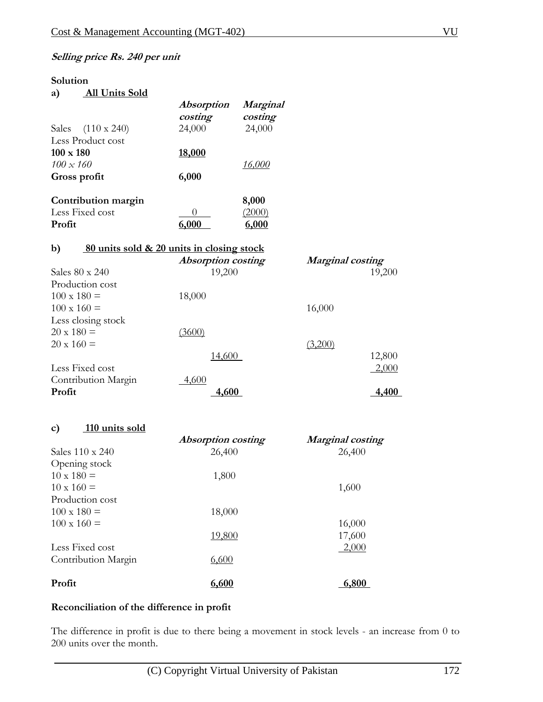#### **Solution**

| <b>All Units Sold</b><br>a)                     |                          |               |                  |        |
|-------------------------------------------------|--------------------------|---------------|------------------|--------|
|                                                 | <i><b>Absorption</b></i> | Marginal      |                  |        |
|                                                 | costing                  | costing       |                  |        |
| $(110 \times 240)$<br>Sales                     | 24,000                   | 24,000        |                  |        |
| Less Product cost                               |                          |               |                  |        |
| $100 \times 180$                                | <u>18,000</u>            |               |                  |        |
| $100 \times 160$                                |                          | <u>16,000</u> |                  |        |
| Gross profit                                    | 6,000                    |               |                  |        |
| Contribution margin                             |                          | 8,000         |                  |        |
| Less Fixed cost                                 | $\theta$                 | (2000)        |                  |        |
| Profit                                          | 6,000                    | 6,000         |                  |        |
| 80 units sold & 20 units in closing stock<br>b) |                          |               |                  |        |
|                                                 | Absorption costing       |               | Marginal costing |        |
|                                                 |                          |               |                  |        |
| Sales 80 x 240                                  | 19,200                   |               |                  | 19,200 |
| Production cost                                 |                          |               |                  |        |
| $100 \times 180 =$                              | 18,000                   |               |                  |        |
| $100 \times 160 =$                              |                          |               | 16,000           |        |
| Less closing stock                              |                          |               |                  |        |
| $20 \times 180 =$                               | (3600)                   |               |                  |        |
| $20 \times 160 =$                               |                          |               | (3,200)          |        |
|                                                 | <u>14,600</u>            |               |                  | 12,800 |
| Less Fixed cost                                 |                          |               |                  | 2,000  |
| Contribution Margin                             | 4,600                    |               |                  |        |

| 110 units sold<br>$\mathbf{c})$ |                    |                  |
|---------------------------------|--------------------|------------------|
|                                 | Absorption costing | Marginal costing |
| Sales $110 \times 240$          | 26,400             | 26,400           |
| Opening stock                   |                    |                  |
| $10 \times 180 =$               | 1,800              |                  |
| $10 \times 160 =$               |                    | 1,600            |
| Production cost                 |                    |                  |
| $100 \times 180 =$              | 18,000             |                  |
| $100 \times 160 =$              |                    | 16,000           |
|                                 | <u>19,800</u>      | 17,600           |
| Less Fixed cost                 |                    | 2,000            |
| Contribution Margin             | 6,600              |                  |
| Profit                          | 6,600              | 6,800            |

## **Reconciliation of the difference in profit**

The difference in profit is due to there being a movement in stock levels - an increase from 0 to 200 units over the month.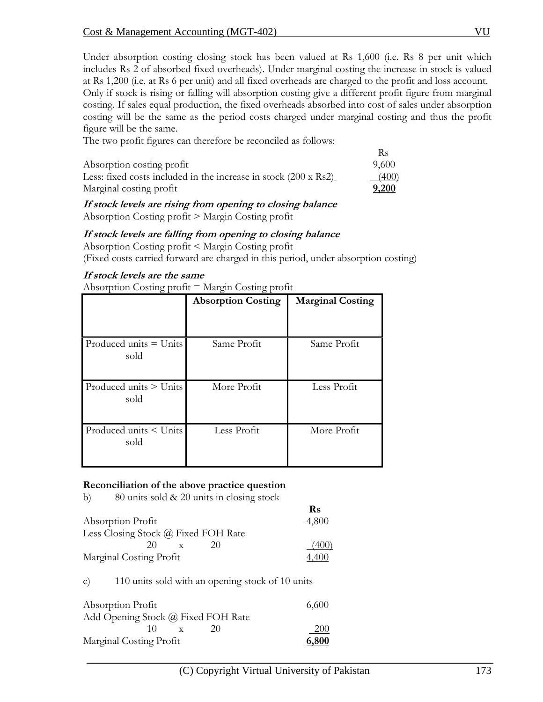The two profit figures can therefore be reconciled as follows:

|                                                                               | <b>Rs</b> |
|-------------------------------------------------------------------------------|-----------|
| Absorption costing profit                                                     | 9.600     |
| Less: fixed costs included in the increase in stock $(200 \times \text{Rs}2)$ | (400)     |
| Marginal costing profit                                                       | 9,200     |

**If stock levels are rising from opening to closing balance**  Absorption Costing profit > Margin Costing profit

## **If stock levels are falling from opening to closing balance**

Absorption Costing profit < Margin Costing profit (Fixed costs carried forward are charged in this period, under absorption costing)

## **If stock levels are the same**

Absorption Costing profit  $=$  Margin Costing profit

|                                  | <b>Absorption Costing</b> | <b>Marginal Costing</b> |
|----------------------------------|---------------------------|-------------------------|
|                                  |                           |                         |
| Produced units $=$ Units<br>sold | Same Profit               | Same Profit             |
| Produced units > Units<br>sold   | More Profit               | Less Profit             |
| Produced units < Units<br>sold   | Less Profit               | More Profit             |

## **Reconciliation of the above practice question**

| b) |                                     | 80 units sold $& 20$ units in closing stock |       |
|----|-------------------------------------|---------------------------------------------|-------|
|    |                                     |                                             | Rs    |
|    | Absorption Profit                   |                                             | 4,800 |
|    | Less Closing Stock @ Fixed FOH Rate |                                             |       |
|    | 20                                  | 20                                          | (400) |
|    | Marginal Costing Profit             |                                             | 4400  |

c) 110 units sold with an opening stock of 10 units

| Absorption Profit                  |              |    | 6,600 |
|------------------------------------|--------------|----|-------|
| Add Opening Stock @ Fixed FOH Rate |              |    |       |
| 10                                 | $\mathbf{x}$ | 20 | 200   |
| Marginal Costing Profit            |              |    | 6,800 |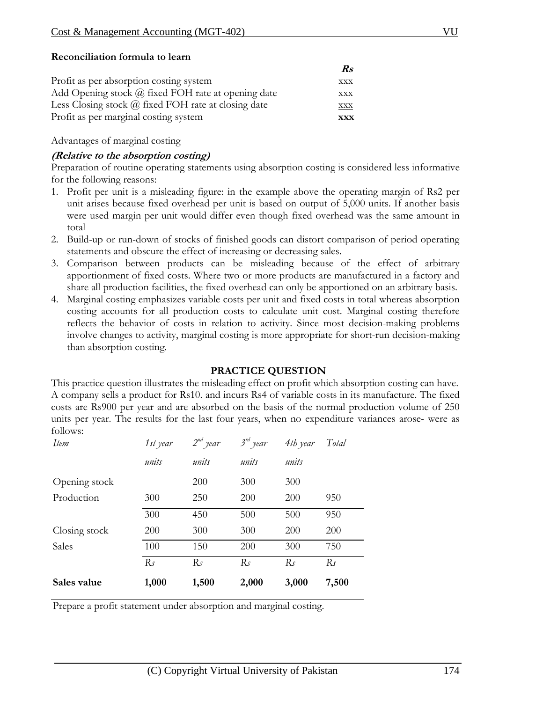|                                                            | Rs                      |
|------------------------------------------------------------|-------------------------|
| Profit as per absorption costing system                    | XXX                     |
| Add Opening stock @ fixed FOH rate at opening date         | <b>XXX</b>              |
| Less Closing stock $\omega$ fixed FOH rate at closing date | $\overline{\text{XXX}}$ |
| Profit as per marginal costing system                      | <b>XXX</b>              |

Advantages of marginal costing

## **(Relative to the absorption costing)**

Preparation of routine operating statements using absorption costing is considered less informative for the following reasons:

- 1. Profit per unit is a misleading figure: in the example above the operating margin of Rs2 per unit arises because fixed overhead per unit is based on output of 5,000 units. If another basis were used margin per unit would differ even though fixed overhead was the same amount in total
- 2. Build-up or run-down of stocks of finished goods can distort comparison of period operating statements and obscure the effect of increasing or decreasing sales.
- 3. Comparison between products can be misleading because of the effect of arbitrary apportionment of fixed costs. Where two or more products are manufactured in a factory and share all production facilities, the fixed overhead can only be apportioned on an arbitrary basis.
- 4. Marginal costing emphasizes variable costs per unit and fixed costs in total whereas absorption costing accounts for all production costs to calculate unit cost. Marginal costing therefore reflects the behavior of costs in relation to activity. Since most decision-making problems involve changes to activity, marginal costing is more appropriate for short-run decision-making than absorption costing.

## **PRACTICE QUESTION**

This practice question illustrates the misleading effect on profit which absorption costing can have. A company sells a product for Rs10. and incurs Rs4 of variable costs in its manufacture. The fixed costs are Rs900 per year and are absorbed on the basis of the normal production volume of 250 units per year. The results for the last four years, when no expenditure variances arose- were as follows:

| Item          | 1st year       | $2^{nd}$ year  | $3^{rd}$ year  | 4th year       | Total          |
|---------------|----------------|----------------|----------------|----------------|----------------|
|               | units          | units          | units          | units          |                |
| Opening stock |                | 200            | 300            | 300            |                |
| Production    | 300            | 250            | <b>200</b>     | <b>200</b>     | 950            |
|               | 300            | 450            | 500            | 500            | 950            |
| Closing stock | <b>200</b>     | 300            | 300            | <b>200</b>     | 200            |
| Sales         | 100            | 150            | 200            | 300            | 750            |
|               | R <sub>s</sub> | R <sub>s</sub> | R <sub>s</sub> | R <sub>s</sub> | R <sub>s</sub> |
| Sales value   | 1,000          | 1,500          | 2,000          | 3,000          | 7,500          |

Prepare a profit statement under absorption and marginal costing.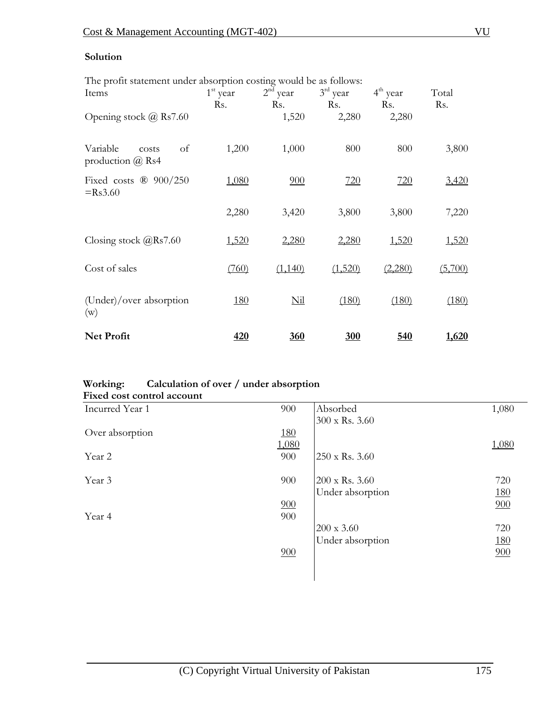# **Solution**

The profit statement under absorption costing would be as follows:

| Items                                              | $1st$ year<br>Rs. | $\bigcirc$<br>$2nd$ year<br>Rs. | $3rd$ year<br>Rs. | $4th$ year<br>Rs. | Total<br>Rs. |
|----------------------------------------------------|-------------------|---------------------------------|-------------------|-------------------|--------------|
| Opening stock $@$ Rs7.60                           |                   | 1,520                           | 2,280             | 2,280             |              |
| Variable<br>of<br>costs<br>production $\omega$ Rs4 | 1,200             | 1,000                           | 800               | 800               | 3,800        |
| Fixed costs $\circledR$ 900/250<br>$=Rs3.60$       | 1,080             | 900                             | 720               | 720               | 3,420        |
|                                                    | 2,280             | 3,420                           | 3,800             | 3,800             | 7,220        |
| Closing stock $@Rs7.60$                            | 1,520             | 2,280                           | 2,280             | 1,520             | 1,520        |
| Cost of sales                                      | (760)             | (1,140)                         | (1,520)           | (2,280)           | (5,700)      |
| (Under)/over absorption<br>(w)                     | 180               | <u>Nil</u>                      | (180)             | (180)             | (180)        |
| <b>Net Profit</b>                                  | <u>420</u>        | <u>360</u>                      | <u>300</u>        | 540               | 1,620        |

## **Working: Calculation of over / under absorption Fixed cost control account**

| Incurred Year 1 | 900        | Absorbed              | 1,080 |
|-----------------|------------|-----------------------|-------|
|                 |            | 300 x Rs. 3.60        |       |
| Over absorption | <u>180</u> |                       |       |
|                 | 1,080      |                       | 1,080 |
| Year 2          | 900        | $250 \times$ Rs. 3.60 |       |
| Year 3          | 900        | 200 x Rs. 3.60        | 720   |
|                 |            | Under absorption      | 180   |
|                 | 900        |                       | 900   |
| Year 4          | 900        |                       |       |
|                 |            | $200 \times 3.60$     | 720   |
|                 |            | Under absorption      | 180   |
|                 | 900        |                       | 900   |
|                 |            |                       |       |
|                 |            |                       |       |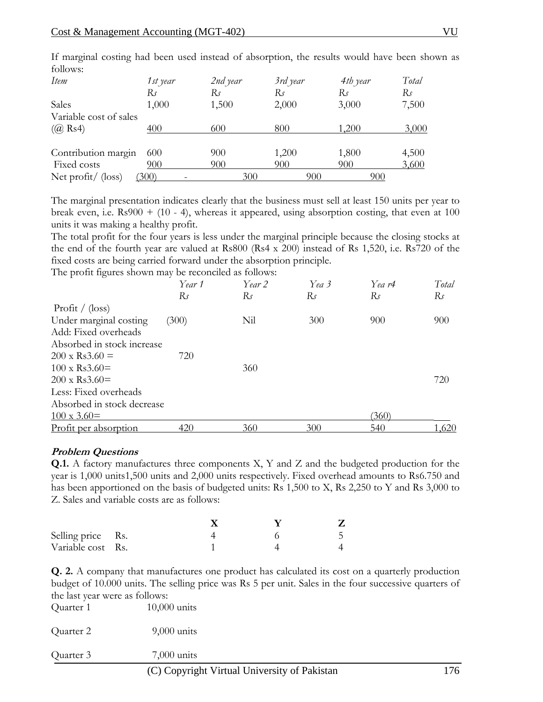| Item                        | 1st year | 2nd year | 3rd year | 4th year       | Total |
|-----------------------------|----------|----------|----------|----------------|-------|
|                             | Rs       | Кs       | Вs       | R <sub>s</sub> | Rs    |
| Sales                       | 1,000    | 1,500    | 2,000    | 3,000          | 7,500 |
| Variable cost of sales      |          |          |          |                |       |
| $(Q)$ Rs4)                  | 400      | 600      | 800      | 1,200          | 3,000 |
| Contribution margin         | 600      | 900      | 1,200    | 1,800          | 4,500 |
| Fixed costs                 | 900      | 900      | 900      | 900            | 3,600 |
| Net profit/ $(\text{loss})$ | (300)    | 300      | 900      | 900            |       |

If marginal costing had been used instead of absorption, the results would have been shown as follows:

The marginal presentation indicates clearly that the business must sell at least 150 units per year to break even, i.e.  $Rs900 + (10 - 4)$ , whereas it appeared, using absorption costing, that even at 100 units it was making a healthy profit.

The total profit for the four years is less under the marginal principle because the closing stocks at the end of the fourth year are valued at Rs800 (Rs4 x 200) instead of Rs 1,520, i.e. Rs720 of the fixed costs are being carried forward under the absorption principle.

The profit figures shown may be reconciled as follows:

|                            | Year 1 | Year 2 | Yea $3$ | Yea r4         | Total |
|----------------------------|--------|--------|---------|----------------|-------|
|                            | Rs     | Rs     | Ŗѕ      | R <sub>s</sub> | Rs    |
| Profit $/$ (loss)          |        |        |         |                |       |
| Under marginal costing     | (300)  | Nil    | 300     | 900            | 900   |
| Add: Fixed overheads       |        |        |         |                |       |
| Absorbed in stock increase |        |        |         |                |       |
| $200 \times$ Rs3.60 =      | 720    |        |         |                |       |
| $100 \times$ Rs3.60=       |        | 360    |         |                |       |
| $200 \times$ Rs3.60=       |        |        |         |                | 720   |
| Less: Fixed overheads      |        |        |         |                |       |
| Absorbed in stock decrease |        |        |         |                |       |
| $100 \times 3.60=$         |        |        |         | (360)          |       |
| Profit per absorption      | 420    | 360    | 300     | 540            | 1,620 |

#### **Problem Questions**

**Q.1.** A factory manufactures three components X, Y and Z and the budgeted production for the year is 1,000 units1,500 units and 2,000 units respectively. Fixed overhead amounts to Rs6.750 and has been apportioned on the basis of budgeted units: Rs 1,500 to X, Rs 2,250 to Y and Rs 3,000 to Z. Sales and variable costs are as follows:

| Selling price Rs. |  |  |
|-------------------|--|--|
| Variable cost Rs. |  |  |

**Q. 2.** A company that manufactures one product has calculated its cost on a quarterly production budget of 10.000 units. The selling price was Rs 5 per unit. Sales in the four successive quarters of the last year were as follows:

|           | (C) Copyright Virtual University of Pakistan | 176 |
|-----------|----------------------------------------------|-----|
| Quarter 3 | $7,000$ units                                |     |
| Quarter 2 | $9,000$ units                                |     |
| Quarter 1 | $10,000$ units                               |     |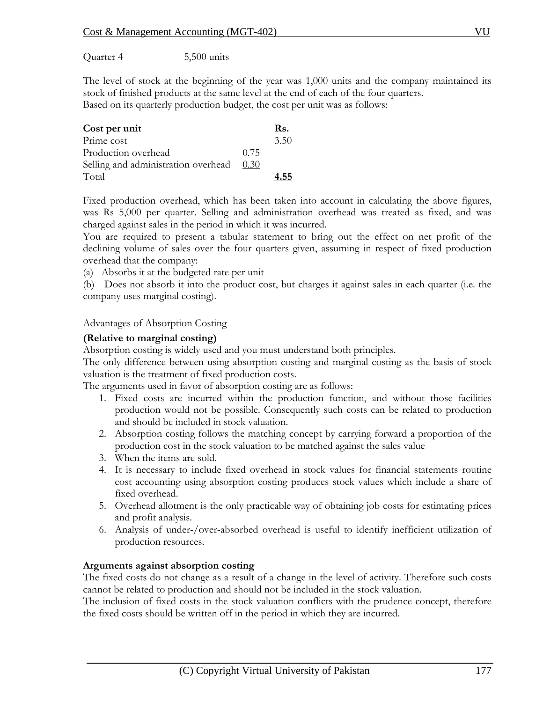Quarter 4 5,500 units

The level of stock at the beginning of the year was 1,000 units and the company maintained its stock of finished products at the same level at the end of each of the four quarters. Based on its quarterly production budget, the cost per unit was as follows:

| Cost per unit                       |        | Rs.  |
|-------------------------------------|--------|------|
| Prime cost                          |        | 3.50 |
| Production overhead                 | 0.75   |      |
| Selling and administration overhead | (0.30) |      |
| Total                               |        | 455  |

Fixed production overhead, which has been taken into account in calculating the above figures, was Rs 5,000 per quarter. Selling and administration overhead was treated as fixed, and was charged against sales in the period in which it was incurred.

You are required to present a tabular statement to bring out the effect on net profit of the declining volume of sales over the four quarters given, assuming in respect of fixed production overhead that the company:

(a) Absorbs it at the budgeted rate per unit

(b) Does not absorb it into the product cost, but charges it against sales in each quarter (i.e. the company uses marginal costing).

Advantages of Absorption Costing

#### **(Relative to marginal costing)**

Absorption costing is widely used and you must understand both principles.

The only difference between using absorption costing and marginal costing as the basis of stock valuation is the treatment of fixed production costs.

The arguments used in favor of absorption costing are as follows:

- 1. Fixed costs are incurred within the production function, and without those facilities production would not be possible. Consequently such costs can be related to production and should be included in stock valuation.
- 2. Absorption costing follows the matching concept by carrying forward a proportion of the production cost in the stock valuation to be matched against the sales value
- 3. When the items are sold.
- 4. It is necessary to include fixed overhead in stock values for financial statements routine cost accounting using absorption costing produces stock values which include a share of fixed overhead.
- 5. Overhead allotment is the only practicable way of obtaining job costs for estimating prices and profit analysis.
- 6. Analysis of under-/over-absorbed overhead is useful to identify inefficient utilization of production resources.

#### **Arguments against absorption costing**

The fixed costs do not change as a result of a change in the level of activity. Therefore such costs cannot be related to production and should not be included in the stock valuation.

The inclusion of fixed costs in the stock valuation conflicts with the prudence concept, therefore the fixed costs should be written off in the period in which they are incurred.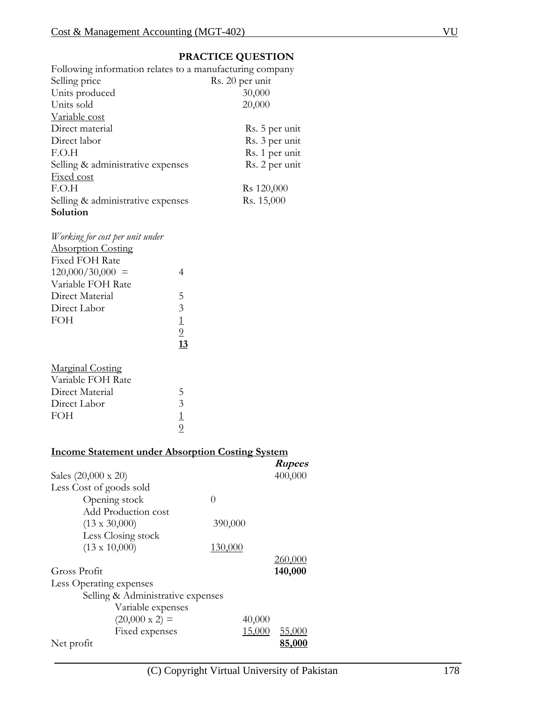# **PRACTICE QUESTION**

| Following information relates to a manufacturing company |                 |  |  |
|----------------------------------------------------------|-----------------|--|--|
| Selling price                                            | Rs. 20 per unit |  |  |
| Units produced                                           | 30,000          |  |  |
| Units sold                                               | 20,000          |  |  |
| Variable cost                                            |                 |  |  |
| Direct material                                          | Rs. 5 per unit  |  |  |
| Direct labor                                             | Rs. 3 per unit  |  |  |
| F.O.H                                                    | Rs. 1 per unit  |  |  |
| Selling & administrative expenses                        | Rs. 2 per unit  |  |  |
| <b>Fixed cost</b>                                        |                 |  |  |
| F.O.H                                                    | Rs 120,000      |  |  |
| Selling & administrative expenses                        | Rs. 15,000      |  |  |
| Solution                                                 |                 |  |  |
|                                                          |                 |  |  |

| Working for cost per unit under |   |
|---------------------------------|---|
| <b>Absorption Costing</b>       |   |
| <b>Fixed FOH Rate</b>           |   |
| $120,000/30,000 =$              |   |
| Variable FOH Rate               |   |
| Direct Material                 | 5 |
| Direct Labor                    | 3 |
| <b>FOH</b>                      | 1 |
|                                 | 9 |
|                                 |   |

| Marginal Costing  |               |
|-------------------|---------------|
| Variable FOH Rate |               |
| Direct Material   | 5             |
| Direct Labor      | $\mathcal{Z}$ |
| <b>FOH</b>        | 1             |
|                   |               |

# **Income Statement under Absorption Costing System**

|                                   |               | <b>Rupees</b>  |
|-----------------------------------|---------------|----------------|
| Sales (20,000 x 20)               |               | 400,000        |
| Less Cost of goods sold           |               |                |
| Opening stock                     | $\theta$      |                |
| Add Production cost               |               |                |
| $(13 \times 30,000)$              | 390,000       |                |
| Less Closing stock                |               |                |
| $(13 \times 10,000)$              | 130,000       |                |
|                                   |               | <u>260,000</u> |
| Gross Profit                      |               | 140,000        |
| Less Operating expenses           |               |                |
| Selling & Administrative expenses |               |                |
| Variable expenses                 |               |                |
| $(20,000 \times 2) =$             | 40,000        |                |
| Fixed expenses                    | <u>15,000</u> | 55,000         |
| Net profit                        |               | 85,000         |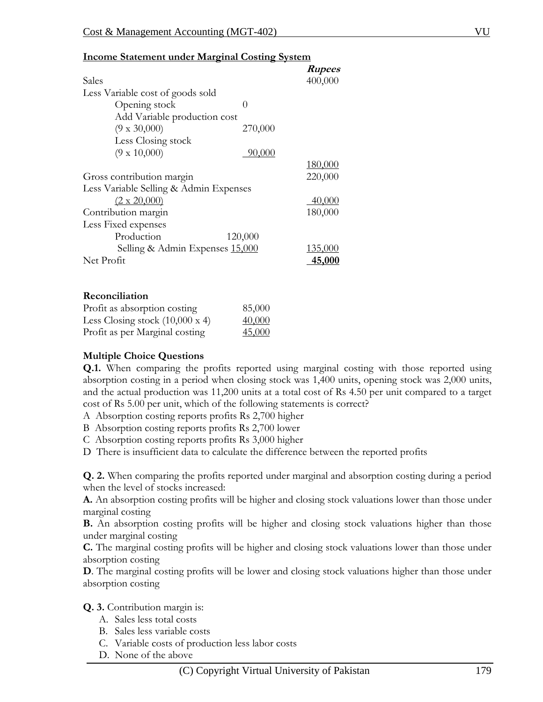|                                        |          | <b>Rupees</b>  |
|----------------------------------------|----------|----------------|
| Sales                                  |          | 400,000        |
| Less Variable cost of goods sold       |          |                |
| Opening stock                          | $\theta$ |                |
| Add Variable production cost           |          |                |
| $(9 \times 30,000)$                    | 270,000  |                |
| Less Closing stock                     |          |                |
| $(9 \times 10,000)$                    | 90,000   |                |
|                                        |          | 180,000        |
| Gross contribution margin              |          | 220,000        |
| Less Variable Selling & Admin Expenses |          |                |
| $(2 \times 20,000)$                    |          | <u>40,000</u>  |
| Contribution margin                    |          | 180,000        |
| Less Fixed expenses                    |          |                |
| Production                             | 120,000  |                |
| Selling & Admin Expenses 15,000        |          | <u>135,000</u> |
| Net Profit                             |          | 45,000         |
|                                        |          |                |
|                                        |          |                |

#### **Income Statement under Marginal Costing System**

#### **Reconciliation**

| Profit as absorption costing           | 85,000 |
|----------------------------------------|--------|
| Less Closing stock $(10,000 \times 4)$ | 40,000 |
| Profit as per Marginal costing         | 45,000 |

#### **Multiple Choice Questions**

**Q.1.** When comparing the profits reported using marginal costing with those reported using absorption costing in a period when closing stock was 1,400 units, opening stock was 2,000 units, and the actual production was 11,200 units at a total cost of Rs 4.50 per unit compared to a target cost of Rs 5.00 per unit, which of the following statements is correct?

A Absorption costing reports profits Rs 2,700 higher

B Absorption costing reports profits Rs 2,700 lower

C Absorption costing reports profits Rs 3,000 higher

D There is insufficient data to calculate the difference between the reported profits

**Q. 2.** When comparing the profits reported under marginal and absorption costing during a period when the level of stocks increased:

**A.** An absorption costing profits will be higher and closing stock valuations lower than those under marginal costing

**B.** An absorption costing profits will be higher and closing stock valuations higher than those under marginal costing

**C.** The marginal costing profits will be higher and closing stock valuations lower than those under absorption costing

**D**. The marginal costing profits will be lower and closing stock valuations higher than those under absorption costing

**Q. 3.** Contribution margin is:

- A. Sales less total costs
- B. Sales less variable costs
- C. Variable costs of production less labor costs
- D. None of the above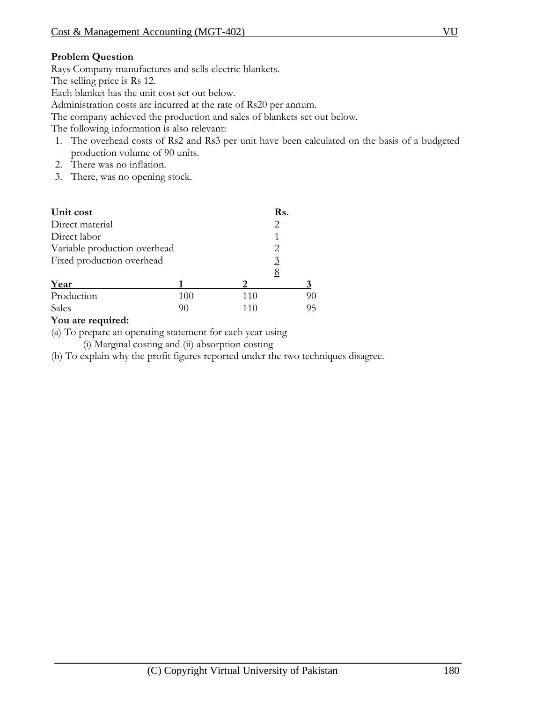## **Problem Question**

Rays Company manufactures and sells electric blankets.

The selling price is Rs 12.

Each blanket has the unit cost set out below.

Administration costs are incurred at the rate of Rs20 per annum.

The company achieved the production and sales of blankets set out below.

The following information is also relevant:

- 1. The overhead costs of Rs2 and Rs3 per unit have been calculated on the basis of a budgeted production volume of 90 units.
- 2. There was no inflation.
- 3. There, was no opening stock.

| Unit cost                    |     |          | Rs. |
|------------------------------|-----|----------|-----|
| Direct material              |     | 2        |     |
| Direct labor                 |     |          |     |
| Variable production overhead |     | 2.       |     |
| Fixed production overhead    |     | <u>3</u> |     |
|                              |     | <u>8</u> |     |
| Year                         |     |          |     |
| Production                   | 100 | 110      | 90  |
| Sales                        | 90  | 110      | 95  |

## **You are required:**

(a) To prepare an operating statement for each year using

(i) Marginal costing and (ii) absorption costing

(b) To explain why the profit figures reported under the two techniques disagree.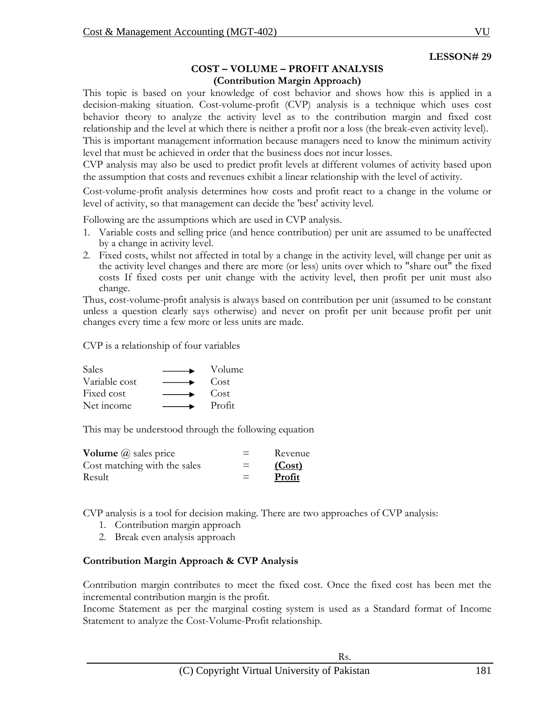## **LESSON# 29**

#### **COST – VOLUME – PROFIT ANALYSIS (Contribution Margin Approach)**

This topic is based on your knowledge of cost behavior and shows how this is applied in a decision-making situation. Cost-volume-profit (CVP) analysis is a technique which uses cost behavior theory to analyze the activity level as to the contribution margin and fixed cost relationship and the level at which there is neither a profit nor a loss (the break-even activity level). This is important management information because managers need to know the minimum activity level that must be achieved in order that the business does not incur losses.

CVP analysis may also be used to predict profit levels at different volumes of activity based upon the assumption that costs and revenues exhibit a linear relationship with the level of activity.

Cost-volume-profit analysis determines how costs and profit react to a change in the volume or level of activity, so that management can decide the 'best' activity level.

Following are the assumptions which are used in CVP analysis.

- 1. Variable costs and selling price (and hence contribution) per unit are assumed to be unaffected by a change in activity level.
- 2. Fixed costs, whilst not affected in total by a change in the activity level, will change per unit as the activity level changes and there are more (or less) units over which to "share out" the fixed costs If fixed costs per unit change with the activity level, then profit per unit must also change.

Thus, cost-volume-profit analysis is always based on contribution per unit (assumed to be constant unless a question clearly says otherwise) and never on profit per unit because profit per unit changes every time a few more or less units are made.

CVP is a relationship of four variables

| <b>Sales</b>  | Volume |
|---------------|--------|
| Variable cost | Cost   |
| Fixed cost    | Cost   |
| Net income    | Profit |

This may be understood through the following equation

| <b>Volume</b> $\omega$ sales price | $=$ | Revenue |
|------------------------------------|-----|---------|
| Cost matching with the sales       | $=$ | (Cost)  |
| Result                             | $=$ | Profit  |

CVP analysis is a tool for decision making. There are two approaches of CVP analysis:

- 1. Contribution margin approach
- 2. Break even analysis approach

## **Contribution Margin Approach & CVP Analysis**

Contribution margin contributes to meet the fixed cost. Once the fixed cost has been met the incremental contribution margin is the profit.

Income Statement as per the marginal costing system is used as a Standard format of Income Statement to analyze the Cost-Volume-Profit relationship.

 (C) Copyright Virtual University of Pakistan 181 Rs.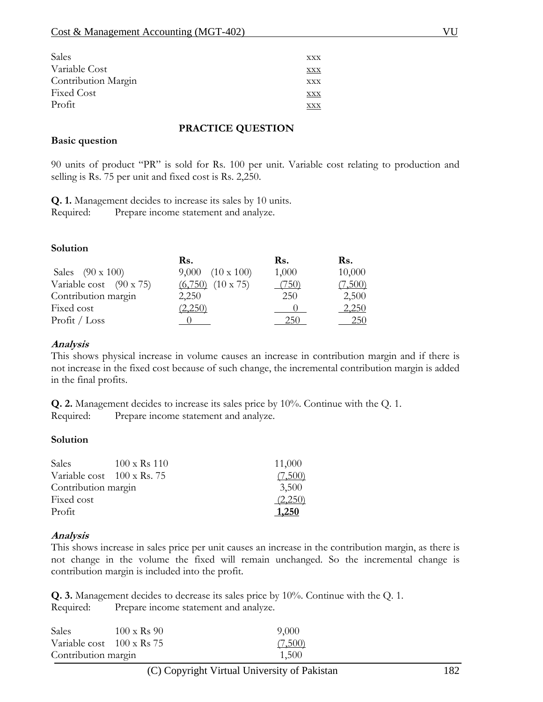| Sales               | <b>XXX</b>              |
|---------------------|-------------------------|
| Variable Cost       | $\overline{\text{XXX}}$ |
| Contribution Margin | <b>XXX</b>              |
| <b>Fixed Cost</b>   | $_{\rm XXX}$            |
| Profit              | $_{\rm XXX}$            |

#### **PRACTICE QUESTION**

#### **Basic question**

90 units of product "PR" is sold for Rs. 100 per unit. Variable cost relating to production and selling is Rs. 75 per unit and fixed cost is Rs. 2,250.

**Q. 1.** Management decides to increase its sales by 10 units. Required: Prepare income statement and analyze.

| Rs.                         | Rs.        | Rs.          |
|-----------------------------|------------|--------------|
| $9,000$ $(10 \times 100)$   | 1,000      | 10,000       |
| $(10 \times 75)$<br>(6,750) | (750)      | (7,500)      |
| 2,250                       | <b>250</b> | 2,500        |
| (2,250)                     |            | <u>2,250</u> |
|                             | 250        | 250          |
|                             |            |              |

#### **Analysis**

**Solution** 

This shows physical increase in volume causes an increase in contribution margin and if there is not increase in the fixed cost because of such change, the incremental contribution margin is added in the final profits.

**Q. 2.** Management decides to increase its sales price by 10%. Continue with the Q. 1. Required: Prepare income statement and analyze.

#### **Solution**

| Sales                      | $100 \times$ Rs $110$ | 11,000  |
|----------------------------|-----------------------|---------|
| Variable cost 100 x Rs. 75 |                       | (7,500) |
| Contribution margin        |                       | 3,500   |
| Fixed cost                 |                       | (2,250) |
| Profit                     |                       | 1,250   |

#### **Analysis**

This shows increase in sales price per unit causes an increase in the contribution margin, as there is not change in the volume the fixed will remain unchanged. So the incremental change is contribution margin is included into the profit.

**Q. 3.** Management decides to decrease its sales price by 10%. Continue with the Q. 1. Required: Prepare income statement and analyze.

| Sales                     | $100 \times$ Rs 90 | 9,000   |
|---------------------------|--------------------|---------|
| Variable cost 100 x Rs 75 |                    | (7,500) |
| Contribution margin       |                    | 1,500   |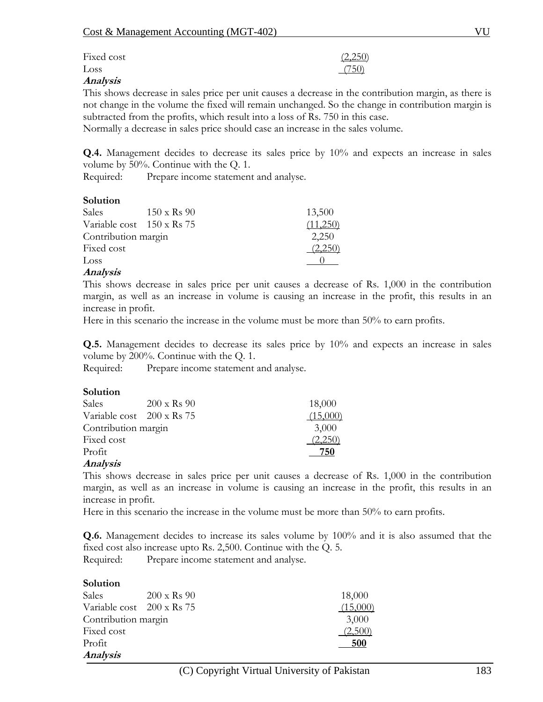| Fixed cost | (2,250) |
|------------|---------|
| Loss       | (750)   |
| Analysis   |         |

This shows decrease in sales price per unit causes a decrease in the contribution margin, as there is not change in the volume the fixed will remain unchanged. So the change in contribution margin is subtracted from the profits, which result into a loss of Rs. 750 in this case.

Normally a decrease in sales price should case an increase in the sales volume.

**Q.4.** Management decides to decrease its sales price by 10% and expects an increase in sales volume by 50%. Continue with the Q. 1.

Required: Prepare income statement and analyse.

## **Solution**

| Sales                            | $150 \times$ Rs 90 | 13,500   |
|----------------------------------|--------------------|----------|
| Variable cost $150 \times$ Rs 75 |                    | (11,250) |
| Contribution margin              |                    | 2,250    |
| Fixed cost                       |                    | (2,250)  |
| Loss                             |                    |          |
|                                  |                    |          |

#### **Analysis**

This shows decrease in sales price per unit causes a decrease of Rs. 1,000 in the contribution margin, as well as an increase in volume is causing an increase in the profit, this results in an increase in profit.

Here in this scenario the increase in the volume must be more than 50% to earn profits.

**Q.5.** Management decides to decrease its sales price by 10% and expects an increase in sales volume by 200%. Continue with the Q. 1.

Required: Prepare income statement and analyse.

## **Solution**

| Sales                     | $200 \times$ Rs 90 | 18,000   |
|---------------------------|--------------------|----------|
| Variable cost 200 x Rs 75 |                    | (15,000) |
| Contribution margin       |                    | 3,000    |
| Fixed cost                |                    | (2,250)  |
| Profit                    |                    | 750      |
| $\lambda = 1$             |                    |          |

## **Analysis**

This shows decrease in sales price per unit causes a decrease of Rs. 1,000 in the contribution margin, as well as an increase in volume is causing an increase in the profit, this results in an increase in profit.

Here in this scenario the increase in the volume must be more than 50% to earn profits.

**Q.6.** Management decides to increase its sales volume by 100% and it is also assumed that the fixed cost also increase upto Rs. 2,500. Continue with the Q. 5.

Required: Prepare income statement and analyse.

## **Solution**

| Sales                     | $200 \times$ Rs 90 | 18,000   |
|---------------------------|--------------------|----------|
| Variable cost 200 x Rs 75 |                    | (15,000) |
| Contribution margin       |                    | 3,000    |
| Fixed cost                |                    | (2,500)  |
| Profit                    |                    | 500      |
| <b>Analysis</b>           |                    |          |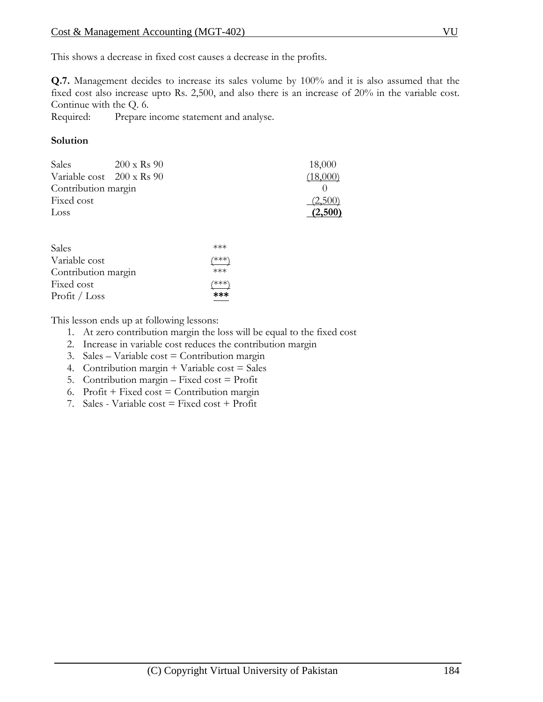This shows a decrease in fixed cost causes a decrease in the profits.

**Q.7.** Management decides to increase its sales volume by 100% and it is also assumed that the fixed cost also increase upto Rs. 2,500, and also there is an increase of 20% in the variable cost. Continue with the Q. 6.

Required: Prepare income statement and analyse.

# **Solution**

| Sales                     | $200 \times$ Rs 90 | 18,000   |
|---------------------------|--------------------|----------|
| Variable cost 200 x Rs 90 |                    | (18,000) |
| Contribution margin       |                    |          |
| Fixed cost                |                    | (2,500)  |
| Loss                      |                    | (2,500)  |
|                           |                    |          |

| Sales               | $***$ |
|---------------------|-------|
| Variable cost       | (***) |
| Contribution margin | $***$ |
| Fixed cost          | (***) |
| Profit / Loss       | $***$ |

This lesson ends up at following lessons:

- 1. At zero contribution margin the loss will be equal to the fixed cost
- 2. Increase in variable cost reduces the contribution margin
- 3. Sales Variable cost  $=$  Contribution margin
- 4. Contribution margin  $+$  Variable cost  $=$  Sales
- 5. Contribution margin Fixed cost  $=$  Profit
- 6. Profit + Fixed cost = Contribution margin
- 7. Sales Variable cost  $=$  Fixed cost  $+$  Profit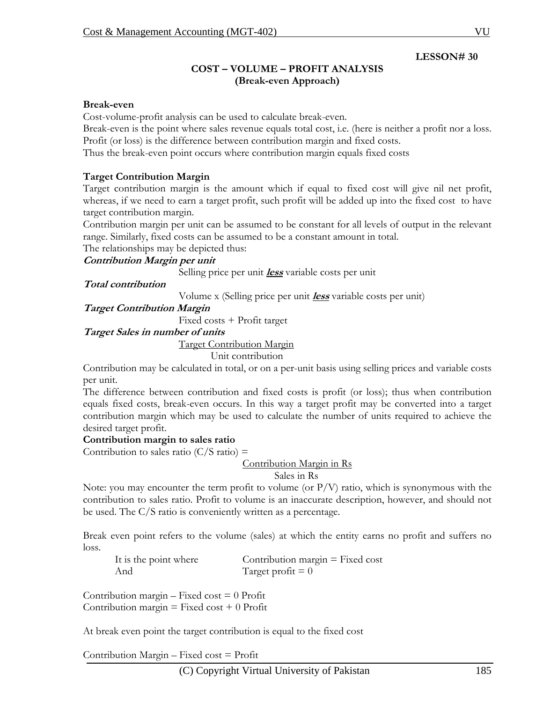## **LESSON# 30**

## **COST – VOLUME – PROFIT ANALYSIS (Break-even Approach)**

#### **Break-even**

Cost-volume-profit analysis can be used to calculate break-even.

Break-even is the point where sales revenue equals total cost, i.e. (here is neither a profit nor a loss. Profit (or loss) is the difference between contribution margin and fixed costs.

Thus the break-even point occurs where contribution margin equals fixed costs

## **Target Contribution Margin**

Target contribution margin is the amount which if equal to fixed cost will give nil net profit, whereas, if we need to earn a target profit, such profit will be added up into the fixed cost to have target contribution margin.

Contribution margin per unit can be assumed to be constant for all levels of output in the relevant range. Similarly, fixed costs can be assumed to be a constant amount in total.

The relationships may be depicted thus:

# **Contribution Margin per unit**

Selling price per unit **less** variable costs per unit

#### **Total contribution**

Volume x (Selling price per unit **less** variable costs per unit)

## **Target Contribution Margin**

Fixed costs + Profit target

## **Target Sales in number of units**

Target Contribution Margin

Unit contribution

Contribution may be calculated in total, or on a per-unit basis using selling prices and variable costs per unit.

The difference between contribution and fixed costs is profit (or loss); thus when contribution equals fixed costs, break-even occurs. In this way a target profit may be converted into a target contribution margin which may be used to calculate the number of units required to achieve the desired target profit.

## **Contribution margin to sales ratio**

Contribution to sales ratio  $(C/S \text{ ratio})$  =

Contribution Margin in Rs

Sales in Rs

Note: you may encounter the term profit to volume (or  $P/V$ ) ratio, which is synonymous with the contribution to sales ratio. Profit to volume is an inaccurate description, however, and should not be used. The C/S ratio is conveniently written as a percentage.

Break even point refers to the volume (sales) at which the entity earns no profit and suffers no loss.

| It is the point where | Contribution margin $=$ Fixed cost |
|-----------------------|------------------------------------|
| And                   | Target profit $= 0$                |

Contribution margin – Fixed  $cost = 0$  Profit Contribution margin  $=$  Fixed cost  $+$  0 Profit

At break even point the target contribution is equal to the fixed cost

Contribution Margin – Fixed  $cost = Profit$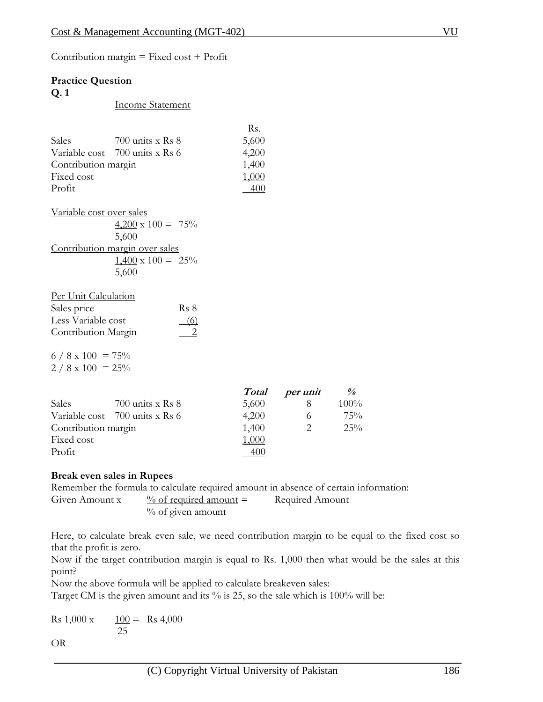Contribution margin  $=$  Fixed cost  $+$  Profit

## **Practice Question Q. 1**

Income Statement

|                     |                                | Rs.   |
|---------------------|--------------------------------|-------|
| Sales               | $700$ units x Rs $8$           | 5,600 |
|                     | Variable cost 700 units x Rs 6 | 4,200 |
| Contribution margin |                                | 1,400 |
| Fixed cost          |                                | 1,000 |
| Profit              |                                |       |

| Variable cost over sales            |  |
|-------------------------------------|--|
| $\frac{4,200}{2} \times 100 = 75\%$ |  |
| 5,600                               |  |
| Contribution margin over sales      |  |
| $1,400 \times 100 = 25\%$           |  |
| 5,600                               |  |

| Rs 8 |
|------|
| (6)  |
|      |
|      |

$$
6 / 8 \times 100 = 75\%
$$
  
2 / 8 × 100 = 25%

|                     |                                | <b>Total</b> | per unit | $\frac{0}{0}$ |
|---------------------|--------------------------------|--------------|----------|---------------|
| Sales               | $700$ units x Rs $8$           | 5,600        |          | $100\%$       |
|                     | Variable cost 700 units x Rs 6 | 4,200        |          | 75%           |
| Contribution margin |                                | 1,400        |          | $25\%$        |
| Fixed cost          |                                | 1,000        |          |               |
| Profit              |                                |              |          |               |

# **Break even sales in Rupees**

Remember the formula to calculate required amount in absence of certain information: Given Amount x  $\frac{\% \text{ of required amount}}{\% \text{ of required amount}}$  Required Amount

% of given amount

Here, to calculate break even sale, we need contribution margin to be equal to the fixed cost so that the profit is zero.

Now if the target contribution margin is equal to Rs. 1,000 then what would be the sales at this point?

Now the above formula will be applied to calculate breakeven sales:

Target CM is the given amount and its % is 25, so the sale which is 100% will be:

Rs  $1,000 \text{ x } \qquad 100 = \text{Rs } 4,000$ 25

OR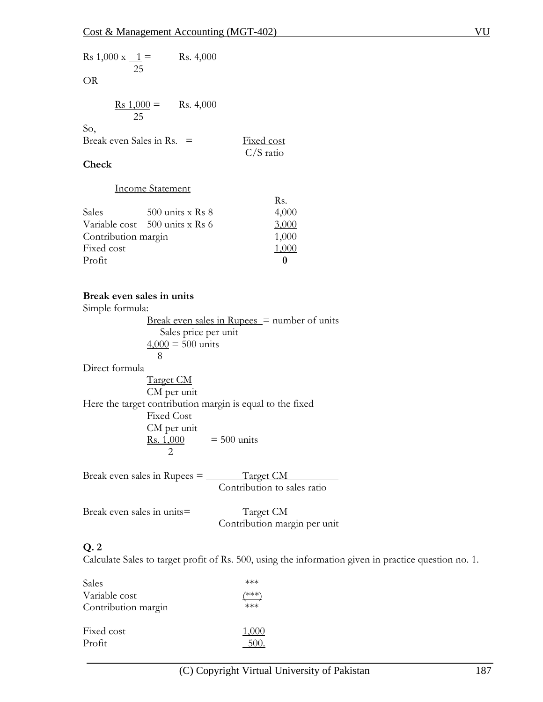$$
Rs 1,000 x \frac{1}{25} = Rs. 4,000
$$
  
OR

 $\text{Rs } 1,000 = \text{Rs. } 4,000$ 25

Break even Sales in Rs. = 
$$
\frac{\text{Fixed cost}}{\text{C/S ratio}}
$$

## **Check**

So,

#### Income Statement

|                     |                                | Rs.   |
|---------------------|--------------------------------|-------|
| Sales               | $500$ units x Rs $8$           | 4,000 |
|                     | Variable cost 500 units x Rs 6 | 3,000 |
| Contribution margin |                                | 1,000 |
| Fixed cost          |                                | 1,000 |
| Profit              |                                |       |

#### **Break even sales in units**

Simple formula:

Break even sales in Rupees  $=$  number of units Sales price per unit  $\frac{4,000}{ } = 500 \text{ units}$  8 Direct formula

## Target CM

CM per unit Here the target contribution margin is equal to the fixed

| <b>Fixed Cost</b>  |               |
|--------------------|---------------|
| <b>CM per unit</b> | $= 500$ units |
| <b>Rs.</b> 1,000   | $= 500$ units |

| Break even sales in Rupees $=$ | Target CM                    |
|--------------------------------|------------------------------|
|                                | Contribution to sales ratio  |
| Break even sales in units $=$  | Target CM                    |
|                                | Contribution margin per unit |

# **Q. 2**

Calculate Sales to target profit of Rs. 500, using the information given in practice question no. 1.

| Sales               | $***$ |
|---------------------|-------|
| Variable cost       | `***` |
| Contribution margin | $***$ |
| Fixed cost          | 1,000 |
| Profit              |       |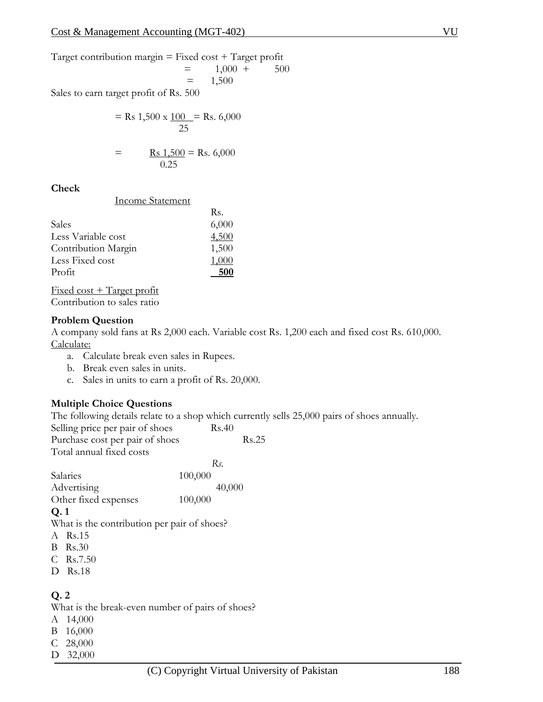Target contribution margin  $=$  Fixed cost  $+$  Target profit

$$
= 1,000 + 500
$$
  
= 1,500  

$$
= 1,500
$$

Sales to earn target profit of Rs. 500

= Rs 1,500 x 
$$
\frac{100}{25}
$$
 = Rs. 6,000

$$
= \frac{\text{Rs } 1,500}{0.25} = \text{Rs. } 6,000
$$

# **Check**

| <b>Income Statement</b> |       |
|-------------------------|-------|
|                         | Rs.   |
| Sales                   | 6,000 |
| Less Variable cost      | 4,500 |
| Contribution Margin     | 1,500 |
| Less Fixed cost         | 1,000 |
| Profit                  | 500   |
|                         |       |

 $Fixed cost + Target profit$ Contribution to sales ratio

# **Problem Question**

A company sold fans at Rs 2,000 each. Variable cost Rs. 1,200 each and fixed cost Rs. 610,000. Calculate:

- a. Calculate break even sales in Rupees.
- b. Break even sales in units.
- c. Sales in units to earn a profit of Rs. 20,000.

# **Multiple Choice Questions**

The following details relate to a shop which currently sells 25,000 pairs of shoes annually. Selling price per pair of shoes Rs.40 Purchase cost per pair of shoes Rs.25 Total annual fixed costs

*Rs.*  Salaries 100,000 Advertising 40,000 Other fixed expenses 100,000 **Q. 1**  What is the contribution per pair of shoes? A Rs.15 B Rs.30 C Rs.7.50

D Rs.18

# **Q. 2**

What is the break-even number of pairs of shoes?

- A 14,000
- B 16,000
- C 28,000
- D 32,000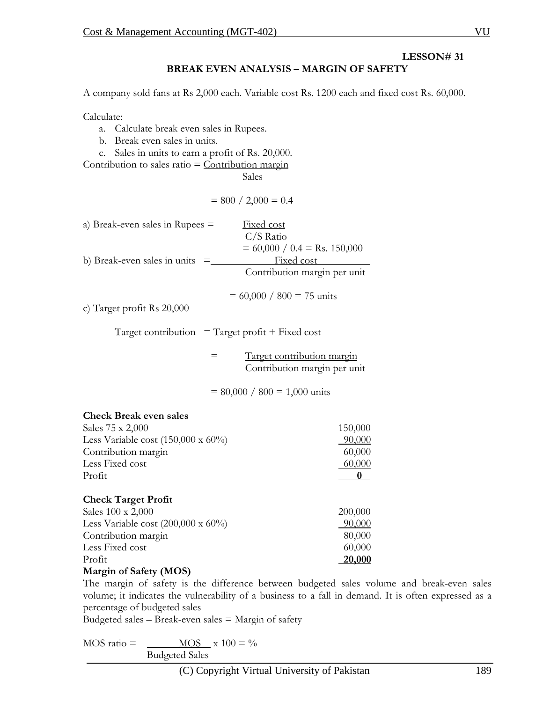#### **LESSON# 31 BREAK EVEN ANALYSIS – MARGIN OF SAFETY**

A company sold fans at Rs 2,000 each. Variable cost Rs. 1200 each and fixed cost Rs. 60,000.

Calculate:

- a. Calculate break even sales in Rupees.
- b. Break even sales in units.

c. Sales in units to earn a profit of Rs. 20,000.

Contribution to sales ratio  $=$  Contribution margin Sales

$$
= 800 / 2{,}000 = 0.4
$$

a) Break-even sales in Rupees  $=$  Fixed cost C/S Ratio  $= 60,000 / 0.4 = \text{Rs.} 150,000$ b) Break-even sales in units  $=$  Fixed cost Contribution margin per unit

 $= 60,000 / 800 = 75$  units

c) Target profit Rs 20,000

Target contribution  $=$  Target profit + Fixed cost

|  | Target contribution margin   |
|--|------------------------------|
|  | Contribution margin per unit |

 $= 80,000 / 800 = 1,000$  units

#### **Check Break even sales**

| Sales 75 x 2,000                           | 150,000 |
|--------------------------------------------|---------|
| Less Variable cost $(150,000 \times 60\%)$ | 90,000  |
| Contribution margin                        | 60,000  |
| Less Fixed cost                            | 60,000  |
| Profit                                     |         |
| <b>Check Target Profit</b>                 |         |
| Sales 100 x 2,000                          | 200,000 |
| Less Variable cost $(200,000 \times 60\%)$ | 90,000  |
| Contribution margin                        | 80,000  |
| Less Fixed cost                            | 60,000  |
| Profit                                     | 20,000  |

## **Margin of Safety (MOS)**

The margin of safety is the difference between budgeted sales volume and break-even sales volume; it indicates the vulnerability of a business to a fall in demand. It is often expressed as a percentage of budgeted sales

Budgeted sales  $-$  Break-even sales  $=$  Margin of safety

MOS ratio =  $\angle$  MOS x 100 = % Budgeted Sales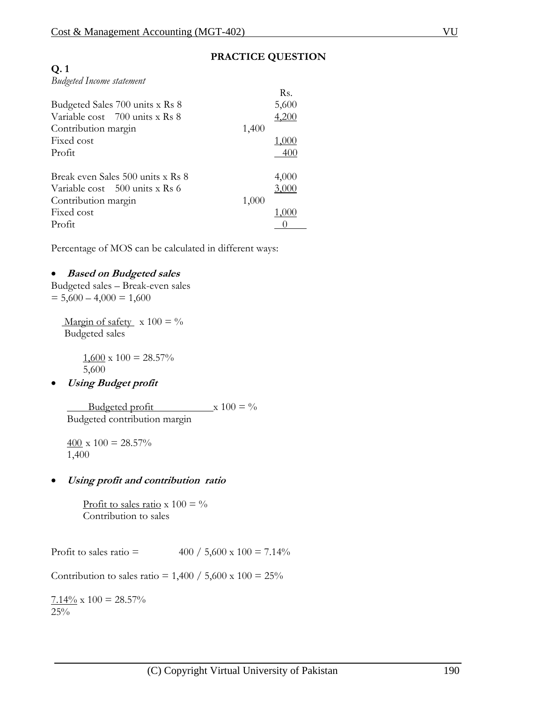# **PRACTICE QUESTION**

# **Q. 1**

## *Budgeted Income statement*

|                                   | Rs.          |
|-----------------------------------|--------------|
| Budgeted Sales 700 units x Rs 8   | 5,600        |
| Variable cost 700 units x Rs 8    | 4,200        |
| Contribution margin<br>1,400      |              |
| Fixed cost                        | <u>1,000</u> |
| Profit                            | 400          |
|                                   |              |
| Break even Sales 500 units x Rs 8 | 4,000        |
| Variable cost 500 units x Rs 6    | 3,000        |
| Contribution margin<br>1,000      |              |
| Fixed cost                        | <u>1,000</u> |
| Profit                            |              |

Percentage of MOS can be calculated in different ways:

## • **Based on Budgeted sales**

Budgeted sales – Break-even sales  $= 5,600 - 4,000 = 1,600$ 

Margin of safety  $x 100 = %$ Budgeted sales

> $1,600 \times 100 = 28.57\%$ 5,600

• **Using Budget profit** 

Budgeted profit  $x 100 = %$ Budgeted contribution margin

 $\frac{400}{1}$  x 100 = 28.57% 1,400

## • **Using profit and contribution ratio**

Profit to sales ratio x  $100 = \%$ Contribution to sales

Profit to sales ratio =  $400 / 5{,}600 \times 100 = 7.14\%$ 

Contribution to sales ratio =  $1,400 / 5,600 \times 100 = 25\%$ 

 $7.14\% \times 100 = 28.57\%$ 25%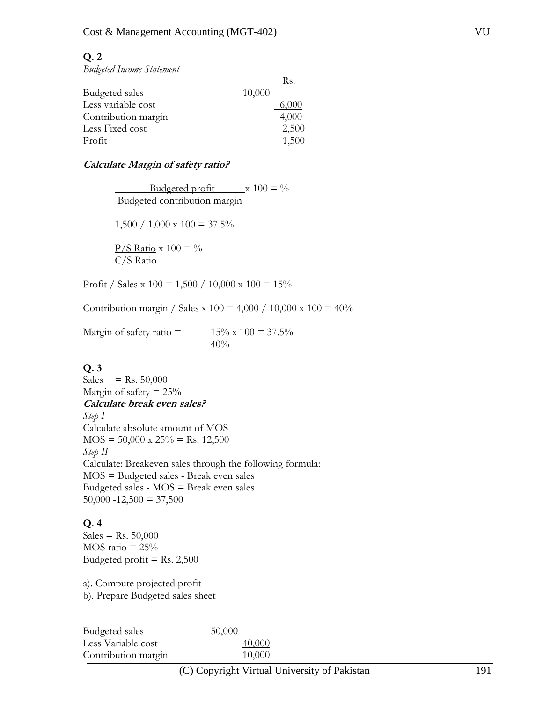## **Q. 2**

*Budgeted Income Statement* 

|                       |        | Rs.   |
|-----------------------|--------|-------|
| <b>Budgeted sales</b> | 10,000 |       |
| Less variable cost    |        | 6,000 |
| Contribution margin   |        | 4,000 |
| Less Fixed cost       |        | 2,500 |
| Profit                |        | 1,500 |

## **Calculate Margin of safety ratio?**

Budgeted profit  $x 100 = %$ Budgeted contribution margin

 $1,500 / 1,000 \times 100 = 37.5\%$ 

 $P/S$  Ratio x  $100 = \%$ C/S Ratio

Profit / Sales x  $100 = 1,500 / 10,000$  x  $100 = 15%$ 

Contribution margin / Sales x  $100 = 4,000 / 10,000$  x  $100 = 40\%$ 

Margin of safety ratio =  $15\% \times 100 = 37.5\%$ 40%

## **Q. 3**

 $Sales = Rs. 50,000$ Margin of safety  $= 25\%$ **Calculate break even sales?**  *Step I* Calculate absolute amount of MOS  $MOS = 50,000 \text{ x } 25\% = \text{Rs. } 12,500$ *Step II* Calculate: Breakeven sales through the following formula: MOS = Budgeted sales - Break even sales Budgeted sales - MOS = Break even sales  $50,000 - 12,500 = 37,500$ 

# **Q. 4**

 $Sales = Rs. 50,000$  $MOS$  ratio =  $25\%$ Budgeted profit  $=$  Rs. 2,500

a). Compute projected profit

b). Prepare Budgeted sales sheet

| Budgeted sales      | 50,000 |
|---------------------|--------|
| Less Variable cost  | 40,000 |
| Contribution margin | 10,000 |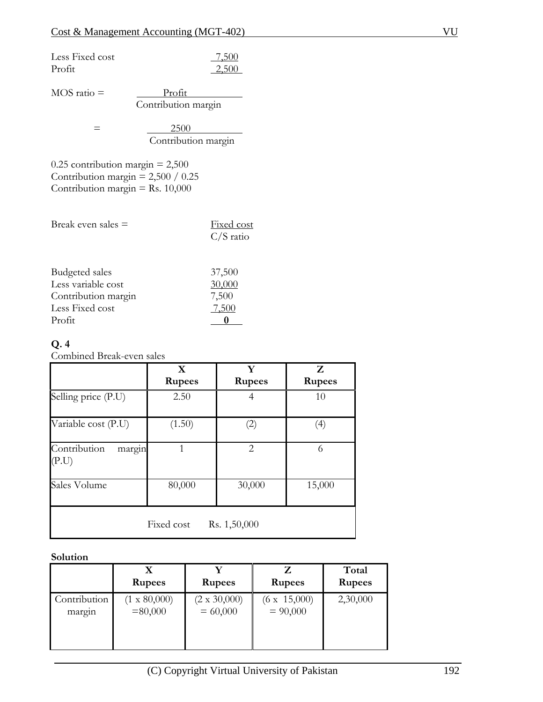| Less Fixed cost<br>Profit | ,500<br>2,500                 |
|---------------------------|-------------------------------|
| $MOS$ ratio $=$           | Profit<br>Contribution margin |
|                           | 2500<br>Contribution margin   |

0.25 contribution margin = 2,500 Contribution margin  $= 2,500 / 0.25$ Contribution margin  $=$  Rs. 10,000

| Break even sales $=$  | Fixed cost  |
|-----------------------|-------------|
|                       | $C/S$ ratio |
|                       |             |
| <b>Budgeted sales</b> | 37,500      |
| Less variable cost    | 30,000      |
| Contribution margin   | 7,500       |
| Less Fixed cost       | 7,500       |
| Profit                |             |

# **Q. 4**

Combined Break-even sales

|                                 | X<br><b>Rupees</b> | Y<br><b>Rupees</b> | Z<br><b>Rupees</b> |  |
|---------------------------------|--------------------|--------------------|--------------------|--|
| Selling price (P.U)             | 2.50               | 4                  | 10                 |  |
| Variable cost (P.U)             | (1.50)             | 2)                 | (4)                |  |
| Contribution<br>margin<br>(P.U) | 1                  | 2                  | 6                  |  |
| Sales Volume                    | 80,000             | 30,000             | 15,000             |  |
| Fixed cost<br>Rs. 1,50,000      |                    |                    |                    |  |

# **Solution**

|              | <b>Rupees</b>       | <b>Rupees</b>       | Z<br><b>Rupees</b>  | Total<br><b>Rupees</b> |
|--------------|---------------------|---------------------|---------------------|------------------------|
| Contribution | $(1 \times 80,000)$ | $(2 \times 30,000)$ | $(6 \times 15,000)$ | 2,30,000               |
| margin       | $= 80,000$          | $= 60,000$          | $= 90,000$          |                        |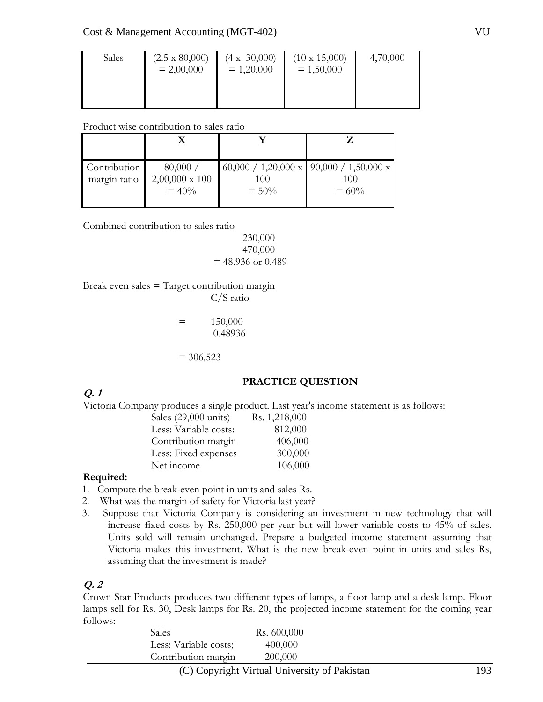| Sales | $(2.5 \times 80,000)$<br>$= 2,00,000$ | $(4 \times 30,000)$<br>$= 1,20,000$ | $(10 \times 15,000)$<br>$= 1,50,000$ | 4,70,000 |
|-------|---------------------------------------|-------------------------------------|--------------------------------------|----------|
|       |                                       |                                     |                                      |          |

Product wise contribution to sales ratio

| Contribution<br>margin ratio | 80,000<br>$2,00,000 \times 100$<br>$= 40\%$ | 60,000 / 1,20,000 x   90,000 / 1,50,000 x<br>100<br>$= 50\%$ | 100<br>$= 60\%$ |
|------------------------------|---------------------------------------------|--------------------------------------------------------------|-----------------|

Combined contribution to sales ratio

 230,000 470,000  $= 48.936$  or 0.489

Break even sales  $=$   $T \n{ are zero}$  contribution margin C/S ratio

> $=$   $\frac{150,000}{150,000}$ 0.48936

 $= 306,523$ 

# **PRACTICE QUESTION**

# **Q. 1**

Victoria Company produces a single product. Last year's income statement is as follows:

| Sales $(29,000 \text{ units})$ | Rs. 1,218,000 |
|--------------------------------|---------------|
| Less: Variable costs:          | 812,000       |
| Contribution margin            | 406,000       |
| Less: Fixed expenses           | 300,000       |
| Net income                     | 106,000       |

# **Required:**

- 1. Compute the break-even point in units and sales Rs.
- 2. What was the margin of safety for Victoria last year?
- 3. Suppose that Victoria Company is considering an investment in new technology that will increase fixed costs by Rs. 250,000 per year but will lower variable costs to 45% of sales. Units sold will remain unchanged. Prepare a budgeted income statement assuming that Victoria makes this investment. What is the new break-even point in units and sales Rs, assuming that the investment is made?

# **Q. 2**

Crown Star Products produces two different types of lamps, a floor lamp and a desk lamp. Floor lamps sell for Rs. 30, Desk lamps for Rs. 20, the projected income statement for the coming year follows:

| <b>Sales</b>          | Rs. 600,000                                                                                                                                                                                                                    |
|-----------------------|--------------------------------------------------------------------------------------------------------------------------------------------------------------------------------------------------------------------------------|
| Less: Variable costs; | 400,000                                                                                                                                                                                                                        |
| Contribution margin   | 200,000                                                                                                                                                                                                                        |
|                       | $(0.00)$ $(1.1)$ $(1.1)$ $(1.1)$ $(1.1)$ $(1.1)$ $(1.1)$ $(1.1)$ $(1.1)$ $(1.1)$ $(1.1)$ $(1.1)$ $(1.1)$ $(1.1)$ $(1.1)$ $(1.1)$ $(1.1)$ $(1.1)$ $(1.1)$ $(1.1)$ $(1.1)$ $(1.1)$ $(1.1)$ $(1.1)$ $(1.1)$ $(1.1)$ $(1.1)$ $(1.$ |

(C) Copyright Virtual University of Pakistan 193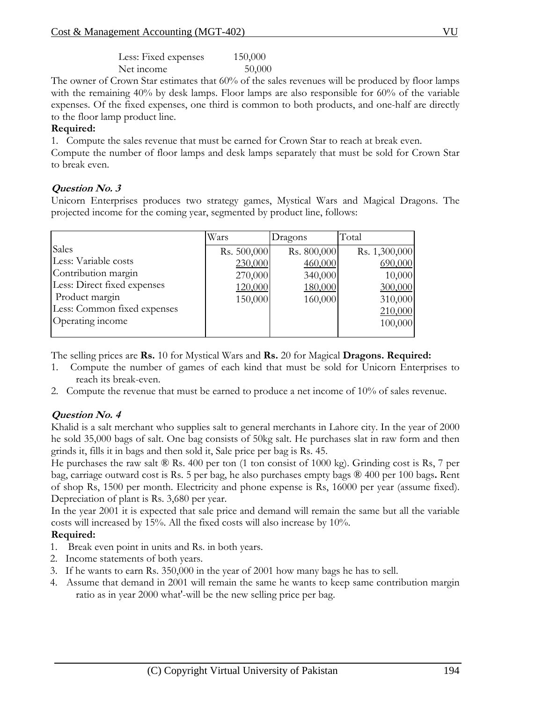The owner of Crown Star estimates that 60% of the sales revenues will be produced by floor lamps with the remaining 40% by desk lamps. Floor lamps are also responsible for 60% of the variable expenses. Of the fixed expenses, one third is common to both products, and one-half are directly to the floor lamp product line.

# **Required:**

1. Compute the sales revenue that must be earned for Crown Star to reach at break even. Compute the number of floor lamps and desk lamps separately that must be sold for Crown Star to break even.

# **Question No. 3**

Unicorn Enterprises produces two strategy games, Mystical Wars and Magical Dragons. The projected income for the coming year, segmented by product line, follows:

|                             | Wars        | Dragons     | Total         |
|-----------------------------|-------------|-------------|---------------|
| Sales                       | Rs. 500,000 | Rs. 800,000 | Rs. 1,300,000 |
| Less: Variable costs        | 230,000     | 460,000     | 690,000       |
| Contribution margin         | 270,000     | 340,000     | 10,000        |
| Less: Direct fixed expenses | 120,000     | 180,000     | 300,000       |
| Product margin              | 150,000     | 160,000     | 310,000       |
| Less: Common fixed expenses |             |             | 210,000       |
| Operating income            |             |             | 100,000       |
|                             |             |             |               |

The selling prices are **Rs.** 10 for Mystical Wars and **Rs.** 20 for Magical **Dragons. Required:**

- 1. Compute the number of games of each kind that must be sold for Unicorn Enterprises to reach its break-even.
- 2. Compute the revenue that must be earned to produce a net income of 10% of sales revenue.

# **Question No. 4**

Khalid is a salt merchant who supplies salt to general merchants in Lahore city. In the year of 2000 he sold 35,000 bags of salt. One bag consists of 50kg salt. He purchases slat in raw form and then grinds it, fills it in bags and then sold it, Sale price per bag is Rs. 45.

He purchases the raw salt ® Rs. 400 per ton (1 ton consist of 1000 kg). Grinding cost is Rs, 7 per bag, carriage outward cost is Rs. 5 per bag, he also purchases empty bags ® 400 per 100 bags**.** Rent of shop Rs, 1500 per month. Electricity and phone expense is Rs, 16000 per year (assume fixed). Depreciation of plant is Rs. 3,680 per year.

In the year 2001 it is expected that sale price and demand will remain the same but all the variable costs will increased by 15%. All the fixed costs will also increase by 10%.

# **Required:**

- 1. Break even point in units and Rs. in both years.
- 2. Income statements of both years.
- 3. If he wants to earn Rs. 350,000 in the year of 2001 how many bags he has to sell.
- 4. Assume that demand in 2001 will remain the same he wants to keep same contribution margin ratio as in year 2000 what'-will be the new selling price per bag.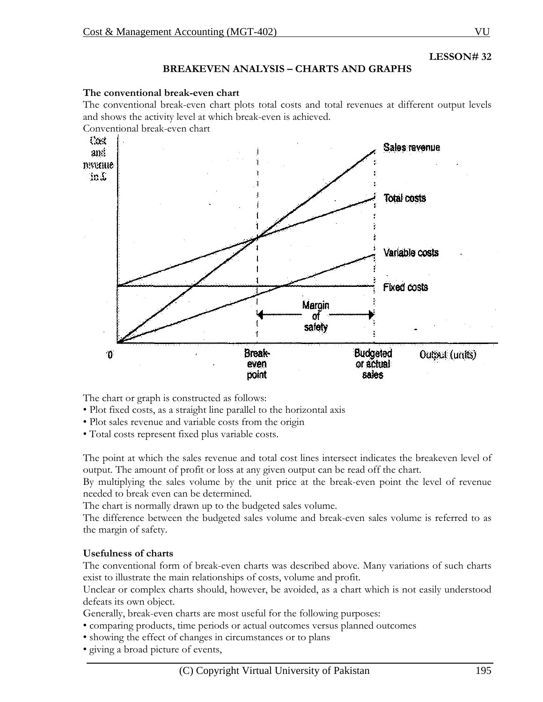**LESSON# 32** 

## **BREAKEVEN ANALYSIS – CHARTS AND GRAPHS**

## **The conventional break-even chart**

The conventional break-even chart plots total costs and total revenues at different output levels and shows the activity level at which break-even is achieved.



The chart or graph is constructed as follows:

- Plot fixed costs, as a straight line parallel to the horizontal axis
- Plot sales revenue and variable costs from the origin
- Total costs represent fixed plus variable costs.

The point at which the sales revenue and total cost lines intersect indicates the breakeven level of output. The amount of profit or loss at any given output can be read off the chart.

By multiplying the sales volume by the unit price at the break-even point the level of revenue needed to break even can be determined.

The chart is normally drawn up to the budgeted sales volume.

The difference between the budgeted sales volume and break-even sales volume is referred to as the margin of safety.

## **Usefulness of charts**

The conventional form of break-even charts was described above. Many variations of such charts exist to illustrate the main relationships of costs, volume and profit.

Unclear or complex charts should, however, be avoided, as a chart which is not easily understood defeats its own object.

Generally, break-even charts are most useful for the following purposes:

- comparing products, time periods or actual outcomes versus planned outcomes
- showing the effect of changes in circumstances or to plans
- giving a broad picture of events,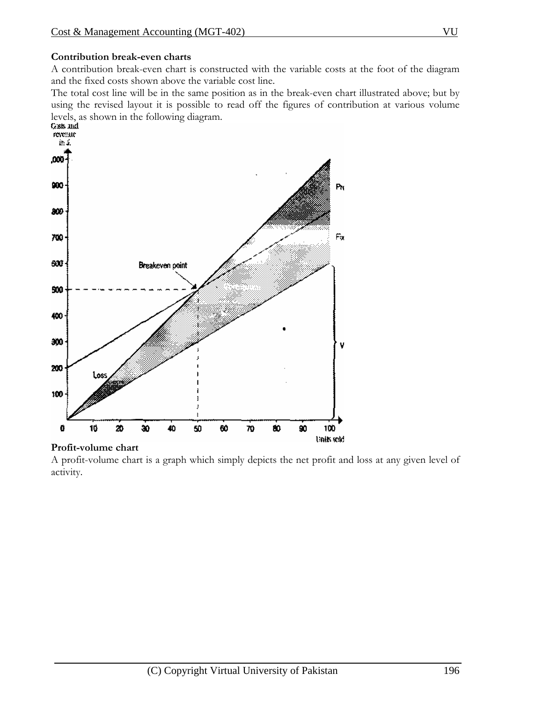A contribution break-even chart is constructed with the variable costs at the foot of the diagram and the fixed costs shown above the variable cost line.

The total cost line will be in the same position as in the break-even chart illustrated above; but by using the revised layout it is possible to read off the figures of contribution at various volume levels, as shown in the following diagram.



## **Profit-volume chart**

A profit-volume chart is a graph which simply depicts the net profit and loss at any given level of activity.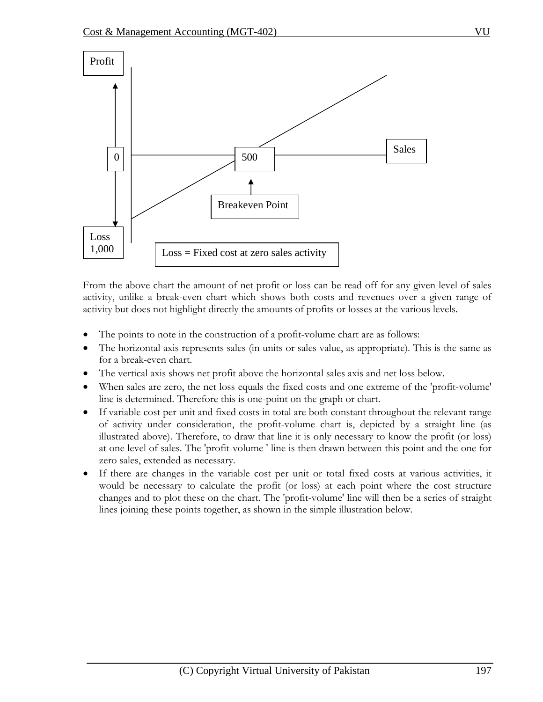

From the above chart the amount of net profit or loss can be read off for any given level of sales activity, unlike a break-even chart which shows both costs and revenues over a given range of activity but does not highlight directly the amounts of profits or losses at the various levels.

- The points to note in the construction of a profit-volume chart are as follows:
- The horizontal axis represents sales (in units or sales value, as appropriate). This is the same as for a break-even chart.
- The vertical axis shows net profit above the horizontal sales axis and net loss below.
- When sales are zero, the net loss equals the fixed costs and one extreme of the 'profit-volume' line is determined. Therefore this is one-point on the graph or chart.
- If variable cost per unit and fixed costs in total are both constant throughout the relevant range of activity under consideration, the profit-volume chart is, depicted by a straight line (as illustrated above). Therefore, to draw that line it is only necessary to know the profit (or loss) at one level of sales. The 'profit-volume ' line is then drawn between this point and the one for zero sales, extended as necessary.
- If there are changes in the variable cost per unit or total fixed costs at various activities, it would be necessary to calculate the profit (or loss) at each point where the cost structure changes and to plot these on the chart. The 'profit-volume' line will then be a series of straight lines joining these points together, as shown in the simple illustration below.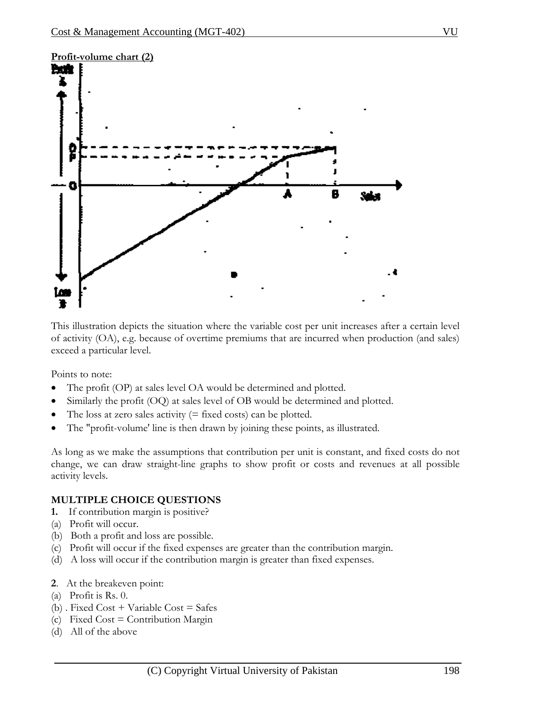

This illustration depicts the situation where the variable cost per unit increases after a certain level of activity (OA), e.g. because of overtime premiums that are incurred when production (and sales) exceed a particular level.

Points to note:

- The profit (OP) at sales level OA would be determined and plotted.
- Similarly the profit (OQ) at sales level of OB would be determined and plotted.
- The loss at zero sales activity  $(=$  fixed costs) can be plotted.
- The "profit-volume' line is then drawn by joining these points, as illustrated.

As long as we make the assumptions that contribution per unit is constant, and fixed costs do not change, we can draw straight-line graphs to show profit or costs and revenues at all possible activity levels.

# **MULTIPLE CHOICE QUESTIONS**

- **1.** If contribution margin is positive?
- (a) Profit will occur.
- (b) Both a profit and loss are possible.
- (c) Profit will occur if the fixed expenses are greater than the contribution margin.
- (d) A loss will occur if the contribution margin is greater than fixed expenses.
- **2**. At the breakeven point:
- (a) Profit is Rs. 0.
- (b) . Fixed Cost + Variable Cost = Safes
- $(c)$  Fixed Cost = Contribution Margin
- (d) All of the above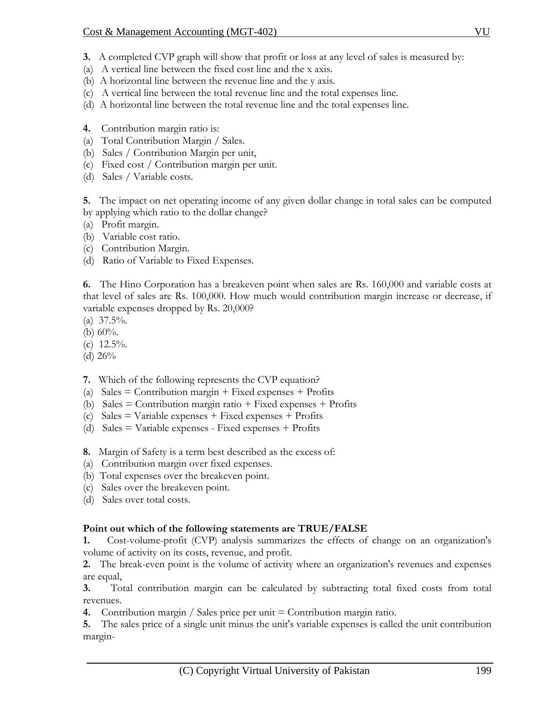- **3.** A completed CVP graph will show that profit or loss at any level of sales is measured by:
- (a) A vertical line between the fixed cost line and the x axis.
- (b) A horizontal line between the revenue line and the y axis.
- (c) A vertical line between the total revenue line and the total expenses line.
- (d) A horizontal line between the total revenue line and the total expenses line.
- **4.** Contribution margin ratio is:
- (a) Total Contribution Margin / Sales.
- (b) Sales / Contribution Margin per unit,
- (c) Fixed cost / Contribution margin per unit.
- (d) Sales / Variable costs.

**5.** The impact on net operating income of any given dollar change in total sales can be computed by applying which ratio to the dollar change?

- (a) Profit margin.
- (b) Variable cost ratio.
- (c) Contribution Margin.
- (d) Ratio of Variable to Fixed Expenses.

**6.** The Hino Corporation has a breakeven point when sales are Rs. 160,000 and variable costs at that level of sales are Rs. 100,000. How much would contribution margin increase or decrease, if variable expenses dropped by Rs. 20,000?

- (a)  $37.5\%$ .
- (b)  $60\%$ .
- (c)  $12.5\%$ .
- (d)  $26%$
- **7.** Which of the following represents the CVP equation?
- (a) Sales  $=$  Contribution margin  $+$  Fixed expenses  $+$  Profits
- (b) Sales  $=$  Contribution margin ratio  $+$  Fixed expenses  $+$  Profits
- (c) Sales  $=$  Variable expenses  $+$  Fixed expenses  $+$  Profits
- (d) Sales  $=$  Variable expenses Fixed expenses  $+$  Profits
- **8.** Margin of Safety is a term best described as the excess of:
- (a) Contribution margin over fixed expenses.
- (b) Total expenses over the breakeven point.
- (c) Sales over the breakeven point.
- (d) Sales over total costs.

# **Point out which of the following statements are TRUE/FALSE**

**1.** Cost-volume-profit (CVP) analysis summarizes the effects of change on an organization's volume of activity on its costs, revenue, and profit.

**2.** The break-even point is the volume of activity where an organization's revenues and expenses are equal,

**3.** Total contribution margin can be calculated by subtracting total fixed costs from total revenues.

**4.** Contribution margin / Sales price per unit = Contribution margin ratio.

**5.** The sales price of a single unit minus the unit's variable expenses is called the unit contribution margin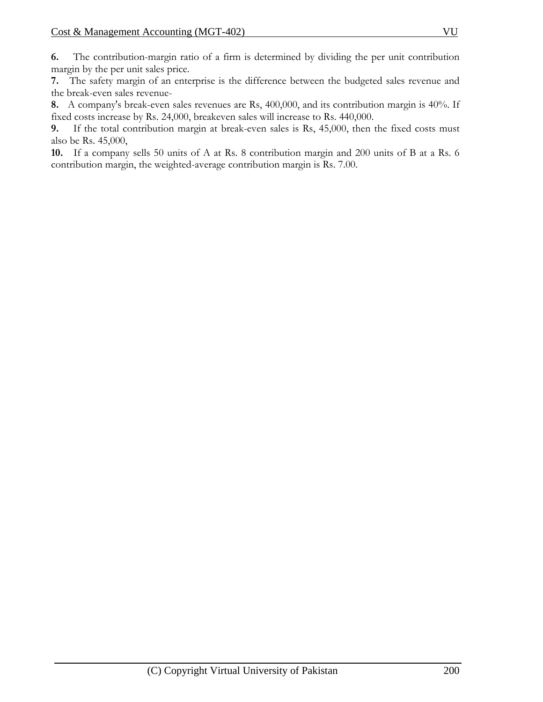**6.** The contribution-margin ratio of a firm is determined by dividing the per unit contribution margin by the per unit sales price.

**7.** The safety margin of an enterprise is the difference between the budgeted sales revenue and the break-even sales revenue-

**8.** A company's break-even sales revenues are Rs, 400,000, and its contribution margin is 40%. If fixed costs increase by Rs. 24,000, breakeven sales will increase to Rs. 440,000.

**9.** If the total contribution margin at break-even sales is Rs, 45,000, then the fixed costs must also be Rs. 45,000,

**10.** If a company sells 50 units of A at Rs. 8 contribution margin and 200 units of B at a Rs. 6 contribution margin, the weighted-average contribution margin is Rs. 7.00.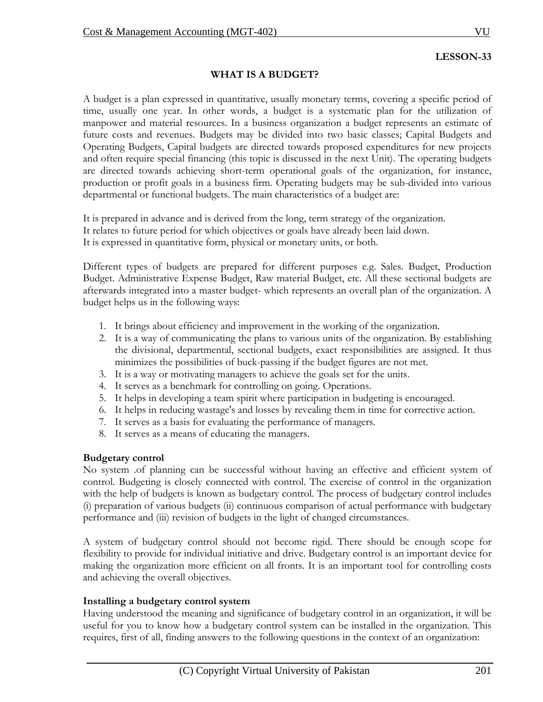# **LESSON-33**

# **WHAT IS A BUDGET?**

A budget is a plan expressed in quantitative, usually monetary terms, covering a specific period of time, usually one year. In other words, a budget is a systematic plan for the utilization of manpower and material resources. In a business organization a budget represents an estimate of future costs and revenues. Budgets may be divided into two basic classes; Capital Budgets and Operating Budgets, Capital budgets are directed towards proposed expenditures for new projects and often require special financing (this topic is discussed in the next Unit). The operating budgets are directed towards achieving short-term operational goals of the organization, for instance, production or profit goals in a business firm. Operating budgets may be sub-divided into various departmental or functional budgets. The main characteristics of a budget are:

It is prepared in advance and is derived from the long, term strategy of the organization. It relates to future period for which objectives or goals have already been laid down. It is expressed in quantitative form, physical or monetary units, or both.

Different types of budgets are prepared for different purposes e.g. Sales. Budget, Production Budget. Administrative Expense Budget, Raw material Budget, etc. All these sectional budgets are afterwards integrated into a master budget- which represents an overall plan of the organization. A budget helps us in the following ways:

- 1. It brings about efficiency and improvement in the working of the organization.
- 2. It is a way of communicating the plans to various units of the organization. By establishing the divisional, departmental, sectional budgets, exact responsibilities are assigned. It thus minimizes the possibilities of buck-passing if the budget figures are not met.
- 3. It is a way or motivating managers to achieve the goals set for the units.
- 4. It serves as a benchmark for controlling on going. Operations.
- 5. It helps in developing a team spirit where participation in budgeting is encouraged.
- 6. It helps in reducing wastage's and losses by revealing them in time for corrective action.
- 7. It serves as a basis for evaluating the performance of managers.
- 8. It serves as a means of educating the managers.

# **Budgetary control**

No system .of planning can be successful without having an effective and efficient system of control. Budgeting is closely connected with control. The exercise of control in the organization with the help of budgets is known as budgetary control. The process of budgetary control includes (i) preparation of various budgets (ii) continuous comparison of actual performance with budgetary performance and (iii) revision of budgets in the light of changed circumstances.

A system of budgetary control should not become rigid. There should be enough scope for flexibility to provide for individual initiative and drive. Budgetary control is an important device for making the organization more efficient on all fronts. It is an important tool for controlling costs and achieving the overall objectives.

# **Installing a budgetary control system**

Having understood the meaning and significance of budgetary control in an organization, it will be useful for you to know how a budgetary control system can be installed in the organization. This requires, first of all, finding answers to the following questions in the context of an organization: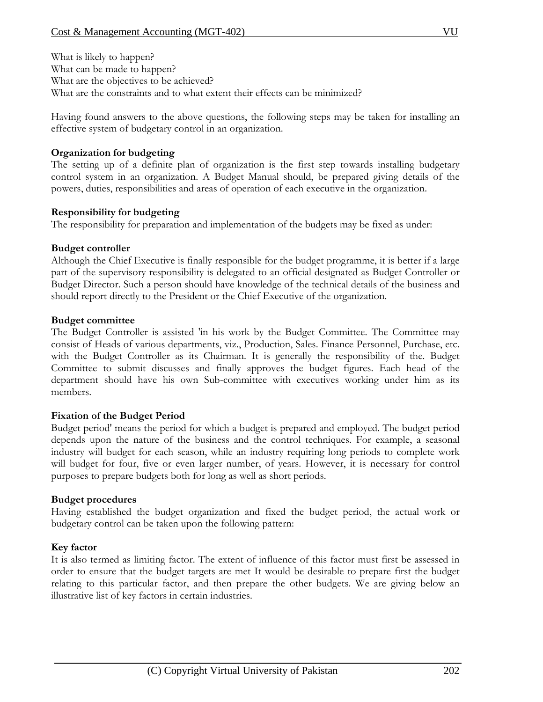What is likely to happen? What can be made to happen? What are the objectives to be achieved? What are the constraints and to what extent their effects can be minimized?

Having found answers to the above questions, the following steps may be taken for installing an effective system of budgetary control in an organization.

## **Organization for budgeting**

The setting up of a definite plan of organization is the first step towards installing budgetary control system in an organization. A Budget Manual should, be prepared giving details of the powers, duties, responsibilities and areas of operation of each executive in the organization.

# **Responsibility for budgeting**

The responsibility for preparation and implementation of the budgets may be fixed as under:

# **Budget controller**

Although the Chief Executive is finally responsible for the budget programme, it is better if a large part of the supervisory responsibility is delegated to an official designated as Budget Controller or Budget Director. Such a person should have knowledge of the technical details of the business and should report directly to the President or the Chief Executive of the organization.

## **Budget committee**

The Budget Controller is assisted 'in his work by the Budget Committee. The Committee may consist of Heads of various departments, viz., Production, Sales. Finance Personnel, Purchase, etc. with the Budget Controller as its Chairman. It is generally the responsibility of the. Budget Committee to submit discusses and finally approves the budget figures. Each head of the department should have his own Sub-committee with executives working under him as its members.

# **Fixation of the Budget Period**

Budget period' means the period for which a budget is prepared and employed. The budget period depends upon the nature of the business and the control techniques. For example, a seasonal industry will budget for each season, while an industry requiring long periods to complete work will budget for four, five or even larger number, of years. However, it is necessary for control purposes to prepare budgets both for long as well as short periods.

# **Budget procedures**

Having established the budget organization and fixed the budget period, the actual work or budgetary control can be taken upon the following pattern:

# **Key factor**

It is also termed as limiting factor. The extent of influence of this factor must first be assessed in order to ensure that the budget targets are met It would be desirable to prepare first the budget relating to this particular factor, and then prepare the other budgets. We are giving below an illustrative list of key factors in certain industries.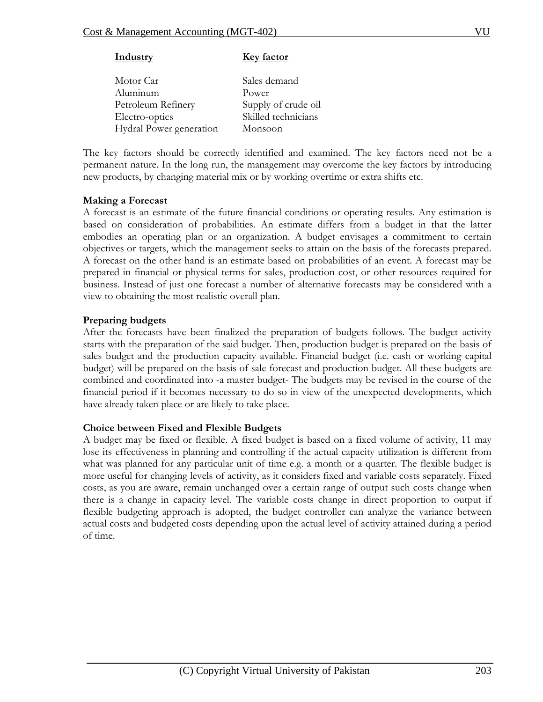| <b>Industry</b>         | <b>Key factor</b>   |
|-------------------------|---------------------|
| Motor Car               | Sales demand        |
| Aluminum                | Power               |
| Petroleum Refinery      | Supply of crude oil |
| Electro-optics          | Skilled technicians |
| Hydral Power generation | Monsoon             |

The key factors should be correctly identified and examined. The key factors need not be a permanent nature. In the long run, the management may overcome the key factors by introducing new products, by changing material mix or by working overtime or extra shifts etc.

## **Making a Forecast**

A forecast is an estimate of the future financial conditions or operating results. Any estimation is based on consideration of probabilities. An estimate differs from a budget in that the latter embodies an operating plan or an organization. A budget envisages a commitment to certain objectives or targets, which the management seeks to attain on the basis of the forecasts prepared. A forecast on the other hand is an estimate based on probabilities of an event. A forecast may be prepared in financial or physical terms for sales, production cost, or other resources required for business. Instead of just one forecast a number of alternative forecasts may be considered with a view to obtaining the most realistic overall plan.

#### **Preparing budgets**

After the forecasts have been finalized the preparation of budgets follows. The budget activity starts with the preparation of the said budget. Then, production budget is prepared on the basis of sales budget and the production capacity available. Financial budget (i.e. cash or working capital budget) will be prepared on the basis of sale forecast and production budget. All these budgets are combined and coordinated into -a master budget- The budgets may be revised in the course of the financial period if it becomes necessary to do so in view of the unexpected developments, which have already taken place or are likely to take place.

## **Choice between Fixed and Flexible Budgets**

A budget may be fixed or flexible. A fixed budget is based on a fixed volume of activity, 11 may lose its effectiveness in planning and controlling if the actual capacity utilization is different from what was planned for any particular unit of time e.g. a month or a quarter. The flexible budget is more useful for changing levels of activity, as it considers fixed and variable costs separately. Fixed costs, as you are aware, remain unchanged over a certain range of output such costs change when there is a change in capacity level. The variable costs change in direct proportion to output if flexible budgeting approach is adopted, the budget controller can analyze the variance between actual costs and budgeted costs depending upon the actual level of activity attained during a period of time.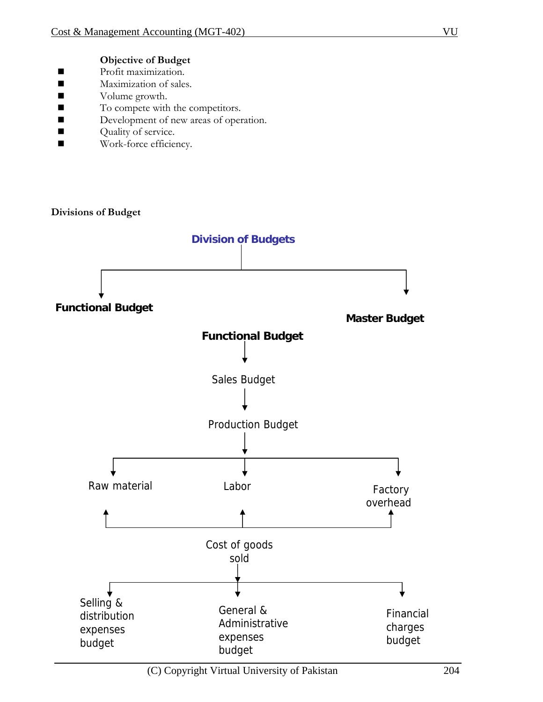# **Objective of Budget**

- Profit maximization.
- **Maximization of sales.**
- Volume growth.
- To compete with the competitors.
- Development of new areas of operation.
- **Quality of service.**
- Work-force efficiency.

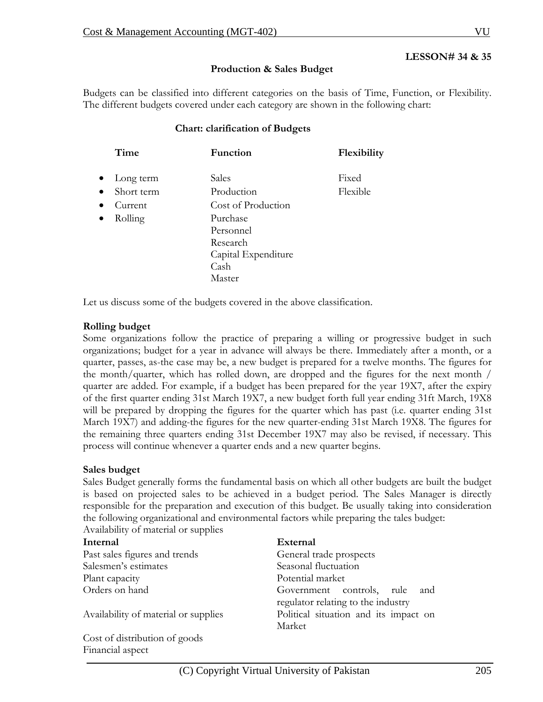# **Production & Sales Budget**

Budgets can be classified into different categories on the basis of Time, Function, or Flexibility. The different budgets covered under each category are shown in the following chart:

## **Chart: clarification of Budgets**

| Function            | Flexibility |
|---------------------|-------------|
| <b>Sales</b>        | Fixed       |
| Production          | Flexible    |
| Cost of Production  |             |
| Purchase            |             |
| Personnel           |             |
| Research            |             |
| Capital Expenditure |             |
| Cash                |             |
| Master              |             |
|                     |             |

Let us discuss some of the budgets covered in the above classification.

## **Rolling budget**

Some organizations follow the practice of preparing a willing or progressive budget in such organizations; budget for a year in advance will always be there. Immediately after a month, or a quarter, passes, as-the case may be, a new budget is prepared for a twelve months. The figures for the month/quarter, which has rolled down, are dropped and the figures for the next month / quarter are added. For example, if a budget has been prepared for the year 19X7, after the expiry of the first quarter ending 31st March 19X7, a new budget forth full year ending 31ft March, 19X8 will be prepared by dropping the figures for the quarter which has past (i.e. quarter ending 31st March 19X7) and adding-the figures for the new quarter-ending 31st March 19X8. The figures for the remaining three quarters ending 31st December 19X7 may also be revised, if necessary. This process will continue whenever a quarter ends and a new quarter begins.

## **Sales budget**

Sales Budget generally forms the fundamental basis on which all other budgets are built the budget is based on projected sales to be achieved in a budget period. The Sales Manager is directly responsible for the preparation and execution of this budget. Be usually taking into consideration the following organizational and environmental factors while preparing the tales budget: Availability of material or supplies

Past sales figures and trends General trade prospects Salesmen's estimates Seasonal fluctuation Plant capacity **Potential market** 

Cost of distribution of goods Financial aspect

## **Internal External**

Orders on hand Government controls, rule and regulator relating to the industry Availability of material or supplies Political situation and its impact on Market

**LESSON# 34 & 35**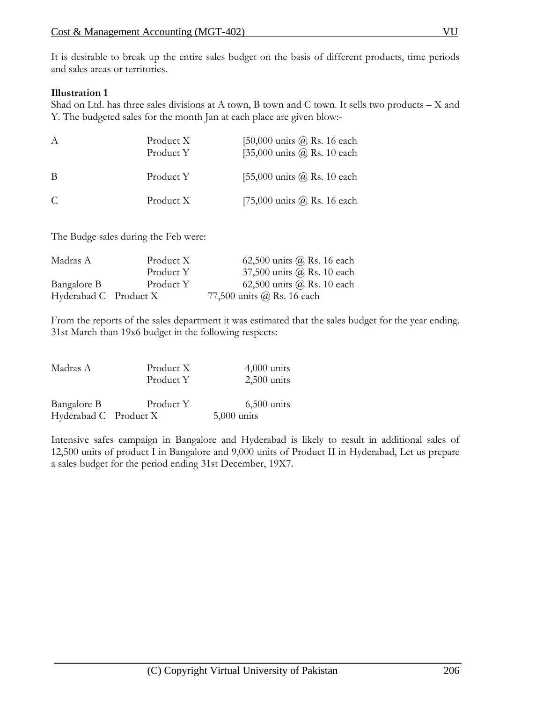It is desirable to break up the entire sales budget on the basis of different products, time periods and sales areas or territories.

## **Illustration 1**

Shad on Ltd. has three sales divisions at A town, B town and C town. It sells two products  $- X$  and Y. The budgeted sales for the month Jan at each place are given blow:-

| A | Product X<br>Product Y | [50,000 units $\omega$ Rs. 16 each<br>[35,000 units $\omega$ Rs. 10 each |
|---|------------------------|--------------------------------------------------------------------------|
| B | Product Y              | [55,000 units $\omega$ Rs. 10 each                                       |
| C | Product X              | [75,000 units $\omega$ Rs. 16 each                                       |

The Budge sales during the Feb were:

| Madras A              | Product X | 62,500 units $\omega$ Rs. 16 each |
|-----------------------|-----------|-----------------------------------|
|                       | Product Y | 37,500 units $\omega$ Rs. 10 each |
| Bangalore B           | Product Y | 62,500 units $(a)$ Rs. 10 each    |
| Hyderabad C Product X |           | 77,500 units $\omega$ Rs. 16 each |

From the reports of the sales department it was estimated that the sales budget for the year ending. 31st March than 19x6 budget in the following respects:

| Madras A              | Product X | $4,000$ units |
|-----------------------|-----------|---------------|
|                       | Product Y | $2,500$ units |
| Bangalore B           | Product Y | $6,500$ units |
| Hyderabad C Product X |           | $5,000$ units |

Intensive safes campaign in Bangalore and Hyderabad is likely to result in additional sales of 12,500 units of product I in Bangalore and 9,000 units of Product II in Hyderabad, Let us prepare a sales budget for the period ending 31st December, 19X7.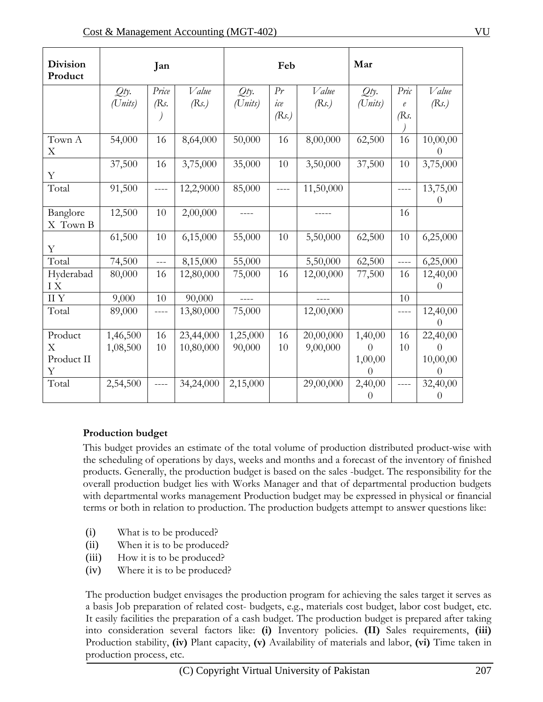| <b>Division</b><br>Product |          | Jan    |           |          | Feb   |           | Mar      |                                                                                                                                                                                                                                                                                                                                                                                              |                              |
|----------------------------|----------|--------|-----------|----------|-------|-----------|----------|----------------------------------------------------------------------------------------------------------------------------------------------------------------------------------------------------------------------------------------------------------------------------------------------------------------------------------------------------------------------------------------------|------------------------------|
|                            | Qty.     | Price  | Value     | Qty.     | Pr    | Value     | $Qty$ .  | Pric                                                                                                                                                                                                                                                                                                                                                                                         | Value                        |
|                            | (Units)  | (Rs.   | (Rs.)     | (Units)  | ice   | (Rs.)     | (Units)  | $\ell$                                                                                                                                                                                                                                                                                                                                                                                       | (Rs.)                        |
|                            |          |        |           |          | (Rs.) |           |          | (Rs.                                                                                                                                                                                                                                                                                                                                                                                         |                              |
| Town A<br>X                | 54,000   | 16     | 8,64,000  | 50,000   | 16    | 8,00,000  | 62,500   | 16                                                                                                                                                                                                                                                                                                                                                                                           | 10,00,00<br>$\Omega$         |
| Y                          | 37,500   | 16     | 3,75,000  | 35,000   | 10    | 3,50,000  | 37,500   | 10                                                                                                                                                                                                                                                                                                                                                                                           | 3,75,000                     |
| Total                      | 91,500   | ----   | 12,2,9000 | 85,000   |       | 11,50,000 |          | ----                                                                                                                                                                                                                                                                                                                                                                                         | 13,75,00<br>$\theta$         |
| Banglore<br>X Town B       | 12,500   | 10     | 2,00,000  |          |       |           |          | 16                                                                                                                                                                                                                                                                                                                                                                                           |                              |
| Y                          | 61,500   | 10     | 6,15,000  | 55,000   | 10    | 5,50,000  | 62,500   | 10                                                                                                                                                                                                                                                                                                                                                                                           | 6,25,000                     |
| Total                      | 74,500   | ---    | 8,15,000  | 55,000   |       | 5,50,000  | 62,500   | ----                                                                                                                                                                                                                                                                                                                                                                                         | 6,25,000                     |
| Hyderabad<br>IX            | 80,000   | 16     | 12,80,000 | 75,000   | 16    | 12,00,000 | 77,500   | 16                                                                                                                                                                                                                                                                                                                                                                                           | 12,40,00<br>$\left( \right)$ |
| II <sub>Y</sub>            | 9,000    | $10\,$ | 90,000    |          |       |           |          | 10                                                                                                                                                                                                                                                                                                                                                                                           |                              |
| Total                      | 89,000   | ----   | 13,80,000 | 75,000   |       | 12,00,000 |          | ----                                                                                                                                                                                                                                                                                                                                                                                         | 12,40,00<br>$\Omega$         |
| Product                    | 1,46,500 | 16     | 23,44,000 | 1,25,000 | 16    | 20,00,000 | 1,40,00  | 16                                                                                                                                                                                                                                                                                                                                                                                           | 22,40,00                     |
| X                          | 1,08,500 | 10     | 10,80,000 | 90,000   | 10    | 9,00,000  | $\Omega$ | 10                                                                                                                                                                                                                                                                                                                                                                                           | 0                            |
| Product II                 |          |        |           |          |       |           | 1,00,00  |                                                                                                                                                                                                                                                                                                                                                                                              | 10,00,00                     |
| Y                          |          |        |           |          |       |           | $\Omega$ |                                                                                                                                                                                                                                                                                                                                                                                              | $\Omega$                     |
| Total                      | 2,54,500 | ----   | 34,24,000 | 2,15,000 |       | 29,00,000 | 2,40,00  | $\frac{1}{2} \frac{1}{2} \frac{1}{2} \frac{1}{2} \frac{1}{2} \frac{1}{2} \frac{1}{2} \frac{1}{2} \frac{1}{2} \frac{1}{2} \frac{1}{2} \frac{1}{2} \frac{1}{2} \frac{1}{2} \frac{1}{2} \frac{1}{2} \frac{1}{2} \frac{1}{2} \frac{1}{2} \frac{1}{2} \frac{1}{2} \frac{1}{2} \frac{1}{2} \frac{1}{2} \frac{1}{2} \frac{1}{2} \frac{1}{2} \frac{1}{2} \frac{1}{2} \frac{1}{2} \frac{1}{2} \frac{$ | 32,40,00                     |
|                            |          |        |           |          |       |           | $\theta$ |                                                                                                                                                                                                                                                                                                                                                                                              | $\theta$                     |

# **Production budget**

This budget provides an estimate of the total volume of production distributed product-wise with the scheduling of operations by days, weeks and months and a forecast of the inventory of finished products. Generally, the production budget is based on the sales -budget. The responsibility for the overall production budget lies with Works Manager and that of departmental production budgets with departmental works management Production budget may be expressed in physical or financial terms or both in relation to production. The production budgets attempt to answer questions like:

- (i) What is to be produced?
- (ii) When it is to be produced?
- (iii) How it is to be produced?
- (iv) Where it is to be produced?

The production budget envisages the production program for achieving the sales target it serves as a basis Job preparation of related cost- budgets, e.g., materials cost budget, labor cost budget, etc. It easily facilities the preparation of a cash budget. The production budget is prepared after taking into consideration several factors like: **(i)** Inventory policies. **(II)** Sales requirements, **(iii)** Production stability, **(iv)** Plant capacity, **(v)** Availability of materials and labor, **(vi)** Time taken in production process, etc.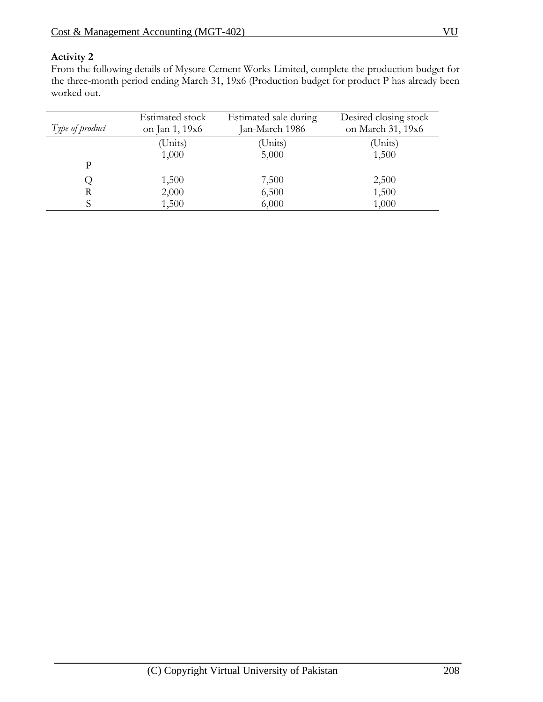# **Activity 2**

From the following details of Mysore Cement Works Limited, complete the production budget for the three-month period ending March 31, 19x6 (Production budget for product P has already been worked out.

|                 | Estimated stock | Estimated sale during | Desired closing stock |
|-----------------|-----------------|-----------------------|-----------------------|
| Type of product | on Jan 1, 19x6  | Jan-March 1986        | on March 31, 19x6     |
|                 | (Units)         | (Units)               | (Units)               |
|                 | 1,000           | 5,000                 | 1,500                 |
| D               |                 |                       |                       |
|                 | 1,500           | 7,500                 | 2,500                 |
| R               | 2,000           | 6,500                 | 1,500                 |
|                 | 1,500           | 6,000                 | 1,000                 |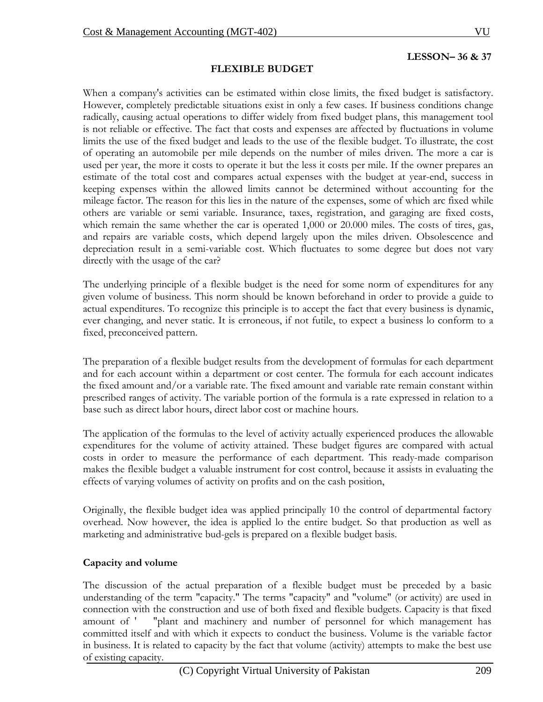## **LESSON– 36 & 37**

## **FLEXIBLE BUDGET**

When a company's activities can be estimated within close limits, the fixed budget is satisfactory. However, completely predictable situations exist in only a few cases. If business conditions change radically, causing actual operations to differ widely from fixed budget plans, this management tool is not reliable or effective. The fact that costs and expenses are affected by fluctuations in volume limits the use of the fixed budget and leads to the use of the flexible budget. To illustrate, the cost of operating an automobile per mile depends on the number of miles driven. The more a car is used per year, the more it costs to operate it but the less it costs per mile. If the owner prepares an estimate of the total cost and compares actual expenses with the budget at year-end, success in keeping expenses within the allowed limits cannot be determined without accounting for the mileage factor. The reason for this lies in the nature of the expenses, some of which arc fixed while others are variable or semi variable. Insurance, taxes, registration, and garaging are fixed costs, which remain the same whether the car is operated 1,000 or 20.000 miles. The costs of tires, gas, and repairs are variable costs, which depend largely upon the miles driven. Obsolescence and depreciation result in a semi-variable cost. Which fluctuates to some degree but does not vary directly with the usage of the car?

The underlying principle of a flexible budget is the need for some norm of expenditures for any given volume of business. This norm should be known beforehand in order to provide a guide to actual expenditures. To recognize this principle is to accept the fact that every business is dynamic, ever changing, and never static. It is erroneous, if not futile, to expect a business lo conform to a fixed, preconceived pattern.

The preparation of a flexible budget results from the development of formulas for each department and for each account within a department or cost center. The formula for each account indicates the fixed amount and/or a variable rate. The fixed amount and variable rate remain constant within prescribed ranges of activity. The variable portion of the formula is a rate expressed in relation to a base such as direct labor hours, direct labor cost or machine hours.

The application of the formulas to the level of activity actually experienced produces the allowable expenditures for the volume of activity attained. These budget figures are compared with actual costs in order to measure the performance of each department. This ready-made comparison makes the flexible budget a valuable instrument for cost control, because it assists in evaluating the effects of varying volumes of activity on profits and on the cash position,

Originally, the flexible budget idea was applied principally 10 the control of departmental factory overhead. Now however, the idea is applied lo the entire budget. So that production as well as marketing and administrative bud-gels is prepared on a flexible budget basis.

# **Capacity and volume**

The discussion of the actual preparation of a flexible budget must be preceded by a basic understanding of the term "capacity." The terms "capacity" and "volume" (or activity) are used in connection with the construction and use of both fixed and flexible budgets. Capacity is that fixed amount of ' "plant and machinery and number of personnel for which management has committed itself and with which it expects to conduct the business. Volume is the variable factor in business. It is related to capacity by the fact that volume (activity) attempts to make the best use of existing capacity.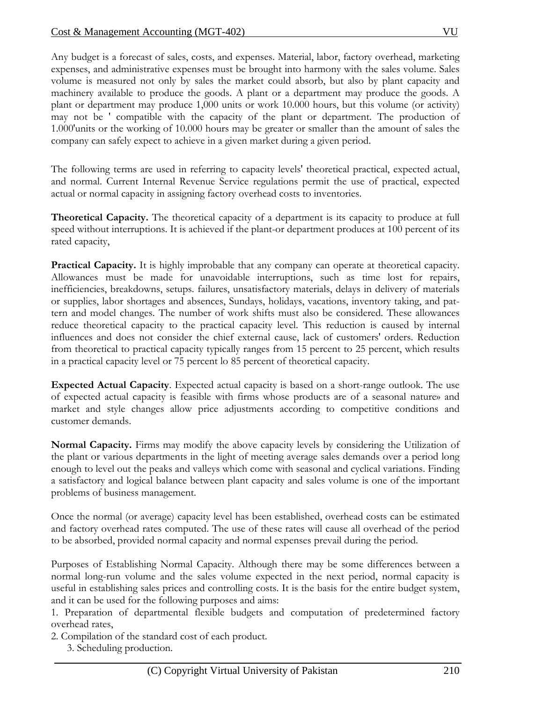Any budget is a forecast of sales, costs, and expenses. Material, labor, factory overhead, marketing expenses, and administrative expenses must be brought into harmony with the sales volume. Sales volume is measured not only by sales the market could absorb, but also by plant capacity and machinery available to produce the goods. A plant or a department may produce the goods. A plant or department may produce 1,000 units or work 10.000 hours, but this volume (or activity) may not be ' compatible with the capacity of the plant or department. The production of 1.000'units or the working of 10.000 hours may be greater or smaller than the amount of sales the company can safely expect to achieve in a given market during a given period.

The following terms are used in referring to capacity levels' theoretical practical, expected actual, and normal. Current Internal Revenue Service regulations permit the use of practical, expected actual or normal capacity in assigning factory overhead costs to inventories.

**Theoretical Capacity.** The theoretical capacity of a department is its capacity to produce at full speed without interruptions. It is achieved if the plant-or department produces at 100 percent of its rated capacity,

**Practical Capacity.** It is highly improbable that any company can operate at theoretical capacity. Allowances must be made for unavoidable interruptions, such as time lost for repairs, inefficiencies, breakdowns, setups. failures, unsatisfactory materials, delays in delivery of materials or supplies, labor shortages and absences, Sundays, holidays, vacations, inventory taking, and pattern and model changes. The number of work shifts must also be considered. These allowances reduce theoretical capacity to the practical capacity level. This reduction is caused by internal influences and does not consider the chief external cause, lack of customers' orders. Reduction from theoretical to practical capacity typically ranges from 15 percent to 25 percent, which results in a practical capacity level or 75 percent lo 85 percent of theoretical capacity.

**Expected Actual Capacity**. Expected actual capacity is based on a short-range outlook. The use of expected actual capacity is feasible with firms whose products are of a seasonal nature» and market and style changes allow price adjustments according to competitive conditions and customer demands.

**Normal Capacity.** Firms may modify the above capacity levels by considering the Utilization of the plant or various departments in the light of meeting average sales demands over a period long enough to level out the peaks and valleys which come with seasonal and cyclical variations. Finding a satisfactory and logical balance between plant capacity and sales volume is one of the important problems of business management.

Once the normal (or average) capacity level has been established, overhead costs can be estimated and factory overhead rates computed. The use of these rates will cause all overhead of the period to be absorbed, provided normal capacity and normal expenses prevail during the period.

Purposes of Establishing Normal Capacity. Although there may be some differences between a normal long-run volume and the sales volume expected in the next period, normal capacity is useful in establishing sales prices and controlling costs. It is the basis for the entire budget system, and it can be used for the following purposes and aims:

1. Preparation of departmental flexible budgets and computation of predetermined factory overhead rates,

2. Compilation of the standard cost of each product.

3. Scheduling production.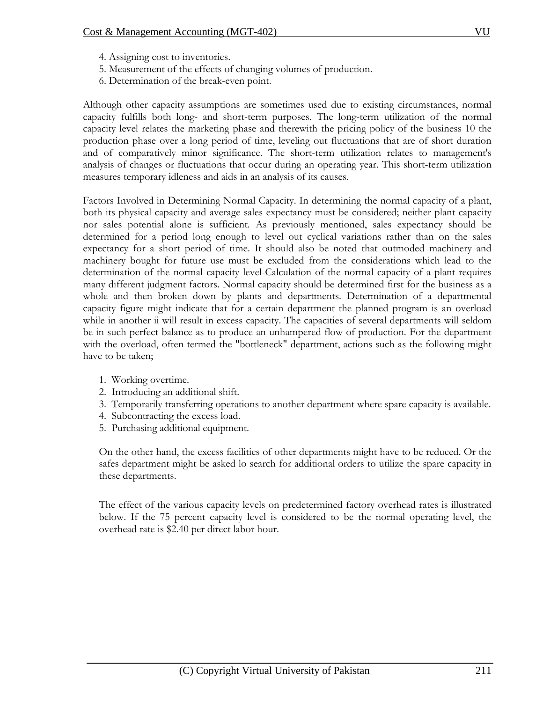- 4. Assigning cost to inventories.
- 5. Measurement of the effects of changing volumes of production.
- 6. Determination of the break-even point.

Although other capacity assumptions are sometimes used due to existing circumstances, normal capacity fulfills both long- and short-term purposes. The long-term utilization of the normal capacity level relates the marketing phase and therewith the pricing policy of the business 10 the production phase over a long period of time, leveling out fluctuations that are of short duration and of comparatively minor significance. The short-term utilization relates to management's analysis of changes or fluctuations that occur during an operating year. This short-term utilization measures temporary idleness and aids in an analysis of its causes.

Factors Involved in Determining Normal Capacity. In determining the normal capacity of a plant, both its physical capacity and average sales expectancy must be considered; neither plant capacity nor sales potential alone is sufficient. As previously mentioned, sales expectancy should be determined for a period long enough to level out cyclical variations rather than on the sales expectancy for a short period of time. It should also be noted that outmoded machinery and machinery bought for future use must be excluded from the considerations which lead to the determination of the normal capacity level-Calculation of the normal capacity of a plant requires many different judgment factors. Normal capacity should be determined first for the business as a whole and then broken down by plants and departments. Determination of a departmental capacity figure might indicate that for a certain department the planned program is an overload while in another ii will result in excess capacity. The capacities of several departments will seldom be in such perfect balance as to produce an unhampered flow of production. For the department with the overload, often termed the "bottleneck" department, actions such as the following might have to be taken;

- 1. Working overtime.
- 2. Introducing an additional shift.
- 3. Temporarily transferring operations to another department where spare capacity is available.
- 4. Subcontracting the excess load.
- 5. Purchasing additional equipment.

On the other hand, the excess facilities of other departments might have to be reduced. Or the safes department might be asked lo search for additional orders to utilize the spare capacity in these departments.

The effect of the various capacity levels on predetermined factory overhead rates is illustrated below. If the 75 percent capacity level is considered to be the normal operating level, the overhead rate is \$2.40 per direct labor hour.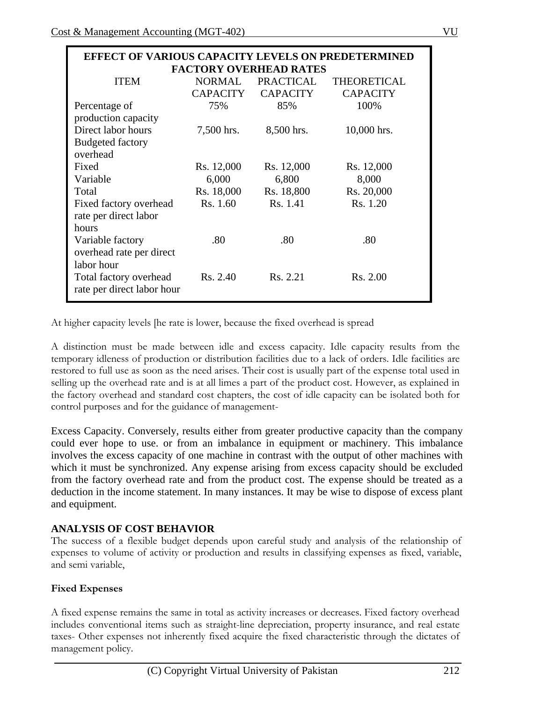| <b>EFFECT OF VARIOUS CAPACITY LEVELS ON PREDETERMINED</b> |                 |                               |                    |
|-----------------------------------------------------------|-----------------|-------------------------------|--------------------|
|                                                           |                 | <b>FACTORY OVERHEAD RATES</b> |                    |
| <b>ITEM</b>                                               | NORMAL          | <b>PRACTICAL</b>              | <b>THEORETICAL</b> |
|                                                           | <b>CAPACITY</b> | <b>CAPACITY</b>               | <b>CAPACITY</b>    |
| Percentage of                                             | 75%             | 85%                           | 100%               |
| production capacity                                       |                 |                               |                    |
| Direct labor hours                                        | 7,500 hrs.      | 8,500 hrs.                    | 10,000 hrs.        |
| <b>Budgeted factory</b>                                   |                 |                               |                    |
| overhead                                                  |                 |                               |                    |
| Fixed                                                     | Rs. 12,000      | Rs. 12,000                    | Rs. 12,000         |
| Variable                                                  | 6,000           | 6,800                         | 8,000              |
| Total                                                     | Rs. 18,000      | Rs. 18,800                    | Rs. 20,000         |
| Fixed factory overhead                                    | Rs. 1.60        | Rs. 1.41                      | Rs. 1.20           |
| rate per direct labor                                     |                 |                               |                    |
| hours                                                     |                 |                               |                    |
| Variable factory                                          | .80             | .80                           | .80                |
| overhead rate per direct                                  |                 |                               |                    |
| labor hour                                                |                 |                               |                    |
| Total factory overhead                                    | Rs. 2.40        | Rs. 2.21                      | Rs. 2.00           |
| rate per direct labor hour                                |                 |                               |                    |

At higher capacity levels [he rate is lower, because the fixed overhead is spread

A distinction must be made between idle and excess capacity. Idle capacity results from the temporary idleness of production or distribution facilities due to a lack of orders. Idle facilities are restored to full use as soon as the need arises. Their cost is usually part of the expense total used in selling up the overhead rate and is at all limes a part of the product cost. However, as explained in the factory overhead and standard cost chapters, the cost of idle capacity can be isolated both for control purposes and for the guidance of management-

Excess Capacity. Conversely, results either from greater productive capacity than the company could ever hope to use. or from an imbalance in equipment or machinery. This imbalance involves the excess capacity of one machine in contrast with the output of other machines with which it must be synchronized. Any expense arising from excess capacity should be excluded from the factory overhead rate and from the product cost. The expense should be treated as a deduction in the income statement. In many instances. It may be wise to dispose of excess plant and equipment.

# **ANALYSIS OF COST BEHAVIOR**

The success of a flexible budget depends upon careful study and analysis of the relationship of expenses to volume of activity or production and results in classifying expenses as fixed, variable, and semi variable,

# **Fixed Expenses**

A fixed expense remains the same in total as activity increases or decreases. Fixed factory overhead includes conventional items such as straight-line depreciation, property insurance, and real estate taxes- Other expenses not inherently fixed acquire the fixed characteristic through the dictates of management policy.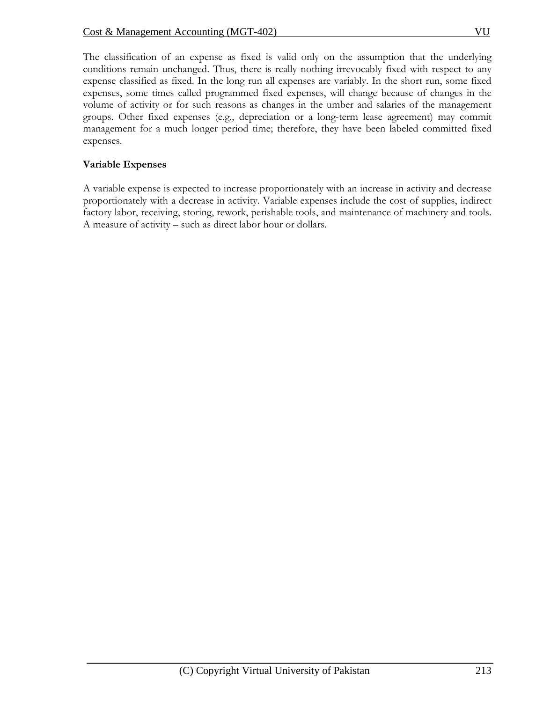The classification of an expense as fixed is valid only on the assumption that the underlying conditions remain unchanged. Thus, there is really nothing irrevocably fixed with respect to any expense classified as fixed. In the long run all expenses are variably. In the short run, some fixed expenses, some times called programmed fixed expenses, will change because of changes in the volume of activity or for such reasons as changes in the umber and salaries of the management groups. Other fixed expenses (e.g., depreciation or a long-term lease agreement) may commit management for a much longer period time; therefore, they have been labeled committed fixed expenses.

## **Variable Expenses**

A variable expense is expected to increase proportionately with an increase in activity and decrease proportionately with a decrease in activity. Variable expenses include the cost of supplies, indirect factory labor, receiving, storing, rework, perishable tools, and maintenance of machinery and tools. A measure of activity – such as direct labor hour or dollars.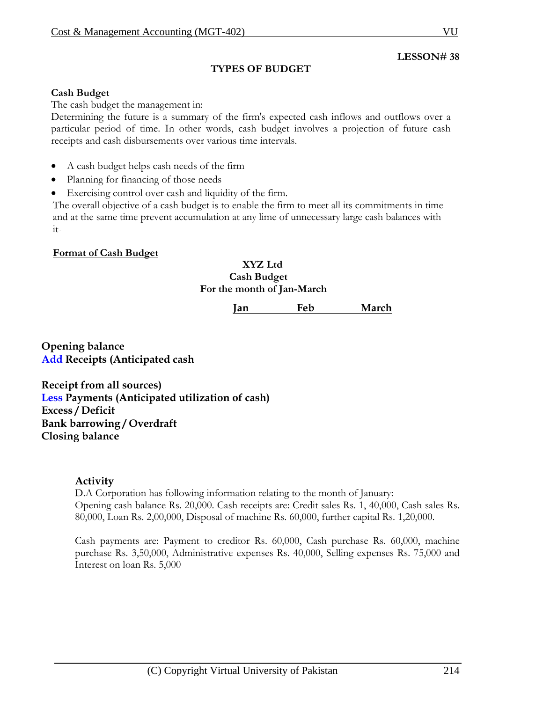# **LESSON# 38**

# **TYPES OF BUDGET**

## **Cash Budget**

The cash budget the management in:

Determining the future is a summary of the firm's expected cash inflows and outflows over a particular period of time. In other words, cash budget involves a projection of future cash receipts and cash disbursements over various time intervals.

- A cash budget helps cash needs of the firm
- Planning for financing of those needs
- Exercising control over cash and liquidity of the firm.

The overall objective of a cash budget is to enable the firm to meet all its commitments in time and at the same time prevent accumulation at any lime of unnecessary large cash balances with it-

# **Format of Cash Budget**

## **XYZ Ltd Cash Budget For the month of Jan-March**

**Jan Feb March**

**Opening balance Add Receipts (Anticipated cash** 

**Receipt from all sources) Less Payments (Anticipated utilization of cash) Excess / Deficit Bank barrowing / Overdraft Closing balance** 

# **Activity**

D.A Corporation has following information relating to the month of January: Opening cash balance Rs. 20,000. Cash receipts are: Credit sales Rs. 1, 40,000, Cash sales Rs. 80,000, Loan Rs. 2,00,000, Disposal of machine Rs. 60,000, further capital Rs. 1,20,000.

 Cash payments are: Payment to creditor Rs. 60,000, Cash purchase Rs. 60,000, machine purchase Rs. 3,50,000, Administrative expenses Rs. 40,000, Selling expenses Rs. 75,000 and Interest on loan Rs. 5,000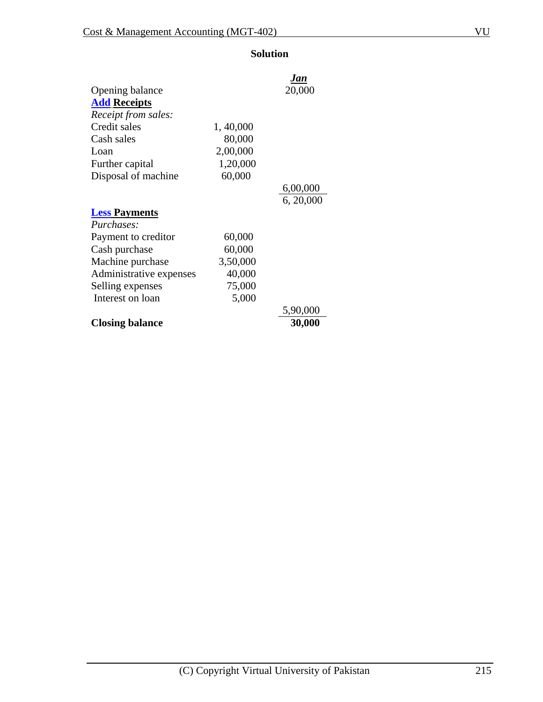|--|

# **Solution**

|                         |          | Jan       |
|-------------------------|----------|-----------|
| Opening balance         |          | 20,000    |
| <b>Add Receipts</b>     |          |           |
| Receipt from sales:     |          |           |
| Credit sales            | 1,40,000 |           |
| Cash sales              | 80,000   |           |
| Loan                    | 2,00,000 |           |
| Further capital         | 1,20,000 |           |
| Disposal of machine     | 60,000   |           |
|                         |          | 6,00,000  |
|                         |          | 6, 20,000 |
| <b>Less Payments</b>    |          |           |
| Purchases:              |          |           |
| Payment to creditor     | 60,000   |           |
| Cash purchase           | 60,000   |           |
| Machine purchase        | 3,50,000 |           |
| Administrative expenses | 40,000   |           |
| Selling expenses        | 75,000   |           |
| Interest on loan        | 5,000    |           |
|                         |          | 5,90,000  |
| <b>Closing balance</b>  |          | 30,000    |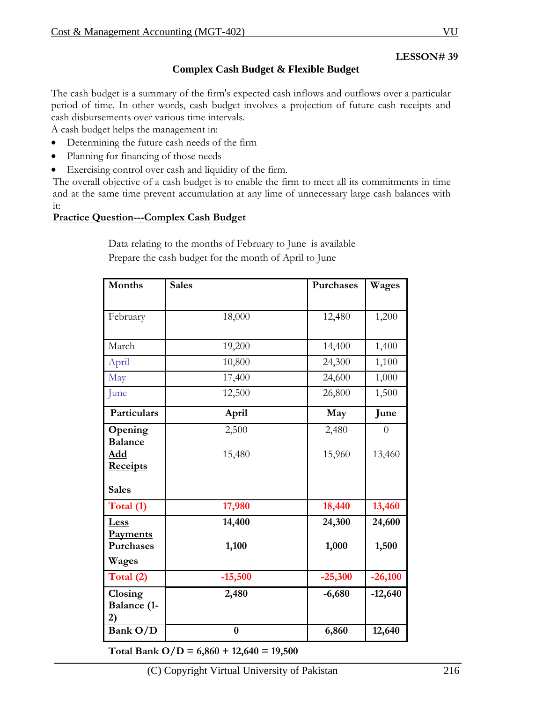# **LESSON# 39**

# **Complex Cash Budget & Flexible Budget**

The cash budget is a summary of the firm's expected cash inflows and outflows over a particular period of time. In other words, cash budget involves a projection of future cash receipts and cash disbursements over various time intervals.

A cash budget helps the management in:

- Determining the future cash needs of the firm
- Planning for financing of those needs
- Exercising control over cash and liquidity of the firm.

The overall objective of a cash budget is to enable the firm to meet all its commitments in time and at the same time prevent accumulation at any lime of unnecessary large cash balances with it:

# **Practice Question---Complex Cash Budget**

Data relating to the months of February to June is available Prepare the cash budget for the month of April to June

| <b>Months</b>                 | <b>Sales</b> | Purchases | Wages          |
|-------------------------------|--------------|-----------|----------------|
|                               |              |           |                |
| February                      | 18,000       | 12,480    | 1,200          |
|                               |              |           |                |
| March                         | 19,200       | 14,400    | 1,400          |
| April                         | 10,800       | 24,300    | 1,100          |
| May                           | 17,400       | 24,600    | 1,000          |
| June                          | 12,500       | 26,800    | 1,500          |
| Particulars                   | April        | May       | June           |
| Opening                       | 2,500        | 2,480     | $\overline{0}$ |
| <b>Balance</b>                |              |           |                |
| <b>Add</b><br><b>Receipts</b> | 15,480       | 15,960    | 13,460         |
|                               |              |           |                |
| <b>Sales</b>                  |              |           |                |
| Total (1)                     | 17,980       | 18,440    | 13,460         |
| Less                          | 14,400       | 24,300    | 24,600         |
| <b>Payments</b>               |              |           |                |
| Purchases                     | 1,100        | 1,000     | 1,500          |
| Wages                         |              |           |                |
| Total (2)                     | $-15,500$    | $-25,300$ | $-26,100$      |
| Closing                       | 2,480        | $-6,680$  | $-12,640$      |
| Balance (1-                   |              |           |                |
| 2)                            |              |           |                |
| Bank O/D                      | $\bf{0}$     | 6,860     | 12,640         |

**Total Bank O/D = 6,860 + 12,640 = 19,500**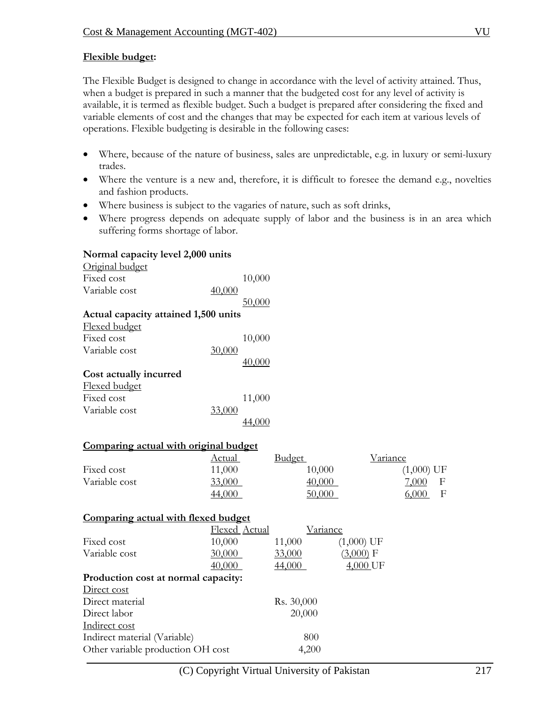# **Flexible budget:**

The Flexible Budget is designed to change in accordance with the level of activity attained. Thus, when a budget is prepared in such a manner that the budgeted cost for any level of activity is available, it is termed as flexible budget. Such a budget is prepared after considering the fixed and variable elements of cost and the changes that may be expected for each item at various levels of operations. Flexible budgeting is desirable in the following cases:

- Where, because of the nature of business, sales are unpredictable, e.g. in luxury or semi-luxury trades.
- Where the venture is a new and, therefore, it is difficult to foresee the demand e.g., novelties and fashion products.
- Where business is subject to the vagaries of nature, such as soft drinks,
- Where progress depends on adequate supply of labor and the business is in an area which suffering forms shortage of labor.

## **Normal capacity level 2,000 units**

| Original budget                      |        |
|--------------------------------------|--------|
| Fixed cost                           | 10,000 |
| Variable cost                        | 40,000 |
|                                      | 50,000 |
| Actual capacity attained 1,500 units |        |
| <b>Flexed budget</b>                 |        |
| Fixed cost                           | 10,000 |
| Variable cost                        | 30,000 |
|                                      | 40,000 |
| Cost actually incurred               |        |
| <b>Flexed budget</b>                 |        |
| Fixed cost                           | 11,000 |
| Variable cost                        | 33,000 |
|                                      |        |
|                                      |        |

#### **Comparing actual with original budget**

|               | Actual | Budget | Variance            |
|---------------|--------|--------|---------------------|
| Fixed cost    | 11,000 | 10,000 | $(1,000) \text{UF}$ |
| Variable cost | 33,000 | 40.000 | 7,000               |
|               | 44.000 | 50.000 | 6 OOO               |

# **Comparing actual with flexed budget**

|                                     | <b>Flexed Actual</b> | Variance   |              |
|-------------------------------------|----------------------|------------|--------------|
| Fixed cost                          | 10,000               | 11,000     | $(1,000)$ UF |
| Variable cost                       | 30,000               | 33,000     | $(3,000)$ F  |
|                                     | 40,000               | 44,000     | 4,000 UF     |
| Production cost at normal capacity: |                      |            |              |
| Direct cost                         |                      |            |              |
| Direct material                     |                      | Rs. 30,000 |              |
| Direct labor                        |                      | 20,000     |              |
| Indirect cost                       |                      |            |              |
| Indirect material (Variable)        |                      | 800        |              |
| Other variable production OH cost   |                      | 4,200      |              |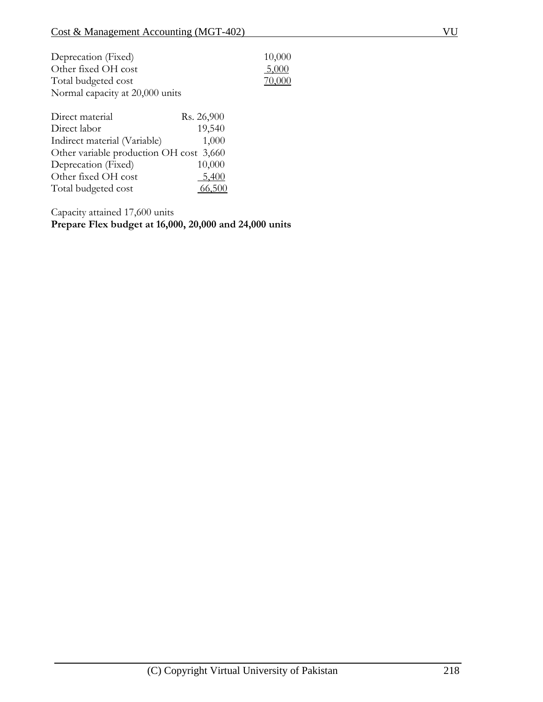| Deprecation (Fixed)             | 10,000        |
|---------------------------------|---------------|
| Other fixed OH cost             | 5,000         |
| Total budgeted cost             | <u>70,000</u> |
| Normal capacity at 20,000 units |               |

| Direct material                         | Rs. 26,900 |
|-----------------------------------------|------------|
| Direct labor                            | 19,540     |
| Indirect material (Variable)            | 1,000      |
| Other variable production OH cost 3,660 |            |
| Deprecation (Fixed)                     | 10,000     |
| Other fixed OH cost                     | 5,400      |
| Total budgeted cost                     | 66,500     |

Capacity attained 17,600 units

**Prepare Flex budget at 16,000, 20,000 and 24,000 units**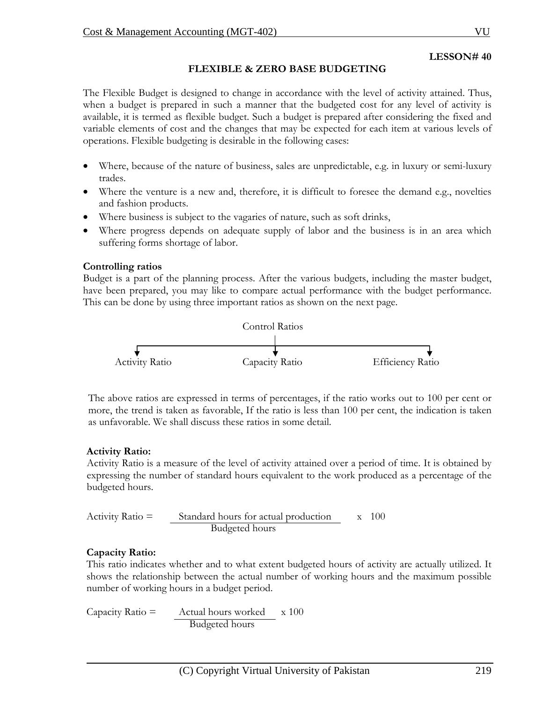# **LESSON# 40**

### **FLEXIBLE & ZERO BASE BUDGETING**

The Flexible Budget is designed to change in accordance with the level of activity attained. Thus, when a budget is prepared in such a manner that the budgeted cost for any level of activity is available, it is termed as flexible budget. Such a budget is prepared after considering the fixed and variable elements of cost and the changes that may be expected for each item at various levels of operations. Flexible budgeting is desirable in the following cases:

- Where, because of the nature of business, sales are unpredictable, e.g. in luxury or semi-luxury trades.
- Where the venture is a new and, therefore, it is difficult to foresee the demand e.g., novelties and fashion products.
- Where business is subject to the vagaries of nature, such as soft drinks,
- Where progress depends on adequate supply of labor and the business is in an area which suffering forms shortage of labor.

#### **Controlling ratios**

Budget is a part of the planning process. After the various budgets, including the master budget, have been prepared, you may like to compare actual performance with the budget performance. This can be done by using three important ratios as shown on the next page.



The above ratios are expressed in terms of percentages, if the ratio works out to 100 per cent or more, the trend is taken as favorable, If the ratio is less than 100 per cent, the indication is taken as unfavorable. We shall discuss these ratios in some detail.

# **Activity Ratio:**

Activity Ratio is a measure of the level of activity attained over a period of time. It is obtained by expressing the number of standard hours equivalent to the work produced as a percentage of the budgeted hours.

Activity Ratio = 
$$
\frac{\text{Standard hours for actual production}}{\text{Budgeted hours}} \quad x \quad 100
$$

# **Capacity Ratio:**

This ratio indicates whether and to what extent budgeted hours of activity are actually utilized. It shows the relationship between the actual number of working hours and the maximum possible number of working hours in a budget period.

Capacity Ratio  $=$  Actual hours worked  $\times 100$ Budgeted hours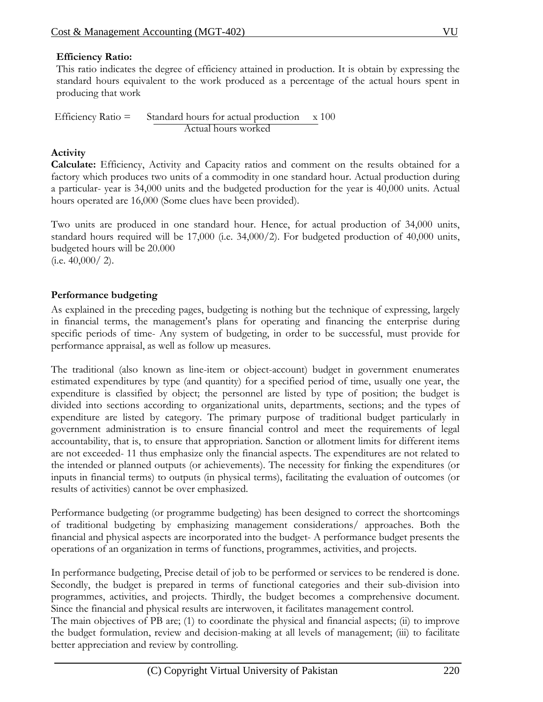This ratio indicates the degree of efficiency attained in production. It is obtain by expressing the standard hours equivalent to the work produced as a percentage of the actual hours spent in producing that work

Efficiency Ratio  $=$  Standard hours for actual production  $\times 100$ Actual hours worked

# **Activity**

**Calculate:** Efficiency, Activity and Capacity ratios and comment on the results obtained for a factory which produces two units of a commodity in one standard hour. Actual production during a particular- year is 34,000 units and the budgeted production for the year is 40,000 units. Actual hours operated are 16,000 (Some clues have been provided).

Two units are produced in one standard hour. Hence, for actual production of 34,000 units, standard hours required will be 17,000 (i.e. 34,000/2). For budgeted production of 40,000 units, budgeted hours will be 20.000  $(i.e. 40,000/2).$ 

# **Performance budgeting**

As explained in the preceding pages, budgeting is nothing but the technique of expressing, largely in financial terms, the management's plans for operating and financing the enterprise during specific periods of time- Any system of budgeting, in order to be successful, must provide for performance appraisal, as well as follow up measures.

The traditional (also known as line-item or object-account) budget in government enumerates estimated expenditures by type (and quantity) for a specified period of time, usually one year, the expenditure is classified by object; the personnel are listed by type of position; the budget is divided into sections according to organizational units, departments, sections; and the types of expenditure are listed by category. The primary purpose of traditional budget particularly in government administration is to ensure financial control and meet the requirements of legal accountability, that is, to ensure that appropriation. Sanction or allotment limits for different items are not exceeded- 11 thus emphasize only the financial aspects. The expenditures are not related to the intended or planned outputs (or achievements). The necessity for finking the expenditures (or inputs in financial terms) to outputs (in physical terms), facilitating the evaluation of outcomes (or results of activities) cannot be over emphasized.

Performance budgeting (or programme budgeting) has been designed to correct the shortcomings of traditional budgeting by emphasizing management considerations/ approaches. Both the financial and physical aspects are incorporated into the budget- A performance budget presents the operations of an organization in terms of functions, programmes, activities, and projects.

In performance budgeting, Precise detail of job to be performed or services to be rendered is done. Secondly, the budget is prepared in terms of functional categories and their sub-division into programmes, activities, and projects. Thirdly, the budget becomes a comprehensive document. Since the financial and physical results are interwoven, it facilitates management control.

The main objectives of PB are; (1) to coordinate the physical and financial aspects; (ii) to improve the budget formulation, review and decision-making at all levels of management; (iii) to facilitate better appreciation and review by controlling.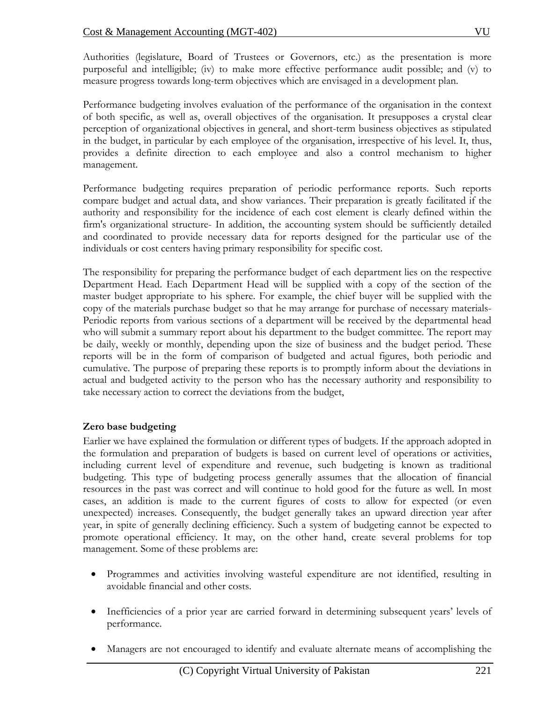Authorities (legislature, Board of Trustees or Governors, etc.) as the presentation is more purposeful and intelligible; (iv) to make more effective performance audit possible; and (v) to measure progress towards long-term objectives which are envisaged in a development plan.

Performance budgeting involves evaluation of the performance of the organisation in the context of both specific, as well as, overall objectives of the organisation. It presupposes a crystal clear perception of organizational objectives in general, and short-term business objectives as stipulated in the budget, in particular by each employee of the organisation, irrespective of his level. It, thus, provides a definite direction to each employee and also a control mechanism to higher management.

Performance budgeting requires preparation of periodic performance reports. Such reports compare budget and actual data, and show variances. Their preparation is greatly facilitated if the authority and responsibility for the incidence of each cost element is clearly defined within the firm's organizational structure- In addition, the accounting system should be sufficiently detailed and coordinated to provide necessary data for reports designed for the particular use of the individuals or cost centers having primary responsibility for specific cost.

The responsibility for preparing the performance budget of each department lies on the respective Department Head. Each Department Head will be supplied with a copy of the section of the master budget appropriate to his sphere. For example, the chief buyer will be supplied with the copy of the materials purchase budget so that he may arrange for purchase of necessary materials-Periodic reports from various sections of a department will be received by the departmental head who will submit a summary report about his department to the budget committee. The report may be daily, weekly or monthly, depending upon the size of business and the budget period. These reports will be in the form of comparison of budgeted and actual figures, both periodic and cumulative. The purpose of preparing these reports is to promptly inform about the deviations in actual and budgeted activity to the person who has the necessary authority and responsibility to take necessary action to correct the deviations from the budget,

#### **Zero base budgeting**

Earlier we have explained the formulation or different types of budgets. If the approach adopted in the formulation and preparation of budgets is based on current level of operations or activities, including current level of expenditure and revenue, such budgeting is known as traditional budgeting. This type of budgeting process generally assumes that the allocation of financial resources in the past was correct and will continue to hold good for the future as well. In most cases, an addition is made to the current figures of costs to allow for expected (or even unexpected) increases. Consequently, the budget generally takes an upward direction year after year, in spite of generally declining efficiency. Such a system of budgeting cannot be expected to promote operational efficiency. It may, on the other hand, create several problems for top management. Some of these problems are:

- Programmes and activities involving wasteful expenditure are not identified, resulting in avoidable financial and other costs.
- Inefficiencies of a prior year are carried forward in determining subsequent years' levels of performance.
- Managers are not encouraged to identify and evaluate alternate means of accomplishing the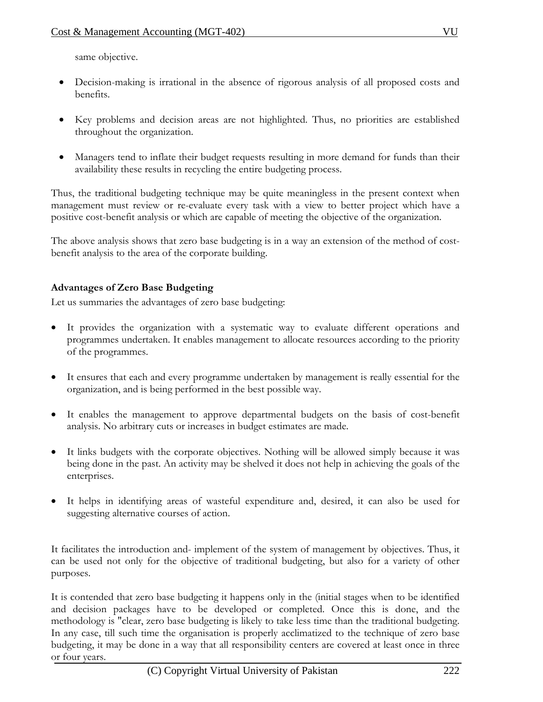same objective.

- Decision-making is irrational in the absence of rigorous analysis of all proposed costs and benefits.
- Key problems and decision areas are not highlighted. Thus, no priorities are established throughout the organization.
- Managers tend to inflate their budget requests resulting in more demand for funds than their availability these results in recycling the entire budgeting process.

Thus, the traditional budgeting technique may be quite meaningless in the present context when management must review or re-evaluate every task with a view to better project which have a positive cost-benefit analysis or which are capable of meeting the objective of the organization.

The above analysis shows that zero base budgeting is in a way an extension of the method of costbenefit analysis to the area of the corporate building.

# **Advantages of Zero Base Budgeting**

Let us summaries the advantages of zero base budgeting:

- It provides the organization with a systematic way to evaluate different operations and programmes undertaken. It enables management to allocate resources according to the priority of the programmes.
- It ensures that each and every programme undertaken by management is really essential for the organization, and is being performed in the best possible way.
- It enables the management to approve departmental budgets on the basis of cost-benefit analysis. No arbitrary cuts or increases in budget estimates are made.
- It links budgets with the corporate objectives. Nothing will be allowed simply because it was being done in the past. An activity may be shelved it does not help in achieving the goals of the enterprises.
- It helps in identifying areas of wasteful expenditure and, desired, it can also be used for suggesting alternative courses of action.

It facilitates the introduction and- implement of the system of management by objectives. Thus, it can be used not only for the objective of traditional budgeting, but also for a variety of other purposes.

It is contended that zero base budgeting it happens only in the (initial stages when to be identified and decision packages have to be developed or completed. Once this is done, and the methodology is "clear, zero base budgeting is likely to take less time than the traditional budgeting. In any case, till such time the organisation is properly acclimatized to the technique of zero base budgeting, it may be done in a way that all responsibility centers are covered at least once in three or four years.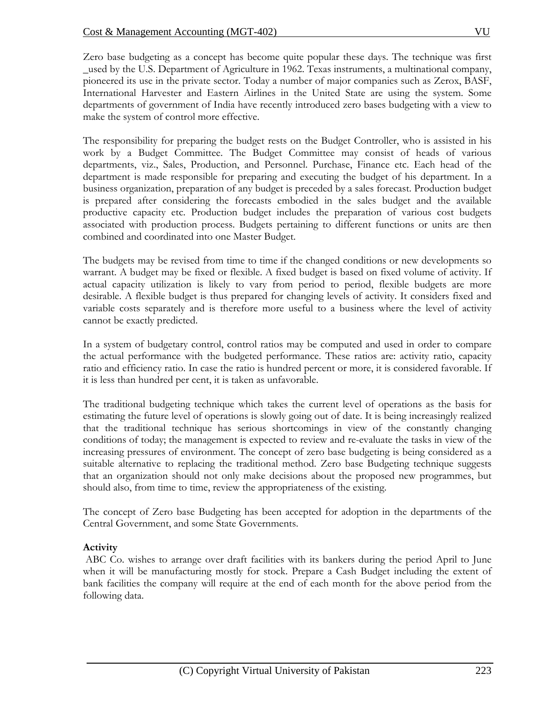Zero base budgeting as a concept has become quite popular these days. The technique was first \_used by the U.S. Department of Agriculture in 1962. Texas instruments, a multinational company, pioneered its use in the private sector. Today a number of major companies such as Zerox, BASF, International Harvester and Eastern Airlines in the United State are using the system. Some departments of government of India have recently introduced zero bases budgeting with a view to make the system of control more effective.

The responsibility for preparing the budget rests on the Budget Controller, who is assisted in his work by a Budget Committee. The Budget Committee may consist of heads of various departments, viz., Sales, Production, and Personnel. Purchase, Finance etc. Each head of the department is made responsible for preparing and executing the budget of his department. In a business organization, preparation of any budget is preceded by a sales forecast. Production budget is prepared after considering the forecasts embodied in the sales budget and the available productive capacity etc. Production budget includes the preparation of various cost budgets associated with production process. Budgets pertaining to different functions or units are then combined and coordinated into one Master Budget.

The budgets may be revised from time to time if the changed conditions or new developments so warrant. A budget may be fixed or flexible. A fixed budget is based on fixed volume of activity. If actual capacity utilization is likely to vary from period to period, flexible budgets are more desirable. A flexible budget is thus prepared for changing levels of activity. It considers fixed and variable costs separately and is therefore more useful to a business where the level of activity cannot be exactly predicted.

In a system of budgetary control, control ratios may be computed and used in order to compare the actual performance with the budgeted performance. These ratios are: activity ratio, capacity ratio and efficiency ratio. In case the ratio is hundred percent or more, it is considered favorable. If it is less than hundred per cent, it is taken as unfavorable.

The traditional budgeting technique which takes the current level of operations as the basis for estimating the future level of operations is slowly going out of date. It is being increasingly realized that the traditional technique has serious shortcomings in view of the constantly changing conditions of today; the management is expected to review and re-evaluate the tasks in view of the increasing pressures of environment. The concept of zero base budgeting is being considered as a suitable alternative to replacing the traditional method. Zero base Budgeting technique suggests that an organization should not only make decisions about the proposed new programmes, but should also, from time to time, review the appropriateness of the existing.

The concept of Zero base Budgeting has been accepted for adoption in the departments of the Central Government, and some State Governments.

#### **Activity**

 ABC Co. wishes to arrange over draft facilities with its bankers during the period April to June when it will be manufacturing mostly for stock. Prepare a Cash Budget including the extent of bank facilities the company will require at the end of each month for the above period from the following data.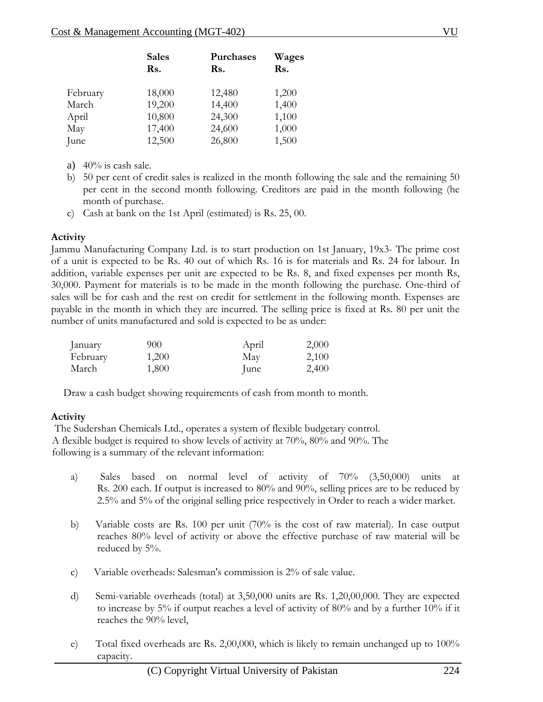|          | <b>Sales</b><br>Rs. | Purchases<br>Rs. | Wages<br>Rs. |
|----------|---------------------|------------------|--------------|
| February | 18,000              | 12,480           | 1,200        |
| March    | 19,200              | 14,400           | 1,400        |
| April    | 10,800              | 24,300           | 1,100        |
| May      | 17,400              | 24,600           | 1,000        |
| June     | 12,500              | 26,800           | 1,500        |

- a) 40% is cash sale.
- b) 50 per cent of credit sales is realized in the month following the sale and the remaining 50 per cent in the second month following. Creditors are paid in the month following (he month of purchase.
- c) Cash at bank on the 1st April (estimated) is Rs. 25, 00.

# **Activity**

Jammu Manufacturing Company Ltd. is to start production on 1st January, 19x3- The prime cost of a unit is expected to be Rs. 40 out of which Rs. 16 is for materials and Rs. 24 for labour. In addition, variable expenses per unit are expected to be Rs. 8, and fixed expenses per month Rs, 30,000. Payment for materials is to be made in the month following the purchase. One-third of sales will be for cash and the rest on credit for settlement in the following month. Expenses are payable in the month in which they are incurred. The selling price is fixed at Rs. 80 per unit the number of units manufactured and sold is expected to be as under:

| anuary   | 900   | April | 2,000 |
|----------|-------|-------|-------|
| February | 1,200 | May   | 2,100 |
| March    | 1,800 | June  | 2,400 |

Draw a cash budget showing requirements of cash from month to month.

# **Activity**

 The Sudershan Chemicals Ltd., operates a system of flexible budgetary control. A flexible budget is required to show levels of activity at 70%, 80% and 90%. The following is a summary of the relevant information:

- a) Sales based on normal level of activity of 70% (3,50,000) units at Rs. 200 each. If output is increased to 80% and 90%, selling prices are to be reduced by 2.5% and 5% of the original selling price respectively in Order to reach a wider market.
- b) Variable costs are Rs. 100 per unit (70% is the cost of raw material). In case output reaches 80% level of activity or above the effective purchase of raw material will be reduced by 5%.
- c) Variable overheads: Salesman's commission is 2% of sale value.
- d) Semi-variable overheads (total) at 3,50,000 units are Rs. 1,20,00,000. They are expected to increase by 5% if output reaches a level of activity of 80% and by a further 10% if it reaches the 90% level,
- e) Total fixed overheads are Rs. 2,00,000, which is likely to remain unchanged up to 100% capacity.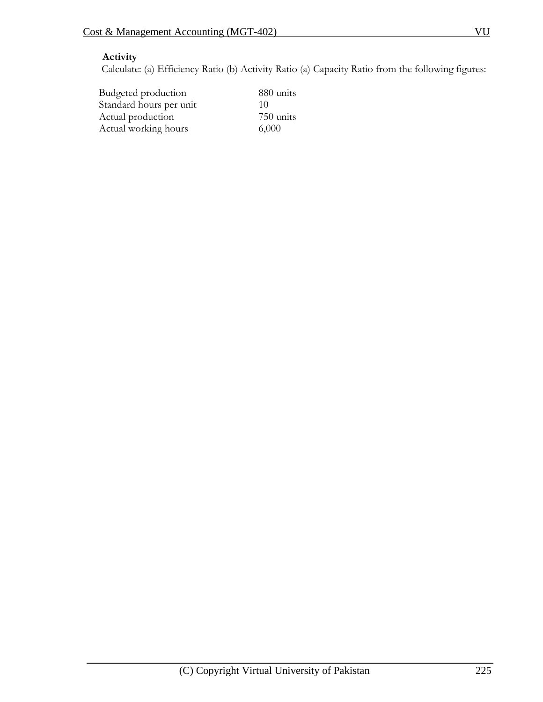# **Activity**

Calculate: (a) Efficiency Ratio (b) Activity Ratio (a) Capacity Ratio from the following figures:

| Budgeted production     | 880 units |
|-------------------------|-----------|
| Standard hours per unit | 10        |
| Actual production       | 750 units |
| Actual working hours    | 6,000     |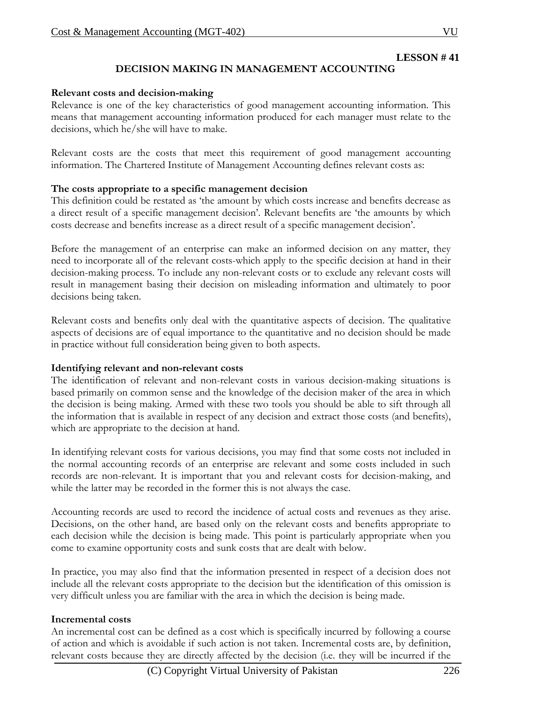# **LESSON # 41**

# **DECISION MAKING IN MANAGEMENT ACCOUNTING**

### **Relevant costs and decision-making**

Relevance is one of the key characteristics of good management accounting information. This means that management accounting information produced for each manager must relate to the decisions, which he/she will have to make.

Relevant costs are the costs that meet this requirement of good management accounting information. The Chartered Institute of Management Accounting defines relevant costs as:

### **The costs appropriate to a specific management decision**

This definition could be restated as 'the amount by which costs increase and benefits decrease as a direct result of a specific management decision'. Relevant benefits are 'the amounts by which costs decrease and benefits increase as a direct result of a specific management decision'.

Before the management of an enterprise can make an informed decision on any matter, they need to incorporate all of the relevant costs-which apply to the specific decision at hand in their decision-making process. To include any non-relevant costs or to exclude any relevant costs will result in management basing their decision on misleading information and ultimately to poor decisions being taken.

Relevant costs and benefits only deal with the quantitative aspects of decision. The qualitative aspects of decisions are of equal importance to the quantitative and no decision should be made in practice without full consideration being given to both aspects.

# **Identifying relevant and non-relevant costs**

The identification of relevant and non-relevant costs in various decision-making situations is based primarily on common sense and the knowledge of the decision maker of the area in which the decision is being making. Armed with these two tools you should be able to sift through all the information that is available in respect of any decision and extract those costs (and benefits), which are appropriate to the decision at hand.

In identifying relevant costs for various decisions, you may find that some costs not included in the normal accounting records of an enterprise are relevant and some costs included in such records are non-relevant. It is important that you and relevant costs for decision-making, and while the latter may be recorded in the former this is not always the case.

Accounting records are used to record the incidence of actual costs and revenues as they arise. Decisions, on the other hand, are based only on the relevant costs and benefits appropriate to each decision while the decision is being made. This point is particularly appropriate when you come to examine opportunity costs and sunk costs that are dealt with below.

In practice, you may also find that the information presented in respect of a decision does not include all the relevant costs appropriate to the decision but the identification of this omission is very difficult unless you are familiar with the area in which the decision is being made.

# **Incremental costs**

An incremental cost can be defined as a cost which is specifically incurred by following a course of action and which is avoidable if such action is not taken. Incremental costs are, by definition, relevant costs because they are directly affected by the decision (i.e. they will be incurred if the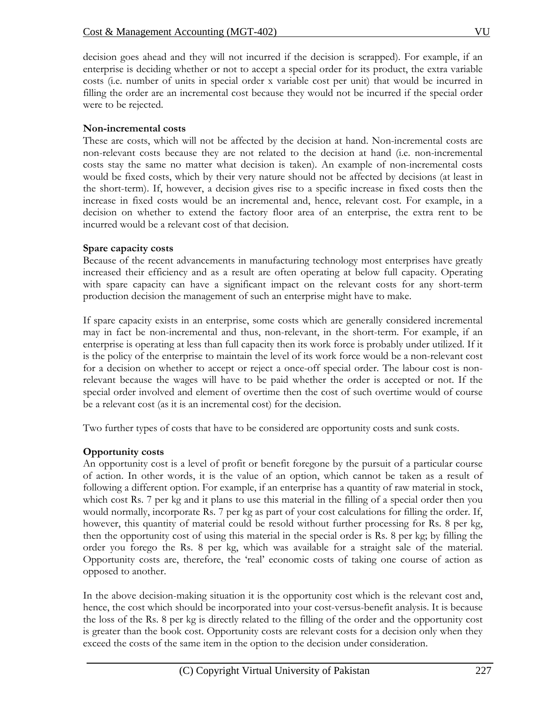decision goes ahead and they will not incurred if the decision is scrapped). For example, if an enterprise is deciding whether or not to accept a special order for its product, the extra variable costs (i.e. number of units in special order x variable cost per unit) that would be incurred in filling the order are an incremental cost because they would not be incurred if the special order were to be rejected.

### **Non-incremental costs**

These are costs, which will not be affected by the decision at hand. Non-incremental costs are non-relevant costs because they are not related to the decision at hand (i.e. non-incremental costs stay the same no matter what decision is taken). An example of non-incremental costs would be fixed costs, which by their very nature should not be affected by decisions (at least in the short-term). If, however, a decision gives rise to a specific increase in fixed costs then the increase in fixed costs would be an incremental and, hence, relevant cost. For example, in a decision on whether to extend the factory floor area of an enterprise, the extra rent to be incurred would be a relevant cost of that decision.

### **Spare capacity costs**

Because of the recent advancements in manufacturing technology most enterprises have greatly increased their efficiency and as a result are often operating at below full capacity. Operating with spare capacity can have a significant impact on the relevant costs for any short-term production decision the management of such an enterprise might have to make.

If spare capacity exists in an enterprise, some costs which are generally considered incremental may in fact be non-incremental and thus, non-relevant, in the short-term. For example, if an enterprise is operating at less than full capacity then its work force is probably under utilized. If it is the policy of the enterprise to maintain the level of its work force would be a non-relevant cost for a decision on whether to accept or reject a once-off special order. The labour cost is nonrelevant because the wages will have to be paid whether the order is accepted or not. If the special order involved and element of overtime then the cost of such overtime would of course be a relevant cost (as it is an incremental cost) for the decision.

Two further types of costs that have to be considered are opportunity costs and sunk costs.

# **Opportunity costs**

An opportunity cost is a level of profit or benefit foregone by the pursuit of a particular course of action. In other words, it is the value of an option, which cannot be taken as a result of following a different option. For example, if an enterprise has a quantity of raw material in stock, which cost Rs. 7 per kg and it plans to use this material in the filling of a special order then you would normally, incorporate Rs. 7 per kg as part of your cost calculations for filling the order. If, however, this quantity of material could be resold without further processing for Rs. 8 per kg, then the opportunity cost of using this material in the special order is Rs. 8 per kg; by filling the order you forego the Rs. 8 per kg, which was available for a straight sale of the material. Opportunity costs are, therefore, the 'real' economic costs of taking one course of action as opposed to another.

In the above decision-making situation it is the opportunity cost which is the relevant cost and, hence, the cost which should be incorporated into your cost-versus-benefit analysis. It is because the loss of the Rs. 8 per kg is directly related to the filling of the order and the opportunity cost is greater than the book cost. Opportunity costs are relevant costs for a decision only when they exceed the costs of the same item in the option to the decision under consideration.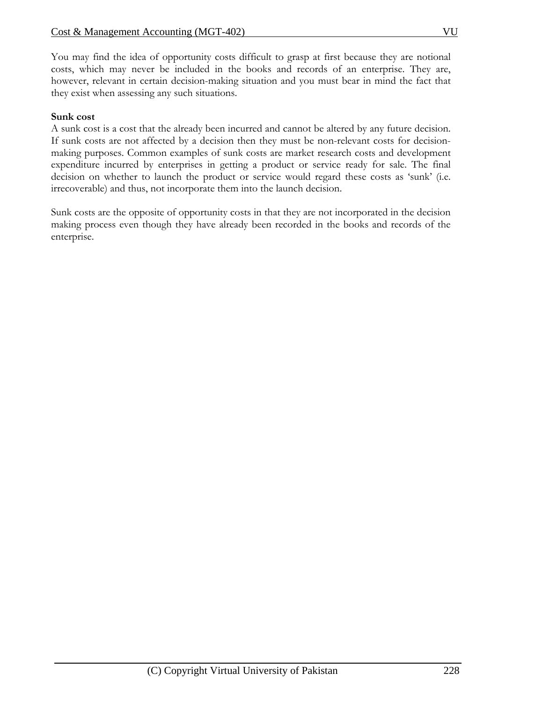You may find the idea of opportunity costs difficult to grasp at first because they are notional costs, which may never be included in the books and records of an enterprise. They are, however, relevant in certain decision-making situation and you must bear in mind the fact that they exist when assessing any such situations.

#### **Sunk cost**

A sunk cost is a cost that the already been incurred and cannot be altered by any future decision. If sunk costs are not affected by a decision then they must be non-relevant costs for decisionmaking purposes. Common examples of sunk costs are market research costs and development expenditure incurred by enterprises in getting a product or service ready for sale. The final decision on whether to launch the product or service would regard these costs as 'sunk' (i.e. irrecoverable) and thus, not incorporate them into the launch decision.

Sunk costs are the opposite of opportunity costs in that they are not incorporated in the decision making process even though they have already been recorded in the books and records of the enterprise.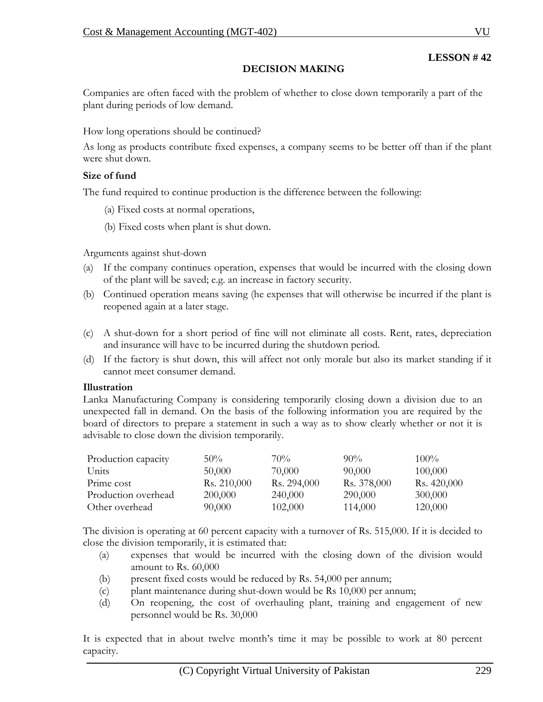# **DECISION MAKING**

Companies are often faced with the problem of whether to close down temporarily a part of the plant during periods of low demand.

How long operations should be continued?

As long as products contribute fixed expenses, a company seems to be better off than if the plant were shut down.

### **Size of fund**

The fund required to continue production is the difference between the following:

- (a) Fixed costs at normal operations,
- (b) Fixed costs when plant is shut down.

Arguments against shut-down

- (a) If the company continues operation, expenses that would be incurred with the closing down of the plant will be saved; e.g. an increase in factory security.
- (b) Continued operation means saving (he expenses that will otherwise be incurred if the plant is reopened again at a later stage.
- (c) A shut-down for a short period of fine will not eliminate all costs. Rent, rates, depreciation and insurance will have to be incurred during the shutdown period.
- (d) If the factory is shut down, this will affect not only morale but also its market standing if it cannot meet consumer demand.

#### **Illustration**

Lanka Manufacturing Company is considering temporarily closing down a division due to an unexpected fall in demand. On the basis of the following information you are required by the board of directors to prepare a statement in such a way as to show clearly whether or not it is advisable to close down the division temporarily.

| Production capacity | $50\%$      | $70\%$      | $90\%$      | $100\%$     |
|---------------------|-------------|-------------|-------------|-------------|
| Units               | 50,000      | 70,000      | 90,000      | 100,000     |
| Prime cost          | Rs. 210,000 | Rs. 294,000 | Rs. 378,000 | Rs. 420,000 |
| Production overhead | 200,000     | 240,000     | 290,000     | 300,000     |
| Other overhead      | 90,000      | 102,000     | 114,000     | 120,000     |

The division is operating at 60 percent capacity with a turnover of Rs. 515,000. If it is decided to close the division temporarily, it is estimated that:

- (a) expenses that would be incurred with the closing down of the division would amount to Rs. 60,000
- (b) present fixed costs would be reduced by Rs. 54,000 per annum;
- (c) plant maintenance during shut-down would be Rs 10,000 per annum;
- (d) On reopening, the cost of overhauling plant, training and engagement of new personnel would be Rs. 30,000

It is expected that in about twelve month's time it may be possible to work at 80 percent capacity.

**LESSON # 42**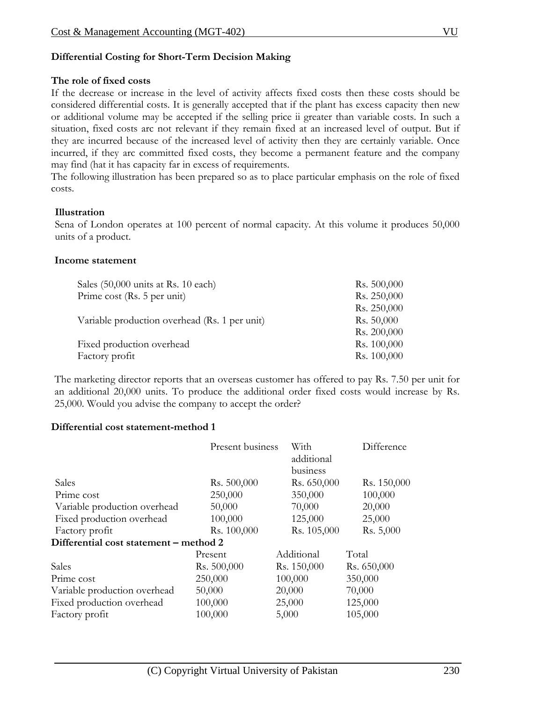# **Differential Costing for Short-Term Decision Making**

### **The role of fixed costs**

If the decrease or increase in the level of activity affects fixed costs then these costs should be considered differential costs. It is generally accepted that if the plant has excess capacity then new or additional volume may be accepted if the selling price ii greater than variable costs. In such a situation, fixed costs arc not relevant if they remain fixed at an increased level of output. But if they are incurred because of the increased level of activity then they are certainly variable. Once incurred, if they arc committed fixed costs, they become a permanent feature and the company may find (hat it has capacity far in excess of requirements.

The following illustration has been prepared so as to place particular emphasis on the role of fixed costs.

### **Illustration**

Sena of London operates at 100 percent of normal capacity. At this volume it produces 50,000 units of a product.

#### **Income statement**

| Sales (50,000 units at Rs. 10 each)           | Rs. 500,000 |
|-----------------------------------------------|-------------|
| Prime cost (Rs. 5 per unit)                   | Rs. 250,000 |
|                                               | Rs. 250,000 |
| Variable production overhead (Rs. 1 per unit) | Rs. 50,000  |
|                                               | Rs. 200,000 |
| Fixed production overhead                     | Rs. 100,000 |
| Factory profit                                | Rs. 100,000 |

The marketing director reports that an overseas customer has offered to pay Rs. 7.50 per unit for an additional 20,000 units. To produce the additional order fixed costs would increase by Rs. 25,000. Would you advise the company to accept the order?

# **Differential cost statement-method 1**

|                                        | Present business | With<br>additional<br>business | Difference  |
|----------------------------------------|------------------|--------------------------------|-------------|
| Sales                                  | Rs. 500,000      | Rs. 650,000                    | Rs. 150,000 |
| Prime cost                             | 250,000          | 350,000                        | 100,000     |
| Variable production overhead           | 50,000           | 70,000                         | 20,000      |
| Fixed production overhead              | 100,000          | 125,000                        | 25,000      |
| Factory profit                         | Rs. 100,000      | Rs. 105,000                    | Rs. 5,000   |
| Differential cost statement - method 2 |                  |                                |             |
|                                        | Present          | Additional                     | Total       |
| Sales                                  | Rs. 500,000      | Rs. 150,000                    | Rs. 650,000 |
| Prime cost                             | 250,000          | 100,000                        | 350,000     |
| Variable production overhead           | 50,000           | 20,000                         | 70,000      |
| Fixed production overhead              | 100,000          | 25,000                         | 125,000     |
| Factory profit                         | 100,000          | 5,000                          | 105,000     |
|                                        |                  |                                |             |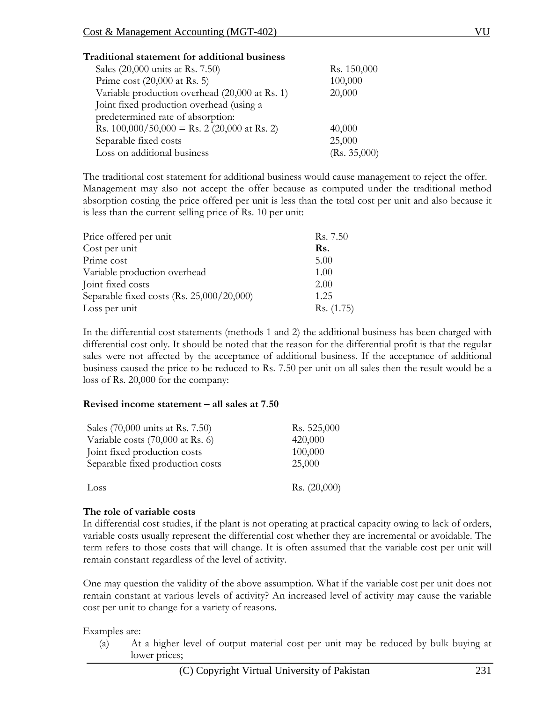| . fauluonai statement toi auuntonai pusiness   |              |
|------------------------------------------------|--------------|
| Sales (20,000 units at Rs. 7.50)               | Rs. 150,000  |
| Prime cost $(20,000$ at Rs. 5)                 | 100,000      |
| Variable production overhead (20,000 at Rs. 1) | 20,000       |
| Joint fixed production overhead (using a       |              |
| predetermined rate of absorption:              |              |
| Rs. $100,000/50,000 =$ Rs. 2 (20,000 at Rs. 2) | 40,000       |
| Separable fixed costs                          | 25,000       |
| Loss on additional business                    | (Rs. 35,000) |
|                                                |              |

**Traditional statement for additional business** 

The traditional cost statement for additional business would cause management to reject the offer. Management may also not accept the offer because as computed under the traditional method absorption costing the price offered per unit is less than the total cost per unit and also because it is less than the current selling price of Rs. 10 per unit:

| Price offered per unit                    | Rs. 7.50   |
|-------------------------------------------|------------|
| Cost per unit                             | Rs.        |
| Prime cost                                | 5.00       |
| Variable production overhead              | 1.00       |
| Joint fixed costs                         | 2.00       |
| Separable fixed costs (Rs. 25,000/20,000) | 1.25       |
| Loss per unit                             | Rs. (1.75) |

In the differential cost statements (methods 1 and 2) the additional business has been charged with differential cost only. It should be noted that the reason for the differential profit is that the regular sales were not affected by the acceptance of additional business. If the acceptance of additional business caused the price to be reduced to Rs. 7.50 per unit on all sales then the result would be a loss of Rs. 20,000 for the company:

#### **Revised income statement – all sales at 7.50**

| Sales (70,000 units at Rs. 7.50) | Rs. 525,000    |
|----------------------------------|----------------|
| Variable costs (70,000 at Rs. 6) | 420,000        |
| Joint fixed production costs     | 100,000        |
| Separable fixed production costs | 25,000         |
| Loss                             | Rs. $(20,000)$ |

#### **The role of variable costs**

In differential cost studies, if the plant is not operating at practical capacity owing to lack of orders, variable costs usually represent the differential cost whether they are incremental or avoidable. The term refers to those costs that will change. It is often assumed that the variable cost per unit will remain constant regardless of the level of activity.

One may question the validity of the above assumption. What if the variable cost per unit does not remain constant at various levels of activity? An increased level of activity may cause the variable cost per unit to change for a variety of reasons.

Examples are:

(a) At a higher level of output material cost per unit may be reduced by bulk buying at lower prices;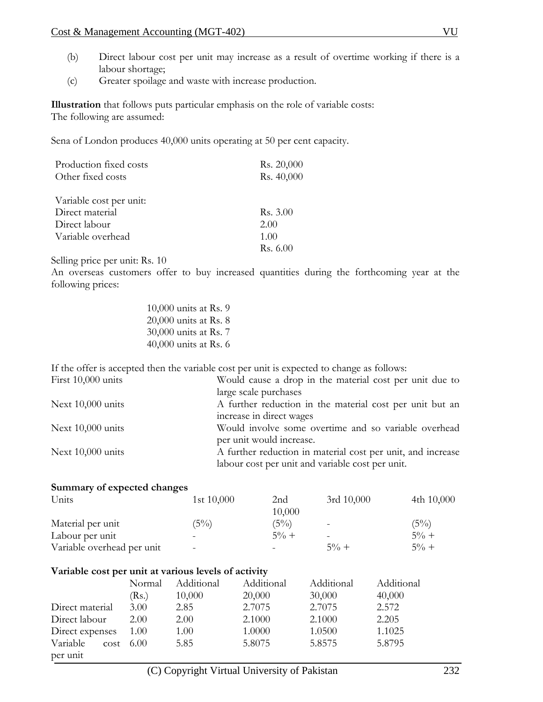- (b) Direct labour cost per unit may increase as a result of overtime working if there is a labour shortage;
- (c) Greater spoilage and waste with increase production.

**Illustration** that follows puts particular emphasis on the role of variable costs: The following are assumed:

Sena of London produces 40,000 units operating at 50 per cent capacity.

| Production fixed costs  | Rs. 20,000   |
|-------------------------|--------------|
| Other fixed costs       | Rs. 40,000   |
|                         |              |
| Variable cost per unit: |              |
| Direct material         | $R_s$ , 3.00 |
| Direct labour           | 2.00         |
| Variable overhead       | 1.00         |
|                         | Rs. 6.00     |

#### Selling price per unit: Rs. 10

An overseas customers offer to buy increased quantities during the forthcoming year at the following prices:

> 10,000 units at Rs. 9 20,000 units at Rs. 8 30,000 units at Rs. 7 40,000 units at Rs. 6

If the offer is accepted then the variable cost per unit is expected to change as follows:

| First 10,000 units  | Would cause a drop in the material cost per unit due to     |
|---------------------|-------------------------------------------------------------|
|                     | large scale purchases                                       |
| Next $10,000$ units | A further reduction in the material cost per unit but an    |
|                     | increase in direct wages                                    |
| Next $10,000$ units | Would involve some overtime and so variable overhead        |
|                     | per unit would increase.                                    |
| Next 10,000 units   | A further reduction in material cost per unit, and increase |
|                     | labour cost per unit and variable cost per unit.            |

### **Summary of expected changes**

| Units                      | 1st $10,000$             | 2 <sub>nd</sub> | 3rd 10,000               | 4th $10,000$ |
|----------------------------|--------------------------|-----------------|--------------------------|--------------|
|                            |                          | 10,000          |                          |              |
| Material per unit          | $(5\%)$                  | (5%)            | -                        | $(5\%)$      |
| Labour per unit            | $\overline{\phantom{a}}$ | $5\% +$         | $\overline{\phantom{0}}$ | $5\% +$      |
| Variable overhead per unit | $\equiv$                 |                 | $5\% +$                  | $5\% +$      |

#### **Variable cost per unit at various levels of activity**

|                  | Normal | Additional | Additional | Additional | Additional |
|------------------|--------|------------|------------|------------|------------|
|                  | (Rs.)  | 10,000     | 20,000     | 30,000     | 40,000     |
| Direct material  | 3.00   | 2.85       | 2.7075     | 2.7075     | 2.572      |
| Direct labour    | 2.00   | 2.00       | 2.1000     | 2.1000     | 2.205      |
| Direct expenses  | 1.00   | 1.00       | 1.0000     | 1.0500     | 1.1025     |
| Variable<br>cost | 6.00   | 5.85       | 5.8075     | 5.8575     | 5.8795     |
| per unit         |        |            |            |            |            |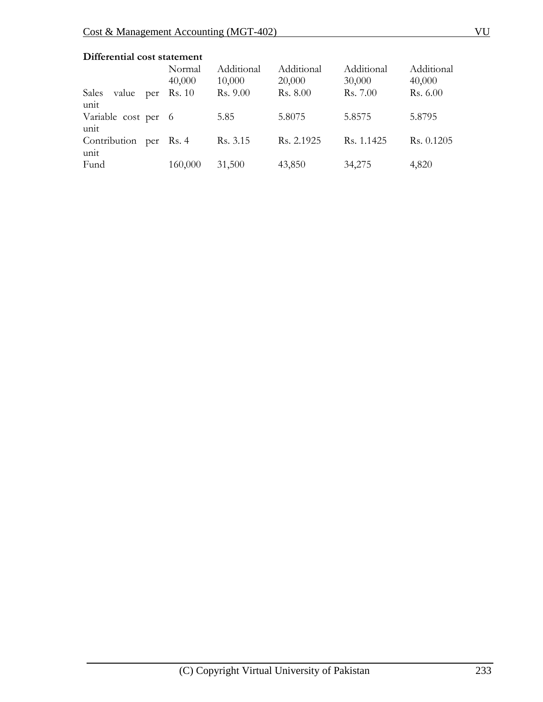# **Differential cost statement**

|                                | Normal<br>40,000 | Additional<br>10,000 | Additional<br>20,000 | Additional<br>30,000 | Additional<br>40,000 |
|--------------------------------|------------------|----------------------|----------------------|----------------------|----------------------|
| Sales<br>value per<br>unit     | <b>Rs.</b> 10    | Rs. 9.00             | Rs. 8.00             | <b>Rs.</b> 7.00      | Rs. 6.00             |
| Variable cost per 6<br>unit    |                  | 5.85                 | 5.8075               | 5.8575               | 5.8795               |
| Contribution per Rs. 4<br>unit |                  | Rs. 3.15             | Rs. 2.1925           | Rs. 1.1425           | Rs. 0.1205           |
| Fund                           | 160,000          | 31,500               | 43,850               | 34,275               | 4,820                |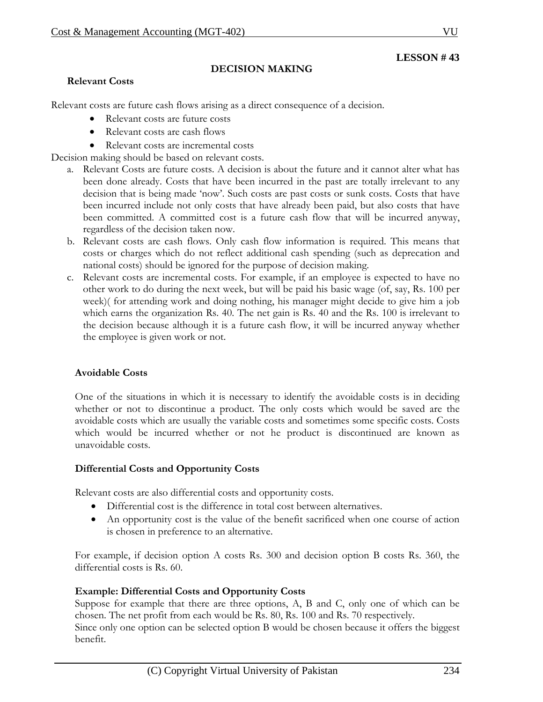# **LESSON # 43**

# **DECISION MAKING**

# **Relevant Costs**

Relevant costs are future cash flows arising as a direct consequence of a decision.

- Relevant costs are future costs
- Relevant costs are cash flows
- Relevant costs are incremental costs

Decision making should be based on relevant costs.

- a. Relevant Costs are future costs. A decision is about the future and it cannot alter what has been done already. Costs that have been incurred in the past are totally irrelevant to any decision that is being made 'now'. Such costs are past costs or sunk costs. Costs that have been incurred include not only costs that have already been paid, but also costs that have been committed. A committed cost is a future cash flow that will be incurred anyway, regardless of the decision taken now.
- b. Relevant costs are cash flows. Only cash flow information is required. This means that costs or charges which do not reflect additional cash spending (such as deprecation and national costs) should be ignored for the purpose of decision making.
- c. Relevant costs are incremental costs. For example, if an employee is expected to have no other work to do during the next week, but will be paid his basic wage (of, say, Rs. 100 per week)( for attending work and doing nothing, his manager might decide to give him a job which earns the organization Rs. 40. The net gain is Rs. 40 and the Rs. 100 is irrelevant to the decision because although it is a future cash flow, it will be incurred anyway whether the employee is given work or not.

# **Avoidable Costs**

One of the situations in which it is necessary to identify the avoidable costs is in deciding whether or not to discontinue a product. The only costs which would be saved are the avoidable costs which are usually the variable costs and sometimes some specific costs. Costs which would be incurred whether or not he product is discontinued are known as unavoidable costs.

# **Differential Costs and Opportunity Costs**

Relevant costs are also differential costs and opportunity costs.

- Differential cost is the difference in total cost between alternatives.
- An opportunity cost is the value of the benefit sacrificed when one course of action is chosen in preference to an alternative.

For example, if decision option A costs Rs. 300 and decision option B costs Rs. 360, the differential costs is Rs. 60.

# **Example: Differential Costs and Opportunity Costs**

Suppose for example that there are three options, A, B and C, only one of which can be chosen. The net profit from each would be Rs. 80, Rs. 100 and Rs. 70 respectively.

Since only one option can be selected option B would be chosen because it offers the biggest benefit.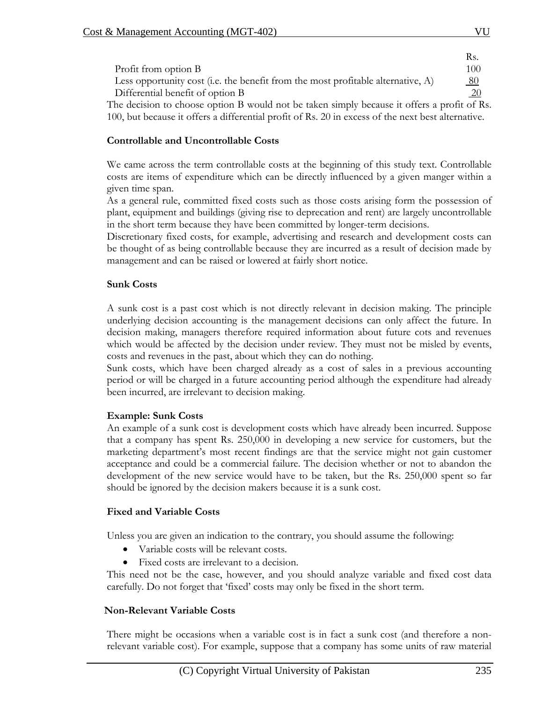|                                                                                                    | - IX S. |
|----------------------------------------------------------------------------------------------------|---------|
| Profit from option B                                                                               | 100     |
| Less opportunity cost (i.e. the benefit from the most profitable alternative, $A$ )                | 80      |
| Differential benefit of option B                                                                   | 20      |
| The decision to choose option B would not be taken simply because it offers a profit of Rs.        |         |
| 100, but because it offers a differential profit of Rs. 20 in excess of the next best alternative. |         |

#### **Controllable and Uncontrollable Costs**

We came across the term controllable costs at the beginning of this study text. Controllable costs are items of expenditure which can be directly influenced by a given manger within a given time span.

As a general rule, committed fixed costs such as those costs arising form the possession of plant, equipment and buildings (giving rise to deprecation and rent) are largely uncontrollable in the short term because they have been committed by longer-term decisions.

Discretionary fixed costs, for example, advertising and research and development costs can be thought of as being controllable because they are incurred as a result of decision made by management and can be raised or lowered at fairly short notice.

### **Sunk Costs**

A sunk cost is a past cost which is not directly relevant in decision making. The principle underlying decision accounting is the management decisions can only affect the future. In decision making, managers therefore required information about future cots and revenues which would be affected by the decision under review. They must not be misled by events, costs and revenues in the past, about which they can do nothing.

Sunk costs, which have been charged already as a cost of sales in a previous accounting period or will be charged in a future accounting period although the expenditure had already been incurred, are irrelevant to decision making.

# **Example: Sunk Costs**

An example of a sunk cost is development costs which have already been incurred. Suppose that a company has spent Rs. 250,000 in developing a new service for customers, but the marketing department's most recent findings are that the service might not gain customer acceptance and could be a commercial failure. The decision whether or not to abandon the development of the new service would have to be taken, but the Rs. 250,000 spent so far should be ignored by the decision makers because it is a sunk cost.

# **Fixed and Variable Costs**

Unless you are given an indication to the contrary, you should assume the following:

- Variable costs will be relevant costs.
- Fixed costs are irrelevant to a decision.

This need not be the case, however, and you should analyze variable and fixed cost data carefully. Do not forget that 'fixed' costs may only be fixed in the short term.

# **Non-Relevant Variable Costs**

There might be occasions when a variable cost is in fact a sunk cost (and therefore a nonrelevant variable cost). For example, suppose that a company has some units of raw material

 $\mathbf{D}$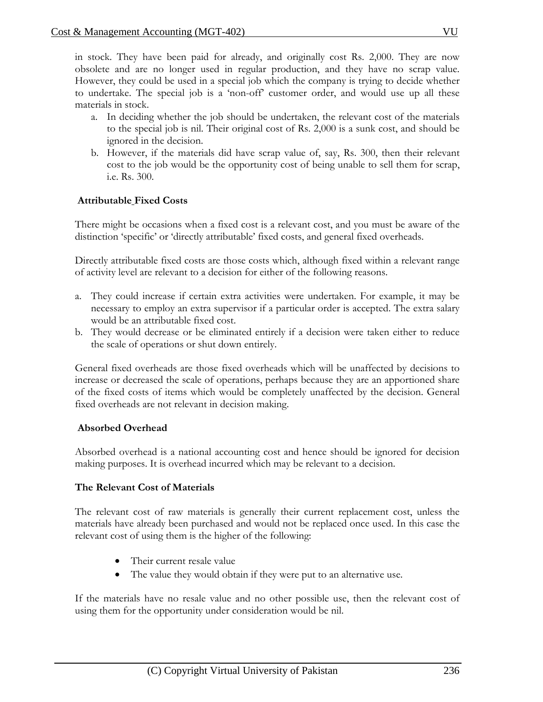in stock. They have been paid for already, and originally cost Rs. 2,000. They are now obsolete and are no longer used in regular production, and they have no scrap value. However, they could be used in a special job which the company is trying to decide whether to undertake. The special job is a 'non-off' customer order, and would use up all these materials in stock.

- a. In deciding whether the job should be undertaken, the relevant cost of the materials to the special job is nil. Their original cost of Rs. 2,000 is a sunk cost, and should be ignored in the decision.
- b. However, if the materials did have scrap value of, say, Rs. 300, then their relevant cost to the job would be the opportunity cost of being unable to sell them for scrap, i.e. Rs. 300.

### **Attributable Fixed Costs**

There might be occasions when a fixed cost is a relevant cost, and you must be aware of the distinction 'specific' or 'directly attributable' fixed costs, and general fixed overheads.

Directly attributable fixed costs are those costs which, although fixed within a relevant range of activity level are relevant to a decision for either of the following reasons.

- a. They could increase if certain extra activities were undertaken. For example, it may be necessary to employ an extra supervisor if a particular order is accepted. The extra salary would be an attributable fixed cost.
- b. They would decrease or be eliminated entirely if a decision were taken either to reduce the scale of operations or shut down entirely.

General fixed overheads are those fixed overheads which will be unaffected by decisions to increase or decreased the scale of operations, perhaps because they are an apportioned share of the fixed costs of items which would be completely unaffected by the decision. General fixed overheads are not relevant in decision making.

#### **Absorbed Overhead**

Absorbed overhead is a national accounting cost and hence should be ignored for decision making purposes. It is overhead incurred which may be relevant to a decision.

# **The Relevant Cost of Materials**

The relevant cost of raw materials is generally their current replacement cost, unless the materials have already been purchased and would not be replaced once used. In this case the relevant cost of using them is the higher of the following:

- Their current resale value
- The value they would obtain if they were put to an alternative use.

If the materials have no resale value and no other possible use, then the relevant cost of using them for the opportunity under consideration would be nil.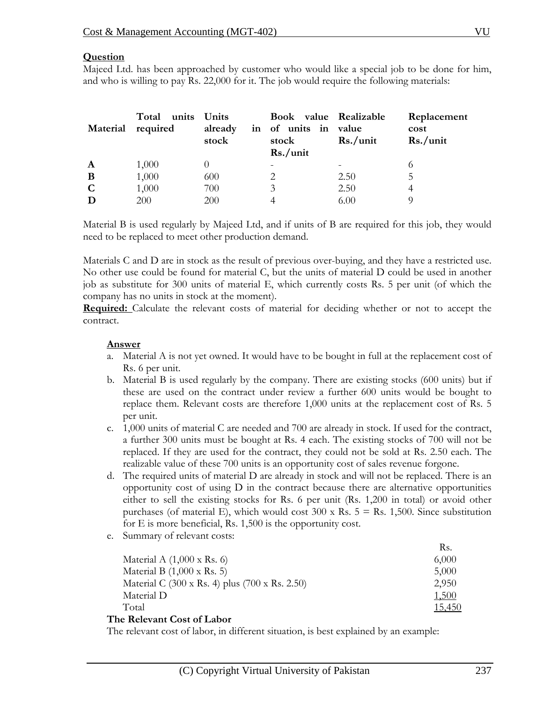### **Question**

Majeed Ltd. has been approached by customer who would like a special job to be done for him, and who is willing to pay Rs. 22,000 for it. The job would require the following materials:

| Material     | Total<br>units Units<br>required | already<br>stock | Book value Realizable<br>in of units in value<br>stock<br>Rs./unit | Rs./unit | Replacement<br>cost<br>Rs./unit |
|--------------|----------------------------------|------------------|--------------------------------------------------------------------|----------|---------------------------------|
| $\mathbf{A}$ | 1,000                            | O                |                                                                    |          | $^{(1)}$                        |
| B            | 1,000                            | 600              |                                                                    | 2.50     | $\mathcal{D}$                   |
| $\mathbf C$  | 1,000                            | 700              | 3                                                                  | 2.50     | 4                               |
| D            | 200                              | 200              |                                                                    | 6.00     |                                 |

Material B is used regularly by Majeed Ltd, and if units of B are required for this job, they would need to be replaced to meet other production demand.

Materials C and D are in stock as the result of previous over-buying, and they have a restricted use. No other use could be found for material C, but the units of material D could be used in another job as substitute for 300 units of material E, which currently costs Rs. 5 per unit (of which the company has no units in stock at the moment).

**Required:** Calculate the relevant costs of material for deciding whether or not to accept the contract.

### **Answer**

- a. Material A is not yet owned. It would have to be bought in full at the replacement cost of Rs. 6 per unit.
- b. Material B is used regularly by the company. There are existing stocks (600 units) but if these are used on the contract under review a further 600 units would be bought to replace them. Relevant costs are therefore 1,000 units at the replacement cost of Rs. 5 per unit.
- c. 1,000 units of material C are needed and 700 are already in stock. If used for the contract, a further 300 units must be bought at Rs. 4 each. The existing stocks of 700 will not be replaced. If they are used for the contract, they could not be sold at Rs. 2.50 each. The realizable value of these 700 units is an opportunity cost of sales revenue forgone.
- d. The required units of material D are already in stock and will not be replaced. There is an opportunity cost of using D in the contract because there are alternative opportunities either to sell the existing stocks for Rs. 6 per unit (Rs. 1,200 in total) or avoid other purchases (of material E), which would cost  $300 \times$  Rs.  $5 =$  Rs. 1,500. Since substitution for E is more beneficial, Rs. 1,500 is the opportunity cost.
- e. Summary of relevant costs:

|                                                | Rs.    |
|------------------------------------------------|--------|
| Material A $(1,000 \times$ Rs. 6)              | 6,000  |
| Material B $(1,000 \times$ Rs. 5)              | 5,000  |
| Material C (300 x Rs. 4) plus (700 x Rs. 2.50) | 2,950  |
| Material D                                     | 1,500  |
| Total                                          | 15,450 |
|                                                |        |

#### **The Relevant Cost of Labor**

The relevant cost of labor, in different situation, is best explained by an example: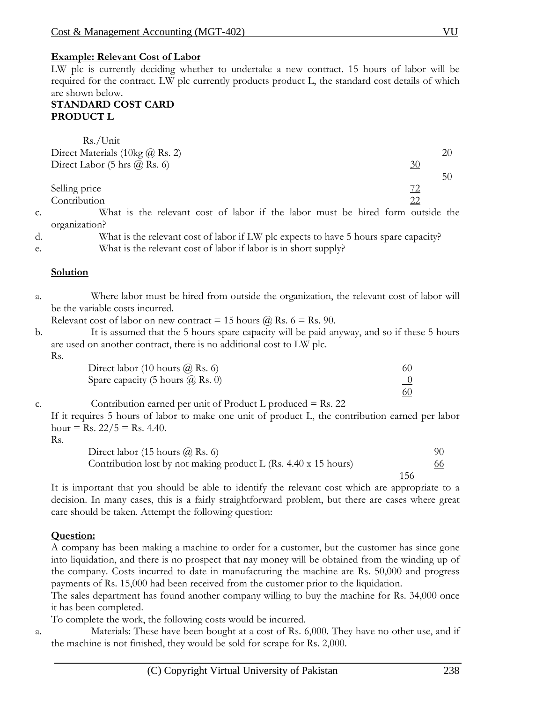# **Example: Relevant Cost of Labor**

LW plc is currently deciding whether to undertake a new contract. 15 hours of labor will be required for the contract. LW plc currently products product L, the standard cost details of which are shown below.

# **STANDARD COST CARD PRODUCT L**

| Rs./Unit                                                                                          |    |    |
|---------------------------------------------------------------------------------------------------|----|----|
| Direct Materials $(10\text{kg }@)$ Rs. 2)                                                         |    |    |
| Direct Labor (5 hrs $(a)$ Rs. 6)                                                                  | 30 |    |
|                                                                                                   |    | 50 |
| Selling price                                                                                     |    |    |
| Contribution                                                                                      | 22 |    |
| WWW.car is also colonized a seat of library if the library constants. It is defined to contribute |    |    |

c. What is the relevant cost of labor if the labor must be hired form outside the organization?

- d. What is the relevant cost of labor if LW plc expects to have 5 hours spare capacity?
- e. What is the relevant cost of labor if labor is in short supply?

#### **Solution**

a. Where labor must be hired from outside the organization, the relevant cost of labor will be the variable costs incurred.

Relevant cost of labor on new contract = 15 hours  $\omega$  Rs. 6 = Rs. 90.

b. It is assumed that the 5 hours spare capacity will be paid anyway, and so if these 5 hours are used on another contract, there is no additional cost to LW plc. Rs.

| Direct labor (10 hours $\omega$ Rs. 6)  | 60. |
|-----------------------------------------|-----|
| Spare capacity (5 hours $\omega$ Rs. 0) |     |
|                                         | 60  |

c. Contribution earned per unit of Product L produced  $=$  Rs. 22

If it requires 5 hours of labor to make one unit of product L, the contribution earned per labor hour = Rs.  $22/5$  = Rs. 4.40.

Rs.

| Direct labor (15 hours $\omega$ Rs. 6)                          |             |           |
|-----------------------------------------------------------------|-------------|-----------|
| Contribution lost by not making product L (Rs. 4.40 x 15 hours) |             | <u>66</u> |
|                                                                 | <u> 156</u> |           |

It is important that you should be able to identify the relevant cost which are appropriate to a decision. In many cases, this is a fairly straightforward problem, but there are cases where great care should be taken. Attempt the following question:

# **Question:**

A company has been making a machine to order for a customer, but the customer has since gone into liquidation, and there is no prospect that nay money will be obtained from the winding up of the company. Costs incurred to date in manufacturing the machine are Rs. 50,000 and progress payments of Rs. 15,000 had been received from the customer prior to the liquidation.

The sales department has found another company willing to buy the machine for Rs. 34,000 once it has been completed.

To complete the work, the following costs would be incurred.

a. Materials: These have been bought at a cost of Rs. 6,000. They have no other use, and if the machine is not finished, they would be sold for scrape for Rs. 2,000.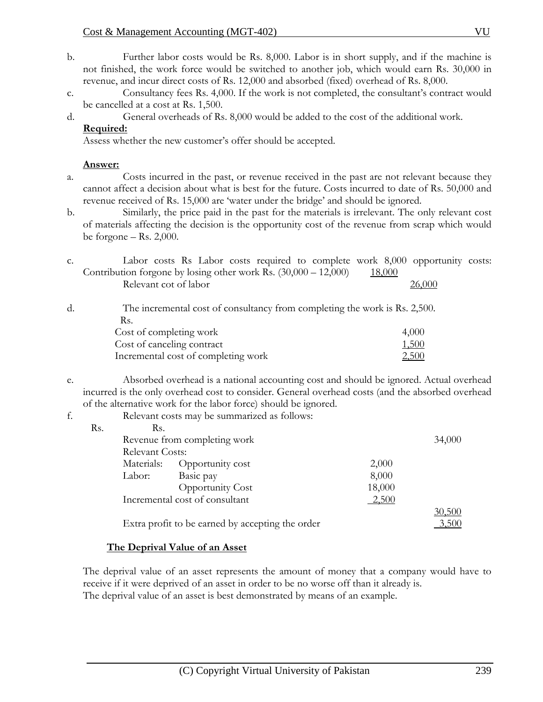- b. Further labor costs would be Rs. 8,000. Labor is in short supply, and if the machine is not finished, the work force would be switched to another job, which would earn Rs. 30,000 in revenue, and incur direct costs of Rs. 12,000 and absorbed (fixed) overhead of Rs. 8,000.
- c. Consultancy fees Rs. 4,000. If the work is not completed, the consultant's contract would be cancelled at a cost at Rs. 1,500.
- d. General overheads of Rs. 8,000 would be added to the cost of the additional work.

### **Required:**

Assess whether the new customer's offer should be accepted.

### **Answer:**

- a. Costs incurred in the past, or revenue received in the past are not relevant because they cannot affect a decision about what is best for the future. Costs incurred to date of Rs. 50,000 and revenue received of Rs. 15,000 are 'water under the bridge' and should be ignored.
- b. Similarly, the price paid in the past for the materials is irrelevant. The only relevant cost of materials affecting the decision is the opportunity cost of the revenue from scrap which would be forgone  $-$  Rs. 2,000.
- c. Labor costs Rs Labor costs required to complete work 8,000 opportunity costs: Contribution forgone by losing other work Rs.  $(30,000 - 12,000)$  18,000 Relevant cot of labor 26,000
- d. The incremental cost of consultancy from completing the work is Rs. 2,500. Rs. Cost of completing work 4,000 Cost of canceling contract 1,500 Incremental cost of completing work 2,500
- e. Absorbed overhead is a national accounting cost and should be ignored. Actual overhead incurred is the only overhead cost to consider. General overhead costs (and the absorbed overhead of the alternative work for the labor force) should be ignored.

| f. |     |                 | Relevant costs may be summarized as follows:     |        |               |
|----|-----|-----------------|--------------------------------------------------|--------|---------------|
|    | Rs. | Rs.             |                                                  |        |               |
|    |     |                 | Revenue from completing work                     |        | 34,000        |
|    |     | Relevant Costs: |                                                  |        |               |
|    |     | Materials:      | Opportunity cost                                 | 2,000  |               |
|    |     | Labor:          | Basic pay                                        | 8,000  |               |
|    |     |                 | <b>Opportunity Cost</b>                          | 18,000 |               |
|    |     |                 | Incremental cost of consultant                   | 2,500  |               |
|    |     |                 |                                                  |        | <u>30,500</u> |
|    |     |                 | Extra profit to be earned by accepting the order |        | 3,500         |

# **The Deprival Value of an Asset**

The deprival value of an asset represents the amount of money that a company would have to receive if it were deprived of an asset in order to be no worse off than it already is. The deprival value of an asset is best demonstrated by means of an example.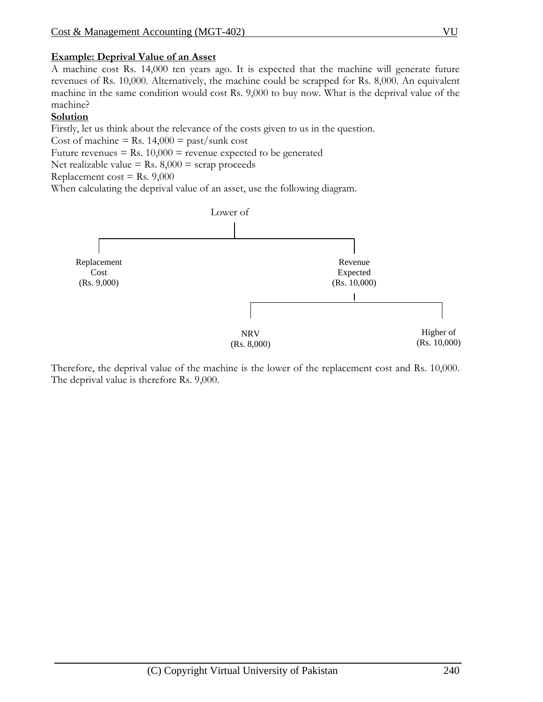# **Example: Deprival Value of an Asset**

A machine cost Rs. 14,000 ten years ago. It is expected that the machine will generate future revenues of Rs. 10,000. Alternatively, the machine could be scrapped for Rs. 8,000. An equivalent machine in the same condition would cost Rs. 9,000 to buy now. What is the deprival value of the machine?

# **Solution**

Firstly, let us think about the relevance of the costs given to us in the question.

Cost of machine = Rs.  $14,000 = \text{past/sunk cost}$ 

Future revenues = Rs.  $10,000$  = revenue expected to be generated

Net realizable value = Rs.  $8,000$  = scrap proceeds

Replacement cost = Rs.  $9,000$ 

When calculating the deprival value of an asset, use the following diagram.



Therefore, the deprival value of the machine is the lower of the replacement cost and Rs. 10,000. The deprival value is therefore Rs. 9,000.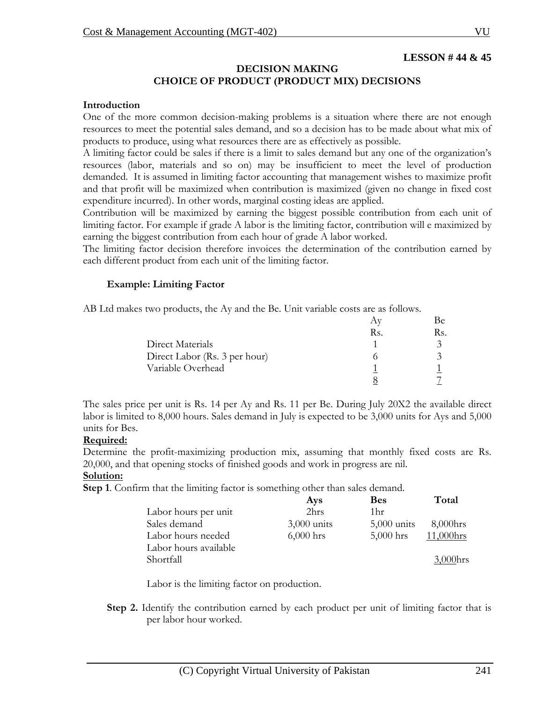# **LESSON # 44 & 45**

#### **DECISION MAKING CHOICE OF PRODUCT (PRODUCT MIX) DECISIONS**

#### **Introduction**

One of the more common decision-making problems is a situation where there are not enough resources to meet the potential sales demand, and so a decision has to be made about what mix of products to produce, using what resources there are as effectively as possible.

A limiting factor could be sales if there is a limit to sales demand but any one of the organization's resources (labor, materials and so on) may be insufficient to meet the level of production demanded. It is assumed in limiting factor accounting that management wishes to maximize profit and that profit will be maximized when contribution is maximized (given no change in fixed cost expenditure incurred). In other words, marginal costing ideas are applied.

Contribution will be maximized by earning the biggest possible contribution from each unit of limiting factor. For example if grade A labor is the limiting factor, contribution will e maximized by earning the biggest contribution from each hour of grade A labor worked.

The limiting factor decision therefore invoices the determination of the contribution earned by each different product from each unit of the limiting factor.

#### **Example: Limiting Factor**

AB Ltd makes two products, the Ay and the Be. Unit variable costs are as follows.

|                               |     | Bе  |
|-------------------------------|-----|-----|
|                               | Rs. | Ks. |
| Direct Materials              |     |     |
| Direct Labor (Rs. 3 per hour) |     |     |
| Variable Overhead             |     |     |
|                               |     |     |

The sales price per unit is Rs. 14 per Ay and Rs. 11 per Be. During July 20X2 the available direct labor is limited to 8,000 hours. Sales demand in July is expected to be 3,000 units for Ays and 5,000 units for Bes.

#### **Required:**

Determine the profit-maximizing production mix, assuming that monthly fixed costs are Rs. 20,000, and that opening stocks of finished goods and work in progress are nil.

#### **Solution:**

**Step 1**. Confirm that the limiting factor is something other than sales demand.

|                                             | Ays           | <b>Bes</b>      | Total     |
|---------------------------------------------|---------------|-----------------|-----------|
| Labor hours per unit                        | 2hrs          | 1 <sub>hr</sub> |           |
| Sales demand                                | $3,000$ units | $5,000$ units   | 8,000hrs  |
| Labor hours needed<br>Labor hours available | $6,000$ hrs   | $5,000$ hrs     | 11,000hrs |
| Shortfall                                   |               |                 | 3,000hrs  |

Labor is the limiting factor on production.

**Step 2.** Identify the contribution earned by each product per unit of limiting factor that is per labor hour worked.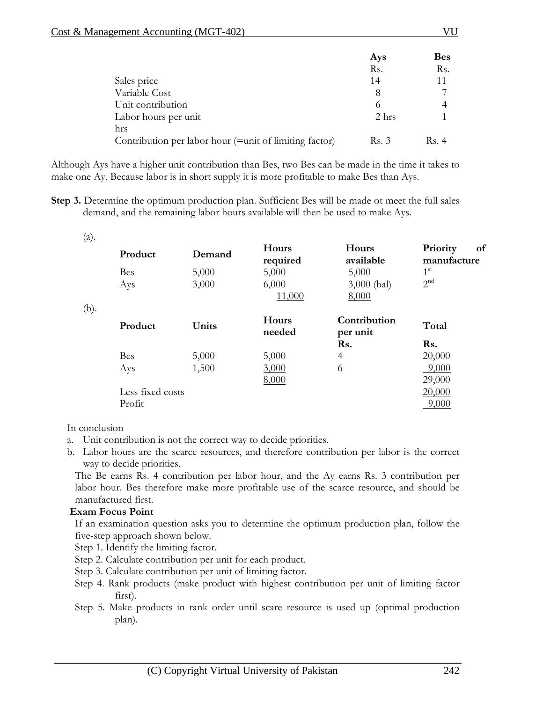|                                                        | Ays   | <b>Bes</b> |
|--------------------------------------------------------|-------|------------|
|                                                        | Rs.   | Rs.        |
| Sales price                                            | 14    | 11         |
| Variable Cost                                          | 8     |            |
| Unit contribution                                      |       |            |
| Labor hours per unit                                   | 2 hrs |            |
| hrs                                                    |       |            |
| Contribution per labor hour (=unit of limiting factor) | Rs. 3 | Rs. 4      |

 Although Ays have a higher unit contribution than Bes, two Bes can be made in the time it takes to make one Ay. Because labor is in short supply it is more profitable to make Bes than Ays.

**Step 3.** Determine the optimum production plan. Sufficient Bes will be made ot meet the full sales demand, and the remaining labor hours available will then be used to make Ays.

| (a). | Product          | Demand | Hours<br>required | Hours<br>available              | of<br>Priority<br>manufacture |
|------|------------------|--------|-------------------|---------------------------------|-------------------------------|
|      | <b>Bes</b>       | 5,000  | 5,000             | 5,000                           | 1 <sup>st</sup>               |
|      | Ays              | 3,000  | 6,000             | $3,000$ (bal)                   | $2^{nd}$                      |
|      |                  |        | 11,000            | 8,000                           |                               |
| (b). | Product          | Units  | Hours<br>needed   | Contribution<br>per unit<br>Rs. | Total<br>Rs.                  |
|      | <b>Bes</b>       | 5,000  | 5,000             | $\overline{4}$                  | 20,000                        |
|      | Ays              | 1,500  | 3,000             | 6                               | 9,000                         |
|      |                  |        | 8,000             |                                 | 29,000                        |
|      | Less fixed costs |        |                   |                                 | 20,000                        |
|      | Profit           |        |                   |                                 | 9,000                         |

In conclusion

- a. Unit contribution is not the correct way to decide priorities.
- b. Labor hours are the scarce resources, and therefore contribution per labor is the correct way to decide priorities.

The Be earns Rs. 4 contribution per labor hour, and the Ay earns Rs. 3 contribution per labor hour. Bes therefore make more profitable use of the scarce resource, and should be manufactured first.

#### **Exam Focus Point**

If an examination question asks you to determine the optimum production plan, follow the five-step approach shown below.

- Step 1. Identify the limiting factor.
- Step 2. Calculate contribution per unit for each product.
- Step 3. Calculate contribution per unit of limiting factor.
- Step 4. Rank products (make product with highest contribution per unit of limiting factor first).
- Step 5. Make products in rank order until scare resource is used up (optimal production plan).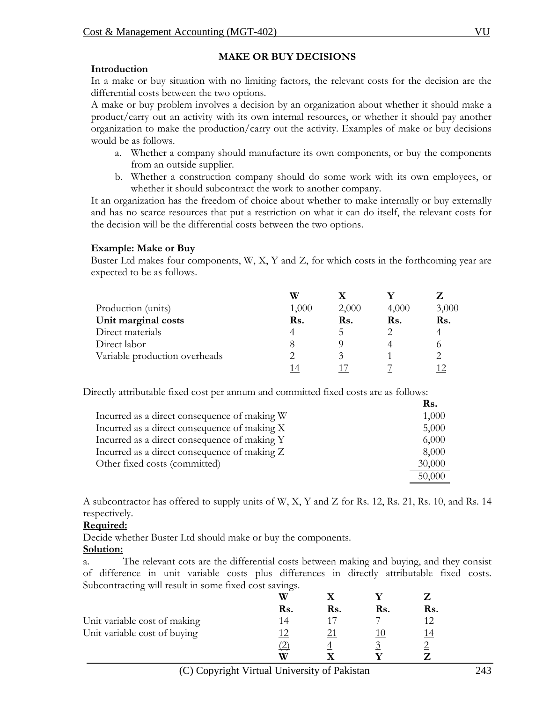# **MAKE OR BUY DECISIONS**

# **Introduction**

In a make or buy situation with no limiting factors, the relevant costs for the decision are the differential costs between the two options.

A make or buy problem involves a decision by an organization about whether it should make a product/carry out an activity with its own internal resources, or whether it should pay another organization to make the production/carry out the activity. Examples of make or buy decisions would be as follows.

- a. Whether a company should manufacture its own components, or buy the components from an outside supplier.
- b. Whether a construction company should do some work with its own employees, or whether it should subcontract the work to another company.

It an organization has the freedom of choice about whether to make internally or buy externally and has no scarce resources that put a restriction on what it can do itself, the relevant costs for the decision will be the differential costs between the two options.

# **Example: Make or Buy**

Buster Ltd makes four components,  $W, X, Y$  and  $Z$ , for which costs in the forthcoming year are expected to be as follows.

|                               | W     |       |       |       |
|-------------------------------|-------|-------|-------|-------|
| Production (units)            | 1,000 | 2,000 | 4,000 | 3,000 |
| Unit marginal costs           | Rs.   | Rs.   | Rs.   | Rs.   |
| Direct materials              |       | ∽     |       |       |
| Direct labor                  | 8     |       |       |       |
| Variable production overheads |       |       |       | ∍     |
|                               |       |       |       |       |

Directly attributable fixed cost per annum and committed fixed costs are as follows:

|                                              | Rs.    |
|----------------------------------------------|--------|
| Incurred as a direct consequence of making W | 1,000  |
| Incurred as a direct consequence of making X | 5,000  |
| Incurred as a direct consequence of making Y | 6,000  |
| Incurred as a direct consequence of making Z | 8,000  |
| Other fixed costs (committed)                | 30,000 |
|                                              | 50,000 |

A subcontractor has offered to supply units of W, X, Y and Z for Rs. 12, Rs. 21, Rs. 10, and Rs. 14 respectively.

# **Required:**

Decide whether Buster Ltd should make or buy the components.

#### **Solution:**

a. The relevant cots are the differential costs between making and buying, and they consist of difference in unit variable costs plus differences in directly attributable fixed costs. Subcontracting will result in some fixed cost savings.

|                              | Rs. | Rs. | Rs. | Rs. |
|------------------------------|-----|-----|-----|-----|
| Unit variable cost of making |     |     |     | 1 2 |
| Unit variable cost of buying |     |     |     | 14  |
|                              | ∼.  |     |     |     |
|                              | W   |     |     |     |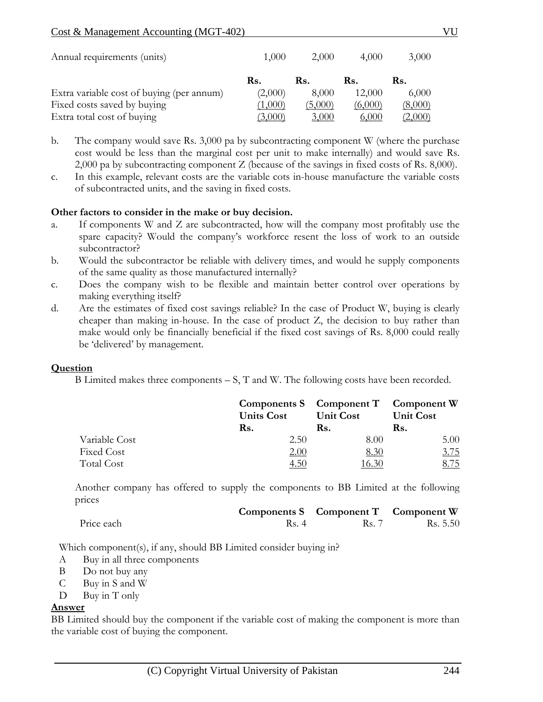| Annual requirements (units)               | 1,000   | 2,000   | 4,000        | 3,000   |
|-------------------------------------------|---------|---------|--------------|---------|
|                                           | Rs.     | Rs.     | Rs.          | Rs.     |
| Extra variable cost of buying (per annum) | (2,000) | 8,000   | 12,000       | 6,000   |
| Fixed costs saved by buying               | (1,000) | (5,000) | (6,000)      | (8,000) |
| Extra total cost of buying                | (3,000) | 3,000   | <u>6,000</u> | 2,000   |

- b. The company would save Rs. 3,000 pa by subcontracting component W (where the purchase cost would be less than the marginal cost per unit to make internally) and would save Rs. 2,000 pa by subcontracting component Z (because of the savings in fixed costs of Rs. 8,000).
- c. In this example, relevant costs are the variable cots in-house manufacture the variable costs of subcontracted units, and the saving in fixed costs.

#### **Other factors to consider in the make or buy decision.**

- a. If components W and Z are subcontracted, how will the company most profitably use the spare capacity? Would the company's workforce resent the loss of work to an outside subcontractor?
- b. Would the subcontractor be reliable with delivery times, and would he supply components of the same quality as those manufactured internally?
- c. Does the company wish to be flexible and maintain better control over operations by making everything itself?
- d. Are the estimates of fixed cost savings reliable? In the case of Product W, buying is clearly cheaper than making in-house. In the case of product Z, the decision to buy rather than make would only be financially beneficial if the fixed cost savings of Rs. 8,000 could really be 'delivered' by management.

#### **Question**

B Limited makes three components – S, T and W. The following costs have been recorded.

|               | <b>Units Cost</b> | Components S Component T Component W<br><b>Unit Cost</b> | <b>Unit Cost</b> |
|---------------|-------------------|----------------------------------------------------------|------------------|
|               | Rs.               | Rs.                                                      | Rs.              |
| Variable Cost | 2.50              | 8.00                                                     | 5.00             |
| Fixed Cost    | <u>2.00</u>       | 8.30                                                     | 3.75             |
| Total Cost    | 4.50              | 16.30                                                    | 8.75             |

Another company has offered to supply the components to BB Limited at the following prices

|            | Components S Component T Component W |              |          |
|------------|--------------------------------------|--------------|----------|
| Price each | Rs. 4                                | <b>Rs.</b> 7 | Rs. 5.50 |

Which component(s), if any, should BB Limited consider buying in?

- A Buy in all three components
- B Do not buy any
- C Buy in S and W
- D Buy in T only

#### **Answer**

BB Limited should buy the component if the variable cost of making the component is more than the variable cost of buying the component.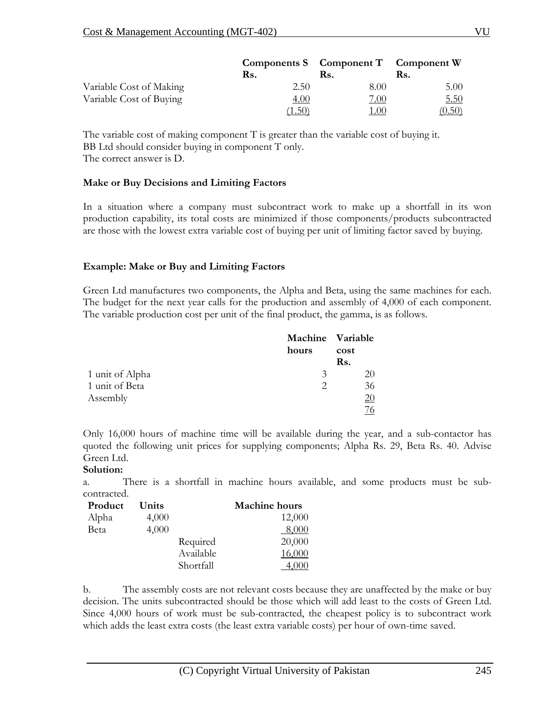|                         |             | Components S Component T Component W |             |  |
|-------------------------|-------------|--------------------------------------|-------------|--|
|                         | Rs.         | Rs.                                  | Rs.         |  |
| Variable Cost of Making | 2.50        | 8.00                                 | 5.00        |  |
| Variable Cost of Buying | <u>4.00</u> | <u>7.00</u>                          | <u>5.50</u> |  |
|                         | (1.50)      | $1.00\,$                             | (0.50)      |  |

The variable cost of making component T is greater than the variable cost of buying it. BB Ltd should consider buying in component T only. The correct answer is D.

### **Make or Buy Decisions and Limiting Factors**

In a situation where a company must subcontract work to make up a shortfall in its won production capability, its total costs are minimized if those components/products subcontracted are those with the lowest extra variable cost of buying per unit of limiting factor saved by buying.

#### **Example: Make or Buy and Limiting Factors**

Green Ltd manufactures two components, the Alpha and Beta, using the same machines for each. The budget for the next year calls for the production and assembly of 4,000 of each component. The variable production cost per unit of the final product, the gamma, is as follows.

|                 | Machine Variable |           |
|-----------------|------------------|-----------|
|                 | hours            | cost      |
|                 |                  | Rs.       |
| 1 unit of Alpha | 3                | 20        |
| 1 unit of Beta  | $\mathcal{L}$    | 36        |
| Assembly        |                  | <u>20</u> |
|                 |                  |           |

Only 16,000 hours of machine time will be available during the year, and a sub-contactor has quoted the following unit prices for supplying components; Alpha Rs. 29, Beta Rs. 40. Advise Green Ltd.

#### **Solution:**

a. There is a shortfall in machine hours available, and some products must be subcontracted.

| Product | Units |           | <b>Machine</b> hours |
|---------|-------|-----------|----------------------|
| Alpha   | 4,000 |           | 12,000               |
| Beta    | 4,000 |           | 8,000                |
|         |       | Required  | 20,000               |
|         |       | Available | 16,000               |
|         |       | Shortfall |                      |

b. The assembly costs are not relevant costs because they are unaffected by the make or buy decision. The units subcontracted should be those which will add least to the costs of Green Ltd. Since 4,000 hours of work must be sub-contracted, the cheapest policy is to subcontract work which adds the least extra costs (the least extra variable costs) per hour of own-time saved.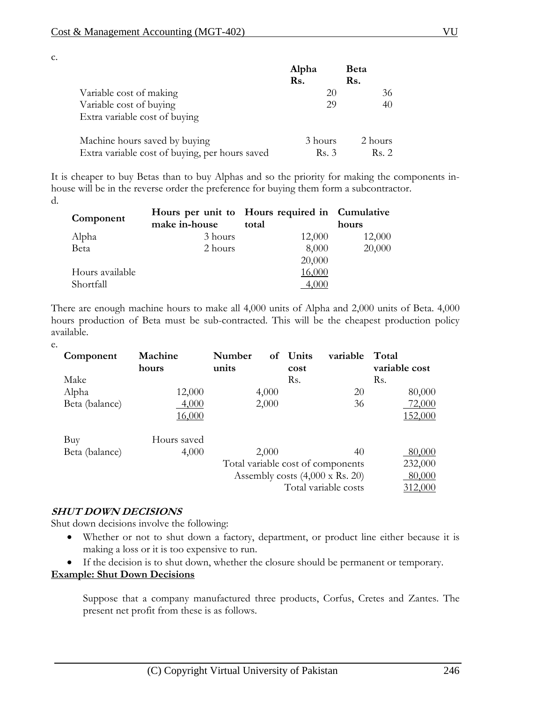c.

e.

|                                                | Alpha<br>Rs. | <b>Beta</b><br>Rs. |
|------------------------------------------------|--------------|--------------------|
| Variable cost of making                        | 20           | 36                 |
| Variable cost of buying                        | 29           | 40                 |
| Extra variable cost of buying                  |              |                    |
| Machine hours saved by buying                  | 3 hours      | 2 hours            |
| Extra variable cost of buying, per hours saved | Rs. 3        | Rs. 2              |

It is cheaper to buy Betas than to buy Alphas and so the priority for making the components inhouse will be in the reverse order the preference for buying them form a subcontractor. d.

| Component       | make in-house | Hours per unit to Hours required in Cumulative<br>total | hours  |
|-----------------|---------------|---------------------------------------------------------|--------|
| Alpha           | 3 hours       | 12,000                                                  | 12,000 |
| Beta            | 2 hours       | 8,000                                                   | 20,000 |
|                 |               | 20,000                                                  |        |
| Hours available |               | <u>16,000</u>                                           |        |
| Shortfall       |               | 4.000                                                   |        |

There are enough machine hours to make all 4,000 units of Alpha and 2,000 units of Beta. 4,000 hours production of Beta must be sub-contracted. This will be the cheapest production policy available.

| Component      | Machine<br>hours | Number<br>οf<br>units                                                               | <b>I</b> Inits<br>cost | variable | Total<br>variable cost |
|----------------|------------------|-------------------------------------------------------------------------------------|------------------------|----------|------------------------|
| Make           |                  |                                                                                     | Rs.                    |          | Rs.                    |
| Alpha          | 12,000           | 4,000                                                                               |                        | 20       | 80,000                 |
| Beta (balance) | 4,000            | 2,000                                                                               |                        | 36       | 72,000                 |
|                | 16,000           |                                                                                     |                        |          | 152,000                |
| Buy            | Hours saved      |                                                                                     |                        |          |                        |
| Beta (balance) | 4,000            | 2,000                                                                               |                        | 40       | 80,000                 |
|                |                  | Total variable cost of components<br>Assembly costs $(4,000 \times \text{Rs. } 20)$ |                        |          | 232,000                |
|                |                  |                                                                                     |                        |          | 80,000                 |
|                |                  | Total variable costs                                                                |                        |          | 312,000                |

#### **SHUT DOWN DECISIONS**

Shut down decisions involve the following:

- Whether or not to shut down a factory, department, or product line either because it is making a loss or it is too expensive to run.
- If the decision is to shut down, whether the closure should be permanent or temporary.

#### **Example: Shut Down Decisions**

Suppose that a company manufactured three products, Corfus, Cretes and Zantes. The present net profit from these is as follows.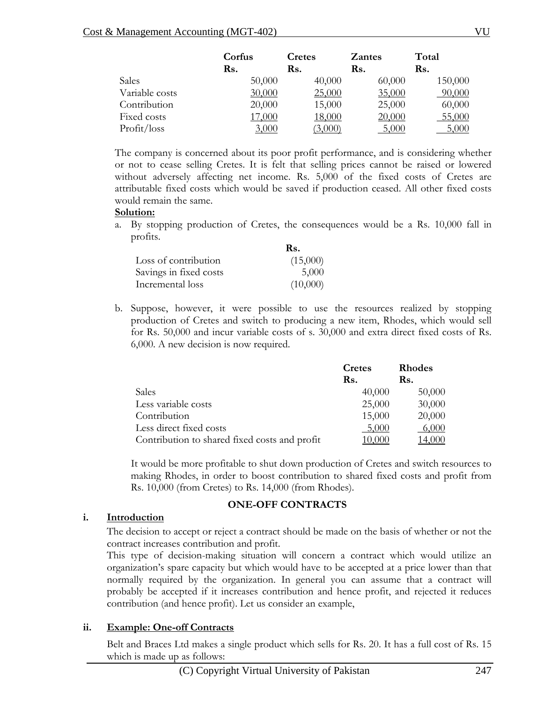|                | Corfus        | Cretes  | <b>Zantes</b> | Total   |
|----------------|---------------|---------|---------------|---------|
|                | Rs.           | Rs.     | Rs.           | Rs.     |
| Sales          | 50,000        | 40,000  | 60,000        | 150,000 |
| Variable costs | 30,000        | 25,000  | 35,000        | 90,000  |
| Contribution   | 20,000        | 15,000  | 25,000        | 60,000  |
| Fixed costs    | <u>17,000</u> | 18,000  | 20,000        | 55,000  |
| Profit/loss    | 3,000         | (3,000) | 5,000         | 5,000   |

The company is concerned about its poor profit performance, and is considering whether or not to cease selling Cretes. It is felt that selling prices cannot be raised or lowered without adversely affecting net income. Rs. 5,000 of the fixed costs of Cretes are attributable fixed costs which would be saved if production ceased. All other fixed costs would remain the same.

#### **Solution:**

a. By stopping production of Cretes, the consequences would be a Rs. 10,000 fall in profits.

|                        | Rs.      |  |  |
|------------------------|----------|--|--|
| Loss of contribution   | (15,000) |  |  |
| Savings in fixed costs | 5,000    |  |  |
| Incremental loss       | (10,000) |  |  |

b. Suppose, however, it were possible to use the resources realized by stopping production of Cretes and switch to producing a new item, Rhodes, which would sell for Rs. 50,000 and incur variable costs of s. 30,000 and extra direct fixed costs of Rs. 6,000. A new decision is now required.

|                                               | <b>Cretes</b> | <b>Rhodes</b> |
|-----------------------------------------------|---------------|---------------|
|                                               | Rs.           | Rs.           |
| Sales                                         | 40,000        | 50,000        |
| Less variable costs                           | 25,000        | 30,000        |
| Contribution                                  | 15,000        | 20,000        |
| Less direct fixed costs                       | 5,000         | 6,000         |
| Contribution to shared fixed costs and profit | 10,000        | 14,000        |

It would be more profitable to shut down production of Cretes and switch resources to making Rhodes, in order to boost contribution to shared fixed costs and profit from Rs. 10,000 (from Cretes) to Rs. 14,000 (from Rhodes).

#### **ONE-OFF CONTRACTS**

# **i. Introduction**

The decision to accept or reject a contract should be made on the basis of whether or not the contract increases contribution and profit.

This type of decision-making situation will concern a contract which would utilize an organization's spare capacity but which would have to be accepted at a price lower than that normally required by the organization. In general you can assume that a contract will probably be accepted if it increases contribution and hence profit, and rejected it reduces contribution (and hence profit). Let us consider an example,

# **ii. Example: One-off Contracts**

Belt and Braces Ltd makes a single product which sells for Rs. 20. It has a full cost of Rs. 15 which is made up as follows: